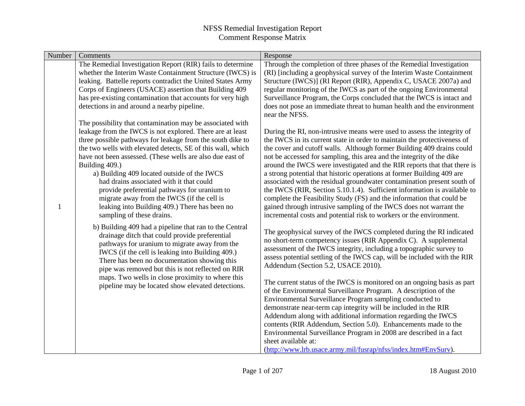| Number | Comments                                                                                                                                                                                                                                                                                                                                                                                                                                                                                                                                                                                                  | Response                                                                                                                                                                                                                                                                                                                                                                                                                                                                                                                                                                                                                                                                                                                                                                                                                                 |
|--------|-----------------------------------------------------------------------------------------------------------------------------------------------------------------------------------------------------------------------------------------------------------------------------------------------------------------------------------------------------------------------------------------------------------------------------------------------------------------------------------------------------------------------------------------------------------------------------------------------------------|------------------------------------------------------------------------------------------------------------------------------------------------------------------------------------------------------------------------------------------------------------------------------------------------------------------------------------------------------------------------------------------------------------------------------------------------------------------------------------------------------------------------------------------------------------------------------------------------------------------------------------------------------------------------------------------------------------------------------------------------------------------------------------------------------------------------------------------|
|        | The Remedial Investigation Report (RIR) fails to determine<br>whether the Interim Waste Containment Structure (IWCS) is<br>leaking. Battelle reports contradict the United States Army<br>Corps of Engineers (USACE) assertion that Building 409<br>has pre-existing contamination that accounts for very high<br>detections in and around a nearby pipeline.                                                                                                                                                                                                                                             | Through the completion of three phases of the Remedial Investigation<br>(RI) [including a geophysical survey of the Interim Waste Containment<br>Structure (IWCS)] (RI Report (RIR), Appendix C, USACE 2007a) and<br>regular monitoring of the IWCS as part of the ongoing Environmental<br>Surveillance Program, the Corps concluded that the IWCS is intact and<br>does not pose an immediate threat to human health and the environment<br>near the NFSS.                                                                                                                                                                                                                                                                                                                                                                             |
| 1      | The possibility that contamination may be associated with<br>leakage from the IWCS is not explored. There are at least<br>three possible pathways for leakage from the south dike to<br>the two wells with elevated detects, SE of this wall, which<br>have not been assessed. (These wells are also due east of<br>Building 409.)<br>a) Building 409 located outside of the IWCS<br>had drains associated with it that could<br>provide preferential pathways for uranium to<br>migrate away from the IWCS (if the cell is<br>leaking into Building 409.) There has been no<br>sampling of these drains. | During the RI, non-intrusive means were used to assess the integrity of<br>the IWCS in its current state in order to maintain the protectiveness of<br>the cover and cutoff walls. Although former Building 409 drains could<br>not be accessed for sampling, this area and the integrity of the dike<br>around the IWCS were investigated and the RIR reports that that there is<br>a strong potential that historic operations at former Building 409 are<br>associated with the residual groundwater contamination present south of<br>the IWCS (RIR, Section 5.10.1.4). Sufficient information is available to<br>complete the Feasibility Study (FS) and the information that could be<br>gained through intrusive sampling of the IWCS does not warrant the<br>incremental costs and potential risk to workers or the environment. |
|        | b) Building 409 had a pipeline that ran to the Central<br>drainage ditch that could provide preferential<br>pathways for uranium to migrate away from the<br>IWCS (if the cell is leaking into Building 409.)<br>There has been no documentation showing this<br>pipe was removed but this is not reflected on RIR<br>maps. Two wells in close proximity to where this<br>pipeline may be located show elevated detections.                                                                                                                                                                               | The geophysical survey of the IWCS completed during the RI indicated<br>no short-term competency issues (RIR Appendix C). A supplemental<br>assessment of the IWCS integrity, including a topographic survey to<br>assess potential settling of the IWCS cap, will be included with the RIR<br>Addendum (Section 5.2, USACE 2010).<br>The current status of the IWCS is monitored on an ongoing basis as part<br>of the Environmental Surveillance Program. A description of the<br>Environmental Surveillance Program sampling conducted to                                                                                                                                                                                                                                                                                             |
|        |                                                                                                                                                                                                                                                                                                                                                                                                                                                                                                                                                                                                           | demonstrate near-term cap integrity will be included in the RIR<br>Addendum along with additional information regarding the IWCS<br>contents (RIR Addendum, Section 5.0). Enhancements made to the<br>Environmental Surveillance Program in 2008 are described in a fact<br>sheet available at:<br>(http://www.lrb.usace.army.mil/fusrap/nfss/index.htm#EnvSurv).                                                                                                                                                                                                                                                                                                                                                                                                                                                                        |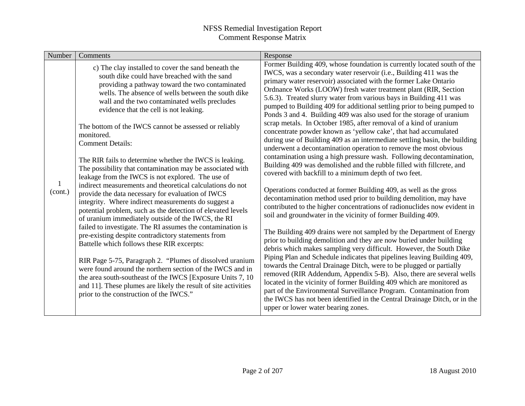| Number  | Comments                                                                                                                                                                                                                                                                                                | Response                                                                                                                                                                                                                                                                                                                                                                                                                                                                                                     |
|---------|---------------------------------------------------------------------------------------------------------------------------------------------------------------------------------------------------------------------------------------------------------------------------------------------------------|--------------------------------------------------------------------------------------------------------------------------------------------------------------------------------------------------------------------------------------------------------------------------------------------------------------------------------------------------------------------------------------------------------------------------------------------------------------------------------------------------------------|
| (cont.) | c) The clay installed to cover the sand beneath the<br>south dike could have breached with the sand<br>providing a pathway toward the two contaminated<br>wells. The absence of wells between the south dike<br>wall and the two contaminated wells precludes<br>evidence that the cell is not leaking. | Former Building 409, whose foundation is currently located south of the<br>IWCS, was a secondary water reservoir (i.e., Building 411 was the<br>primary water reservoir) associated with the former Lake Ontario<br>Ordnance Works (LOOW) fresh water treatment plant (RIR, Section<br>5.6.3). Treated slurry water from various bays in Building 411 was<br>pumped to Building 409 for additional settling prior to being pumped to<br>Ponds 3 and 4. Building 409 was also used for the storage of uranium |
|         | The bottom of the IWCS cannot be assessed or reliably<br>monitored.<br><b>Comment Details:</b>                                                                                                                                                                                                          | scrap metals. In October 1985, after removal of a kind of uranium<br>concentrate powder known as 'yellow cake', that had accumulated<br>during use of Building 409 as an intermediate settling basin, the building<br>underwent a decontamination operation to remove the most obvious                                                                                                                                                                                                                       |
|         | The RIR fails to determine whether the IWCS is leaking.<br>The possibility that contamination may be associated with<br>leakage from the IWCS is not explored. The use of                                                                                                                               | contamination using a high pressure wash. Following decontamination,<br>Building 409 was demolished and the rubble filled with fillcrete, and<br>covered with backfill to a minimum depth of two feet.                                                                                                                                                                                                                                                                                                       |
|         | indirect measurements and theoretical calculations do not<br>provide the data necessary for evaluation of IWCS<br>integrity. Where indirect measurements do suggest a<br>potential problem, such as the detection of elevated levels<br>of uranium immediately outside of the IWCS, the RI              | Operations conducted at former Building 409, as well as the gross<br>decontamination method used prior to building demolition, may have<br>contributed to the higher concentrations of radionuclides now evident in<br>soil and groundwater in the vicinity of former Building 409.                                                                                                                                                                                                                          |
|         | failed to investigate. The RI assumes the contamination is<br>pre-existing despite contradictory statements from<br>Battelle which follows these RIR excerpts:                                                                                                                                          | The Building 409 drains were not sampled by the Department of Energy<br>prior to building demolition and they are now buried under building<br>debris which makes sampling very difficult. However, the South Dike                                                                                                                                                                                                                                                                                           |
|         | RIR Page 5-75, Paragraph 2. "Plumes of dissolved uranium<br>were found around the northern section of the IWCS and in<br>the area south-southeast of the IWCS [Exposure Units 7, 10<br>and 11]. These plumes are likely the result of site activities<br>prior to the construction of the IWCS."        | Piping Plan and Schedule indicates that pipelines leaving Building 409,<br>towards the Central Drainage Ditch, were to be plugged or partially<br>removed (RIR Addendum, Appendix 5-B). Also, there are several wells<br>located in the vicinity of former Building 409 which are monitored as<br>part of the Environmental Surveillance Program. Contamination from<br>the IWCS has not been identified in the Central Drainage Ditch, or in the<br>upper or lower water bearing zones.                     |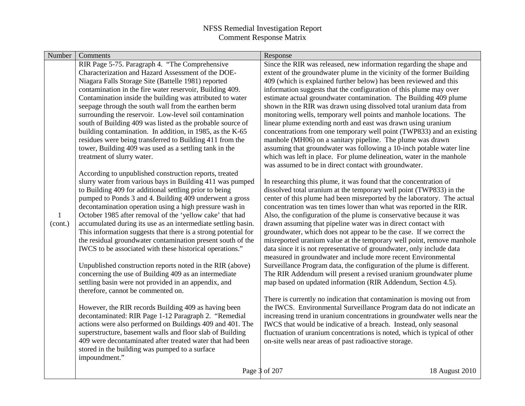| Number       | Comments                                                                                                           | Response                                                                                                                               |
|--------------|--------------------------------------------------------------------------------------------------------------------|----------------------------------------------------------------------------------------------------------------------------------------|
|              | RIR Page 5-75. Paragraph 4. "The Comprehensive                                                                     | Since the RIR was released, new information regarding the shape and                                                                    |
|              | Characterization and Hazard Assessment of the DOE-                                                                 | extent of the groundwater plume in the vicinity of the former Building                                                                 |
|              | Niagara Falls Storage Site (Battelle 1981) reported                                                                | 409 (which is explained further below) has been reviewed and this                                                                      |
|              | contamination in the fire water reservoir, Building 409.                                                           | information suggests that the configuration of this plume may over                                                                     |
|              | Contamination inside the building was attributed to water                                                          | estimate actual groundwater contamination. The Building 409 plume                                                                      |
|              | seepage through the south wall from the earthen berm                                                               | shown in the RIR was drawn using dissolved total uranium data from                                                                     |
|              | surrounding the reservoir. Low-level soil contamination                                                            | monitoring wells, temporary well points and manhole locations. The                                                                     |
|              | south of Building 409 was listed as the probable source of                                                         | linear plume extending north and east was drawn using uranium                                                                          |
|              | building contamination. In addition, in 1985, as the K-65                                                          | concentrations from one temporary well point (TWP833) and an existing                                                                  |
|              | residues were being transferred to Building 411 from the                                                           | manhole (MH06) on a sanitary pipeline. The plume was drawn                                                                             |
|              | tower, Building 409 was used as a settling tank in the                                                             | assuming that groundwater was following a 10-inch potable water line                                                                   |
|              | treatment of slurry water.                                                                                         | which was left in place. For plume delineation, water in the manhole                                                                   |
|              |                                                                                                                    | was assumed to be in direct contact with groundwater.                                                                                  |
|              | According to unpublished construction reports, treated                                                             |                                                                                                                                        |
|              | slurry water from various bays in Building 411 was pumped                                                          | In researching this plume, it was found that the concentration of                                                                      |
|              | to Building 409 for additional settling prior to being                                                             | dissolved total uranium at the temporary well point (TWP833) in the                                                                    |
|              | pumped to Ponds 3 and 4. Building 409 underwent a gross                                                            | center of this plume had been misreported by the laboratory. The actual                                                                |
|              | decontamination operation using a high pressure wash in                                                            | concentration was ten times lower than what was reported in the RIR.                                                                   |
| $\mathbf{1}$ | October 1985 after removal of the 'yellow cake' that had                                                           | Also, the configuration of the plume is conservative because it was                                                                    |
| (cont.)      | accumulated during its use as an intermediate settling basin.                                                      | drawn assuming that pipeline water was in direct contact with                                                                          |
|              | This information suggests that there is a strong potential for                                                     | groundwater, which does not appear to be the case. If we correct the                                                                   |
|              | the residual groundwater contamination present south of the                                                        | misreported uranium value at the temporary well point, remove manhole                                                                  |
|              | IWCS to be associated with these historical operations."                                                           | data since it is not representative of groundwater, only include data<br>measured in groundwater and include more recent Environmental |
|              |                                                                                                                    | Surveillance Program data, the configuration of the plume is different.                                                                |
|              | Unpublished construction reports noted in the RIR (above)<br>concerning the use of Building 409 as an intermediate | The RIR Addendum will present a revised uranium groundwater plume                                                                      |
|              | settling basin were not provided in an appendix, and                                                               | map based on updated information (RIR Addendum, Section 4.5).                                                                          |
|              | therefore, cannot be commented on.                                                                                 |                                                                                                                                        |
|              |                                                                                                                    | There is currently no indication that contamination is moving out from                                                                 |
|              | However, the RIR records Building 409 as having been                                                               | the IWCS. Environmental Surveillance Program data do not indicate an                                                                   |
|              | decontaminated: RIR Page 1-12 Paragraph 2. "Remedial                                                               | increasing trend in uranium concentrations in groundwater wells near the                                                               |
|              | actions were also performed on Buildings 409 and 401. The                                                          | IWCS that would be indicative of a breach. Instead, only seasonal                                                                      |
|              | superstructure, basement walls and floor slab of Building                                                          | fluctuation of uranium concentrations is noted, which is typical of other                                                              |
|              | 409 were decontaminated after treated water that had been                                                          | on-site wells near areas of past radioactive storage.                                                                                  |
|              | stored in the building was pumped to a surface                                                                     |                                                                                                                                        |
|              | impoundment."                                                                                                      |                                                                                                                                        |
|              |                                                                                                                    |                                                                                                                                        |
|              |                                                                                                                    | Page 3 of 207<br>18 August 2010                                                                                                        |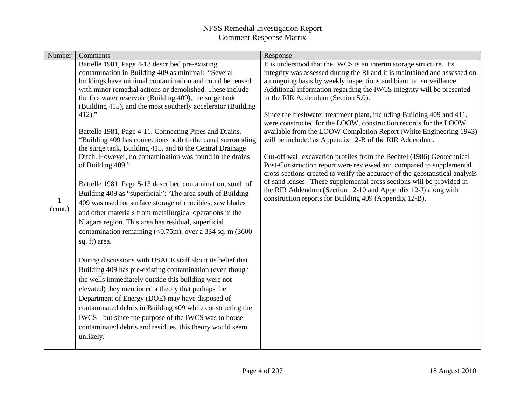| Number  | Comments                                                                                                              | Response                                                                                                                     |
|---------|-----------------------------------------------------------------------------------------------------------------------|------------------------------------------------------------------------------------------------------------------------------|
|         | Battelle 1981, Page 4-13 described pre-existing                                                                       | It is understood that the IWCS is an interim storage structure. Its                                                          |
|         | contamination in Building 409 as minimal: "Several                                                                    | integrity was assessed during the RI and it is maintained and assessed on                                                    |
|         | buildings have minimal contamination and could be reused                                                              | an ongoing basis by weekly inspections and biannual surveillance.                                                            |
|         | with minor remedial actions or demolished. These include                                                              | Additional information regarding the IWCS integrity will be presented                                                        |
|         | the fire water reservoir (Building 409), the surge tank                                                               | in the RIR Addendum (Section 5.0).                                                                                           |
|         | (Building 415), and the most southerly accelerator (Building                                                          |                                                                                                                              |
|         | $412$ ."                                                                                                              | Since the freshwater treatment plant, including Building 409 and 411,                                                        |
|         |                                                                                                                       | were constructed for the LOOW, construction records for the LOOW                                                             |
|         | Battelle 1981, Page 4-11. Connecting Pipes and Drains.<br>"Building 409 has connections both to the canal surrounding | available from the LOOW Completion Report (White Engineering 1943)<br>will be included as Appendix 12-B of the RIR Addendum. |
|         | the surge tank, Building 415, and to the Central Drainage                                                             |                                                                                                                              |
|         | Ditch. However, no contamination was found in the drains                                                              | Cut-off wall excavation profiles from the Bechtel (1986) Geotechnical                                                        |
|         | of Building 409."                                                                                                     | Post-Construction report were reviewed and compared to supplemental                                                          |
|         |                                                                                                                       | cross-sections created to verify the accuracy of the geostatistical analysis                                                 |
|         | Battelle 1981, Page 5-13 described contamination, south of                                                            | of sand lenses. These supplemental cross sections will be provided in                                                        |
|         | Building 409 as "superficial": 'The area south of Building                                                            | the RIR Addendum (Section 12-10 and Appendix 12-J) along with                                                                |
| -1      | 409 was used for surface storage of crucibles, saw blades                                                             | construction reports for Building 409 (Appendix 12-B).                                                                       |
| (cont.) | and other materials from metallurgical operations in the                                                              |                                                                                                                              |
|         |                                                                                                                       |                                                                                                                              |
|         | Niagara region. This area has residual, superficial                                                                   |                                                                                                                              |
|         | contamination remaining $(0.75m)$ , over a 334 sq. m (3600)                                                           |                                                                                                                              |
|         | sq. ft) area.                                                                                                         |                                                                                                                              |
|         |                                                                                                                       |                                                                                                                              |
|         | During discussions with USACE staff about its belief that                                                             |                                                                                                                              |
|         | Building 409 has pre-existing contamination (even though                                                              |                                                                                                                              |
|         | the wells immediately outside this building were not                                                                  |                                                                                                                              |
|         | elevated) they mentioned a theory that perhaps the                                                                    |                                                                                                                              |
|         | Department of Energy (DOE) may have disposed of                                                                       |                                                                                                                              |
|         | contaminated debris in Building 409 while constructing the                                                            |                                                                                                                              |
|         | IWCS - but since the purpose of the IWCS was to house                                                                 |                                                                                                                              |
|         | contaminated debris and residues, this theory would seem                                                              |                                                                                                                              |
|         | unlikely.                                                                                                             |                                                                                                                              |
|         |                                                                                                                       |                                                                                                                              |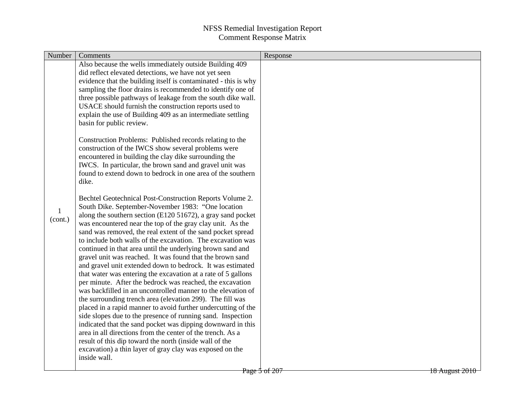| Number  | Comments                                                                                                                  | Response |
|---------|---------------------------------------------------------------------------------------------------------------------------|----------|
|         | Also because the wells immediately outside Building 409                                                                   |          |
|         | did reflect elevated detections, we have not yet seen                                                                     |          |
|         | evidence that the building itself is contaminated - this is why                                                           |          |
|         | sampling the floor drains is recommended to identify one of                                                               |          |
|         | three possible pathways of leakage from the south dike wall.                                                              |          |
|         | USACE should furnish the construction reports used to                                                                     |          |
|         | explain the use of Building 409 as an intermediate settling                                                               |          |
|         | basin for public review.                                                                                                  |          |
|         | Construction Problems: Published records relating to the                                                                  |          |
|         | construction of the IWCS show several problems were                                                                       |          |
|         | encountered in building the clay dike surrounding the                                                                     |          |
|         | IWCS. In particular, the brown sand and gravel unit was                                                                   |          |
|         | found to extend down to bedrock in one area of the southern                                                               |          |
|         | dike.                                                                                                                     |          |
|         |                                                                                                                           |          |
|         | Bechtel Geotechnical Post-Construction Reports Volume 2.                                                                  |          |
|         | South Dike. September-November 1983: "One location                                                                        |          |
| (cont.) | along the southern section (E120 51672), a gray sand pocket                                                               |          |
|         | was encountered near the top of the gray clay unit. As the                                                                |          |
|         | sand was removed, the real extent of the sand pocket spread                                                               |          |
|         | to include both walls of the excavation. The excavation was                                                               |          |
|         | continued in that area until the underlying brown sand and                                                                |          |
|         | gravel unit was reached. It was found that the brown sand                                                                 |          |
|         | and gravel unit extended down to bedrock. It was estimated                                                                |          |
|         | that water was entering the excavation at a rate of 5 gallons                                                             |          |
|         | per minute. After the bedrock was reached, the excavation<br>was backfilled in an uncontrolled manner to the elevation of |          |
|         | the surrounding trench area (elevation 299). The fill was                                                                 |          |
|         | placed in a rapid manner to avoid further undercutting of the                                                             |          |
|         | side slopes due to the presence of running sand. Inspection                                                               |          |
|         | indicated that the sand pocket was dipping downward in this                                                               |          |
|         | area in all directions from the center of the trench. As a                                                                |          |
|         | result of this dip toward the north (inside wall of the                                                                   |          |
|         | excavation) a thin layer of gray clay was exposed on the                                                                  |          |
|         | inside wall.                                                                                                              |          |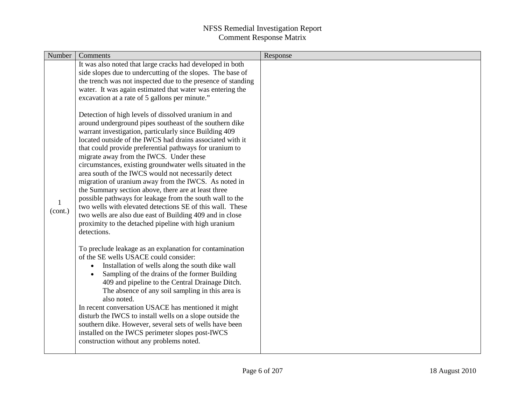| Number  | Comments                                                                                                                                                                                                                                                                                                                                                                                                                                                                                                                                                                                                                                                                                                                                                                                                                                    | Response |
|---------|---------------------------------------------------------------------------------------------------------------------------------------------------------------------------------------------------------------------------------------------------------------------------------------------------------------------------------------------------------------------------------------------------------------------------------------------------------------------------------------------------------------------------------------------------------------------------------------------------------------------------------------------------------------------------------------------------------------------------------------------------------------------------------------------------------------------------------------------|----------|
|         | It was also noted that large cracks had developed in both<br>side slopes due to undercutting of the slopes. The base of<br>the trench was not inspected due to the presence of standing<br>water. It was again estimated that water was entering the<br>excavation at a rate of 5 gallons per minute."                                                                                                                                                                                                                                                                                                                                                                                                                                                                                                                                      |          |
| (cont.) | Detection of high levels of dissolved uranium in and<br>around underground pipes southeast of the southern dike<br>warrant investigation, particularly since Building 409<br>located outside of the IWCS had drains associated with it<br>that could provide preferential pathways for uranium to<br>migrate away from the IWCS. Under these<br>circumstances, existing groundwater wells situated in the<br>area south of the IWCS would not necessarily detect<br>migration of uranium away from the IWCS. As noted in<br>the Summary section above, there are at least three<br>possible pathways for leakage from the south wall to the<br>two wells with elevated detections SE of this wall. These<br>two wells are also due east of Building 409 and in close<br>proximity to the detached pipeline with high uranium<br>detections. |          |
|         | To preclude leakage as an explanation for contamination<br>of the SE wells USACE could consider:<br>Installation of wells along the south dike wall<br>$\bullet$<br>Sampling of the drains of the former Building<br>409 and pipeline to the Central Drainage Ditch.<br>The absence of any soil sampling in this area is<br>also noted.<br>In recent conversation USACE has mentioned it might<br>disturb the IWCS to install wells on a slope outside the<br>southern dike. However, several sets of wells have been<br>installed on the IWCS perimeter slopes post-IWCS<br>construction without any problems noted.                                                                                                                                                                                                                       |          |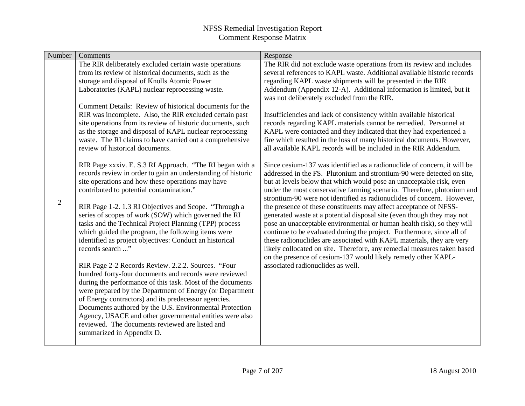| Number         | Comments                                                                                    | Response                                                                                                                                     |
|----------------|---------------------------------------------------------------------------------------------|----------------------------------------------------------------------------------------------------------------------------------------------|
|                | The RIR deliberately excluded certain waste operations                                      | The RIR did not exclude waste operations from its review and includes                                                                        |
|                | from its review of historical documents, such as the                                        | several references to KAPL waste. Additional available historic records                                                                      |
|                | storage and disposal of Knolls Atomic Power                                                 | regarding KAPL waste shipments will be presented in the RIR                                                                                  |
|                | Laboratories (KAPL) nuclear reprocessing waste.                                             | Addendum (Appendix 12-A). Additional information is limited, but it                                                                          |
|                |                                                                                             | was not deliberately excluded from the RIR.                                                                                                  |
|                | Comment Details: Review of historical documents for the                                     |                                                                                                                                              |
|                | RIR was incomplete. Also, the RIR excluded certain past                                     | Insufficiencies and lack of consistency within available historical                                                                          |
|                | site operations from its review of historic documents, such                                 | records regarding KAPL materials cannot be remedied. Personnel at                                                                            |
|                | as the storage and disposal of KAPL nuclear reprocessing                                    | KAPL were contacted and they indicated that they had experienced a<br>fire which resulted in the loss of many historical documents. However, |
|                | waste. The RI claims to have carried out a comprehensive<br>review of historical documents. | all available KAPL records will be included in the RIR Addendum.                                                                             |
|                |                                                                                             |                                                                                                                                              |
|                | RIR Page xxxiv. E. S.3 RI Approach. "The RI began with a                                    | Since cesium-137 was identified as a radionuclide of concern, it will be                                                                     |
|                | records review in order to gain an understanding of historic                                | addressed in the FS. Plutonium and strontium-90 were detected on site,                                                                       |
|                | site operations and how these operations may have                                           | but at levels below that which would pose an unacceptable risk, even                                                                         |
|                | contributed to potential contamination."                                                    | under the most conservative farming scenario. Therefore, plutonium and                                                                       |
| $\overline{2}$ |                                                                                             | strontium-90 were not identified as radionuclides of concern. However,                                                                       |
|                | RIR Page 1-2. 1.3 RI Objectives and Scope. "Through a                                       | the presence of these constituents may affect acceptance of NFSS-                                                                            |
|                | series of scopes of work (SOW) which governed the RI                                        | generated waste at a potential disposal site (even though they may not                                                                       |
|                | tasks and the Technical Project Planning (TPP) process                                      | pose an unacceptable environmental or human health risk), so they will                                                                       |
|                | which guided the program, the following items were                                          | continue to be evaluated during the project. Furthermore, since all of                                                                       |
|                | identified as project objectives: Conduct an historical<br>records search "                 | these radionuclides are associated with KAPL materials, they are very                                                                        |
|                |                                                                                             | likely collocated on site. Therefore, any remedial measures taken based<br>on the presence of cesium-137 would likely remedy other KAPL-     |
|                | RIR Page 2-2 Records Review. 2.2.2. Sources. "Four                                          | associated radionuclides as well.                                                                                                            |
|                | hundred forty-four documents and records were reviewed                                      |                                                                                                                                              |
|                | during the performance of this task. Most of the documents                                  |                                                                                                                                              |
|                | were prepared by the Department of Energy (or Department                                    |                                                                                                                                              |
|                | of Energy contractors) and its predecessor agencies.                                        |                                                                                                                                              |
|                | Documents authored by the U.S. Environmental Protection                                     |                                                                                                                                              |
|                | Agency, USACE and other governmental entities were also                                     |                                                                                                                                              |
|                | reviewed. The documents reviewed are listed and                                             |                                                                                                                                              |
|                | summarized in Appendix D.                                                                   |                                                                                                                                              |
|                |                                                                                             |                                                                                                                                              |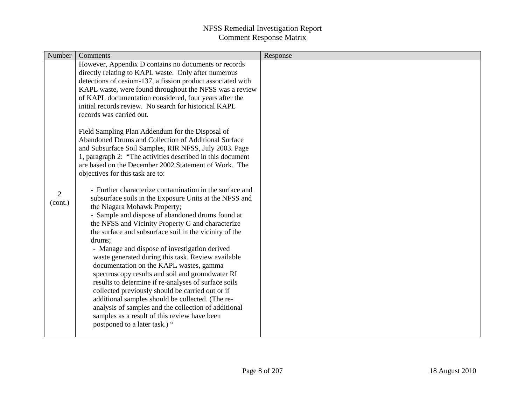| Number                    | Comments                                                                                                                                                                                                                                                                                                                                                                                                                                                                                                                                                                                                                                                                                                                                                                                                                                      | Response |
|---------------------------|-----------------------------------------------------------------------------------------------------------------------------------------------------------------------------------------------------------------------------------------------------------------------------------------------------------------------------------------------------------------------------------------------------------------------------------------------------------------------------------------------------------------------------------------------------------------------------------------------------------------------------------------------------------------------------------------------------------------------------------------------------------------------------------------------------------------------------------------------|----------|
|                           | However, Appendix D contains no documents or records<br>directly relating to KAPL waste. Only after numerous<br>detections of cesium-137, a fission product associated with<br>KAPL waste, were found throughout the NFSS was a review<br>of KAPL documentation considered, four years after the<br>initial records review. No search for historical KAPL<br>records was carried out.<br>Field Sampling Plan Addendum for the Disposal of                                                                                                                                                                                                                                                                                                                                                                                                     |          |
|                           | Abandoned Drums and Collection of Additional Surface<br>and Subsurface Soil Samples, RIR NFSS, July 2003. Page<br>1, paragraph 2: "The activities described in this document<br>are based on the December 2002 Statement of Work. The<br>objectives for this task are to:                                                                                                                                                                                                                                                                                                                                                                                                                                                                                                                                                                     |          |
| $\overline{2}$<br>(cont.) | - Further characterize contamination in the surface and<br>subsurface soils in the Exposure Units at the NFSS and<br>the Niagara Mohawk Property;<br>- Sample and dispose of abandoned drums found at<br>the NFSS and Vicinity Property G and characterize<br>the surface and subsurface soil in the vicinity of the<br>drums;<br>- Manage and dispose of investigation derived<br>waste generated during this task. Review available<br>documentation on the KAPL wastes, gamma<br>spectroscopy results and soil and groundwater RI<br>results to determine if re-analyses of surface soils<br>collected previously should be carried out or if<br>additional samples should be collected. (The re-<br>analysis of samples and the collection of additional<br>samples as a result of this review have been<br>postponed to a later task.) " |          |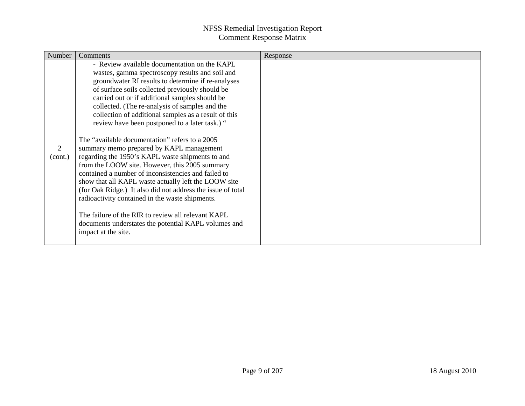| Number       | Comments                                                                                                                                                                                                                                                                                                                                                                                                                                                                                                                                                                                                                                                                                                                                                                                                                                                                                                                                                                                         | Response |
|--------------|--------------------------------------------------------------------------------------------------------------------------------------------------------------------------------------------------------------------------------------------------------------------------------------------------------------------------------------------------------------------------------------------------------------------------------------------------------------------------------------------------------------------------------------------------------------------------------------------------------------------------------------------------------------------------------------------------------------------------------------------------------------------------------------------------------------------------------------------------------------------------------------------------------------------------------------------------------------------------------------------------|----------|
| 2<br>(cont.) | - Review available documentation on the KAPL<br>wastes, gamma spectroscopy results and soil and<br>groundwater RI results to determine if re-analyses<br>of surface soils collected previously should be<br>carried out or if additional samples should be<br>collected. (The re-analysis of samples and the<br>collection of additional samples as a result of this<br>review have been postponed to a later task.) "<br>The "available documentation" refers to a 2005<br>summary memo prepared by KAPL management<br>regarding the 1950's KAPL waste shipments to and<br>from the LOOW site. However, this 2005 summary<br>contained a number of inconsistencies and failed to<br>show that all KAPL waste actually left the LOOW site<br>(for Oak Ridge.) It also did not address the issue of total<br>radioactivity contained in the waste shipments.<br>The failure of the RIR to review all relevant KAPL<br>documents understates the potential KAPL volumes and<br>impact at the site. |          |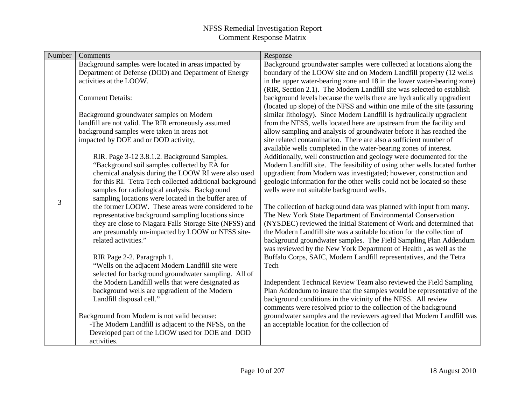| Number | Comments                                                | Response                                                                   |
|--------|---------------------------------------------------------|----------------------------------------------------------------------------|
|        | Background samples were located in areas impacted by    | Background groundwater samples were collected at locations along the       |
|        | Department of Defense (DOD) and Department of Energy    | boundary of the LOOW site and on Modern Landfill property (12 wells        |
|        | activities at the LOOW.                                 | in the upper water-bearing zone and 18 in the lower water-bearing zone)    |
|        |                                                         | (RIR, Section 2.1). The Modern Landfill site was selected to establish     |
|        | <b>Comment Details:</b>                                 | background levels because the wells there are hydraulically upgradient     |
|        |                                                         | (located up slope) of the NFSS and within one mile of the site (assuring   |
|        | Background groundwater samples on Modern                | similar lithology). Since Modern Landfill is hydraulically upgradient      |
|        | landfill are not valid. The RIR erroneously assumed     | from the NFSS, wells located here are upstream from the facility and       |
|        | background samples were taken in areas not              | allow sampling and analysis of groundwater before it has reached the       |
|        | impacted by DOE and or DOD activity,                    | site related contamination. There are also a sufficient number of          |
|        |                                                         | available wells completed in the water-bearing zones of interest.          |
|        | RIR. Page 3-12 3.8.1.2. Background Samples.             | Additionally, well construction and geology were documented for the        |
|        | "Background soil samples collected by EA for            | Modern Landfill site. The feasibility of using other wells located further |
|        | chemical analysis during the LOOW RI were also used     | upgradient from Modern was investigated; however, construction and         |
|        | for this RI. Tetra Tech collected additional background | geologic information for the other wells could not be located so these     |
|        | samples for radiological analysis. Background           | wells were not suitable background wells.                                  |
| 3      | sampling locations were located in the buffer area of   |                                                                            |
|        | the former LOOW. These areas were considered to be      | The collection of background data was planned with input from many.        |
|        | representative background sampling locations since      | The New York State Department of Environmental Conservation                |
|        | they are close to Niagara Falls Storage Site (NFSS) and | (NYSDEC) reviewed the initial Statement of Work and determined that        |
|        | are presumably un-impacted by LOOW or NFSS site-        | the Modern Landfill site was a suitable location for the collection of     |
|        | related activities."                                    | background groundwater samples. The Field Sampling Plan Addendum           |
|        |                                                         | was reviewed by the New York Department of Health, as well as the          |
|        | RIR Page 2-2. Paragraph 1.                              | Buffalo Corps, SAIC, Modern Landfill representatives, and the Tetra        |
|        | "Wells on the adjacent Modern Landfill site were        | Tech                                                                       |
|        | selected for background groundwater sampling. All of    |                                                                            |
|        | the Modern Landfill wells that were designated as       | Independent Technical Review Team also reviewed the Field Sampling         |
|        | background wells are upgradient of the Modern           | Plan Addendum to insure that the samples would be representative of the    |
|        | Landfill disposal cell."                                | background conditions in the vicinity of the NFSS. All review              |
|        |                                                         | comments were resolved prior to the collection of the background           |
|        | Background from Modern is not valid because:            | groundwater samples and the reviewers agreed that Modern Landfill was      |
|        | -The Modern Landfill is adjacent to the NFSS, on the    | an acceptable location for the collection of                               |
|        | Developed part of the LOOW used for DOE and DOD         |                                                                            |
|        | activities.                                             |                                                                            |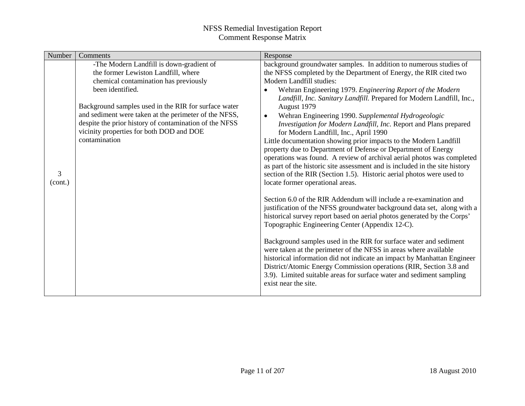| Number       | Comments                                                                                           | Response                                                                                                   |
|--------------|----------------------------------------------------------------------------------------------------|------------------------------------------------------------------------------------------------------------|
|              | -The Modern Landfill is down-gradient of                                                           | background groundwater samples. In addition to numerous studies of                                         |
|              | the former Lewiston Landfill, where                                                                | the NFSS completed by the Department of Energy, the RIR cited two                                          |
|              | chemical contamination has previously                                                              | Modern Landfill studies:                                                                                   |
|              | been identified.                                                                                   | Wehran Engineering 1979. Engineering Report of the Modern<br>$\bullet$                                     |
|              |                                                                                                    | Landfill, Inc. Sanitary Landfill. Prepared for Modern Landfill, Inc.,                                      |
|              | Background samples used in the RIR for surface water                                               | August 1979                                                                                                |
|              | and sediment were taken at the perimeter of the NFSS,                                              | Wehran Engineering 1990. Supplemental Hydrogeologic<br>$\bullet$                                           |
|              | despite the prior history of contamination of the NFSS<br>vicinity properties for both DOD and DOE | Investigation for Modern Landfill, Inc. Report and Plans prepared                                          |
|              | contamination                                                                                      | for Modern Landfill, Inc., April 1990<br>Little documentation showing prior impacts to the Modern Landfill |
|              |                                                                                                    | property due to Department of Defense or Department of Energy                                              |
|              |                                                                                                    | operations was found. A review of archival aerial photos was completed                                     |
| 3<br>(cont.) |                                                                                                    | as part of the historic site assessment and is included in the site history                                |
|              |                                                                                                    | section of the RIR (Section 1.5). Historic aerial photos were used to                                      |
|              |                                                                                                    | locate former operational areas.                                                                           |
|              |                                                                                                    |                                                                                                            |
|              |                                                                                                    | Section 6.0 of the RIR Addendum will include a re-examination and                                          |
|              |                                                                                                    | justification of the NFSS groundwater background data set, along with a                                    |
|              |                                                                                                    | historical survey report based on aerial photos generated by the Corps'                                    |
|              |                                                                                                    | Topographic Engineering Center (Appendix 12-C).                                                            |
|              |                                                                                                    | Background samples used in the RIR for surface water and sediment                                          |
|              |                                                                                                    | were taken at the perimeter of the NFSS in areas where available                                           |
|              |                                                                                                    | historical information did not indicate an impact by Manhattan Engineer                                    |
|              |                                                                                                    | District/Atomic Energy Commission operations (RIR, Section 3.8 and                                         |
|              |                                                                                                    | 3.9). Limited suitable areas for surface water and sediment sampling                                       |
|              |                                                                                                    | exist near the site.                                                                                       |
|              |                                                                                                    |                                                                                                            |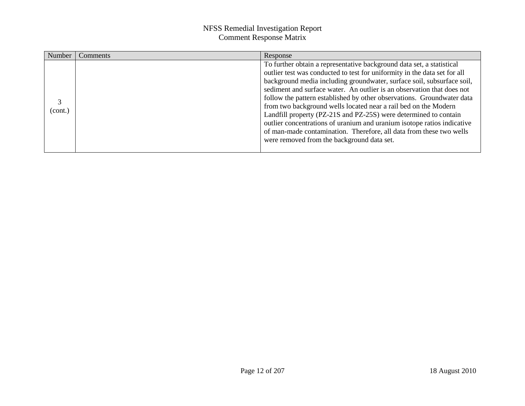| Number  | Comments | Response                                                                                                                                                                                                                                                                                                                                                                                                                                                                                                                                                                                                                                                                                                                |
|---------|----------|-------------------------------------------------------------------------------------------------------------------------------------------------------------------------------------------------------------------------------------------------------------------------------------------------------------------------------------------------------------------------------------------------------------------------------------------------------------------------------------------------------------------------------------------------------------------------------------------------------------------------------------------------------------------------------------------------------------------------|
| (cont.) |          | To further obtain a representative background data set, a statistical<br>outlier test was conducted to test for uniformity in the data set for all<br>background media including groundwater, surface soil, subsurface soil,<br>sediment and surface water. An outlier is an observation that does not<br>follow the pattern established by other observations. Groundwater data<br>from two background wells located near a rail bed on the Modern<br>Landfill property (PZ-21S and PZ-25S) were determined to contain<br>outlier concentrations of uranium and uranium isotope ratios indicative<br>of man-made contamination. Therefore, all data from these two wells<br>were removed from the background data set. |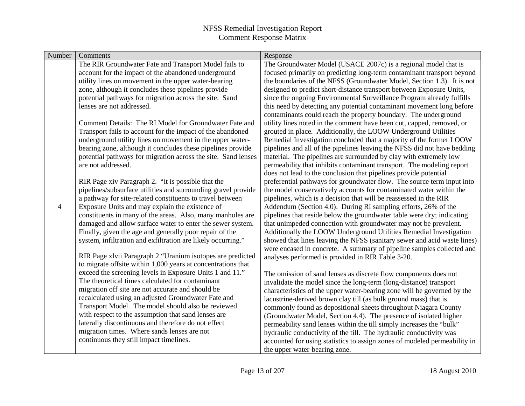| Number | Comments                                                      | Response                                                                  |
|--------|---------------------------------------------------------------|---------------------------------------------------------------------------|
|        | The RIR Groundwater Fate and Transport Model fails to         | The Groundwater Model (USACE 2007c) is a regional model that is           |
|        | account for the impact of the abandoned underground           | focused primarily on predicting long-term contaminant transport beyond    |
|        | utility lines on movement in the upper water-bearing          | the boundaries of the NFSS (Groundwater Model, Section 1.3). It is not    |
|        | zone, although it concludes these pipelines provide           | designed to predict short-distance transport between Exposure Units,      |
|        | potential pathways for migration across the site. Sand        | since the ongoing Environmental Surveillance Program already fulfills     |
|        | lenses are not addressed.                                     | this need by detecting any potential contaminant movement long before     |
|        |                                                               | contaminants could reach the property boundary. The underground           |
|        | Comment Details: The RI Model for Groundwater Fate and        | utility lines noted in the comment have been cut, capped, removed, or     |
|        | Transport fails to account for the impact of the abandoned    | grouted in place. Additionally, the LOOW Underground Utilities            |
|        | underground utility lines on movement in the upper water-     | Remedial Investigation concluded that a majority of the former LOOW       |
|        | bearing zone, although it concludes these pipelines provide   | pipelines and all of the pipelines leaving the NFSS did not have bedding  |
|        | potential pathways for migration across the site. Sand lenses | material. The pipelines are surrounded by clay with extremely low         |
|        | are not addressed.                                            | permeability that inhibits contaminant transport. The modeling report     |
|        |                                                               | does not lead to the conclusion that pipelines provide potential          |
|        | RIR Page xiv Paragraph 2. "it is possible that the            | preferential pathways for groundwater flow. The source term input into    |
|        | pipelines/subsurface utilities and surrounding gravel provide | the model conservatively accounts for contaminated water within the       |
|        | a pathway for site-related constituents to travel between     | pipelines, which is a decision that will be reassessed in the RIR         |
| 4      | Exposure Units and may explain the existence of               | Addendum (Section 4.0). During RI sampling efforts, 26% of the            |
|        | constituents in many of the areas. Also, many manholes are    | pipelines that reside below the groundwater table were dry; indicating    |
|        | damaged and allow surface water to enter the sewer system.    | that unimpeded connection with groundwater may not be prevalent.          |
|        | Finally, given the age and generally poor repair of the       | Additionally the LOOW Underground Utilities Remedial Investigation        |
|        | system, infiltration and exfiltration are likely occurring."  | showed that lines leaving the NFSS (sanitary sewer and acid waste lines)  |
|        | RIR Page xlvii Paragraph 2 "Uranium isotopes are predicted    | were encased in concrete. A summary of pipeline samples collected and     |
|        | to migrate offsite within 1,000 years at concentrations that  | analyses performed is provided in RIR Table 3-20.                         |
|        | exceed the screening levels in Exposure Units 1 and 11."      | The omission of sand lenses as discrete flow components does not          |
|        | The theoretical times calculated for contaminant              | invalidate the model since the long-term (long-distance) transport        |
|        | migration off site are not accurate and should be             | characteristics of the upper water-bearing zone will be governed by the   |
|        | recalculated using an adjusted Groundwater Fate and           | lacustrine-derived brown clay till (as bulk ground mass) that is          |
|        | Transport Model. The model should also be reviewed            | commonly found as depositional sheets throughout Niagara County           |
|        | with respect to the assumption that sand lenses are           | (Groundwater Model, Section 4.4). The presence of isolated higher         |
|        | laterally discontinuous and therefore do not effect           | permeability sand lenses within the till simply increases the "bulk"      |
|        | migration times. Where sands lenses are not                   | hydraulic conductivity of the till. The hydraulic conductivity was        |
|        | continuous they still impact timelines.                       | accounted for using statistics to assign zones of modeled permeability in |
|        |                                                               | the upper water-bearing zone.                                             |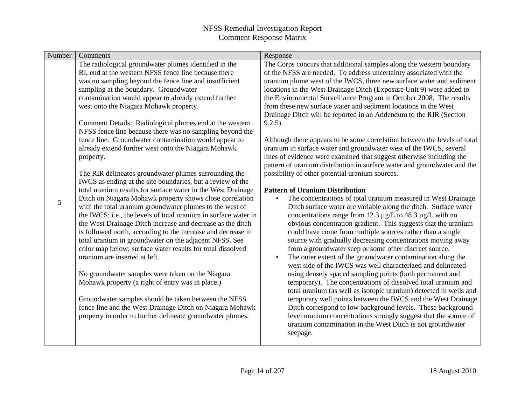| Number<br>Comments                                                                                                                                                                                                                                                                                                                                                                                                                                                                                                                                                                                                                                                                                                                                                                                                                                                                                                                                                                                                                                                                                                                                                                                                                                                                                                                                                                                                                                                                                                                             | Response                                                                                                                                                                                                                                                                                                                                                                                                                                                                                                                                                                                                                                                                                                                                                                                                                                                                                                                                                                                                                                                                                                                                                                                                                                                                                                                                                                                                                                                                                                                                                                                                                                                                                                                                                                                                                                                                                                                                                                                                                                |
|------------------------------------------------------------------------------------------------------------------------------------------------------------------------------------------------------------------------------------------------------------------------------------------------------------------------------------------------------------------------------------------------------------------------------------------------------------------------------------------------------------------------------------------------------------------------------------------------------------------------------------------------------------------------------------------------------------------------------------------------------------------------------------------------------------------------------------------------------------------------------------------------------------------------------------------------------------------------------------------------------------------------------------------------------------------------------------------------------------------------------------------------------------------------------------------------------------------------------------------------------------------------------------------------------------------------------------------------------------------------------------------------------------------------------------------------------------------------------------------------------------------------------------------------|-----------------------------------------------------------------------------------------------------------------------------------------------------------------------------------------------------------------------------------------------------------------------------------------------------------------------------------------------------------------------------------------------------------------------------------------------------------------------------------------------------------------------------------------------------------------------------------------------------------------------------------------------------------------------------------------------------------------------------------------------------------------------------------------------------------------------------------------------------------------------------------------------------------------------------------------------------------------------------------------------------------------------------------------------------------------------------------------------------------------------------------------------------------------------------------------------------------------------------------------------------------------------------------------------------------------------------------------------------------------------------------------------------------------------------------------------------------------------------------------------------------------------------------------------------------------------------------------------------------------------------------------------------------------------------------------------------------------------------------------------------------------------------------------------------------------------------------------------------------------------------------------------------------------------------------------------------------------------------------------------------------------------------------------|
| The radiological groundwater plumes identified in the<br>RI, end at the western NFSS fence line because there<br>was no sampling beyond the fence line and insufficient<br>sampling at the boundary. Groundwater<br>contamination would appear to already extend further<br>west onto the Niagara Mohawk property.<br>Comment Details: Radiological plumes end at the western<br>NFSS fence line because there was no sampling beyond the<br>fence line. Groundwater contamination would appear to<br>already extend further west onto the Niagara Mohawk<br>property.<br>The RIR delineates groundwater plumes surrounding the<br>IWCS as ending at the site boundaries, but a review of the<br>total uranium results for surface water in the West Drainage<br>Ditch on Niagara Mohawk property shows close correlation<br>5<br>with the total uranium groundwater plumes to the west of<br>the IWCS; i.e., the levels of total uranium in surface water in<br>the West Drainage Ditch increase and decrease as the ditch<br>is followed north, according to the increase and decrease in<br>total uranium in groundwater on the adjacent NFSS. See<br>color map below; surface water results for total dissolved<br>uranium are inserted at left.<br>No groundwater samples were taken on the Niagara<br>Mohawk property (a right of entry was in place.)<br>Groundwater samples should be taken between the NFSS<br>fence line and the West Drainage Ditch on Niagara Mohawk<br>property in order to further delineate groundwater plumes. | The Corps concurs that additional samples along the western boundary<br>of the NFSS are needed. To address uncertainty associated with the<br>uranium plume west of the IWCS, three new surface water and sediment<br>locations in the West Drainage Ditch (Exposure Unit 9) were added to<br>the Environmental Surveillance Program in October 2008. The results<br>from these new surface water and sediment locations in the West<br>Drainage Ditch will be reported in an Addendum to the RIR (Section<br>$9.2.5$ ).<br>Although there appears to be some correlation between the levels of total<br>uranium in surface water and groundwater west of the IWCS, several<br>lines of evidence were examined that suggest otherwise including the<br>pattern of uranium distribution in surface water and groundwater and the<br>possibility of other potential uranium sources.<br><b>Pattern of Uranium Distribution</b><br>The concentrations of total uranium measured in West Drainage<br>$\bullet$<br>Ditch surface water are variable along the ditch. Surface water<br>concentrations range from 12.3 $\mu$ g/L to 48.3 $\mu$ g/L with no<br>obvious concentration gradient. This suggests that the uranium<br>could have come from multiple sources rather than a single<br>source with gradually decreasing concentrations moving away<br>from a groundwater seep or some other discreet source.<br>The outer extent of the groundwater contamination along the<br>$\bullet$<br>west side of the IWCS was well characterized and delineated<br>using densely spaced sampling points (both permanent and<br>temporary). The concentrations of dissolved total uranium and<br>total uranium (as well as isotopic uranium) detected in wells and<br>temporary well points between the IWCS and the West Drainage<br>Ditch correspond to low background levels. These background-<br>level uranium concentrations strongly suggest that the source of<br>uranium contamination in the West Ditch is not groundwater<br>seepage. |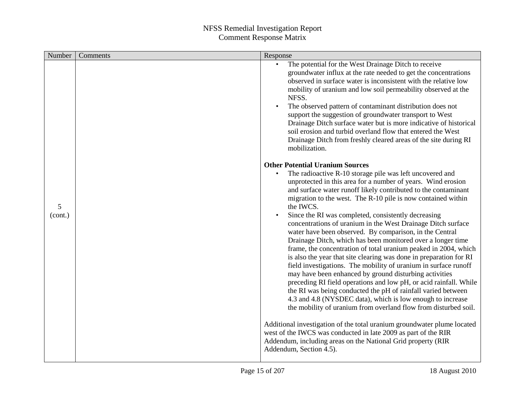| Number       | Comments | Response                                                                                                                                                                                                                                                                                                                                                                                                                                                                                                                                                                                                                                                                                                                                                                                                                                                                                                                                                                                                                                                                                                                                                                                                                                                                                                                                                            |
|--------------|----------|---------------------------------------------------------------------------------------------------------------------------------------------------------------------------------------------------------------------------------------------------------------------------------------------------------------------------------------------------------------------------------------------------------------------------------------------------------------------------------------------------------------------------------------------------------------------------------------------------------------------------------------------------------------------------------------------------------------------------------------------------------------------------------------------------------------------------------------------------------------------------------------------------------------------------------------------------------------------------------------------------------------------------------------------------------------------------------------------------------------------------------------------------------------------------------------------------------------------------------------------------------------------------------------------------------------------------------------------------------------------|
|              |          | The potential for the West Drainage Ditch to receive<br>groundwater influx at the rate needed to get the concentrations<br>observed in surface water is inconsistent with the relative low<br>mobility of uranium and low soil permeability observed at the<br>NFSS.<br>The observed pattern of contaminant distribution does not<br>support the suggestion of groundwater transport to West<br>Drainage Ditch surface water but is more indicative of historical<br>soil erosion and turbid overland flow that entered the West<br>Drainage Ditch from freshly cleared areas of the site during RI<br>mobilization.                                                                                                                                                                                                                                                                                                                                                                                                                                                                                                                                                                                                                                                                                                                                                |
| 5<br>(cont.) |          | <b>Other Potential Uranium Sources</b><br>The radioactive R-10 storage pile was left uncovered and<br>$\bullet$<br>unprotected in this area for a number of years. Wind erosion<br>and surface water runoff likely contributed to the contaminant<br>migration to the west. The R-10 pile is now contained within<br>the IWCS.<br>Since the RI was completed, consistently decreasing<br>concentrations of uranium in the West Drainage Ditch surface<br>water have been observed. By comparison, in the Central<br>Drainage Ditch, which has been monitored over a longer time<br>frame, the concentration of total uranium peaked in 2004, which<br>is also the year that site clearing was done in preparation for RI<br>field investigations. The mobility of uranium in surface runoff<br>may have been enhanced by ground disturbing activities<br>preceding RI field operations and low pH, or acid rainfall. While<br>the RI was being conducted the pH of rainfall varied between<br>4.3 and 4.8 (NYSDEC data), which is low enough to increase<br>the mobility of uranium from overland flow from disturbed soil.<br>Additional investigation of the total uranium groundwater plume located<br>west of the IWCS was conducted in late 2009 as part of the RIR<br>Addendum, including areas on the National Grid property (RIR<br>Addendum, Section 4.5). |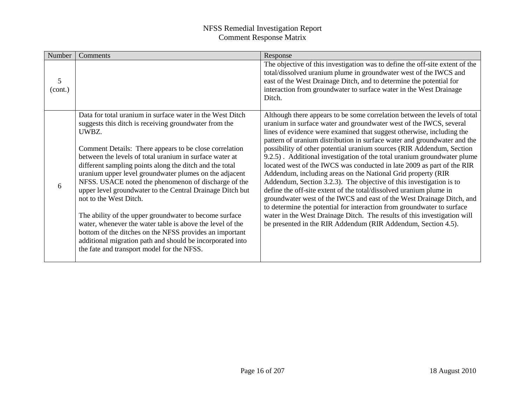| Number       | Comments                                                                                                                                                                                                                                                                                                                                                                                                                                                                                                                                                                                                                                                                                                                                                                                                          | Response                                                                                                                                                                                                                                                                                                                                                                                                                                                                                                                                                                                                                                                                                                                                                                                                                                                                                                                                                                                                                                        |
|--------------|-------------------------------------------------------------------------------------------------------------------------------------------------------------------------------------------------------------------------------------------------------------------------------------------------------------------------------------------------------------------------------------------------------------------------------------------------------------------------------------------------------------------------------------------------------------------------------------------------------------------------------------------------------------------------------------------------------------------------------------------------------------------------------------------------------------------|-------------------------------------------------------------------------------------------------------------------------------------------------------------------------------------------------------------------------------------------------------------------------------------------------------------------------------------------------------------------------------------------------------------------------------------------------------------------------------------------------------------------------------------------------------------------------------------------------------------------------------------------------------------------------------------------------------------------------------------------------------------------------------------------------------------------------------------------------------------------------------------------------------------------------------------------------------------------------------------------------------------------------------------------------|
| 5<br>(cont.) |                                                                                                                                                                                                                                                                                                                                                                                                                                                                                                                                                                                                                                                                                                                                                                                                                   | The objective of this investigation was to define the off-site extent of the<br>total/dissolved uranium plume in groundwater west of the IWCS and<br>east of the West Drainage Ditch, and to determine the potential for<br>interaction from groundwater to surface water in the West Drainage<br>Ditch.                                                                                                                                                                                                                                                                                                                                                                                                                                                                                                                                                                                                                                                                                                                                        |
| 6            | Data for total uranium in surface water in the West Ditch<br>suggests this ditch is receiving groundwater from the<br>UWBZ.<br>Comment Details: There appears to be close correlation<br>between the levels of total uranium in surface water at<br>different sampling points along the ditch and the total<br>uranium upper level groundwater plumes on the adjacent<br>NFSS. USACE noted the phenomenon of discharge of the<br>upper level groundwater to the Central Drainage Ditch but<br>not to the West Ditch.<br>The ability of the upper groundwater to become surface<br>water, whenever the water table is above the level of the<br>bottom of the ditches on the NFSS provides an important<br>additional migration path and should be incorporated into<br>the fate and transport model for the NFSS. | Although there appears to be some correlation between the levels of total<br>uranium in surface water and groundwater west of the IWCS, several<br>lines of evidence were examined that suggest otherwise, including the<br>pattern of uranium distribution in surface water and groundwater and the<br>possibility of other potential uranium sources (RIR Addendum, Section<br>9.2.5). Additional investigation of the total uranium groundwater plume<br>located west of the IWCS was conducted in late 2009 as part of the RIR<br>Addendum, including areas on the National Grid property (RIR<br>Addendum, Section 3.2.3). The objective of this investigation is to<br>define the off-site extent of the total/dissolved uranium plume in<br>groundwater west of the IWCS and east of the West Drainage Ditch, and<br>to determine the potential for interaction from groundwater to surface<br>water in the West Drainage Ditch. The results of this investigation will<br>be presented in the RIR Addendum (RIR Addendum, Section 4.5). |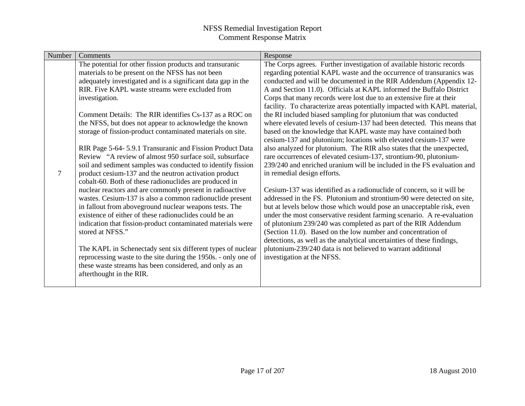| Number | Comments                                                       | Response                                                                                                                                   |
|--------|----------------------------------------------------------------|--------------------------------------------------------------------------------------------------------------------------------------------|
|        | The potential for other fission products and transuranic       | The Corps agrees. Further investigation of available historic records                                                                      |
|        | materials to be present on the NFSS has not been               | regarding potential KAPL waste and the occurrence of transuranics was                                                                      |
|        | adequately investigated and is a significant data gap in the   | conducted and will be documented in the RIR Addendum (Appendix 12-                                                                         |
|        | RIR. Five KAPL waste streams were excluded from                | A and Section 11.0). Officials at KAPL informed the Buffalo District                                                                       |
|        | investigation.                                                 | Corps that many records were lost due to an extensive fire at their                                                                        |
|        |                                                                | facility. To characterize areas potentially impacted with KAPL material,                                                                   |
|        | Comment Details: The RIR identifies Cs-137 as a ROC on         | the RI included biased sampling for plutonium that was conducted                                                                           |
|        | the NFSS, but does not appear to acknowledge the known         | where elevated levels of cesium-137 had been detected. This means that                                                                     |
|        | storage of fission-product contaminated materials on site.     | based on the knowledge that KAPL waste may have contained both                                                                             |
|        | RIR Page 5-64-5.9.1 Transuranic and Fission Product Data       | cesium-137 and plutonium; locations with elevated cesium-137 were<br>also analyzed for plutonium. The RIR also states that the unexpected, |
|        | Review "A review of almost 950 surface soil, subsurface        | rare occurrences of elevated cesium-137, strontium-90, plutonium-                                                                          |
|        | soil and sediment samples was conducted to identify fission    | 239/240 and enriched uranium will be included in the FS evaluation and                                                                     |
| 7      | product cesium-137 and the neutron activation product          | in remedial design efforts.                                                                                                                |
|        | cobalt-60. Both of these radionuclides are produced in         |                                                                                                                                            |
|        | nuclear reactors and are commonly present in radioactive       | Cesium-137 was identified as a radionuclide of concern, so it will be                                                                      |
|        | wastes. Cesium-137 is also a common radionuclide present       | addressed in the FS. Plutonium and strontium-90 were detected on site,                                                                     |
|        | in fallout from aboveground nuclear weapons tests. The         | but at levels below those which would pose an unacceptable risk, even                                                                      |
|        | existence of either of these radionuclides could be an         | under the most conservative resident farming scenario. A re-evaluation                                                                     |
|        | indication that fission-product contaminated materials were    | of plutonium 239/240 was completed as part of the RIR Addendum                                                                             |
|        | stored at NFSS."                                               | (Section 11.0). Based on the low number and concentration of                                                                               |
|        |                                                                | detections, as well as the analytical uncertainties of these findings,                                                                     |
|        | The KAPL in Schenectady sent six different types of nuclear    | plutonium-239/240 data is not believed to warrant additional                                                                               |
|        | reprocessing waste to the site during the 1950s. - only one of | investigation at the NFSS.                                                                                                                 |
|        | these waste streams has been considered, and only as an        |                                                                                                                                            |
|        | afterthought in the RIR.                                       |                                                                                                                                            |
|        |                                                                |                                                                                                                                            |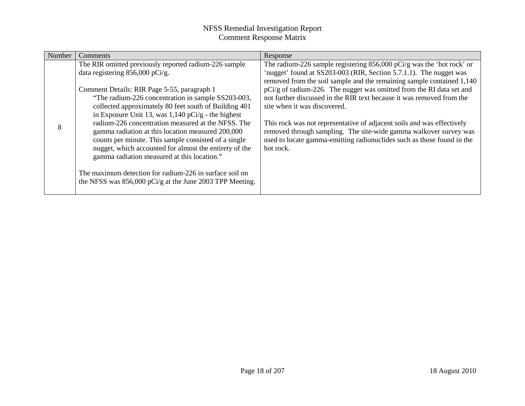| Number | Comments                                                                                                                                                                                                                                                                                                                                                                                                                                                                                                                                                                                                                                                                                                                    | Response                                                                                                                                                                                                                                                                                                                                                                                                                                                                                                                                                                                                                                      |
|--------|-----------------------------------------------------------------------------------------------------------------------------------------------------------------------------------------------------------------------------------------------------------------------------------------------------------------------------------------------------------------------------------------------------------------------------------------------------------------------------------------------------------------------------------------------------------------------------------------------------------------------------------------------------------------------------------------------------------------------------|-----------------------------------------------------------------------------------------------------------------------------------------------------------------------------------------------------------------------------------------------------------------------------------------------------------------------------------------------------------------------------------------------------------------------------------------------------------------------------------------------------------------------------------------------------------------------------------------------------------------------------------------------|
| 8      | The RIR omitted previously reported radium-226 sample<br>data registering $856,000$ pCi/g.<br>Comment Details: RIR Page 5-55, paragraph 1<br>"The radium-226 concentration in sample SS203-003,<br>collected approximately 80 feet south of Building 401<br>in Exposure Unit 13, was $1,140 \text{ pCi/g}$ - the highest<br>radium-226 concentration measured at the NFSS. The<br>gamma radiation at this location measured 200,000<br>counts per minute. This sample consisted of a single<br>nugget, which accounted for almost the entirety of the<br>gamma radiation measured at this location."<br>The maximum detection for radium-226 in surface soil on<br>the NFSS was 856,000 pCi/g at the June 2003 TPP Meeting. | The radium-226 sample registering $856,000$ pCi/g was the 'hot rock' or<br>'nugget' found at SS203-003 (RIR, Section 5.7.1.1). The nugget was<br>removed from the soil sample and the remaining sample contained 1,140<br>pCi/g of radium-226. The nugget was omitted from the RI data set and<br>not further discussed in the RIR text because it was removed from the<br>site when it was discovered.<br>This rock was not representative of adjacent soils and was effectively<br>removed through sampling. The site-wide gamma walkover survey was<br>used to locate gamma-emitting radionuclides such as those found in the<br>hot rock. |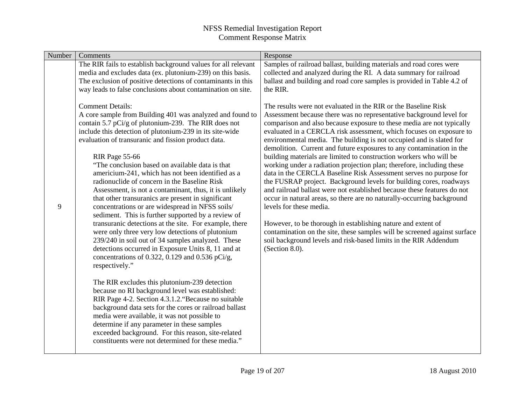| Number | Comments                                                                                                                                                                                                                                                                                                                                                                                                                                                                                                                                                                                                                 | Response                                                                                                                                                                                                                                                                                                                                                                                                                                                                                                                                                                                                                                                                                                                                                                          |
|--------|--------------------------------------------------------------------------------------------------------------------------------------------------------------------------------------------------------------------------------------------------------------------------------------------------------------------------------------------------------------------------------------------------------------------------------------------------------------------------------------------------------------------------------------------------------------------------------------------------------------------------|-----------------------------------------------------------------------------------------------------------------------------------------------------------------------------------------------------------------------------------------------------------------------------------------------------------------------------------------------------------------------------------------------------------------------------------------------------------------------------------------------------------------------------------------------------------------------------------------------------------------------------------------------------------------------------------------------------------------------------------------------------------------------------------|
|        | The RIR fails to establish background values for all relevant<br>media and excludes data (ex. plutonium-239) on this basis.                                                                                                                                                                                                                                                                                                                                                                                                                                                                                              | Samples of railroad ballast, building materials and road cores were<br>collected and analyzed during the RI. A data summary for railroad                                                                                                                                                                                                                                                                                                                                                                                                                                                                                                                                                                                                                                          |
|        | The exclusion of positive detections of contaminants in this                                                                                                                                                                                                                                                                                                                                                                                                                                                                                                                                                             | ballast and building and road core samples is provided in Table 4.2 of                                                                                                                                                                                                                                                                                                                                                                                                                                                                                                                                                                                                                                                                                                            |
|        | way leads to false conclusions about contamination on site.                                                                                                                                                                                                                                                                                                                                                                                                                                                                                                                                                              | the RIR.                                                                                                                                                                                                                                                                                                                                                                                                                                                                                                                                                                                                                                                                                                                                                                          |
| 9      | <b>Comment Details:</b><br>A core sample from Building 401 was analyzed and found to<br>contain 5.7 pCi/g of plutonium-239. The RIR does not<br>include this detection of plutonium-239 in its site-wide<br>evaluation of transuranic and fission product data.                                                                                                                                                                                                                                                                                                                                                          | The results were not evaluated in the RIR or the Baseline Risk<br>Assessment because there was no representative background level for<br>comparison and also because exposure to these media are not typically<br>evaluated in a CERCLA risk assessment, which focuses on exposure to<br>environmental media. The building is not occupied and is slated for                                                                                                                                                                                                                                                                                                                                                                                                                      |
|        | RIR Page 55-66<br>"The conclusion based on available data is that<br>americium-241, which has not been identified as a<br>radionuclide of concern in the Baseline Risk<br>Assessment, is not a contaminant, thus, it is unlikely<br>that other transuranics are present in significant<br>concentrations or are widespread in NFSS soils/<br>sediment. This is further supported by a review of<br>transuranic detections at the site. For example, there<br>were only three very low detections of plutonium<br>239/240 in soil out of 34 samples analyzed. These<br>detections occurred in Exposure Units 8, 11 and at | demolition. Current and future exposures to any contamination in the<br>building materials are limited to construction workers who will be<br>working under a radiation projection plan; therefore, including these<br>data in the CERCLA Baseline Risk Assessment serves no purpose for<br>the FUSRAP project. Background levels for building cores, roadways<br>and railroad ballast were not established because these features do not<br>occur in natural areas, so there are no naturally-occurring background<br>levels for these media.<br>However, to be thorough in establishing nature and extent of<br>contamination on the site, these samples will be screened against surface<br>soil background levels and risk-based limits in the RIR Addendum<br>(Section 8.0). |
|        | concentrations of 0.322, 0.129 and 0.536 pCi/g,<br>respectively."<br>The RIR excludes this plutonium-239 detection<br>because no RI background level was established:<br>RIR Page 4-2. Section 4.3.1.2. "Because no suitable<br>background data sets for the cores or railroad ballast<br>media were available, it was not possible to<br>determine if any parameter in these samples<br>exceeded background. For this reason, site-related<br>constituents were not determined for these media."                                                                                                                        |                                                                                                                                                                                                                                                                                                                                                                                                                                                                                                                                                                                                                                                                                                                                                                                   |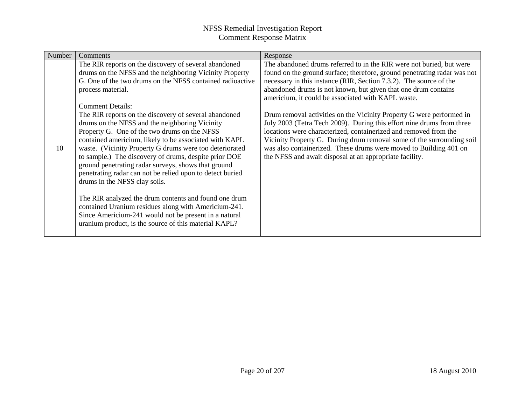| Number | Comments                                                                                                                                                                                                                                                                                                                                                                                                                                                                                                                                                                                                                                                                                                                                                                                                                                                                                                                                                       | Response                                                                                                                                                                                                                                                                                                                                                                                                                                                                                                                                                                                                                                                                                                                                                                     |
|--------|----------------------------------------------------------------------------------------------------------------------------------------------------------------------------------------------------------------------------------------------------------------------------------------------------------------------------------------------------------------------------------------------------------------------------------------------------------------------------------------------------------------------------------------------------------------------------------------------------------------------------------------------------------------------------------------------------------------------------------------------------------------------------------------------------------------------------------------------------------------------------------------------------------------------------------------------------------------|------------------------------------------------------------------------------------------------------------------------------------------------------------------------------------------------------------------------------------------------------------------------------------------------------------------------------------------------------------------------------------------------------------------------------------------------------------------------------------------------------------------------------------------------------------------------------------------------------------------------------------------------------------------------------------------------------------------------------------------------------------------------------|
| 10     | The RIR reports on the discovery of several abandoned<br>drums on the NFSS and the neighboring Vicinity Property<br>G. One of the two drums on the NFSS contained radioactive<br>process material.<br><b>Comment Details:</b><br>The RIR reports on the discovery of several abandoned<br>drums on the NFSS and the neighboring Vicinity<br>Property G. One of the two drums on the NFSS<br>contained americium, likely to be associated with KAPL<br>waste. (Vicinity Property G drums were too deteriorated<br>to sample.) The discovery of drums, despite prior DOE<br>ground penetrating radar surveys, shows that ground<br>penetrating radar can not be relied upon to detect buried<br>drums in the NFSS clay soils.<br>The RIR analyzed the drum contents and found one drum<br>contained Uranium residues along with Americium-241.<br>Since Americium-241 would not be present in a natural<br>uranium product, is the source of this material KAPL? | The abandoned drums referred to in the RIR were not buried, but were<br>found on the ground surface; therefore, ground penetrating radar was not<br>necessary in this instance (RIR, Section 7.3.2). The source of the<br>abandoned drums is not known, but given that one drum contains<br>americium, it could be associated with KAPL waste.<br>Drum removal activities on the Vicinity Property G were performed in<br>July 2003 (Tetra Tech 2009). During this effort nine drums from three<br>locations were characterized, containerized and removed from the<br>Vicinity Property G. During drum removal some of the surrounding soil<br>was also containerized. These drums were moved to Building 401 on<br>the NFSS and await disposal at an appropriate facility. |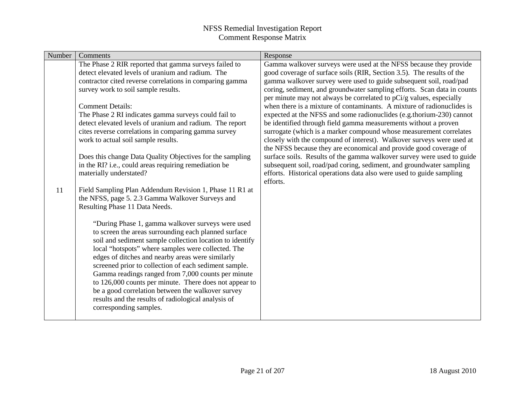| Number | Comments                                                                                                         | Response                                                                                                                                |
|--------|------------------------------------------------------------------------------------------------------------------|-----------------------------------------------------------------------------------------------------------------------------------------|
|        | The Phase 2 RIR reported that gamma surveys failed to                                                            | Gamma walkover surveys were used at the NFSS because they provide                                                                       |
|        | detect elevated levels of uranium and radium. The                                                                | good coverage of surface soils (RIR, Section 3.5). The results of the                                                                   |
|        | contractor cited reverse correlations in comparing gamma                                                         | gamma walkover survey were used to guide subsequent soil, road/pad                                                                      |
|        | survey work to soil sample results.                                                                              | coring, sediment, and groundwater sampling efforts. Scan data in counts                                                                 |
|        |                                                                                                                  | per minute may not always be correlated to pCi/g values, especially                                                                     |
|        | <b>Comment Details:</b>                                                                                          | when there is a mixture of contaminants. A mixture of radionuclides is                                                                  |
|        | The Phase 2 RI indicates gamma surveys could fail to<br>detect elevated levels of uranium and radium. The report | expected at the NFSS and some radionuclides (e.g.thorium-230) cannot<br>be identified through field gamma measurements without a proven |
|        | cites reverse correlations in comparing gamma survey                                                             | surrogate (which is a marker compound whose measurement correlates                                                                      |
|        | work to actual soil sample results.                                                                              | closely with the compound of interest). Walkover surveys were used at                                                                   |
|        |                                                                                                                  | the NFSS because they are economical and provide good coverage of                                                                       |
|        | Does this change Data Quality Objectives for the sampling                                                        | surface soils. Results of the gamma walkover survey were used to guide                                                                  |
|        | in the RI? i.e., could areas requiring remediation be                                                            | subsequent soil, road/pad coring, sediment, and groundwater sampling                                                                    |
|        | materially understated?                                                                                          | efforts. Historical operations data also were used to guide sampling                                                                    |
|        |                                                                                                                  | efforts.                                                                                                                                |
| 11     | Field Sampling Plan Addendum Revision 1, Phase 11 R1 at                                                          |                                                                                                                                         |
|        | the NFSS, page 5. 2.3 Gamma Walkover Surveys and                                                                 |                                                                                                                                         |
|        | Resulting Phase 11 Data Needs.                                                                                   |                                                                                                                                         |
|        | "During Phase 1, gamma walkover surveys were used                                                                |                                                                                                                                         |
|        | to screen the areas surrounding each planned surface                                                             |                                                                                                                                         |
|        | soil and sediment sample collection location to identify                                                         |                                                                                                                                         |
|        | local "hotspots" where samples were collected. The                                                               |                                                                                                                                         |
|        | edges of ditches and nearby areas were similarly                                                                 |                                                                                                                                         |
|        | screened prior to collection of each sediment sample.                                                            |                                                                                                                                         |
|        | Gamma readings ranged from 7,000 counts per minute                                                               |                                                                                                                                         |
|        | to 126,000 counts per minute. There does not appear to                                                           |                                                                                                                                         |
|        | be a good correlation between the walkover survey                                                                |                                                                                                                                         |
|        | results and the results of radiological analysis of<br>corresponding samples.                                    |                                                                                                                                         |
|        |                                                                                                                  |                                                                                                                                         |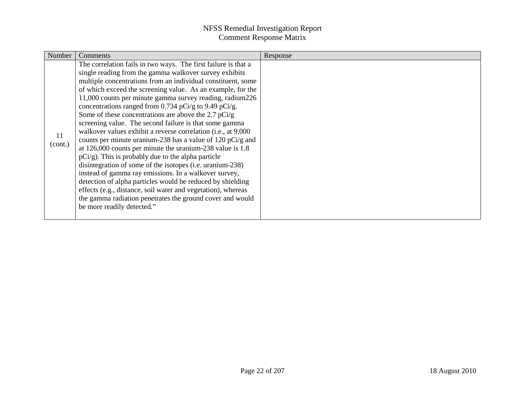|                                                                                                                                                                                                                                                                                                                                                                                                                                                                                                                                                                                                                                                                                                                                                                                                                                                                                                                                                                                                                                                                                                                          | Response |
|--------------------------------------------------------------------------------------------------------------------------------------------------------------------------------------------------------------------------------------------------------------------------------------------------------------------------------------------------------------------------------------------------------------------------------------------------------------------------------------------------------------------------------------------------------------------------------------------------------------------------------------------------------------------------------------------------------------------------------------------------------------------------------------------------------------------------------------------------------------------------------------------------------------------------------------------------------------------------------------------------------------------------------------------------------------------------------------------------------------------------|----------|
| The correlation fails in two ways. The first failure is that a<br>single reading from the gamma walkover survey exhibits<br>multiple concentrations from an individual constituent, some<br>of which exceed the screening value. As an example, for the<br>11,000 counts per minute gamma survey reading, radium226<br>concentrations ranged from 0.734 pCi/g to 9.49 pCi/g.<br>Some of these concentrations are above the 2.7 $pCi/g$<br>screening value. The second failure is that some gamma<br>walkover values exhibit a reverse correlation (i.e., at 9,000)<br>11<br>counts per minute uranium-238 has a value of 120 pCi/g and<br>(cont.)<br>at $126,000$ counts per minute the uranium-238 value is 1.8<br>$pCi/g$ ). This is probably due to the alpha particle<br>disintegration of some of the isotopes (i.e. uranium-238)<br>instead of gamma ray emissions. In a walkover survey,<br>detection of alpha particles would be reduced by shielding<br>effects (e.g., distance, soil water and vegetation), whereas<br>the gamma radiation penetrates the ground cover and would<br>be more readily detected." |          |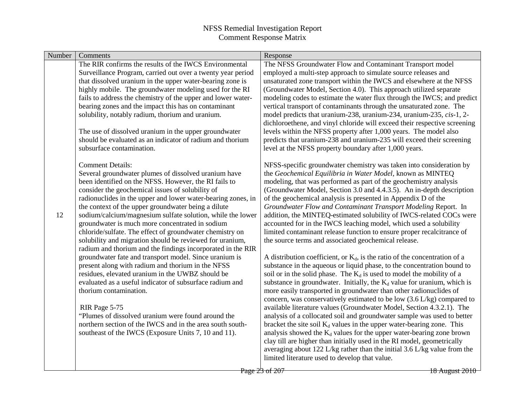| Number | Comments                                                                                              | Response                                                                                                                                            |
|--------|-------------------------------------------------------------------------------------------------------|-----------------------------------------------------------------------------------------------------------------------------------------------------|
|        | The RIR confirms the results of the IWCS Environmental                                                | The NFSS Groundwater Flow and Contaminant Transport model                                                                                           |
|        | Surveillance Program, carried out over a twenty year period                                           | employed a multi-step approach to simulate source releases and                                                                                      |
|        | that dissolved uranium in the upper water-bearing zone is                                             | unsaturated zone transport within the IWCS and elsewhere at the NFSS                                                                                |
|        | highly mobile. The groundwater modeling used for the RI                                               | (Groundwater Model, Section 4.0). This approach utilized separate                                                                                   |
|        | fails to address the chemistry of the upper and lower water-                                          | modeling codes to estimate the water flux through the IWCS; and predict                                                                             |
|        | bearing zones and the impact this has on contaminant                                                  | vertical transport of contaminants through the unsaturated zone. The                                                                                |
|        | solubility, notably radium, thorium and uranium.                                                      | model predicts that uranium-238, uranium-234, uranium-235, cis-1, 2-                                                                                |
|        |                                                                                                       | dichloroethene, and vinyl chloride will exceed their respective screening                                                                           |
|        | The use of dissolved uranium in the upper groundwater                                                 | levels within the NFSS property after 1,000 years. The model also                                                                                   |
|        | should be evaluated as an indicator of radium and thorium                                             | predicts that uranium-238 and uranium-235 will exceed their screening                                                                               |
|        | subsurface contamination.                                                                             | level at the NFSS property boundary after 1,000 years.                                                                                              |
|        | <b>Comment Details:</b>                                                                               | NFSS-specific groundwater chemistry was taken into consideration by                                                                                 |
|        | Several groundwater plumes of dissolved uranium have                                                  | the Geochemical Equilibria in Water Model, known as MINTEQ                                                                                          |
|        | been identified on the NFSS. However, the RI fails to                                                 | modeling, that was performed as part of the geochemistry analysis                                                                                   |
|        | consider the geochemical issues of solubility of                                                      | (Groundwater Model, Section 3.0 and 4.4.3.5). An in-depth description                                                                               |
|        | radionuclides in the upper and lower water-bearing zones, in                                          | of the geochemical analysis is presented in Appendix D of the                                                                                       |
|        | the context of the upper groundwater being a dilute                                                   | Groundwater Flow and Contaminant Transport Modeling Report. In                                                                                      |
| 12     | sodium/calcium/magnesium sulfate solution, while the lower                                            | addition, the MINTEQ-estimated solubility of IWCS-related COCs were                                                                                 |
|        | groundwater is much more concentrated in sodium                                                       | accounted for in the IWCS leaching model, which used a solubility                                                                                   |
|        | chloride/sulfate. The effect of groundwater chemistry on                                              | limited contaminant release function to ensure proper recalcitrance of                                                                              |
|        | solubility and migration should be reviewed for uranium,                                              | the source terms and associated geochemical release.                                                                                                |
|        | radium and thorium and the findings incorporated in the RIR                                           |                                                                                                                                                     |
|        | groundwater fate and transport model. Since uranium is                                                | A distribution coefficient, or $K_d$ , is the ratio of the concentration of a                                                                       |
|        | present along with radium and thorium in the NFSS<br>residues, elevated uranium in the UWBZ should be | substance in the aqueous or liquid phase, to the concentration bound to<br>soil or in the solid phase. The $K_d$ is used to model the mobility of a |
|        | evaluated as a useful indicator of subsurface radium and                                              | substance in groundwater. Initially, the K <sub>d</sub> value for uranium, which is                                                                 |
|        | thorium contamination.                                                                                | more easily transported in groundwater than other radionuclides of                                                                                  |
|        |                                                                                                       | concern, was conservatively estimated to be low $(3.6 \text{ L/kg})$ compared to                                                                    |
|        | RIR Page 5-75                                                                                         | available literature values (Groundwater Model, Section 4.3.2.1). The                                                                               |
|        | "Plumes of dissolved uranium were found around the                                                    | analysis of a collocated soil and groundwater sample was used to better                                                                             |
|        | northern section of the IWCS and in the area south south-                                             | bracket the site soil $K_d$ values in the upper water-bearing zone. This                                                                            |
|        | southeast of the IWCS (Exposure Units 7, 10 and 11).                                                  | analysis showed the $K_d$ values for the upper water-bearing zone brown                                                                             |
|        |                                                                                                       | clay till are higher than initially used in the RI model, geometrically                                                                             |
|        |                                                                                                       | averaging about 122 L/kg rather than the initial $3.6$ L/kg value from the                                                                          |
|        |                                                                                                       | limited literature used to develop that value.                                                                                                      |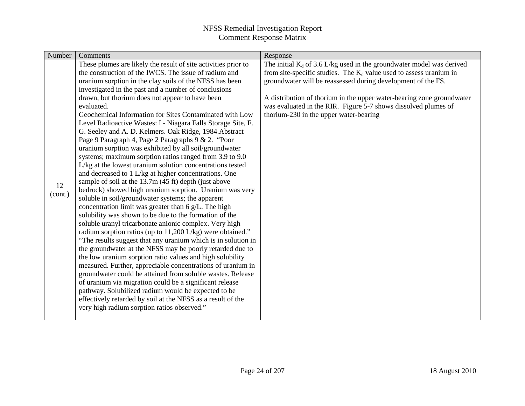| Number  | Comments                                                                                                  | Response                                                                                                                                |
|---------|-----------------------------------------------------------------------------------------------------------|-----------------------------------------------------------------------------------------------------------------------------------------|
|         | These plumes are likely the result of site activities prior to                                            | The initial $K_d$ of 3.6 L/kg used in the groundwater model was derived                                                                 |
|         | the construction of the IWCS. The issue of radium and                                                     | from site-specific studies. The $K_d$ value used to assess uranium in                                                                   |
|         | uranium sorption in the clay soils of the NFSS has been                                                   | groundwater will be reassessed during development of the FS.                                                                            |
|         | investigated in the past and a number of conclusions                                                      |                                                                                                                                         |
|         | drawn, but thorium does not appear to have been<br>evaluated.                                             | A distribution of thorium in the upper water-bearing zone groundwater<br>was evaluated in the RIR. Figure 5-7 shows dissolved plumes of |
|         | Geochemical Information for Sites Contaminated with Low                                                   | thorium-230 in the upper water-bearing                                                                                                  |
|         | Level Radioactive Wastes: I - Niagara Falls Storage Site, F.                                              |                                                                                                                                         |
|         | G. Seeley and A. D. Kelmers. Oak Ridge, 1984. Abstract                                                    |                                                                                                                                         |
|         | Page 9 Paragraph 4, Page 2 Paragraphs 9 & 2. "Poor                                                        |                                                                                                                                         |
|         | uranium sorption was exhibited by all soil/groundwater                                                    |                                                                                                                                         |
|         | systems; maximum sorption ratios ranged from 3.9 to 9.0                                                   |                                                                                                                                         |
|         | L/kg at the lowest uranium solution concentrations tested                                                 |                                                                                                                                         |
|         | and decreased to 1 L/kg at higher concentrations. One                                                     |                                                                                                                                         |
| 12      | sample of soil at the 13.7m (45 ft) depth (just above                                                     |                                                                                                                                         |
| (cont.) | bedrock) showed high uranium sorption. Uranium was very                                                   |                                                                                                                                         |
|         | soluble in soil/groundwater systems; the apparent<br>concentration limit was greater than 6 g/L. The high |                                                                                                                                         |
|         | solubility was shown to be due to the formation of the                                                    |                                                                                                                                         |
|         | soluble uranyl tricarbonate anionic complex. Very high                                                    |                                                                                                                                         |
|         | radium sorption ratios (up to 11,200 L/kg) were obtained."                                                |                                                                                                                                         |
|         | "The results suggest that any uranium which is in solution in                                             |                                                                                                                                         |
|         | the groundwater at the NFSS may be poorly retarded due to                                                 |                                                                                                                                         |
|         | the low uranium sorption ratio values and high solubility                                                 |                                                                                                                                         |
|         | measured. Further, appreciable concentrations of uranium in                                               |                                                                                                                                         |
|         | groundwater could be attained from soluble wastes. Release                                                |                                                                                                                                         |
|         | of uranium via migration could be a significant release                                                   |                                                                                                                                         |
|         | pathway. Solubilized radium would be expected to be                                                       |                                                                                                                                         |
|         | effectively retarded by soil at the NFSS as a result of the                                               |                                                                                                                                         |
|         | very high radium sorption ratios observed."                                                               |                                                                                                                                         |
|         |                                                                                                           |                                                                                                                                         |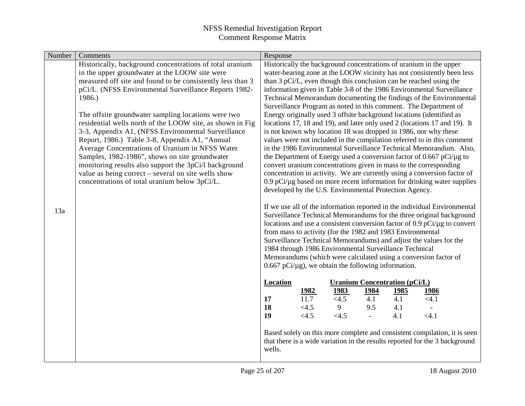| Number | Comments                                                                                                                                                                                                                                                                                                                                                                                                                                                                                                                   | Response                                                                                                                                                                                                                                                                                                                                                                                                                                                                                                                                                                                                                                                                                                                                                                                                       |
|--------|----------------------------------------------------------------------------------------------------------------------------------------------------------------------------------------------------------------------------------------------------------------------------------------------------------------------------------------------------------------------------------------------------------------------------------------------------------------------------------------------------------------------------|----------------------------------------------------------------------------------------------------------------------------------------------------------------------------------------------------------------------------------------------------------------------------------------------------------------------------------------------------------------------------------------------------------------------------------------------------------------------------------------------------------------------------------------------------------------------------------------------------------------------------------------------------------------------------------------------------------------------------------------------------------------------------------------------------------------|
|        | Historically, background concentrations of total uranium<br>in the upper groundwater at the LOOW site were<br>measured off site and found to be consistently less than 3<br>pCi/L. (NFSS Environmental Surveillance Reports 1982-<br>1986.)<br>The offsite groundwater sampling locations were two<br>residential wells north of the LOOW site, as shown in Fig<br>3-3, Appendix A1, (NFSS Environmental Surveillance<br>Report, 1986.) Table 3-8, Appendix A1, "Annual<br>Average Concentrations of Uranium in NFSS Water | Historically the background concentrations of uranium in the upper<br>water-bearing zone at the LOOW vicinity has not consistently been less<br>than 3 pCi/L, even though this conclusion can be reached using the<br>information given in Table 3-8 of the 1986 Environmental Surveillance<br>Technical Memorandum documenting the findings of the Environmental<br>Surveillance Program as noted in this comment. The Department of<br>Energy originally used 3 offsite background locations (identified as<br>locations 17, 18 and 19), and later only used 2 (locations 17 and 19). It<br>is not known why location 18 was dropped in 1986, nor why these<br>values were not included in the compilation referred to in this comment<br>in the 1986 Environmental Surveillance Technical Memorandum. Also, |
|        | Samples, 1982-1986", shows on site groundwater<br>monitoring results also support the 3pCi/l background<br>value as being correct – several on site wells show<br>concentrations of total uranium below 3pCi/L.                                                                                                                                                                                                                                                                                                            | the Department of Energy used a conversion factor of 0.667 pCi/ $\mu$ g to<br>convert uranium concentrations given in mass to the corresponding<br>concentration in activity. We are currently using a conversion factor of<br>$0.9$ pCi/ $\mu$ g based on more recent information for drinking water supplies<br>developed by the U.S. Environmental Protection Agency.                                                                                                                                                                                                                                                                                                                                                                                                                                       |
| 13a    |                                                                                                                                                                                                                                                                                                                                                                                                                                                                                                                            | If we use all of the information reported in the individual Environmental<br>Surveillance Technical Memorandums for the three original background<br>locations and use a consistent conversion factor of $0.9$ pCi/ $\mu$ g to convert<br>from mass to activity (for the 1982 and 1983 Environmental<br>Surveillance Technical Memorandums) and adjust the values for the<br>1984 through 1986 Environmental Surveillance Technical<br>Memorandums (which were calculated using a conversion factor of<br>$0.667$ pCi/ $\mu$ g), we obtain the following information.                                                                                                                                                                                                                                          |
|        |                                                                                                                                                                                                                                                                                                                                                                                                                                                                                                                            | <b>Uranium Concentration (pCi/L)</b><br><b>Location</b><br><u>1983</u><br><u>1982</u><br><u>1984</u><br><u>1985</u><br><u>1986</u><br>$\overline{11.7}$<br><4.5<br>4.1<br>< 4.1<br>17<br>4.1<br><4.5<br>18<br>9<br>9.5<br>4.1<br>$\blacksquare$<br><4.5<br><4.5<br>19<br>4.1<br>< 4.1<br>$\equiv$                                                                                                                                                                                                                                                                                                                                                                                                                                                                                                              |
|        |                                                                                                                                                                                                                                                                                                                                                                                                                                                                                                                            | Based solely on this more complete and consistent compilation, it is seen<br>that there is a wide variation in the results reported for the 3 background<br>wells.                                                                                                                                                                                                                                                                                                                                                                                                                                                                                                                                                                                                                                             |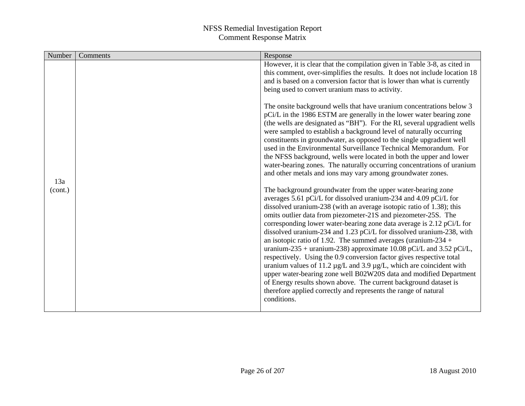| Number  | Comments | Response                                                                                                                                                                                                                                                                                                                                                                                                                                                                                                                                                                                                                                                                                                                                                                                                                                                                                                                                                  |
|---------|----------|-----------------------------------------------------------------------------------------------------------------------------------------------------------------------------------------------------------------------------------------------------------------------------------------------------------------------------------------------------------------------------------------------------------------------------------------------------------------------------------------------------------------------------------------------------------------------------------------------------------------------------------------------------------------------------------------------------------------------------------------------------------------------------------------------------------------------------------------------------------------------------------------------------------------------------------------------------------|
| 13a     |          | However, it is clear that the compilation given in Table 3-8, as cited in<br>this comment, over-simplifies the results. It does not include location 18<br>and is based on a conversion factor that is lower than what is currently<br>being used to convert uranium mass to activity.                                                                                                                                                                                                                                                                                                                                                                                                                                                                                                                                                                                                                                                                    |
|         |          | The onsite background wells that have uranium concentrations below 3<br>pCi/L in the 1986 ESTM are generally in the lower water bearing zone<br>(the wells are designated as "BH"). For the RI, several upgradient wells<br>were sampled to establish a background level of naturally occurring<br>constituents in groundwater, as opposed to the single upgradient well<br>used in the Environmental Surveillance Technical Memorandum. For<br>the NFSS background, wells were located in both the upper and lower<br>water-bearing zones. The naturally occurring concentrations of uranium<br>and other metals and ions may vary among groundwater zones.                                                                                                                                                                                                                                                                                              |
| (cont.) |          | The background groundwater from the upper water-bearing zone<br>averages 5.61 pCi/L for dissolved uranium-234 and 4.09 pCi/L for<br>dissolved uranium-238 (with an average isotopic ratio of 1.38); this<br>omits outlier data from piezometer-21S and piezometer-25S. The<br>corresponding lower water-bearing zone data average is 2.12 pCi/L for<br>dissolved uranium-234 and 1.23 pCi/L for dissolved uranium-238, with<br>an isotopic ratio of 1.92. The summed averages (uranium-234 $+$<br>uranium-235 + uranium-238) approximate 10.08 pCi/L and 3.52 pCi/L,<br>respectively. Using the 0.9 conversion factor gives respective total<br>uranium values of 11.2 $\mu$ g/L and 3.9 $\mu$ g/L, which are coincident with<br>upper water-bearing zone well B02W20S data and modified Department<br>of Energy results shown above. The current background dataset is<br>therefore applied correctly and represents the range of natural<br>conditions. |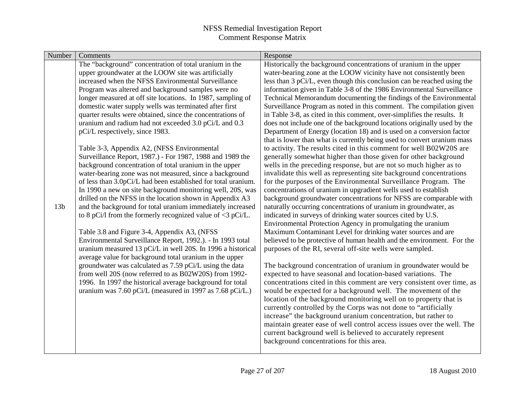| The "background" concentration of total uranium in the<br>Historically the background concentrations of uranium in the upper<br>upper groundwater at the LOOW site was artificially<br>water-bearing zone at the LOOW vicinity have not consistently been<br>increased when the NFSS Environmental Surveillance<br>Program was altered and background samples were no<br>longer measured at off site locations. In 1987, sampling of<br>domestic water supply wells was terminated after first<br>in Table 3-8, as cited in this comment, over-simplifies the results. It<br>quarter results were obtained, since the concentrations of<br>uranium and radium had not exceeded 3.0 pCi/L and 0.3<br>does not include one of the background locations originally used by the | Number | Comments                        | Response                                                                |
|-----------------------------------------------------------------------------------------------------------------------------------------------------------------------------------------------------------------------------------------------------------------------------------------------------------------------------------------------------------------------------------------------------------------------------------------------------------------------------------------------------------------------------------------------------------------------------------------------------------------------------------------------------------------------------------------------------------------------------------------------------------------------------|--------|---------------------------------|-------------------------------------------------------------------------|
|                                                                                                                                                                                                                                                                                                                                                                                                                                                                                                                                                                                                                                                                                                                                                                             |        |                                 |                                                                         |
|                                                                                                                                                                                                                                                                                                                                                                                                                                                                                                                                                                                                                                                                                                                                                                             |        |                                 |                                                                         |
|                                                                                                                                                                                                                                                                                                                                                                                                                                                                                                                                                                                                                                                                                                                                                                             |        |                                 | less than 3 pCi/L, even though this conclusion can be reached using the |
|                                                                                                                                                                                                                                                                                                                                                                                                                                                                                                                                                                                                                                                                                                                                                                             |        |                                 | information given in Table 3-8 of the 1986 Environmental Surveillance   |
|                                                                                                                                                                                                                                                                                                                                                                                                                                                                                                                                                                                                                                                                                                                                                                             |        |                                 | Technical Memorandum documenting the findings of the Environmental      |
|                                                                                                                                                                                                                                                                                                                                                                                                                                                                                                                                                                                                                                                                                                                                                                             |        |                                 | Surveillance Program as noted in this comment. The compilation given    |
|                                                                                                                                                                                                                                                                                                                                                                                                                                                                                                                                                                                                                                                                                                                                                                             |        |                                 |                                                                         |
|                                                                                                                                                                                                                                                                                                                                                                                                                                                                                                                                                                                                                                                                                                                                                                             |        |                                 |                                                                         |
|                                                                                                                                                                                                                                                                                                                                                                                                                                                                                                                                                                                                                                                                                                                                                                             |        | pCi/L respectively, since 1983. | Department of Energy (location 18) and is used on a conversion factor   |
|                                                                                                                                                                                                                                                                                                                                                                                                                                                                                                                                                                                                                                                                                                                                                                             |        |                                 | that is lower than what is currently being used to convert uranium mass |
| Table 3-3, Appendix A2, (NFSS Environmental                                                                                                                                                                                                                                                                                                                                                                                                                                                                                                                                                                                                                                                                                                                                 |        |                                 | to activity. The results cited in this comment for well B02W20S are     |
| Surveillance Report, 1987.) - For 1987, 1988 and 1989 the<br>generally somewhat higher than those given for other background                                                                                                                                                                                                                                                                                                                                                                                                                                                                                                                                                                                                                                                |        |                                 |                                                                         |
| background concentration of total uranium in the upper<br>wells in the preceding response, but are not so much higher as to                                                                                                                                                                                                                                                                                                                                                                                                                                                                                                                                                                                                                                                 |        |                                 |                                                                         |
| water-bearing zone was not measured, since a background                                                                                                                                                                                                                                                                                                                                                                                                                                                                                                                                                                                                                                                                                                                     |        |                                 | invalidate this well as representing site background concentrations     |
| of less than 3.0pCi/L had been established for total uranium.<br>for the purposes of the Environmental Surveillance Program. The                                                                                                                                                                                                                                                                                                                                                                                                                                                                                                                                                                                                                                            |        |                                 |                                                                         |
| In 1990 a new on site background monitoring well, 20S, was<br>concentrations of uranium in upgradient wells used to establish                                                                                                                                                                                                                                                                                                                                                                                                                                                                                                                                                                                                                                               |        |                                 |                                                                         |
| drilled on the NFSS in the location shown in Appendix A3                                                                                                                                                                                                                                                                                                                                                                                                                                                                                                                                                                                                                                                                                                                    |        |                                 | background groundwater concentrations for NFSS are comparable with      |
| 13 <sub>b</sub><br>and the background for total uranium immediately increased<br>naturally occurring concentrations of uranium in groundwater, as                                                                                                                                                                                                                                                                                                                                                                                                                                                                                                                                                                                                                           |        |                                 |                                                                         |
| to 8 pCi/l from the formerly recognized value of $\langle 3 \text{ pCi/L.} \rangle$<br>indicated in surveys of drinking water sources cited by U.S.                                                                                                                                                                                                                                                                                                                                                                                                                                                                                                                                                                                                                         |        |                                 |                                                                         |
| Environmental Protection Agency in promulgating the uranium                                                                                                                                                                                                                                                                                                                                                                                                                                                                                                                                                                                                                                                                                                                 |        |                                 |                                                                         |
| Table 3.8 and Figure 3-4, Appendix A3, (NFSS)<br>Maximum Contaminant Level for drinking water sources and are                                                                                                                                                                                                                                                                                                                                                                                                                                                                                                                                                                                                                                                               |        |                                 |                                                                         |
| Environmental Surveillance Report, 1992.). - In 1993 total                                                                                                                                                                                                                                                                                                                                                                                                                                                                                                                                                                                                                                                                                                                  |        |                                 | believed to be protective of human health and the environment. For the  |
| purposes of the RI, several off-site wells were sampled.<br>uranium measured 13 pCi/L in well 20S. In 1996 a historical                                                                                                                                                                                                                                                                                                                                                                                                                                                                                                                                                                                                                                                     |        |                                 |                                                                         |
| average value for background total uranium in the upper                                                                                                                                                                                                                                                                                                                                                                                                                                                                                                                                                                                                                                                                                                                     |        |                                 |                                                                         |
| groundwater was calculated as 7.59 pCi/L using the data                                                                                                                                                                                                                                                                                                                                                                                                                                                                                                                                                                                                                                                                                                                     |        |                                 | The background concentration of uranium in groundwater would be         |
| from well 20S (now referred to as B02W20S) from 1992-<br>expected to have seasonal and location-based variations. The                                                                                                                                                                                                                                                                                                                                                                                                                                                                                                                                                                                                                                                       |        |                                 |                                                                         |
| 1996. In 1997 the historical average background for total                                                                                                                                                                                                                                                                                                                                                                                                                                                                                                                                                                                                                                                                                                                   |        |                                 | concentrations cited in this comment are very consistent over time, as  |
| uranium was 7.60 pCi/L (measured in 1997 as 7.68 pCi/L.)<br>would be expected for a background well. The movement of the                                                                                                                                                                                                                                                                                                                                                                                                                                                                                                                                                                                                                                                    |        |                                 |                                                                         |
| location of the background monitoring well on to property that is                                                                                                                                                                                                                                                                                                                                                                                                                                                                                                                                                                                                                                                                                                           |        |                                 |                                                                         |
| currently controlled by the Corps was not done to "artificially                                                                                                                                                                                                                                                                                                                                                                                                                                                                                                                                                                                                                                                                                                             |        |                                 |                                                                         |
| increase" the background uranium concentration, but rather to                                                                                                                                                                                                                                                                                                                                                                                                                                                                                                                                                                                                                                                                                                               |        |                                 |                                                                         |
|                                                                                                                                                                                                                                                                                                                                                                                                                                                                                                                                                                                                                                                                                                                                                                             |        |                                 | maintain greater ease of well control access issues over the well. The  |
| current background well is believed to accurately represent                                                                                                                                                                                                                                                                                                                                                                                                                                                                                                                                                                                                                                                                                                                 |        |                                 |                                                                         |
| background concentrations for this area.                                                                                                                                                                                                                                                                                                                                                                                                                                                                                                                                                                                                                                                                                                                                    |        |                                 |                                                                         |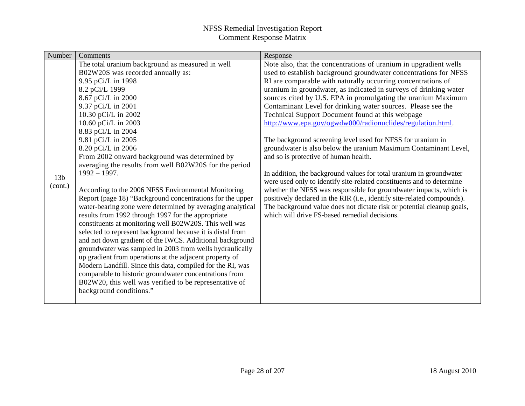| Number          | Comments                                                                                                             | Response                                                                                                                |
|-----------------|----------------------------------------------------------------------------------------------------------------------|-------------------------------------------------------------------------------------------------------------------------|
|                 | The total uranium background as measured in well                                                                     | Note also, that the concentrations of uranium in upgradient wells                                                       |
|                 | B02W20S was recorded annually as:                                                                                    | used to establish background groundwater concentrations for NFSS                                                        |
|                 | 9.95 pCi/L in 1998                                                                                                   | RI are comparable with naturally occurring concentrations of                                                            |
|                 | 8.2 pCi/L 1999                                                                                                       | uranium in groundwater, as indicated in surveys of drinking water                                                       |
|                 | 8.67 pCi/L in 2000                                                                                                   | sources cited by U.S. EPA in promulgating the uranium Maximum                                                           |
|                 | 9.37 pCi/L in 2001                                                                                                   | Contaminant Level for drinking water sources. Please see the                                                            |
|                 | 10.30 pCi/L in 2002                                                                                                  | Technical Support Document found at this webpage                                                                        |
|                 | 10.60 pCi/L in 2003                                                                                                  | http://www.epa.gov/ogwdw000/radionuclides/regulation.html.                                                              |
|                 | 8.83 pCi/L in 2004                                                                                                   |                                                                                                                         |
|                 | 9.81 pCi/L in 2005                                                                                                   | The background screening level used for NFSS for uranium in                                                             |
|                 | 8.20 pCi/L in 2006                                                                                                   | groundwater is also below the uranium Maximum Contaminant Level,                                                        |
|                 | From 2002 onward background was determined by                                                                        | and so is protective of human health.                                                                                   |
|                 | averaging the results from well B02W20S for the period                                                               |                                                                                                                         |
| 13 <sub>b</sub> | $1992 - 1997.$                                                                                                       | In addition, the background values for total uranium in groundwater                                                     |
| (cont.)         |                                                                                                                      | were used only to identify site-related constituents and to determine                                                   |
|                 | According to the 2006 NFSS Environmental Monitoring                                                                  | whether the NFSS was responsible for groundwater impacts, which is                                                      |
|                 | Report (page 18) "Background concentrations for the upper                                                            | positively declared in the RIR (i.e., identify site-related compounds).                                                 |
|                 | water-bearing zone were determined by averaging analytical                                                           | The background value does not dictate risk or potential cleanup goals,<br>which will drive FS-based remedial decisions. |
|                 | results from 1992 through 1997 for the appropriate                                                                   |                                                                                                                         |
|                 | constituents at monitoring well B02W20S. This well was                                                               |                                                                                                                         |
|                 | selected to represent background because it is distal from                                                           |                                                                                                                         |
|                 | and not down gradient of the IWCS. Additional background<br>groundwater was sampled in 2003 from wells hydraulically |                                                                                                                         |
|                 | up gradient from operations at the adjacent property of                                                              |                                                                                                                         |
|                 | Modern Landfill. Since this data, compiled for the RI, was                                                           |                                                                                                                         |
|                 | comparable to historic groundwater concentrations from                                                               |                                                                                                                         |
|                 | B02W20, this well was verified to be representative of                                                               |                                                                                                                         |
|                 | background conditions."                                                                                              |                                                                                                                         |
|                 |                                                                                                                      |                                                                                                                         |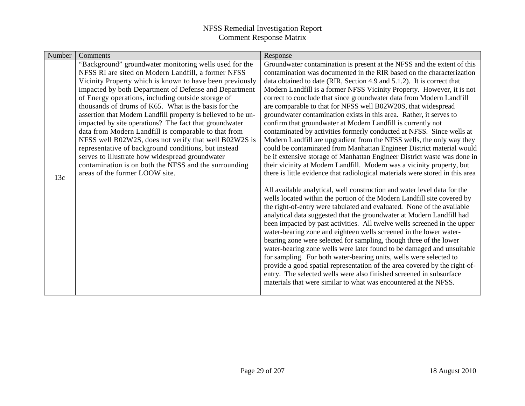| Number | Comments                                                      | Response                                                                                                                                            |
|--------|---------------------------------------------------------------|-----------------------------------------------------------------------------------------------------------------------------------------------------|
|        | "Background" groundwater monitoring wells used for the        | Groundwater contamination is present at the NFSS and the extent of this                                                                             |
|        | NFSS RI are sited on Modern Landfill, a former NFSS           | contamination was documented in the RIR based on the characterization                                                                               |
|        | Vicinity Property which is known to have been previously      | data obtained to date (RIR, Section 4.9 and 5.1.2). It is correct that                                                                              |
|        | impacted by both Department of Defense and Department         | Modern Landfill is a former NFSS Vicinity Property. However, it is not                                                                              |
|        | of Energy operations, including outside storage of            | correct to conclude that since groundwater data from Modern Landfill                                                                                |
|        | thousands of drums of K65. What is the basis for the          | are comparable to that for NFSS well B02W20S, that widespread                                                                                       |
|        | assertion that Modern Landfill property is believed to be un- | groundwater contamination exists in this area. Rather, it serves to                                                                                 |
|        | impacted by site operations? The fact that groundwater        | confirm that groundwater at Modern Landfill is currently not                                                                                        |
|        | data from Modern Landfill is comparable to that from          | contaminated by activities formerly conducted at NFSS. Since wells at                                                                               |
|        | NFSS well B02W2S, does not verify that well B02W2S is         | Modern Landfill are upgradient from the NFSS wells, the only way they                                                                               |
|        | representative of background conditions, but instead          | could be contaminated from Manhattan Engineer District material would                                                                               |
|        | serves to illustrate how widespread groundwater               | be if extensive storage of Manhattan Engineer District waste was done in                                                                            |
|        | contamination is on both the NFSS and the surrounding         | their vicinity at Modern Landfill. Modern was a vicinity property, but                                                                              |
| 13c    | areas of the former LOOW site.                                | there is little evidence that radiological materials were stored in this area                                                                       |
|        |                                                               |                                                                                                                                                     |
|        |                                                               | All available analytical, well construction and water level data for the<br>wells located within the portion of the Modern Landfill site covered by |
|        |                                                               | the right-of-entry were tabulated and evaluated. None of the available                                                                              |
|        |                                                               | analytical data suggested that the groundwater at Modern Landfill had                                                                               |
|        |                                                               | been impacted by past activities. All twelve wells screened in the upper                                                                            |
|        |                                                               | water-bearing zone and eighteen wells screened in the lower water-                                                                                  |
|        |                                                               | bearing zone were selected for sampling, though three of the lower                                                                                  |
|        |                                                               | water-bearing zone wells were later found to be damaged and unsuitable                                                                              |
|        |                                                               | for sampling. For both water-bearing units, wells were selected to                                                                                  |
|        |                                                               | provide a good spatial representation of the area covered by the right-of-                                                                          |
|        |                                                               | entry. The selected wells were also finished screened in subsurface                                                                                 |
|        |                                                               | materials that were similar to what was encountered at the NFSS.                                                                                    |
|        |                                                               |                                                                                                                                                     |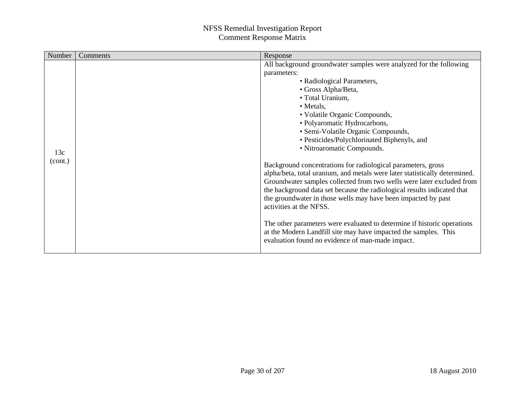| Number  | Comments | Response                                                                                                                                                                                                                                                                                                                                                                                                                                                                                                                                                                                     |
|---------|----------|----------------------------------------------------------------------------------------------------------------------------------------------------------------------------------------------------------------------------------------------------------------------------------------------------------------------------------------------------------------------------------------------------------------------------------------------------------------------------------------------------------------------------------------------------------------------------------------------|
|         |          | All background groundwater samples were analyzed for the following                                                                                                                                                                                                                                                                                                                                                                                                                                                                                                                           |
|         |          | parameters:                                                                                                                                                                                                                                                                                                                                                                                                                                                                                                                                                                                  |
|         |          | • Radiological Parameters,                                                                                                                                                                                                                                                                                                                                                                                                                                                                                                                                                                   |
|         |          | • Gross Alpha/Beta,                                                                                                                                                                                                                                                                                                                                                                                                                                                                                                                                                                          |
|         |          | · Total Uranium,                                                                                                                                                                                                                                                                                                                                                                                                                                                                                                                                                                             |
|         |          | • Metals,                                                                                                                                                                                                                                                                                                                                                                                                                                                                                                                                                                                    |
|         |          | • Volatile Organic Compounds,                                                                                                                                                                                                                                                                                                                                                                                                                                                                                                                                                                |
|         |          | • Polyaromatic Hydrocarbons,                                                                                                                                                                                                                                                                                                                                                                                                                                                                                                                                                                 |
|         |          | • Semi-Volatile Organic Compounds,                                                                                                                                                                                                                                                                                                                                                                                                                                                                                                                                                           |
|         |          | • Pesticides/Polychlorinated Biphenyls, and                                                                                                                                                                                                                                                                                                                                                                                                                                                                                                                                                  |
| 13c     |          | · Nitroaromatic Compounds.                                                                                                                                                                                                                                                                                                                                                                                                                                                                                                                                                                   |
| (cont.) |          | Background concentrations for radiological parameters, gross<br>alpha/beta, total uranium, and metals were later statistically determined.<br>Groundwater samples collected from two wells were later excluded from<br>the background data set because the radiological results indicated that<br>the groundwater in those wells may have been impacted by past<br>activities at the NFSS.<br>The other parameters were evaluated to determine if historic operations<br>at the Modern Landfill site may have impacted the samples. This<br>evaluation found no evidence of man-made impact. |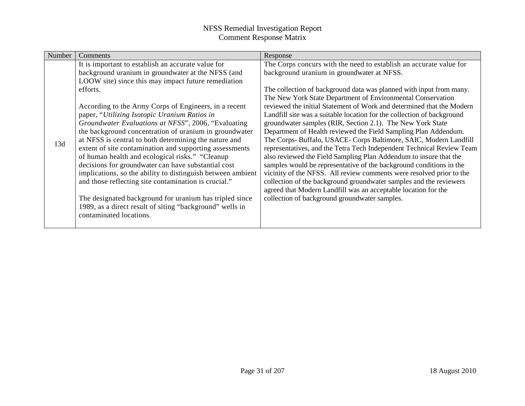| Number | Comments                                                                                                                                                                                                                                                                                                                                                                                                                                                                                                                                                                                                                                                                                                                                                                                                                                                                                                     | Response                                                                                                                                                                                                                                                                                                                                                                                                                                                                                                                                                                                                                                                                                                                                                                                                                                                                                                                                                                                                                                                                                              |
|--------|--------------------------------------------------------------------------------------------------------------------------------------------------------------------------------------------------------------------------------------------------------------------------------------------------------------------------------------------------------------------------------------------------------------------------------------------------------------------------------------------------------------------------------------------------------------------------------------------------------------------------------------------------------------------------------------------------------------------------------------------------------------------------------------------------------------------------------------------------------------------------------------------------------------|-------------------------------------------------------------------------------------------------------------------------------------------------------------------------------------------------------------------------------------------------------------------------------------------------------------------------------------------------------------------------------------------------------------------------------------------------------------------------------------------------------------------------------------------------------------------------------------------------------------------------------------------------------------------------------------------------------------------------------------------------------------------------------------------------------------------------------------------------------------------------------------------------------------------------------------------------------------------------------------------------------------------------------------------------------------------------------------------------------|
| 13d    | It is important to establish an accurate value for<br>background uranium in groundwater at the NFSS (and<br>LOOW site) since this may impact future remediation<br>efforts.<br>According to the Army Corps of Engineers, in a recent<br>paper, "Utilizing Isotopic Uranium Ratios in<br>Groundwater Evaluations at NFSS", 2006, "Evaluating<br>the background concentration of uranium in groundwater<br>at NFSS is central to both determining the nature and<br>extent of site contamination and supporting assessments<br>of human health and ecological risks." "Cleanup<br>decisions for groundwater can have substantial cost<br>implications, so the ability to distinguish between ambient<br>and those reflecting site contamination is crucial."<br>The designated background for uranium has tripled since<br>1989, as a direct result of siting "background" wells in<br>contaminated locations. | The Corps concurs with the need to establish an accurate value for<br>background uranium in groundwater at NFSS.<br>The collection of background data was planned with input from many.<br>The New York State Department of Environmental Conservation<br>reviewed the initial Statement of Work and determined that the Modern<br>Landfill site was a suitable location for the collection of background<br>groundwater samples (RIR, Section 2.1). The New York State<br>Department of Health reviewed the Field Sampling Plan Addendum.<br>The Corps- Buffalo, USACE- Corps Baltimore, SAIC, Modern Landfill<br>representatives, and the Tetra Tech Independent Technical Review Team<br>also reviewed the Field Sampling Plan Addendum to insure that the<br>samples would be representative of the background conditions in the<br>vicinity of the NFSS. All review comments were resolved prior to the<br>collection of the background groundwater samples and the reviewers<br>agreed that Modern Landfill was an acceptable location for the<br>collection of background groundwater samples. |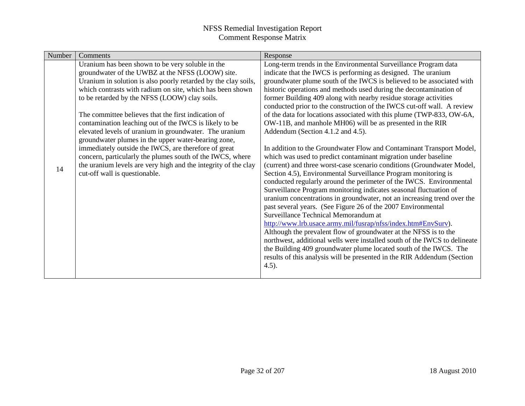| Number<br>Comments<br>Response                                                                                                                                                                                                                                                                                                                                                                                                                                                                                                                                                                                                                                                                                                                                                                                                                                                                                                                                                                                                                                                                                                                                                                                                                                                                                                                                                                                                                                                                                                                                                                                                                                                                                                                                                                                                                                                                                                                                                                                                                                                                                                                                                                                                                                                                                                                                      |  |
|---------------------------------------------------------------------------------------------------------------------------------------------------------------------------------------------------------------------------------------------------------------------------------------------------------------------------------------------------------------------------------------------------------------------------------------------------------------------------------------------------------------------------------------------------------------------------------------------------------------------------------------------------------------------------------------------------------------------------------------------------------------------------------------------------------------------------------------------------------------------------------------------------------------------------------------------------------------------------------------------------------------------------------------------------------------------------------------------------------------------------------------------------------------------------------------------------------------------------------------------------------------------------------------------------------------------------------------------------------------------------------------------------------------------------------------------------------------------------------------------------------------------------------------------------------------------------------------------------------------------------------------------------------------------------------------------------------------------------------------------------------------------------------------------------------------------------------------------------------------------------------------------------------------------------------------------------------------------------------------------------------------------------------------------------------------------------------------------------------------------------------------------------------------------------------------------------------------------------------------------------------------------------------------------------------------------------------------------------------------------|--|
| Long-term trends in the Environmental Surveillance Program data<br>Uranium has been shown to be very soluble in the<br>groundwater of the UWBZ at the NFSS (LOOW) site.<br>indicate that the IWCS is performing as designed. The uranium<br>Uranium in solution is also poorly retarded by the clay soils,<br>groundwater plume south of the IWCS is believed to be associated with<br>which contrasts with radium on site, which has been shown<br>historic operations and methods used during the decontamination of<br>to be retarded by the NFSS (LOOW) clay soils.<br>former Building 409 along with nearby residue storage activities<br>conducted prior to the construction of the IWCS cut-off wall. A review<br>of the data for locations associated with this plume (TWP-833, OW-6A,<br>The committee believes that the first indication of<br>OW-11B, and manhole MH06) will be as presented in the RIR<br>contamination leaching out of the IWCS is likely to be<br>elevated levels of uranium in groundwater. The uranium<br>Addendum (Section 4.1.2 and 4.5).<br>groundwater plumes in the upper water-bearing zone,<br>immediately outside the IWCS, are therefore of great<br>In addition to the Groundwater Flow and Contaminant Transport Model,<br>concern, particularly the plumes south of the IWCS, where<br>which was used to predict contaminant migration under baseline<br>the uranium levels are very high and the integrity of the clay<br>(current) and three worst-case scenario conditions (Groundwater Model,<br>14<br>cut-off wall is questionable.<br>Section 4.5), Environmental Surveillance Program monitoring is<br>conducted regularly around the perimeter of the IWCS. Environmental<br>Surveillance Program monitoring indicates seasonal fluctuation of<br>uranium concentrations in groundwater, not an increasing trend over the<br>past several years. (See Figure 26 of the 2007 Environmental<br>Surveillance Technical Memorandum at<br>http://www.lrb.usace.army.mil/fusrap/nfss/index.htm#EnvSurv).<br>Although the prevalent flow of groundwater at the NFSS is to the<br>northwest, additional wells were installed south of the IWCS to delineate<br>the Building 409 groundwater plume located south of the IWCS. The<br>results of this analysis will be presented in the RIR Addendum (Section<br>$4.5$ ). |  |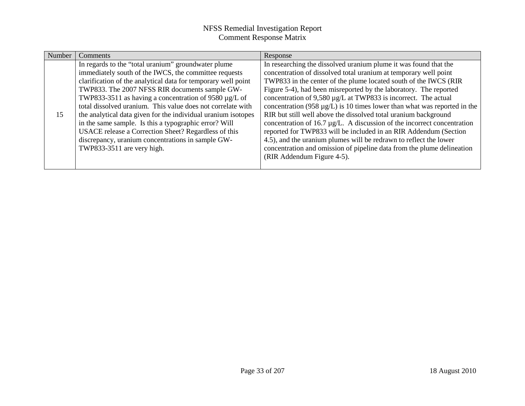| Number<br>Response<br>Comments                                                                                                                                                                                                                                                                                                                                                                                                                                                                                                                                                                                                                                                                                                                                                                                                                                                                                                                                                                                                                                                                                                                                                                                                                                                                                                                                                                                                                                                  |  |
|---------------------------------------------------------------------------------------------------------------------------------------------------------------------------------------------------------------------------------------------------------------------------------------------------------------------------------------------------------------------------------------------------------------------------------------------------------------------------------------------------------------------------------------------------------------------------------------------------------------------------------------------------------------------------------------------------------------------------------------------------------------------------------------------------------------------------------------------------------------------------------------------------------------------------------------------------------------------------------------------------------------------------------------------------------------------------------------------------------------------------------------------------------------------------------------------------------------------------------------------------------------------------------------------------------------------------------------------------------------------------------------------------------------------------------------------------------------------------------|--|
| In researching the dissolved uranium plume it was found that the<br>In regards to the "total uranium" groundwater plume<br>immediately south of the IWCS, the committee requests<br>concentration of dissolved total uranium at temporary well point<br>clarification of the analytical data for temporary well point<br>TWP833 in the center of the plume located south of the IWCS (RIR<br>Figure 5-4), had been misreported by the laboratory. The reported<br>TWP833. The 2007 NFSS RIR documents sample GW-<br>concentration of 9,580 µg/L at TWP833 is incorrect. The actual<br>TWP833-3511 as having a concentration of 9580 $\mu$ g/L of<br>total dissolved uranium. This value does not correlate with<br>concentration (958 $\mu$ g/L) is 10 times lower than what was reported in the<br>RIR but still well above the dissolved total uranium background<br>the analytical data given for the individual uranium isotopes<br>15<br>in the same sample. Is this a typographic error? Will<br>concentration of 16.7 $\mu$ g/L. A discussion of the incorrect concentration<br>USACE release a Correction Sheet? Regardless of this<br>reported for TWP833 will be included in an RIR Addendum (Section<br>discrepancy, uranium concentrations in sample GW-<br>4.5), and the uranium plumes will be redrawn to reflect the lower<br>concentration and omission of pipeline data from the plume delineation<br>TWP833-3511 are very high.<br>(RIR Addendum Figure 4-5). |  |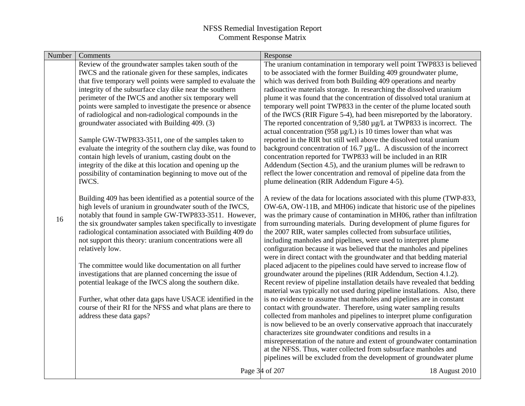| Number | Comments                                                       | Response                                                                   |
|--------|----------------------------------------------------------------|----------------------------------------------------------------------------|
|        | Review of the groundwater samples taken south of the           | The uranium contamination in temporary well point TWP833 is believed       |
|        | IWCS and the rationale given for these samples, indicates      | to be associated with the former Building 409 groundwater plume,           |
|        | that five temporary well points were sampled to evaluate the   | which was derived from both Building 409 operations and nearby             |
|        | integrity of the subsurface clay dike near the southern        | radioactive materials storage. In researching the dissolved uranium        |
|        | perimeter of the IWCS and another six temporary well           | plume it was found that the concentration of dissolved total uranium at    |
|        | points were sampled to investigate the presence or absence     | temporary well point TWP833 in the center of the plume located south       |
|        | of radiological and non-radiological compounds in the          | of the IWCS (RIR Figure 5-4), had been misreported by the laboratory.      |
|        | groundwater associated with Building 409. (3)                  | The reported concentration of $9,580 \mu g/L$ at TWP833 is incorrect. The  |
|        |                                                                | actual concentration (958 $\mu$ g/L) is 10 times lower than what was       |
|        | Sample GW-TWP833-3511, one of the samples taken to             | reported in the RIR but still well above the dissolved total uranium       |
|        | evaluate the integrity of the southern clay dike, was found to | background concentration of 16.7 $\mu$ g/L. A discussion of the incorrect  |
|        | contain high levels of uranium, casting doubt on the           | concentration reported for TWP833 will be included in an RIR               |
|        | integrity of the dike at this location and opening up the      | Addendum (Section 4.5), and the uranium plumes will be redrawn to          |
|        | possibility of contamination beginning to move out of the      | reflect the lower concentration and removal of pipeline data from the      |
|        | IWCS.                                                          | plume delineation (RIR Addendum Figure 4-5).                               |
|        | Building 409 has been identified as a potential source of the  | A review of the data for locations associated with this plume (TWP-833,    |
|        | high levels of uranium in groundwater south of the IWCS,       | OW-6A, OW-11B, and MH06) indicate that historic use of the pipelines       |
|        | notably that found in sample GW-TWP833-3511. However,          | was the primary cause of contamination in MH06, rather than infiltration   |
| 16     | the six groundwater samples taken specifically to investigate  | from surrounding materials. During development of plume figures for        |
|        | radiological contamination associated with Building 409 do     | the 2007 RIR, water samples collected from subsurface utilities,           |
|        | not support this theory: uranium concentrations were all       | including manholes and pipelines, were used to interpret plume             |
|        | relatively low.                                                | configuration because it was believed that the manholes and pipelines      |
|        |                                                                | were in direct contact with the groundwater and that bedding material      |
|        | The committee would like documentation on all further          | placed adjacent to the pipelines could have served to increase flow of     |
|        | investigations that are planned concerning the issue of        | groundwater around the pipelines (RIR Addendum, Section 4.1.2).            |
|        | potential leakage of the IWCS along the southern dike.         | Recent review of pipeline installation details have revealed that bedding  |
|        |                                                                | material was typically not used during pipeline installations. Also, there |
|        | Further, what other data gaps have USACE identified in the     | is no evidence to assume that manholes and pipelines are in constant       |
|        | course of their RI for the NFSS and what plans are there to    | contact with groundwater. Therefore, using water sampling results          |
|        | address these data gaps?                                       | collected from manholes and pipelines to interpret plume configuration     |
|        |                                                                | is now believed to be an overly conservative approach that inaccurately    |
|        |                                                                | characterizes site groundwater conditions and results in a                 |
|        |                                                                | misrepresentation of the nature and extent of groundwater contamination    |
|        |                                                                | at the NFSS. Thus, water collected from subsurface manholes and            |
|        |                                                                | pipelines will be excluded from the development of groundwater plume       |
|        |                                                                | Page 34 of 207<br>18 August 2010                                           |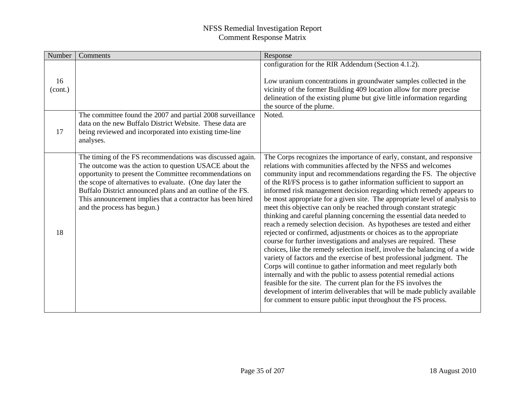| Number  | Comments                                                                                                                                                                                                                                                                                                                                  | Response                                                                                                                                                                                                                                                                                                                                                                                                                                                                                                                                                                                                                                                                                                                                                                                                                                                                                                                                                                                                                                                                                                                                                                                                                                                     |
|---------|-------------------------------------------------------------------------------------------------------------------------------------------------------------------------------------------------------------------------------------------------------------------------------------------------------------------------------------------|--------------------------------------------------------------------------------------------------------------------------------------------------------------------------------------------------------------------------------------------------------------------------------------------------------------------------------------------------------------------------------------------------------------------------------------------------------------------------------------------------------------------------------------------------------------------------------------------------------------------------------------------------------------------------------------------------------------------------------------------------------------------------------------------------------------------------------------------------------------------------------------------------------------------------------------------------------------------------------------------------------------------------------------------------------------------------------------------------------------------------------------------------------------------------------------------------------------------------------------------------------------|
|         |                                                                                                                                                                                                                                                                                                                                           | configuration for the RIR Addendum (Section 4.1.2).                                                                                                                                                                                                                                                                                                                                                                                                                                                                                                                                                                                                                                                                                                                                                                                                                                                                                                                                                                                                                                                                                                                                                                                                          |
| 16      |                                                                                                                                                                                                                                                                                                                                           | Low uranium concentrations in groundwater samples collected in the                                                                                                                                                                                                                                                                                                                                                                                                                                                                                                                                                                                                                                                                                                                                                                                                                                                                                                                                                                                                                                                                                                                                                                                           |
| (cont.) |                                                                                                                                                                                                                                                                                                                                           | vicinity of the former Building 409 location allow for more precise                                                                                                                                                                                                                                                                                                                                                                                                                                                                                                                                                                                                                                                                                                                                                                                                                                                                                                                                                                                                                                                                                                                                                                                          |
|         |                                                                                                                                                                                                                                                                                                                                           | delineation of the existing plume but give little information regarding                                                                                                                                                                                                                                                                                                                                                                                                                                                                                                                                                                                                                                                                                                                                                                                                                                                                                                                                                                                                                                                                                                                                                                                      |
|         |                                                                                                                                                                                                                                                                                                                                           | the source of the plume.                                                                                                                                                                                                                                                                                                                                                                                                                                                                                                                                                                                                                                                                                                                                                                                                                                                                                                                                                                                                                                                                                                                                                                                                                                     |
|         | The committee found the 2007 and partial 2008 surveillance                                                                                                                                                                                                                                                                                | Noted.                                                                                                                                                                                                                                                                                                                                                                                                                                                                                                                                                                                                                                                                                                                                                                                                                                                                                                                                                                                                                                                                                                                                                                                                                                                       |
|         | data on the new Buffalo District Website. These data are                                                                                                                                                                                                                                                                                  |                                                                                                                                                                                                                                                                                                                                                                                                                                                                                                                                                                                                                                                                                                                                                                                                                                                                                                                                                                                                                                                                                                                                                                                                                                                              |
| 17      | being reviewed and incorporated into existing time-line                                                                                                                                                                                                                                                                                   |                                                                                                                                                                                                                                                                                                                                                                                                                                                                                                                                                                                                                                                                                                                                                                                                                                                                                                                                                                                                                                                                                                                                                                                                                                                              |
|         | analyses.                                                                                                                                                                                                                                                                                                                                 |                                                                                                                                                                                                                                                                                                                                                                                                                                                                                                                                                                                                                                                                                                                                                                                                                                                                                                                                                                                                                                                                                                                                                                                                                                                              |
|         | The timing of the FS recommendations was discussed again.                                                                                                                                                                                                                                                                                 | The Corps recognizes the importance of early, constant, and responsive                                                                                                                                                                                                                                                                                                                                                                                                                                                                                                                                                                                                                                                                                                                                                                                                                                                                                                                                                                                                                                                                                                                                                                                       |
| 18      | The outcome was the action to question USACE about the<br>opportunity to present the Committee recommendations on<br>the scope of alternatives to evaluate. (One day later the<br>Buffalo District announced plans and an outline of the FS.<br>This announcement implies that a contractor has been hired<br>and the process has begun.) | relations with communities affected by the NFSS and welcomes<br>community input and recommendations regarding the FS. The objective<br>of the RI/FS process is to gather information sufficient to support an<br>informed risk management decision regarding which remedy appears to<br>be most appropriate for a given site. The appropriate level of analysis to<br>meet this objective can only be reached through constant strategic<br>thinking and careful planning concerning the essential data needed to<br>reach a remedy selection decision. As hypotheses are tested and either<br>rejected or confirmed, adjustments or choices as to the appropriate<br>course for further investigations and analyses are required. These<br>choices, like the remedy selection itself, involve the balancing of a wide<br>variety of factors and the exercise of best professional judgment. The<br>Corps will continue to gather information and meet regularly both<br>internally and with the public to assess potential remedial actions<br>feasible for the site. The current plan for the FS involves the<br>development of interim deliverables that will be made publicly available<br>for comment to ensure public input throughout the FS process. |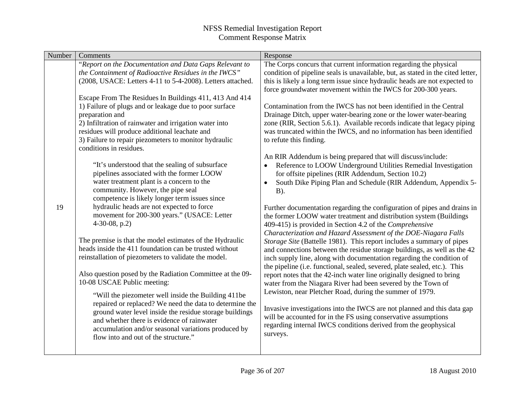| Number | Comments                                                                                                                                                                                                                                                                                                                           | Response                                                                                                                                                                                                                                                                                                                                                                                                                                            |
|--------|------------------------------------------------------------------------------------------------------------------------------------------------------------------------------------------------------------------------------------------------------------------------------------------------------------------------------------|-----------------------------------------------------------------------------------------------------------------------------------------------------------------------------------------------------------------------------------------------------------------------------------------------------------------------------------------------------------------------------------------------------------------------------------------------------|
|        | "Report on the Documentation and Data Gaps Relevant to<br>the Containment of Radioactive Residues in the IWCS"<br>(2008, USACE: Letters 4-11 to 5-4-2008). Letters attached.                                                                                                                                                       | The Corps concurs that current information regarding the physical<br>condition of pipeline seals is unavailable, but, as stated in the cited letter,<br>this is likely a long term issue since hydraulic heads are not expected to<br>force groundwater movement within the IWCS for 200-300 years.                                                                                                                                                 |
|        | Escape From The Residues In Buildings 411, 413 And 414<br>1) Failure of plugs and or leakage due to poor surface<br>preparation and<br>2) Infiltration of rainwater and irrigation water into<br>residues will produce additional leachate and<br>3) Failure to repair piezometers to monitor hydraulic<br>conditions in residues. | Contamination from the IWCS has not been identified in the Central<br>Drainage Ditch, upper water-bearing zone or the lower water-bearing<br>zone (RIR, Section 5.6.1). Available records indicate that legacy piping<br>was truncated within the IWCS, and no information has been identified<br>to refute this finding.                                                                                                                           |
|        | "It's understood that the sealing of subsurface<br>pipelines associated with the former LOOW<br>water treatment plant is a concern to the<br>community. However, the pipe seal<br>competence is likely longer term issues since                                                                                                    | An RIR Addendum is being prepared that will discuss/include:<br>Reference to LOOW Underground Utilities Remedial Investigation<br>$\bullet$<br>for offsite pipelines (RIR Addendum, Section 10.2)<br>South Dike Piping Plan and Schedule (RIR Addendum, Appendix 5-<br>$B$ ).                                                                                                                                                                       |
| 19     | hydraulic heads are not expected to force<br>movement for 200-300 years." (USACE: Letter<br>$4-30-08$ , p.2)                                                                                                                                                                                                                       | Further documentation regarding the configuration of pipes and drains in<br>the former LOOW water treatment and distribution system (Buildings<br>409-415) is provided in Section 4.2 of the Comprehensive                                                                                                                                                                                                                                          |
|        | The premise is that the model estimates of the Hydraulic<br>heads inside the 411 foundation can be trusted without<br>reinstallation of piezometers to validate the model.<br>Also question posed by the Radiation Committee at the 09-                                                                                            | Characterization and Hazard Assessment of the DOE-Niagara Falls<br>Storage Site (Battelle 1981). This report includes a summary of pipes<br>and connections between the residue storage buildings, as well as the 42<br>inch supply line, along with documentation regarding the condition of<br>the pipeline (i.e. functional, sealed, severed, plate sealed, etc.). This<br>report notes that the 42-inch water line originally designed to bring |
|        | 10-08 USCAE Public meeting:<br>"Will the piezometer well inside the Building 411be                                                                                                                                                                                                                                                 | water from the Niagara River had been severed by the Town of<br>Lewiston, near Pletcher Road, during the summer of 1979.                                                                                                                                                                                                                                                                                                                            |
|        | repaired or replaced? We need the data to determine the<br>ground water level inside the residue storage buildings<br>and whether there is evidence of rainwater<br>accumulation and/or seasonal variations produced by<br>flow into and out of the structure."                                                                    | Invasive investigations into the IWCS are not planned and this data gap<br>will be accounted for in the FS using conservative assumptions<br>regarding internal IWCS conditions derived from the geophysical<br>surveys.                                                                                                                                                                                                                            |
|        |                                                                                                                                                                                                                                                                                                                                    |                                                                                                                                                                                                                                                                                                                                                                                                                                                     |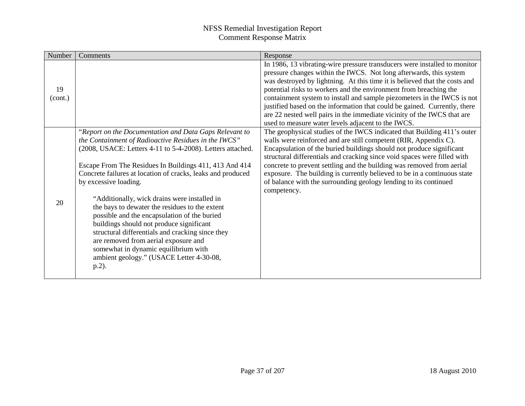| Number        | Comments                                                                                                                                                                                                                                                                                                                                                                                                                                                                                                                                                                                                                                                                                                                 | Response                                                                                                                                                                                                                                                                                                                                                                                                                                                                                                                                                                                    |
|---------------|--------------------------------------------------------------------------------------------------------------------------------------------------------------------------------------------------------------------------------------------------------------------------------------------------------------------------------------------------------------------------------------------------------------------------------------------------------------------------------------------------------------------------------------------------------------------------------------------------------------------------------------------------------------------------------------------------------------------------|---------------------------------------------------------------------------------------------------------------------------------------------------------------------------------------------------------------------------------------------------------------------------------------------------------------------------------------------------------------------------------------------------------------------------------------------------------------------------------------------------------------------------------------------------------------------------------------------|
| 19<br>(cont.) |                                                                                                                                                                                                                                                                                                                                                                                                                                                                                                                                                                                                                                                                                                                          | In 1986, 13 vibrating-wire pressure transducers were installed to monitor<br>pressure changes within the IWCS. Not long afterwards, this system<br>was destroyed by lightning. At this time it is believed that the costs and<br>potential risks to workers and the environment from breaching the<br>containment system to install and sample piezometers in the IWCS is not<br>justified based on the information that could be gained. Currently, there<br>are 22 nested well pairs in the immediate vicinity of the IWCS that are<br>used to measure water levels adjacent to the IWCS. |
| 20            | "Report on the Documentation and Data Gaps Relevant to<br>the Containment of Radioactive Residues in the IWCS"<br>(2008, USACE: Letters 4-11 to 5-4-2008). Letters attached.<br>Escape From The Residues In Buildings 411, 413 And 414<br>Concrete failures at location of cracks, leaks and produced<br>by excessive loading.<br>"Additionally, wick drains were installed in<br>the bays to dewater the residues to the extent<br>possible and the encapsulation of the buried<br>buildings should not produce significant<br>structural differentials and cracking since they<br>are removed from aerial exposure and<br>somewhat in dynamic equilibrium with<br>ambient geology." (USACE Letter 4-30-08,<br>$p.2$ ). | The geophysical studies of the IWCS indicated that Building 411's outer<br>walls were reinforced and are still competent (RIR, Appendix C).<br>Encapsulation of the buried buildings should not produce significant<br>structural differentials and cracking since void spaces were filled with<br>concrete to prevent settling and the building was removed from aerial<br>exposure. The building is currently believed to be in a continuous state<br>of balance with the surrounding geology lending to its continued<br>competency.                                                     |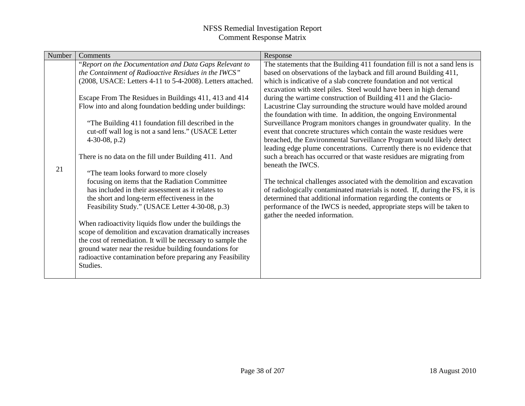| Number | Comments                                                    | Response                                                                    |
|--------|-------------------------------------------------------------|-----------------------------------------------------------------------------|
|        | "Report on the Documentation and Data Gaps Relevant to      | The statements that the Building 411 foundation fill is not a sand lens is  |
|        | the Containment of Radioactive Residues in the IWCS"        | based on observations of the layback and fill around Building 411,          |
|        | (2008, USACE: Letters 4-11 to 5-4-2008). Letters attached.  | which is indicative of a slab concrete foundation and not vertical          |
|        |                                                             | excavation with steel piles. Steel would have been in high demand           |
|        | Escape From The Residues in Buildings 411, 413 and 414      | during the wartime construction of Building 411 and the Glacio-             |
|        | Flow into and along foundation bedding under buildings:     | Lacustrine Clay surrounding the structure would have molded around          |
|        |                                                             | the foundation with time. In addition, the ongoing Environmental            |
|        | "The Building 411 foundation fill described in the          | Surveillance Program monitors changes in groundwater quality. In the        |
|        | cut-off wall log is not a sand lens." (USACE Letter         | event that concrete structures which contain the waste residues were        |
|        | $4-30-08$ , p.2)                                            | breached, the Environmental Surveillance Program would likely detect        |
|        |                                                             | leading edge plume concentrations. Currently there is no evidence that      |
|        | There is no data on the fill under Building 411. And        | such a breach has occurred or that waste residues are migrating from        |
| 21     |                                                             | beneath the IWCS.                                                           |
|        | "The team looks forward to more closely                     |                                                                             |
|        | focusing on items that the Radiation Committee              | The technical challenges associated with the demolition and excavation      |
|        | has included in their assessment as it relates to           | of radiologically contaminated materials is noted. If, during the FS, it is |
|        | the short and long-term effectiveness in the                | determined that additional information regarding the contents or            |
|        | Feasibility Study." (USACE Letter 4-30-08, p.3)             | performance of the IWCS is needed, appropriate steps will be taken to       |
|        | When radioactivity liquids flow under the buildings the     | gather the needed information.                                              |
|        | scope of demolition and excavation dramatically increases   |                                                                             |
|        | the cost of remediation. It will be necessary to sample the |                                                                             |
|        | ground water near the residue building foundations for      |                                                                             |
|        | radioactive contamination before preparing any Feasibility  |                                                                             |
|        | Studies.                                                    |                                                                             |
|        |                                                             |                                                                             |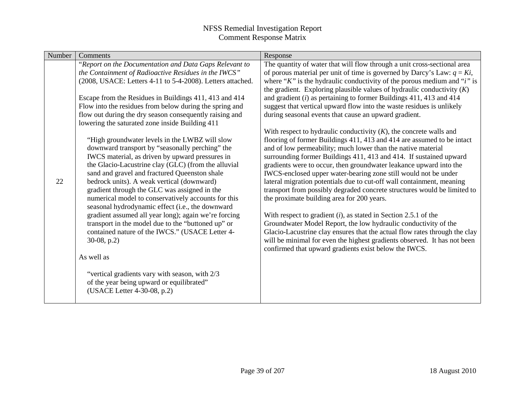| "Report on the Documentation and Data Gaps Relevant to<br>The quantity of water that will flow through a unit cross-sectional area<br>the Containment of Radioactive Residues in the IWCS"<br>of porous material per unit of time is governed by Darcy's Law: $q = Ki$ , |  |
|--------------------------------------------------------------------------------------------------------------------------------------------------------------------------------------------------------------------------------------------------------------------------|--|
|                                                                                                                                                                                                                                                                          |  |
|                                                                                                                                                                                                                                                                          |  |
| where "K" is the hydraulic conductivity of the porous medium and "i" is<br>(2008, USACE: Letters 4-11 to 5-4-2008). Letters attached.                                                                                                                                    |  |
| the gradient. Exploring plausible values of hydraulic conductivity $(K)$                                                                                                                                                                                                 |  |
| and gradient $(i)$ as pertaining to former Buildings 411, 413 and 414<br>Escape from the Residues in Buildings 411, 413 and 414                                                                                                                                          |  |
| Flow into the residues from below during the spring and<br>suggest that vertical upward flow into the waste residues is unlikely                                                                                                                                         |  |
| flow out during the dry season consequently raising and<br>during seasonal events that cause an upward gradient.                                                                                                                                                         |  |
| lowering the saturated zone inside Building 411                                                                                                                                                                                                                          |  |
| With respect to hydraulic conductivity $(K)$ , the concrete walls and                                                                                                                                                                                                    |  |
| flooring of former Buildings 411, 413 and 414 are assumed to be intact<br>"High groundwater levels in the LWBZ will slow<br>downward transport by "seasonally perching" the<br>and of low permeability; much lower than the native material                              |  |
| IWCS material, as driven by upward pressures in<br>surrounding former Buildings 411, 413 and 414. If sustained upward                                                                                                                                                    |  |
| the Glacio-Lacustrine clay (GLC) (from the alluvial<br>gradients were to occur, then groundwater leakance upward into the                                                                                                                                                |  |
| sand and gravel and fractured Queenston shale<br>IWCS-enclosed upper water-bearing zone still would not be under                                                                                                                                                         |  |
| 22<br>bedrock units). A weak vertical (downward)<br>lateral migration potentials due to cut-off wall containment, meaning                                                                                                                                                |  |
| transport from possibly degraded concrete structures would be limited to<br>gradient through the GLC was assigned in the                                                                                                                                                 |  |
| numerical model to conservatively accounts for this<br>the proximate building area for 200 years.                                                                                                                                                                        |  |
| seasonal hydrodynamic effect (i.e., the downward                                                                                                                                                                                                                         |  |
| gradient assumed all year long); again we're forcing<br>With respect to gradient $(i)$ , as stated in Section 2.5.1 of the                                                                                                                                               |  |
| transport in the model due to the "buttoned up" or<br>Groundwater Model Report, the low hydraulic conductivity of the                                                                                                                                                    |  |
| contained nature of the IWCS." (USACE Letter 4-<br>Glacio-Lacustrine clay ensures that the actual flow rates through the clay                                                                                                                                            |  |
| will be minimal for even the highest gradients observed. It has not been<br>$30-08$ , p.2)                                                                                                                                                                               |  |
| confirmed that upward gradients exist below the IWCS.                                                                                                                                                                                                                    |  |
| As well as                                                                                                                                                                                                                                                               |  |
|                                                                                                                                                                                                                                                                          |  |
| "vertical gradients vary with season, with 2/3<br>of the year being upward or equilibrated"                                                                                                                                                                              |  |
| (USACE Letter 4-30-08, p.2)                                                                                                                                                                                                                                              |  |
|                                                                                                                                                                                                                                                                          |  |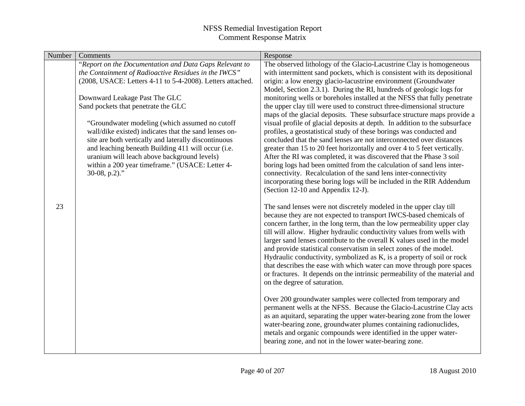| Number | Comments                                                   | Response                                                                                                                                          |
|--------|------------------------------------------------------------|---------------------------------------------------------------------------------------------------------------------------------------------------|
|        | "Report on the Documentation and Data Gaps Relevant to     | The observed lithology of the Glacio-Lacustrine Clay is homogeneous                                                                               |
|        | the Containment of Radioactive Residues in the IWCS"       | with intermittent sand pockets, which is consistent with its depositional                                                                         |
|        | (2008, USACE: Letters 4-11 to 5-4-2008). Letters attached. | origin: a low energy glacio-lacustrine environment (Groundwater                                                                                   |
|        |                                                            | Model, Section 2.3.1). During the RI, hundreds of geologic logs for                                                                               |
|        | Downward Leakage Past The GLC                              | monitoring wells or boreholes installed at the NFSS that fully penetrate                                                                          |
|        | Sand pockets that penetrate the GLC                        | the upper clay till were used to construct three-dimensional structure<br>maps of the glacial deposits. These subsurface structure maps provide a |
|        | "Groundwater modeling (which assumed no cutoff             | visual profile of glacial deposits at depth. In addition to the subsurface                                                                        |
|        | wall/dike existed) indicates that the sand lenses on-      | profiles, a geostatistical study of these borings was conducted and                                                                               |
|        | site are both vertically and laterally discontinuous       | concluded that the sand lenses are not interconnected over distances                                                                              |
|        | and leaching beneath Building 411 will occur (i.e.         | greater than 15 to 20 feet horizontally and over 4 to 5 feet vertically.                                                                          |
|        | uranium will leach above background levels)                | After the RI was completed, it was discovered that the Phase 3 soil                                                                               |
|        | within a 200 year timeframe." (USACE: Letter 4-            | boring logs had been omitted from the calculation of sand lens inter-                                                                             |
|        | $30-08$ , p.2)."                                           | connectivity. Recalculation of the sand lens inter-connectivity                                                                                   |
|        |                                                            | incorporating these boring logs will be included in the RIR Addendum                                                                              |
|        |                                                            | (Section 12-10 and Appendix 12-J).                                                                                                                |
| 23     |                                                            | The sand lenses were not discretely modeled in the upper clay till                                                                                |
|        |                                                            | because they are not expected to transport IWCS-based chemicals of                                                                                |
|        |                                                            | concern farther, in the long term, than the low permeability upper clay                                                                           |
|        |                                                            | till will allow. Higher hydraulic conductivity values from wells with<br>larger sand lenses contribute to the overall K values used in the model  |
|        |                                                            | and provide statistical conservatism in select zones of the model.                                                                                |
|        |                                                            | Hydraulic conductivity, symbolized as K, is a property of soil or rock                                                                            |
|        |                                                            | that describes the ease with which water can move through pore spaces                                                                             |
|        |                                                            | or fractures. It depends on the intrinsic permeability of the material and                                                                        |
|        |                                                            | on the degree of saturation.                                                                                                                      |
|        |                                                            |                                                                                                                                                   |
|        |                                                            | Over 200 groundwater samples were collected from temporary and                                                                                    |
|        |                                                            | permanent wells at the NFSS. Because the Glacio-Lacustrine Clay acts                                                                              |
|        |                                                            | as an aquitard, separating the upper water-bearing zone from the lower                                                                            |
|        |                                                            | water-bearing zone, groundwater plumes containing radionuclides,                                                                                  |
|        |                                                            | metals and organic compounds were identified in the upper water-<br>bearing zone, and not in the lower water-bearing zone.                        |
|        |                                                            |                                                                                                                                                   |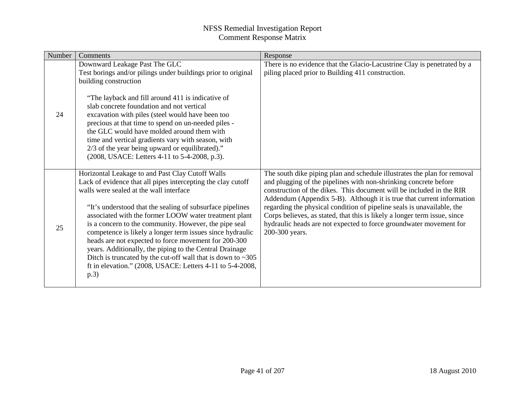| Number | Comments                                                                                                                                                                                                                                                                                                                                                                                                                                                                                                                                                                                                                                                             | Response                                                                                                                                                                                                                                                                                                                                                                                                                                                                                                                                     |
|--------|----------------------------------------------------------------------------------------------------------------------------------------------------------------------------------------------------------------------------------------------------------------------------------------------------------------------------------------------------------------------------------------------------------------------------------------------------------------------------------------------------------------------------------------------------------------------------------------------------------------------------------------------------------------------|----------------------------------------------------------------------------------------------------------------------------------------------------------------------------------------------------------------------------------------------------------------------------------------------------------------------------------------------------------------------------------------------------------------------------------------------------------------------------------------------------------------------------------------------|
| 24     | Downward Leakage Past The GLC<br>Test borings and/or pilings under buildings prior to original<br>building construction<br>"The layback and fill around 411 is indicative of<br>slab concrete foundation and not vertical<br>excavation with piles (steel would have been too<br>precious at that time to spend on un-needed piles -<br>the GLC would have molded around them with<br>time and vertical gradients vary with season, with<br>2/3 of the year being upward or equilibrated)."<br>(2008, USACE: Letters 4-11 to 5-4-2008, p.3).                                                                                                                         | There is no evidence that the Glacio-Lacustrine Clay is penetrated by a<br>piling placed prior to Building 411 construction.                                                                                                                                                                                                                                                                                                                                                                                                                 |
| 25     | Horizontal Leakage to and Past Clay Cutoff Walls<br>Lack of evidence that all pipes intercepting the clay cutoff<br>walls were sealed at the wall interface<br>"It's understood that the sealing of subsurface pipelines<br>associated with the former LOOW water treatment plant<br>is a concern to the community. However, the pipe seal<br>competence is likely a longer term issues since hydraulic<br>heads are not expected to force movement for 200-300<br>years. Additionally, the piping to the Central Drainage<br>Ditch is truncated by the cut-off wall that is down to $\sim$ 305<br>ft in elevation." (2008, USACE: Letters 4-11 to 5-4-2008,<br>p.3) | The south dike piping plan and schedule illustrates the plan for removal<br>and plugging of the pipelines with non-shrinking concrete before<br>construction of the dikes. This document will be included in the RIR<br>Addendum (Appendix 5-B). Although it is true that current information<br>regarding the physical condition of pipeline seals is unavailable, the<br>Corps believes, as stated, that this is likely a longer term issue, since<br>hydraulic heads are not expected to force groundwater movement for<br>200-300 years. |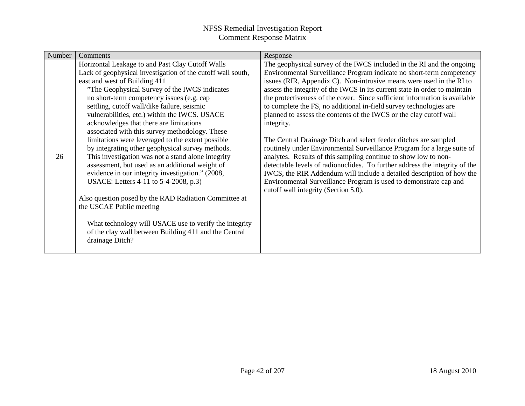| Number | <b>Comments</b>                                                                                                                                                                                                                                                                                                                                                                                                                                                                                                                                                                                                                                                                                                                                                                                                                                                                                                                                                                        | Response                                                                                                                                                                                                                                                                                                                                                                                                                                                                                                                                                                                                                                                                                                                                                                                                                                                                                                                                                                                                                           |
|--------|----------------------------------------------------------------------------------------------------------------------------------------------------------------------------------------------------------------------------------------------------------------------------------------------------------------------------------------------------------------------------------------------------------------------------------------------------------------------------------------------------------------------------------------------------------------------------------------------------------------------------------------------------------------------------------------------------------------------------------------------------------------------------------------------------------------------------------------------------------------------------------------------------------------------------------------------------------------------------------------|------------------------------------------------------------------------------------------------------------------------------------------------------------------------------------------------------------------------------------------------------------------------------------------------------------------------------------------------------------------------------------------------------------------------------------------------------------------------------------------------------------------------------------------------------------------------------------------------------------------------------------------------------------------------------------------------------------------------------------------------------------------------------------------------------------------------------------------------------------------------------------------------------------------------------------------------------------------------------------------------------------------------------------|
| 26     | Horizontal Leakage to and Past Clay Cutoff Walls<br>Lack of geophysical investigation of the cutoff wall south,<br>east and west of Building 411<br>"The Geophysical Survey of the IWCS indicates"<br>no short-term competency issues (e.g. cap<br>settling, cutoff wall/dike failure, seismic<br>vulnerabilities, etc.) within the IWCS. USACE<br>acknowledges that there are limitations<br>associated with this survey methodology. These<br>limitations were leveraged to the extent possible<br>by integrating other geophysical survey methods.<br>This investigation was not a stand alone integrity<br>assessment, but used as an additional weight of<br>evidence in our integrity investigation." (2008,<br>USACE: Letters 4-11 to 5-4-2008, p.3)<br>Also question posed by the RAD Radiation Committee at<br>the USCAE Public meeting<br>What technology will USACE use to verify the integrity<br>of the clay wall between Building 411 and the Central<br>drainage Ditch? | The geophysical survey of the IWCS included in the RI and the ongoing<br>Environmental Surveillance Program indicate no short-term competency<br>issues (RIR, Appendix C). Non-intrusive means were used in the RI to<br>assess the integrity of the IWCS in its current state in order to maintain<br>the protectiveness of the cover. Since sufficient information is available<br>to complete the FS, no additional in-field survey technologies are<br>planned to assess the contents of the IWCS or the clay cutoff wall<br>integrity.<br>The Central Drainage Ditch and select feeder ditches are sampled<br>routinely under Environmental Surveillance Program for a large suite of<br>analytes. Results of this sampling continue to show low to non-<br>detectable levels of radionuclides. To further address the integrity of the<br>IWCS, the RIR Addendum will include a detailed description of how the<br>Environmental Surveillance Program is used to demonstrate cap and<br>cutoff wall integrity (Section 5.0). |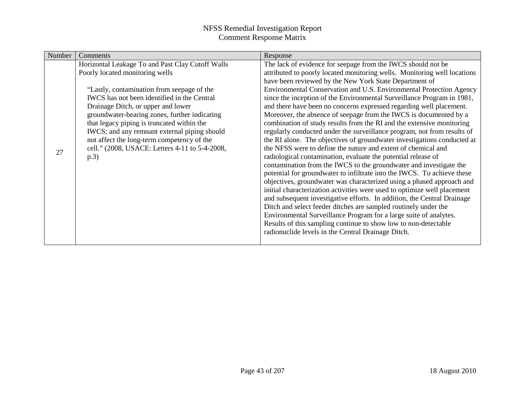| Number | Comments                                         | Response                                                                 |
|--------|--------------------------------------------------|--------------------------------------------------------------------------|
|        | Horizontal Leakage To and Past Clay Cutoff Walls | The lack of evidence for seepage from the IWCS should not be             |
|        | Poorly located monitoring wells                  | attributed to poorly located monitoring wells. Monitoring well locations |
|        |                                                  | have been reviewed by the New York State Department of                   |
|        | "Lastly, contamination from seepage of the       | Environmental Conservation and U.S. Environmental Protection Agency      |
|        | IWCS has not been identified in the Central      | since the inception of the Environmental Surveillance Program in 1981,   |
|        | Drainage Ditch, or upper and lower               | and there have been no concerns expressed regarding well placement.      |
|        | groundwater-bearing zones, further indicating    | Moreover, the absence of seepage from the IWCS is documented by a        |
|        | that legacy piping is truncated within the       | combination of study results from the RI and the extensive monitoring    |
|        | IWCS; and any remnant external piping should     | regularly conducted under the surveillance program, not from results of  |
|        | not affect the long-term competency of the       | the RI alone. The objectives of groundwater investigations conducted at  |
| 27     | cell." (2008, USACE: Letters 4-11 to 5-4-2008,   | the NFSS were to define the nature and extent of chemical and            |
|        | p.3)                                             | radiological contamination, evaluate the potential release of            |
|        |                                                  | contamination from the IWCS to the groundwater and investigate the       |
|        |                                                  | potential for groundwater to infiltrate into the IWCS. To achieve these  |
|        |                                                  | objectives, groundwater was characterized using a phased approach and    |
|        |                                                  | initial characterization activities were used to optimize well placement |
|        |                                                  | and subsequent investigative efforts. In addition, the Central Drainage  |
|        |                                                  | Ditch and select feeder ditches are sampled routinely under the          |
|        |                                                  | Environmental Surveillance Program for a large suite of analytes.        |
|        |                                                  | Results of this sampling continue to show low to non-detectable          |
|        |                                                  | radionuclide levels in the Central Drainage Ditch.                       |
|        |                                                  |                                                                          |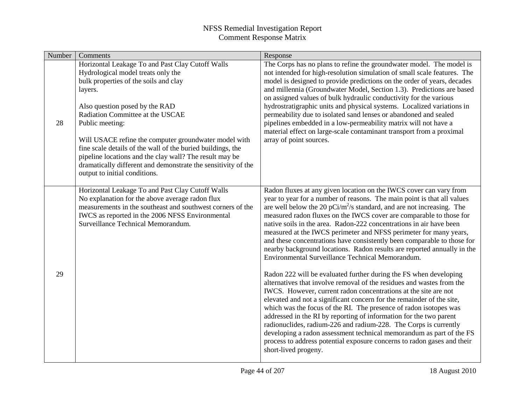| Number | Comments                                                                                                                                                                                                                                                                                                                                                                                                                                                                                                                 | Response                                                                                                                                                                                                                                                                                                                                                                                                                                                                                                                                                                                                                                                                                                                                                                                                                                                                                                                                                                                                                                                                                                                                                                                                                                                                                                                                  |
|--------|--------------------------------------------------------------------------------------------------------------------------------------------------------------------------------------------------------------------------------------------------------------------------------------------------------------------------------------------------------------------------------------------------------------------------------------------------------------------------------------------------------------------------|-------------------------------------------------------------------------------------------------------------------------------------------------------------------------------------------------------------------------------------------------------------------------------------------------------------------------------------------------------------------------------------------------------------------------------------------------------------------------------------------------------------------------------------------------------------------------------------------------------------------------------------------------------------------------------------------------------------------------------------------------------------------------------------------------------------------------------------------------------------------------------------------------------------------------------------------------------------------------------------------------------------------------------------------------------------------------------------------------------------------------------------------------------------------------------------------------------------------------------------------------------------------------------------------------------------------------------------------|
| 28     | Horizontal Leakage To and Past Clay Cutoff Walls<br>Hydrological model treats only the<br>bulk properties of the soils and clay<br>layers.<br>Also question posed by the RAD<br>Radiation Committee at the USCAE<br>Public meeting:<br>Will USACE refine the computer groundwater model with<br>fine scale details of the wall of the buried buildings, the<br>pipeline locations and the clay wall? The result may be<br>dramatically different and demonstrate the sensitivity of the<br>output to initial conditions. | The Corps has no plans to refine the groundwater model. The model is<br>not intended for high-resolution simulation of small scale features. The<br>model is designed to provide predictions on the order of years, decades<br>and millennia (Groundwater Model, Section 1.3). Predictions are based<br>on assigned values of bulk hydraulic conductivity for the various<br>hydrostratigraphic units and physical systems. Localized variations in<br>permeability due to isolated sand lenses or abandoned and sealed<br>pipelines embedded in a low-permeability matrix will not have a<br>material effect on large-scale contaminant transport from a proximal<br>array of point sources.                                                                                                                                                                                                                                                                                                                                                                                                                                                                                                                                                                                                                                             |
| 29     | Horizontal Leakage To and Past Clay Cutoff Walls<br>No explanation for the above average radon flux<br>measurements in the southeast and southwest corners of the<br>IWCS as reported in the 2006 NFSS Environmental<br>Surveillance Technical Memorandum.                                                                                                                                                                                                                                                               | Radon fluxes at any given location on the IWCS cover can vary from<br>year to year for a number of reasons. The main point is that all values<br>are well below the 20 $pCi/m^2/s$ standard, and are not increasing. The<br>measured radon fluxes on the IWCS cover are comparable to those for<br>native soils in the area. Radon-222 concentrations in air have been<br>measured at the IWCS perimeter and NFSS perimeter for many years,<br>and these concentrations have consistently been comparable to those for<br>nearby background locations. Radon results are reported annually in the<br>Environmental Surveillance Technical Memorandum.<br>Radon 222 will be evaluated further during the FS when developing<br>alternatives that involve removal of the residues and wastes from the<br>IWCS. However, current radon concentrations at the site are not<br>elevated and not a significant concern for the remainder of the site,<br>which was the focus of the RI. The presence of radon isotopes was<br>addressed in the RI by reporting of information for the two parent<br>radionuclides, radium-226 and radium-228. The Corps is currently<br>developing a radon assessment technical memorandum as part of the FS<br>process to address potential exposure concerns to radon gases and their<br>short-lived progeny. |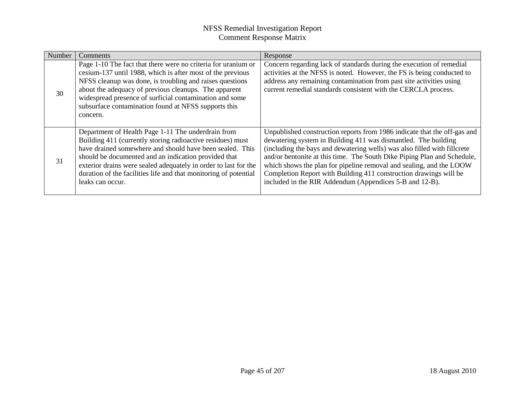| Number | Comments                                                                                                                                                                                                                                                                                                                                                                                        | Response                                                                                                                                                                                                                                                                                                                                                                                                                                                                                                 |
|--------|-------------------------------------------------------------------------------------------------------------------------------------------------------------------------------------------------------------------------------------------------------------------------------------------------------------------------------------------------------------------------------------------------|----------------------------------------------------------------------------------------------------------------------------------------------------------------------------------------------------------------------------------------------------------------------------------------------------------------------------------------------------------------------------------------------------------------------------------------------------------------------------------------------------------|
| 30     | Page 1-10 The fact that there were no criteria for uranium or<br>cesium-137 until 1988, which is after most of the previous<br>NFSS cleanup was done, is troubling and raises questions<br>about the adequacy of previous cleanups. The apparent<br>widespread presence of surficial contamination and some<br>subsurface contamination found at NFSS supports this<br>concern.                 | Concern regarding lack of standards during the execution of remedial<br>activities at the NFSS is noted. However, the FS is being conducted to<br>address any remaining contamination from past site activities using<br>current remedial standards consistent with the CERCLA process.                                                                                                                                                                                                                  |
| 31     | Department of Health Page 1-11 The underdrain from<br>Building 411 (currently storing radioactive residues) must<br>have drained somewhere and should have been sealed. This<br>should be documented and an indication provided that<br>exterior drains were sealed adequately in order to last for the<br>duration of the facilities life and that monitoring of potential<br>leaks can occur. | Unpublished construction reports from 1986 indicate that the off-gas and<br>dewatering system in Building 411 was dismantled. The building<br>(including the bays and dewatering wells) was also filled with fillcrete<br>and/or bentonite at this time. The South Dike Piping Plan and Schedule,<br>which shows the plan for pipeline removal and sealing, and the LOOW<br>Completion Report with Building 411 construction drawings will be<br>included in the RIR Addendum (Appendices 5-B and 12-B). |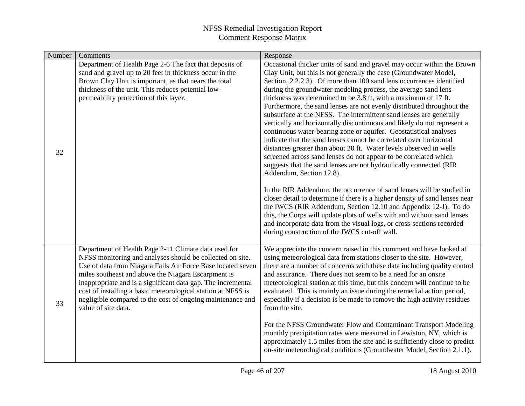| Number | Comments                                                                                                                                                                                                                                                                                                                                                                                                                                                     | Response                                                                                                                                                                                                                                                                                                                                                                                                                                                                                                                                                                                                                                                                                                                                                                                                                                                                                                                                                                                                                                                                                                                                                                                                                                                                                                                                                                                                   |
|--------|--------------------------------------------------------------------------------------------------------------------------------------------------------------------------------------------------------------------------------------------------------------------------------------------------------------------------------------------------------------------------------------------------------------------------------------------------------------|------------------------------------------------------------------------------------------------------------------------------------------------------------------------------------------------------------------------------------------------------------------------------------------------------------------------------------------------------------------------------------------------------------------------------------------------------------------------------------------------------------------------------------------------------------------------------------------------------------------------------------------------------------------------------------------------------------------------------------------------------------------------------------------------------------------------------------------------------------------------------------------------------------------------------------------------------------------------------------------------------------------------------------------------------------------------------------------------------------------------------------------------------------------------------------------------------------------------------------------------------------------------------------------------------------------------------------------------------------------------------------------------------------|
| 32     | Department of Health Page 2-6 The fact that deposits of<br>sand and gravel up to 20 feet in thickness occur in the<br>Brown Clay Unit is important, as that nears the total<br>thickness of the unit. This reduces potential low-<br>permeability protection of this layer.                                                                                                                                                                                  | Occasional thicker units of sand and gravel may occur within the Brown<br>Clay Unit, but this is not generally the case (Groundwater Model,<br>Section, 2.2.2.3). Of more than 100 sand lens occurrences identified<br>during the groundwater modeling process, the average sand lens<br>thickness was determined to be 3.8 ft, with a maximum of 17 ft.<br>Furthermore, the sand lenses are not evenly distributed throughout the<br>subsurface at the NFSS. The intermittent sand lenses are generally<br>vertically and horizontally discontinuous and likely do not represent a<br>continuous water-bearing zone or aquifer. Geostatistical analyses<br>indicate that the sand lenses cannot be correlated over horizontal<br>distances greater than about 20 ft. Water levels observed in wells<br>screened across sand lenses do not appear to be correlated which<br>suggests that the sand lenses are not hydraulically connected (RIR<br>Addendum, Section 12.8).<br>In the RIR Addendum, the occurrence of sand lenses will be studied in<br>closer detail to determine if there is a higher density of sand lenses near<br>the IWCS (RIR Addendum, Section 12.10 and Appendix 12-J). To do<br>this, the Corps will update plots of wells with and without sand lenses<br>and incorporate data from the visual logs, or cross-sections recorded<br>during construction of the IWCS cut-off wall. |
| 33     | Department of Health Page 2-11 Climate data used for<br>NFSS monitoring and analyses should be collected on site.<br>Use of data from Niagara Falls Air Force Base located seven<br>miles southeast and above the Niagara Escarpment is<br>inappropriate and is a significant data gap. The incremental<br>cost of installing a basic meteorological station at NFSS is<br>negligible compared to the cost of ongoing maintenance and<br>value of site data. | We appreciate the concern raised in this comment and have looked at<br>using meteorological data from stations closer to the site. However,<br>there are a number of concerns with these data including quality control<br>and assurance. There does not seem to be a need for an onsite<br>meteorological station at this time, but this concern will continue to be<br>evaluated. This is mainly an issue during the remedial action period,<br>especially if a decision is be made to remove the high activity residues<br>from the site.<br>For the NFSS Groundwater Flow and Contaminant Transport Modeling<br>monthly precipitation rates were measured in Lewiston, NY, which is<br>approximately 1.5 miles from the site and is sufficiently close to predict<br>on-site meteorological conditions (Groundwater Model, Section 2.1.1).                                                                                                                                                                                                                                                                                                                                                                                                                                                                                                                                                             |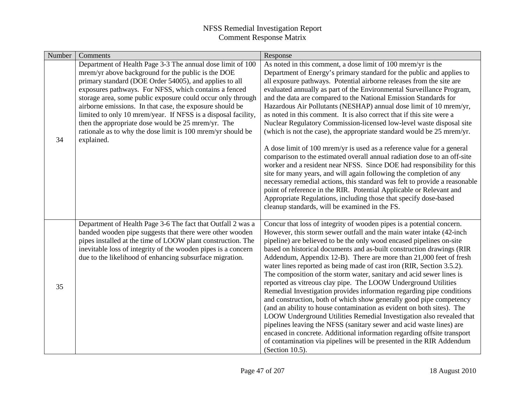| Number | Comments                                                                                                                                                                                                                                                                                                                                                                                                                                                                                                                                                           | Response                                                                                                                                                                                                                                                                                                                                                                                                                                                                                                                                                                                                                                                                                                                                                                                                                                                                                                                                                                                                                                                                                                                                                                                                                                      |
|--------|--------------------------------------------------------------------------------------------------------------------------------------------------------------------------------------------------------------------------------------------------------------------------------------------------------------------------------------------------------------------------------------------------------------------------------------------------------------------------------------------------------------------------------------------------------------------|-----------------------------------------------------------------------------------------------------------------------------------------------------------------------------------------------------------------------------------------------------------------------------------------------------------------------------------------------------------------------------------------------------------------------------------------------------------------------------------------------------------------------------------------------------------------------------------------------------------------------------------------------------------------------------------------------------------------------------------------------------------------------------------------------------------------------------------------------------------------------------------------------------------------------------------------------------------------------------------------------------------------------------------------------------------------------------------------------------------------------------------------------------------------------------------------------------------------------------------------------|
| 34     | Department of Health Page 3-3 The annual dose limit of 100<br>mrem/yr above background for the public is the DOE<br>primary standard (DOE Order 54005), and applies to all<br>exposures pathways. For NFSS, which contains a fenced<br>storage area, some public exposure could occur only through<br>airborne emissions. In that case, the exposure should be<br>limited to only 10 mrem/year. If NFSS is a disposal facility,<br>then the appropriate dose would be 25 mrem/yr. The<br>rationale as to why the dose limit is 100 mrem/yr should be<br>explained. | As noted in this comment, a dose limit of 100 mrem/yr is the<br>Department of Energy's primary standard for the public and applies to<br>all exposure pathways. Potential airborne releases from the site are<br>evaluated annually as part of the Environmental Surveillance Program,<br>and the data are compared to the National Emission Standards for<br>Hazardous Air Pollutants (NESHAP) annual dose limit of 10 mrem/yr,<br>as noted in this comment. It is also correct that if this site were a<br>Nuclear Regulatory Commission-licensed low-level waste disposal site<br>(which is not the case), the appropriate standard would be 25 mrem/yr.<br>A dose limit of 100 mrem/yr is used as a reference value for a general<br>comparison to the estimated overall annual radiation dose to an off-site<br>worker and a resident near NFSS. Since DOE had responsibility for this<br>site for many years, and will again following the completion of any<br>necessary remedial actions, this standard was felt to provide a reasonable<br>point of reference in the RIR. Potential Applicable or Relevant and<br>Appropriate Regulations, including those that specify dose-based<br>cleanup standards, will be examined in the FS. |
| 35     | Department of Health Page 3-6 The fact that Outfall 2 was a<br>banded wooden pipe suggests that there were other wooden<br>pipes installed at the time of LOOW plant construction. The<br>inevitable loss of integrity of the wooden pipes is a concern<br>due to the likelihood of enhancing subsurface migration.                                                                                                                                                                                                                                                | Concur that loss of integrity of wooden pipes is a potential concern.<br>However, this storm sewer outfall and the main water intake (42-inch<br>pipeline) are believed to be the only wood encased pipelines on-site<br>based on historical documents and as-built construction drawings (RIR<br>Addendum, Appendix 12-B). There are more than 21,000 feet of fresh<br>water lines reported as being made of cast iron (RIR, Section 3.5.2).<br>The composition of the storm water, sanitary and acid sewer lines is<br>reported as vitreous clay pipe. The LOOW Underground Utilities<br>Remedial Investigation provides information regarding pipe conditions<br>and construction, both of which show generally good pipe competency<br>(and an ability to house contamination as evident on both sites). The<br>LOOW Underground Utilities Remedial Investigation also revealed that<br>pipelines leaving the NFSS (sanitary sewer and acid waste lines) are<br>encased in concrete. Additional information regarding offsite transport<br>of contamination via pipelines will be presented in the RIR Addendum<br>(Section 10.5).                                                                                                        |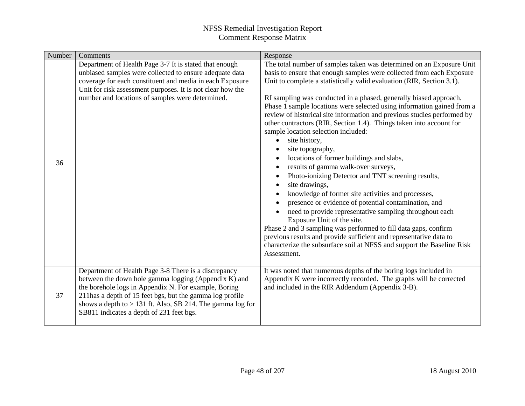| Number | Comments                                                                                                                                                                                                                                                                                                                                      | Response                                                                                                                                                                                                                                                                                                                                                                                                                                                                                                                                                                                                                                                                                                                                                                                                                                                                                                                                                                                                                                                                                                                                                                                                |
|--------|-----------------------------------------------------------------------------------------------------------------------------------------------------------------------------------------------------------------------------------------------------------------------------------------------------------------------------------------------|---------------------------------------------------------------------------------------------------------------------------------------------------------------------------------------------------------------------------------------------------------------------------------------------------------------------------------------------------------------------------------------------------------------------------------------------------------------------------------------------------------------------------------------------------------------------------------------------------------------------------------------------------------------------------------------------------------------------------------------------------------------------------------------------------------------------------------------------------------------------------------------------------------------------------------------------------------------------------------------------------------------------------------------------------------------------------------------------------------------------------------------------------------------------------------------------------------|
| 36     | Department of Health Page 3-7 It is stated that enough<br>unbiased samples were collected to ensure adequate data<br>coverage for each constituent and media in each Exposure<br>Unit for risk assessment purposes. It is not clear how the<br>number and locations of samples were determined.                                               | The total number of samples taken was determined on an Exposure Unit<br>basis to ensure that enough samples were collected from each Exposure<br>Unit to complete a statistically valid evaluation (RIR, Section 3.1).<br>RI sampling was conducted in a phased, generally biased approach.<br>Phase 1 sample locations were selected using information gained from a<br>review of historical site information and previous studies performed by<br>other contractors (RIR, Section 1.4). Things taken into account for<br>sample location selection included:<br>site history,<br>site topography,<br>locations of former buildings and slabs,<br>results of gamma walk-over surveys,<br>Photo-ionizing Detector and TNT screening results,<br>site drawings,<br>knowledge of former site activities and processes,<br>presence or evidence of potential contamination, and<br>need to provide representative sampling throughout each<br>Exposure Unit of the site.<br>Phase 2 and 3 sampling was performed to fill data gaps, confirm<br>previous results and provide sufficient and representative data to<br>characterize the subsurface soil at NFSS and support the Baseline Risk<br>Assessment. |
| 37     | Department of Health Page 3-8 There is a discrepancy<br>between the down hole gamma logging (Appendix K) and<br>the borehole logs in Appendix N. For example, Boring<br>211 has a depth of 15 feet bgs, but the gamma log profile<br>shows a depth to $> 131$ ft. Also, SB 214. The gamma log for<br>SB811 indicates a depth of 231 feet bgs. | It was noted that numerous depths of the boring logs included in<br>Appendix K were incorrectly recorded. The graphs will be corrected<br>and included in the RIR Addendum (Appendix 3-B).                                                                                                                                                                                                                                                                                                                                                                                                                                                                                                                                                                                                                                                                                                                                                                                                                                                                                                                                                                                                              |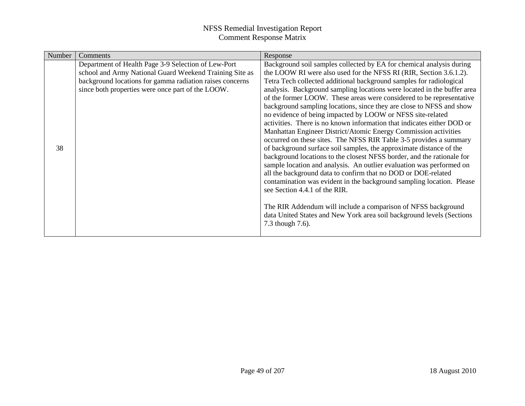| Number | Comments                                                                                                                                                                                                                        | Response                                                                                                                                                                                                                                                                                                                                                                                                                                                                                                                                                                                                                                                                                                                                                                                                                                                                                                                                                                                                                                                                                                                                                                                                                                                                    |
|--------|---------------------------------------------------------------------------------------------------------------------------------------------------------------------------------------------------------------------------------|-----------------------------------------------------------------------------------------------------------------------------------------------------------------------------------------------------------------------------------------------------------------------------------------------------------------------------------------------------------------------------------------------------------------------------------------------------------------------------------------------------------------------------------------------------------------------------------------------------------------------------------------------------------------------------------------------------------------------------------------------------------------------------------------------------------------------------------------------------------------------------------------------------------------------------------------------------------------------------------------------------------------------------------------------------------------------------------------------------------------------------------------------------------------------------------------------------------------------------------------------------------------------------|
| 38     | Department of Health Page 3-9 Selection of Lew-Port<br>school and Army National Guard Weekend Training Site as<br>background locations for gamma radiation raises concerns<br>since both properties were once part of the LOOW. | Background soil samples collected by EA for chemical analysis during<br>the LOOW RI were also used for the NFSS RI (RIR, Section 3.6.1.2).<br>Tetra Tech collected additional background samples for radiological<br>analysis. Background sampling locations were located in the buffer area<br>of the former LOOW. These areas were considered to be representative<br>background sampling locations, since they are close to NFSS and show<br>no evidence of being impacted by LOOW or NFSS site-related<br>activities. There is no known information that indicates either DOD or<br>Manhattan Engineer District/Atomic Energy Commission activities<br>occurred on these sites. The NFSS RIR Table 3-5 provides a summary<br>of background surface soil samples, the approximate distance of the<br>background locations to the closest NFSS border, and the rationale for<br>sample location and analysis. An outlier evaluation was performed on<br>all the background data to confirm that no DOD or DOE-related<br>contamination was evident in the background sampling location. Please<br>see Section 4.4.1 of the RIR.<br>The RIR Addendum will include a comparison of NFSS background<br>data United States and New York area soil background levels (Sections |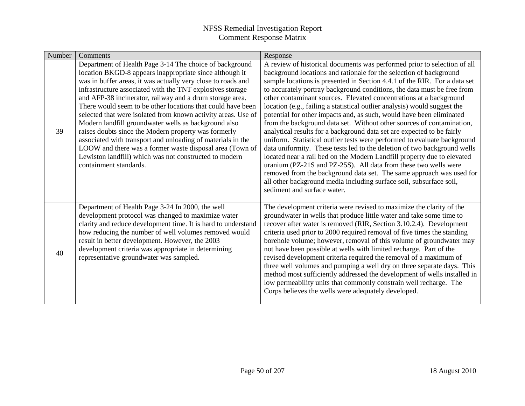| Number | Comments                                                                                                                                                                                                                                                                                                                                                                                                                                                                                                                                                                                                                                                                                                                                                                   | Response                                                                                                                                                                                                                                                                                                                                                                                                                                                                                                                                                                                                                                                                                                                                                                                                                                                                                                                                                                                                                                                                                                                                                                 |
|--------|----------------------------------------------------------------------------------------------------------------------------------------------------------------------------------------------------------------------------------------------------------------------------------------------------------------------------------------------------------------------------------------------------------------------------------------------------------------------------------------------------------------------------------------------------------------------------------------------------------------------------------------------------------------------------------------------------------------------------------------------------------------------------|--------------------------------------------------------------------------------------------------------------------------------------------------------------------------------------------------------------------------------------------------------------------------------------------------------------------------------------------------------------------------------------------------------------------------------------------------------------------------------------------------------------------------------------------------------------------------------------------------------------------------------------------------------------------------------------------------------------------------------------------------------------------------------------------------------------------------------------------------------------------------------------------------------------------------------------------------------------------------------------------------------------------------------------------------------------------------------------------------------------------------------------------------------------------------|
| 39     | Department of Health Page 3-14 The choice of background<br>location BKGD-8 appears inappropriate since although it<br>was in buffer areas, it was actually very close to roads and<br>infrastructure associated with the TNT explosives storage<br>and AFP-38 incinerator, railway and a drum storage area.<br>There would seem to be other locations that could have been<br>selected that were isolated from known activity areas. Use of<br>Modern landfill groundwater wells as background also<br>raises doubts since the Modern property was formerly<br>associated with transport and unloading of materials in the<br>LOOW and there was a former waste disposal area (Town of<br>Lewiston landfill) which was not constructed to modern<br>containment standards. | A review of historical documents was performed prior to selection of all<br>background locations and rationale for the selection of background<br>sample locations is presented in Section 4.4.1 of the RIR. For a data set<br>to accurately portray background conditions, the data must be free from<br>other contaminant sources. Elevated concentrations at a background<br>location (e.g., failing a statistical outlier analysis) would suggest the<br>potential for other impacts and, as such, would have been eliminated<br>from the background data set. Without other sources of contamination,<br>analytical results for a background data set are expected to be fairly<br>uniform. Statistical outlier tests were performed to evaluate background<br>data uniformity. These tests led to the deletion of two background wells<br>located near a rail bed on the Modern Landfill property due to elevated<br>uranium (PZ-21S and PZ-25S). All data from these two wells were<br>removed from the background data set. The same approach was used for<br>all other background media including surface soil, subsurface soil,<br>sediment and surface water. |
| 40     | Department of Health Page 3-24 In 2000, the well<br>development protocol was changed to maximize water<br>clarity and reduce development time. It is hard to understand<br>how reducing the number of well volumes removed would<br>result in better development. However, the 2003<br>development criteria was appropriate in determining<br>representative groundwater was sampled.                                                                                                                                                                                                                                                                                                                                                                                      | The development criteria were revised to maximize the clarity of the<br>groundwater in wells that produce little water and take some time to<br>recover after water is removed (RIR, Section 3.10.2.4). Development<br>criteria used prior to 2000 required removal of five times the standing<br>borehole volume; however, removal of this volume of groundwater may<br>not have been possible at wells with limited recharge. Part of the<br>revised development criteria required the removal of a maximum of<br>three well volumes and pumping a well dry on three separate days. This<br>method most sufficiently addressed the development of wells installed in<br>low permeability units that commonly constrain well recharge. The<br>Corps believes the wells were adequately developed.                                                                                                                                                                                                                                                                                                                                                                       |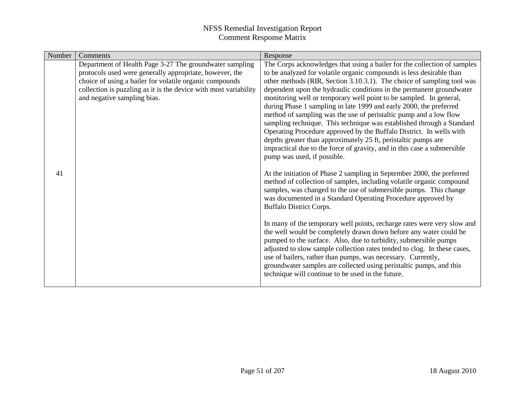| Department of Health Page 3-27 The groundwater sampling<br>to be analyzed for volatile organic compounds is less desirable than<br>protocols used were generally appropriate, however, the<br>choice of using a bailer for volatile organic compounds<br>collection is puzzling as it is the device with most variability<br>dependent upon the hydraulic conditions in the permanent groundwater<br>monitoring well or temporary well point to be sampled. In general,<br>and negative sampling bias.<br>during Phase 1 sampling in late 1999 and early 2000, the preferred                                                                                                                                                                                                                                                                                                                                                                                                                                                                                             | Number | Comments | Response                                                                                                                                                                                                                                                                                           |
|--------------------------------------------------------------------------------------------------------------------------------------------------------------------------------------------------------------------------------------------------------------------------------------------------------------------------------------------------------------------------------------------------------------------------------------------------------------------------------------------------------------------------------------------------------------------------------------------------------------------------------------------------------------------------------------------------------------------------------------------------------------------------------------------------------------------------------------------------------------------------------------------------------------------------------------------------------------------------------------------------------------------------------------------------------------------------|--------|----------|----------------------------------------------------------------------------------------------------------------------------------------------------------------------------------------------------------------------------------------------------------------------------------------------------|
| sampling technique. This technique was established through a Standard<br>Operating Procedure approved by the Buffalo District. In wells with<br>depths greater than approximately 25 ft, peristaltic pumps are<br>impractical due to the force of gravity, and in this case a submersible<br>pump was used, if possible.<br>41<br>At the initiation of Phase 2 sampling in September 2000, the preferred<br>method of collection of samples, including volatile organic compound<br>samples, was changed to the use of submersible pumps. This change<br>was documented in a Standard Operating Procedure approved by<br><b>Buffalo District Corps.</b><br>the well would be completely drawn down before any water could be<br>pumped to the surface. Also, due to turbidity, submersible pumps<br>adjusted to slow sample collection rates tended to clog. In these cases,<br>use of bailers, rather than pumps, was necessary. Currently,<br>groundwater samples are collected using peristaltic pumps, and this<br>technique will continue to be used in the future. |        |          | The Corps acknowledges that using a bailer for the collection of samples<br>other methods (RIR, Section 3.10.3.1). The choice of sampling tool was<br>method of sampling was the use of peristaltic pump and a low flow<br>In many of the temporary well points, recharge rates were very slow and |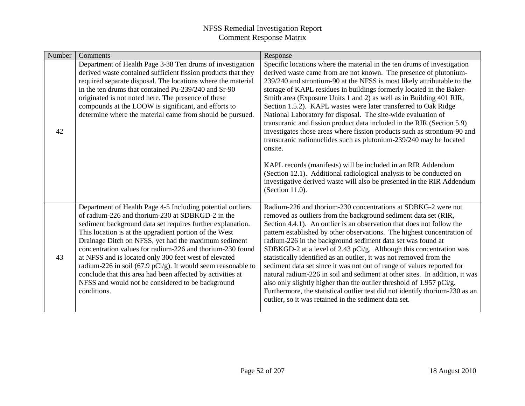| Number | Comments                                                                                                                                                                                                                                                                                                                                                                                                                                                                                                                                                                                                               | Response                                                                                                                                                                                                                                                                                                                                                                                                                                                                                                                                                                                                                                                                                                                                                                                                                                                                                                                                                                              |
|--------|------------------------------------------------------------------------------------------------------------------------------------------------------------------------------------------------------------------------------------------------------------------------------------------------------------------------------------------------------------------------------------------------------------------------------------------------------------------------------------------------------------------------------------------------------------------------------------------------------------------------|---------------------------------------------------------------------------------------------------------------------------------------------------------------------------------------------------------------------------------------------------------------------------------------------------------------------------------------------------------------------------------------------------------------------------------------------------------------------------------------------------------------------------------------------------------------------------------------------------------------------------------------------------------------------------------------------------------------------------------------------------------------------------------------------------------------------------------------------------------------------------------------------------------------------------------------------------------------------------------------|
| 42     | Department of Health Page 3-38 Ten drums of investigation<br>derived waste contained sufficient fission products that they<br>required separate disposal. The locations where the material<br>in the ten drums that contained Pu-239/240 and Sr-90<br>originated is not noted here. The presence of these<br>compounds at the LOOW is significant, and efforts to<br>determine where the material came from should be pursued.                                                                                                                                                                                         | Specific locations where the material in the ten drums of investigation<br>derived waste came from are not known. The presence of plutonium-<br>239/240 and strontium-90 at the NFSS is most likely attributable to the<br>storage of KAPL residues in buildings formerly located in the Baker-<br>Smith area (Exposure Units 1 and 2) as well as in Building 401 RIR,<br>Section 1.5.2). KAPL wastes were later transferred to Oak Ridge<br>National Laboratory for disposal. The site-wide evaluation of<br>transuranic and fission product data included in the RIR (Section 5.9)<br>investigates those areas where fission products such as strontium-90 and<br>transuranic radionuclides such as plutonium-239/240 may be located<br>onsite.<br>KAPL records (manifests) will be included in an RIR Addendum<br>(Section 12.1). Additional radiological analysis to be conducted on<br>investigative derived waste will also be presented in the RIR Addendum<br>(Section 11.0). |
| 43     | Department of Health Page 4-5 Including potential outliers<br>of radium-226 and thorium-230 at SDBKGD-2 in the<br>sediment background data set requires further explanation.<br>This location is at the upgradient portion of the West<br>Drainage Ditch on NFSS, yet had the maximum sediment<br>concentration values for radium-226 and thorium-230 found<br>at NFSS and is located only 300 feet west of elevated<br>radium-226 in soil (67.9 pCi/g). It would seem reasonable to<br>conclude that this area had been affected by activities at<br>NFSS and would not be considered to be background<br>conditions. | Radium-226 and thorium-230 concentrations at SDBKG-2 were not<br>removed as outliers from the background sediment data set (RIR,<br>Section 4.4.1). An outlier is an observation that does not follow the<br>pattern established by other observations. The highest concentration of<br>radium-226 in the background sediment data set was found at<br>SDBKGD-2 at a level of 2.43 pCi/g. Although this concentration was<br>statistically identified as an outlier, it was not removed from the<br>sediment data set since it was not out of range of values reported for<br>natural radium-226 in soil and sediment at other sites. In addition, it was<br>also only slightly higher than the outlier threshold of 1.957 pCi/g.<br>Furthermore, the statistical outlier test did not identify thorium-230 as an<br>outlier, so it was retained in the sediment data set.                                                                                                            |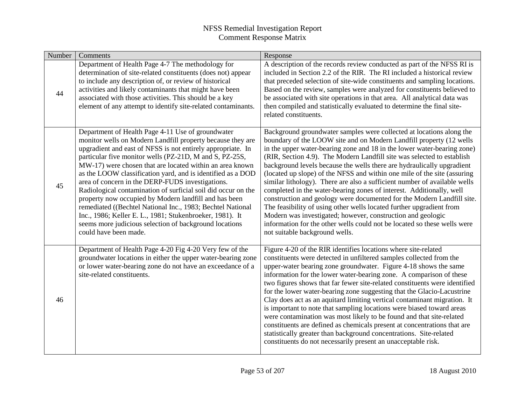| Number | Comments                                                                                                                                                                                                                                                                                                                                                                                                                                                                                                                                                                                                                                                                                                                                                        | Response                                                                                                                                                                                                                                                                                                                                                                                                                                                                                                                                                                                                                                                                                                                                                                                                                                                                                                                                   |
|--------|-----------------------------------------------------------------------------------------------------------------------------------------------------------------------------------------------------------------------------------------------------------------------------------------------------------------------------------------------------------------------------------------------------------------------------------------------------------------------------------------------------------------------------------------------------------------------------------------------------------------------------------------------------------------------------------------------------------------------------------------------------------------|--------------------------------------------------------------------------------------------------------------------------------------------------------------------------------------------------------------------------------------------------------------------------------------------------------------------------------------------------------------------------------------------------------------------------------------------------------------------------------------------------------------------------------------------------------------------------------------------------------------------------------------------------------------------------------------------------------------------------------------------------------------------------------------------------------------------------------------------------------------------------------------------------------------------------------------------|
| 44     | Department of Health Page 4-7 The methodology for<br>determination of site-related constituents (does not) appear<br>to include any description of, or review of historical<br>activities and likely contaminants that might have been<br>associated with those activities. This should be a key<br>element of any attempt to identify site-related contaminants.                                                                                                                                                                                                                                                                                                                                                                                               | A description of the records review conducted as part of the NFSS RI is<br>included in Section 2.2 of the RIR. The RI included a historical review<br>that preceded selection of site-wide constituents and sampling locations.<br>Based on the review, samples were analyzed for constituents believed to<br>be associated with site operations in that area. All analytical data was<br>then compiled and statistically evaluated to determine the final site-<br>related constituents.                                                                                                                                                                                                                                                                                                                                                                                                                                                  |
| 45     | Department of Health Page 4-11 Use of groundwater<br>monitor wells on Modern Landfill property because they are<br>upgradient and east of NFSS is not entirely appropriate. In<br>particular five monitor wells (PZ-21D, M and S, PZ-25S,<br>MW-17) were chosen that are located within an area known<br>as the LOOW classification yard, and is identified as a DOD<br>area of concern in the DERP-FUDS investigations.<br>Radiological contamination of surficial soil did occur on the<br>property now occupied by Modern landfill and has been<br>remediated ((Bechtel National Inc., 1983; Bechtel National<br>Inc., 1986; Keller E. L., 1981; Stukenbroeker, 1981). It<br>seems more judicious selection of background locations<br>could have been made. | Background groundwater samples were collected at locations along the<br>boundary of the LOOW site and on Modern Landfill property (12 wells<br>in the upper water-bearing zone and 18 in the lower water-bearing zone)<br>(RIR, Section 4.9). The Modern Landfill site was selected to establish<br>background levels because the wells there are hydraulically upgradient<br>(located up slope) of the NFSS and within one mile of the site (assuring<br>similar lithology). There are also a sufficient number of available wells<br>completed in the water-bearing zones of interest. Additionally, well<br>construction and geology were documented for the Modern Landfill site.<br>The feasibility of using other wells located further upgradient from<br>Modern was investigated; however, construction and geologic<br>information for the other wells could not be located so these wells were<br>not suitable background wells. |
| 46     | Department of Health Page 4-20 Fig 4-20 Very few of the<br>groundwater locations in either the upper water-bearing zone<br>or lower water-bearing zone do not have an exceedance of a<br>site-related constituents.                                                                                                                                                                                                                                                                                                                                                                                                                                                                                                                                             | Figure 4-20 of the RIR identifies locations where site-related<br>constituents were detected in unfiltered samples collected from the<br>upper-water bearing zone groundwater. Figure 4-18 shows the same<br>information for the lower water-bearing zone. A comparison of these<br>two figures shows that far fewer site-related constituents were identified<br>for the lower water-bearing zone suggesting that the Glacio-Lacustrine<br>Clay does act as an aquitard limiting vertical contaminant migration. It<br>is important to note that sampling locations were biased toward areas<br>were contamination was most likely to be found and that site-related<br>constituents are defined as chemicals present at concentrations that are<br>statistically greater than background concentrations. Site-related<br>constituents do not necessarily present an unacceptable risk.                                                   |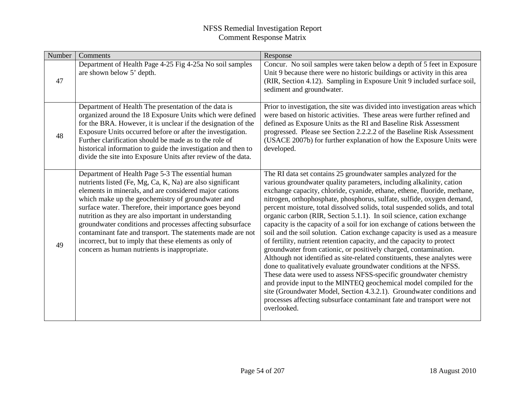| Number | Comments                                                                                                                                                                                                                                                                                                                                                                                                                                                                                                                                                                               | Response                                                                                                                                                                                                                                                                                                                                                                                                                                                                                                                                                                                                                                                                                                                                                                                                                                                                                                                                                                                                                                                                                                                                                                                                                         |
|--------|----------------------------------------------------------------------------------------------------------------------------------------------------------------------------------------------------------------------------------------------------------------------------------------------------------------------------------------------------------------------------------------------------------------------------------------------------------------------------------------------------------------------------------------------------------------------------------------|----------------------------------------------------------------------------------------------------------------------------------------------------------------------------------------------------------------------------------------------------------------------------------------------------------------------------------------------------------------------------------------------------------------------------------------------------------------------------------------------------------------------------------------------------------------------------------------------------------------------------------------------------------------------------------------------------------------------------------------------------------------------------------------------------------------------------------------------------------------------------------------------------------------------------------------------------------------------------------------------------------------------------------------------------------------------------------------------------------------------------------------------------------------------------------------------------------------------------------|
| 47     | Department of Health Page 4-25 Fig 4-25a No soil samples<br>are shown below 5' depth.                                                                                                                                                                                                                                                                                                                                                                                                                                                                                                  | Concur. No soil samples were taken below a depth of 5 feet in Exposure<br>Unit 9 because there were no historic buildings or activity in this area<br>(RIR, Section 4.12). Sampling in Exposure Unit 9 included surface soil,<br>sediment and groundwater.                                                                                                                                                                                                                                                                                                                                                                                                                                                                                                                                                                                                                                                                                                                                                                                                                                                                                                                                                                       |
| 48     | Department of Health The presentation of the data is<br>organized around the 18 Exposure Units which were defined<br>for the BRA. However, it is unclear if the designation of the<br>Exposure Units occurred before or after the investigation.<br>Further clarification should be made as to the role of<br>historical information to guide the investigation and then to<br>divide the site into Exposure Units after review of the data.                                                                                                                                           | Prior to investigation, the site was divided into investigation areas which<br>were based on historic activities. These areas were further refined and<br>defined as Exposure Units as the RI and Baseline Risk Assessment<br>progressed. Please see Section 2.2.2.2 of the Baseline Risk Assessment<br>(USACE 2007b) for further explanation of how the Exposure Units were<br>developed.                                                                                                                                                                                                                                                                                                                                                                                                                                                                                                                                                                                                                                                                                                                                                                                                                                       |
| 49     | Department of Health Page 5-3 The essential human<br>nutrients listed (Fe, Mg, Ca, K, Na) are also significant<br>elements in minerals, and are considered major cations<br>which make up the geochemistry of groundwater and<br>surface water. Therefore, their importance goes beyond<br>nutrition as they are also important in understanding<br>groundwater conditions and processes affecting subsurface<br>contaminant fate and transport. The statements made are not<br>incorrect, but to imply that these elements as only of<br>concern as human nutrients is inappropriate. | The RI data set contains 25 groundwater samples analyzed for the<br>various groundwater quality parameters, including alkalinity, cation<br>exchange capacity, chloride, cyanide, ethane, ethene, fluoride, methane,<br>nitrogen, orthophosphate, phosphorus, sulfate, sulfide, oxygen demand,<br>percent moisture, total dissolved solids, total suspended solids, and total<br>organic carbon (RIR, Section 5.1.1). In soil science, cation exchange<br>capacity is the capacity of a soil for ion exchange of cations between the<br>soil and the soil solution. Cation exchange capacity is used as a measure<br>of fertility, nutrient retention capacity, and the capacity to protect<br>groundwater from cationic, or positively charged, contamination.<br>Although not identified as site-related constituents, these analytes were<br>done to qualitatively evaluate groundwater conditions at the NFSS.<br>These data were used to assess NFSS-specific groundwater chemistry<br>and provide input to the MINTEQ geochemical model compiled for the<br>site (Groundwater Model, Section 4.3.2.1). Groundwater conditions and<br>processes affecting subsurface contaminant fate and transport were not<br>overlooked. |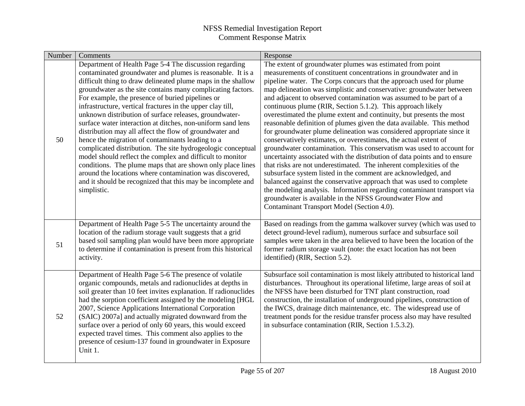| Number | Comments                                                                                                                                                                                                                                                                                                                                                                                                                                                                                                                                                                                                                                                                                                                                                                                                                                                                                                                                          | Response                                                                                                                                                                                                                                                                                                                                                                                                                                                                                                                                                                                                                                                                                                                                                                                                                                                                                                                                                                                                                                                                                                                                                                                                                                                                 |
|--------|---------------------------------------------------------------------------------------------------------------------------------------------------------------------------------------------------------------------------------------------------------------------------------------------------------------------------------------------------------------------------------------------------------------------------------------------------------------------------------------------------------------------------------------------------------------------------------------------------------------------------------------------------------------------------------------------------------------------------------------------------------------------------------------------------------------------------------------------------------------------------------------------------------------------------------------------------|--------------------------------------------------------------------------------------------------------------------------------------------------------------------------------------------------------------------------------------------------------------------------------------------------------------------------------------------------------------------------------------------------------------------------------------------------------------------------------------------------------------------------------------------------------------------------------------------------------------------------------------------------------------------------------------------------------------------------------------------------------------------------------------------------------------------------------------------------------------------------------------------------------------------------------------------------------------------------------------------------------------------------------------------------------------------------------------------------------------------------------------------------------------------------------------------------------------------------------------------------------------------------|
| 50     | Department of Health Page 5-4 The discussion regarding<br>contaminated groundwater and plumes is reasonable. It is a<br>difficult thing to draw delineated plume maps in the shallow<br>groundwater as the site contains many complicating factors.<br>For example, the presence of buried pipelines or<br>infrastructure, vertical fractures in the upper clay till,<br>unknown distribution of surface releases, groundwater-<br>surface water interaction at ditches, non-uniform sand lens<br>distribution may all affect the flow of groundwater and<br>hence the migration of contaminants leading to a<br>complicated distribution. The site hydrogeologic conceptual<br>model should reflect the complex and difficult to monitor<br>conditions. The plume maps that are shown only place lines<br>around the locations where contamination was discovered,<br>and it should be recognized that this may be incomplete and<br>simplistic. | The extent of groundwater plumes was estimated from point<br>measurements of constituent concentrations in groundwater and in<br>pipeline water. The Corps concurs that the approach used for plume<br>map delineation was simplistic and conservative: groundwater between<br>and adjacent to observed contamination was assumed to be part of a<br>continuous plume (RIR, Section 5.1.2). This approach likely<br>overestimated the plume extent and continuity, but presents the most<br>reasonable definition of plumes given the data available. This method<br>for groundwater plume delineation was considered appropriate since it<br>conservatively estimates, or overestimates, the actual extent of<br>groundwater contamination. This conservatism was used to account for<br>uncertainty associated with the distribution of data points and to ensure<br>that risks are not underestimated. The inherent complexities of the<br>subsurface system listed in the comment are acknowledged, and<br>balanced against the conservative approach that was used to complete<br>the modeling analysis. Information regarding contaminant transport via<br>groundwater is available in the NFSS Groundwater Flow and<br>Contaminant Transport Model (Section 4.0). |
| 51     | Department of Health Page 5-5 The uncertainty around the<br>location of the radium storage vault suggests that a grid<br>based soil sampling plan would have been more appropriate<br>to determine if contamination is present from this historical<br>activity.                                                                                                                                                                                                                                                                                                                                                                                                                                                                                                                                                                                                                                                                                  | Based on readings from the gamma walkover survey (which was used to<br>detect ground-level radium), numerous surface and subsurface soil<br>samples were taken in the area believed to have been the location of the<br>former radium storage vault (note: the exact location has not been<br>identified) (RIR, Section 5.2).                                                                                                                                                                                                                                                                                                                                                                                                                                                                                                                                                                                                                                                                                                                                                                                                                                                                                                                                            |
| 52     | Department of Health Page 5-6 The presence of volatile<br>organic compounds, metals and radionuclides at depths in<br>soil greater than 10 feet invites explanation. If radionuclides<br>had the sorption coefficient assigned by the modeling [HGL<br>2007, Science Applications International Corporation<br>(SAIC) 2007a] and actually migrated downward from the<br>surface over a period of only 60 years, this would exceed<br>expected travel times. This comment also applies to the<br>presence of cesium-137 found in groundwater in Exposure<br>Unit 1.                                                                                                                                                                                                                                                                                                                                                                                | Subsurface soil contamination is most likely attributed to historical land<br>disturbances. Throughout its operational lifetime, large areas of soil at<br>the NFSS have been disturbed for TNT plant construction, road<br>construction, the installation of underground pipelines, construction of<br>the IWCS, drainage ditch maintenance, etc. The widespread use of<br>treatment ponds for the residue transfer process also may have resulted<br>in subsurface contamination (RIR, Section 1.5.3.2).                                                                                                                                                                                                                                                                                                                                                                                                                                                                                                                                                                                                                                                                                                                                                               |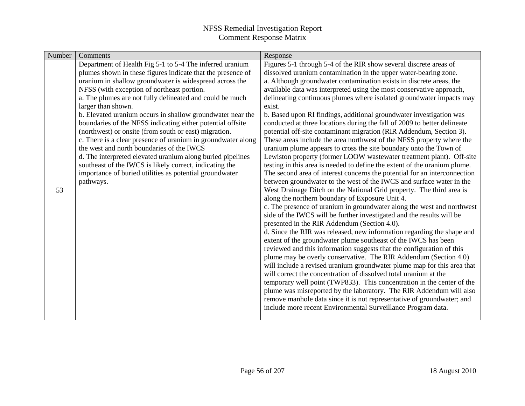| Number | Comments                                                                                                  | Response                                                                                                                                      |
|--------|-----------------------------------------------------------------------------------------------------------|-----------------------------------------------------------------------------------------------------------------------------------------------|
|        | Department of Health Fig 5-1 to 5-4 The inferred uranium                                                  | Figures 5-1 through 5-4 of the RIR show several discrete areas of                                                                             |
|        | plumes shown in these figures indicate that the presence of                                               | dissolved uranium contamination in the upper water-bearing zone.                                                                              |
|        | uranium in shallow groundwater is widespread across the                                                   | a. Although groundwater contamination exists in discrete areas, the                                                                           |
|        | NFSS (with exception of northeast portion.                                                                | available data was interpreted using the most conservative approach,                                                                          |
|        | a. The plumes are not fully delineated and could be much                                                  | delineating continuous plumes where isolated groundwater impacts may                                                                          |
|        | larger than shown.                                                                                        | exist.                                                                                                                                        |
|        | b. Elevated uranium occurs in shallow groundwater near the                                                | b. Based upon RI findings, additional groundwater investigation was                                                                           |
|        | boundaries of the NFSS indicating either potential offsite                                                | conducted at three locations during the fall of 2009 to better delineate                                                                      |
|        | (northwest) or onsite (from south or east) migration.                                                     | potential off-site contaminant migration (RIR Addendum, Section 3).                                                                           |
|        | c. There is a clear presence of uranium in groundwater along<br>the west and north boundaries of the IWCS | These areas include the area northwest of the NFSS property where the<br>uranium plume appears to cross the site boundary onto the Town of    |
|        | d. The interpreted elevated uranium along buried pipelines                                                | Lewiston property (former LOOW wastewater treatment plant). Off-site                                                                          |
|        | southeast of the IWCS is likely correct, indicating the                                                   | testing in this area is needed to define the extent of the uranium plume.                                                                     |
|        | importance of buried utilities as potential groundwater                                                   | The second area of interest concerns the potential for an interconnection                                                                     |
|        | pathways.                                                                                                 | between groundwater to the west of the IWCS and surface water in the                                                                          |
| 53     |                                                                                                           | West Drainage Ditch on the National Grid property. The third area is                                                                          |
|        |                                                                                                           | along the northern boundary of Exposure Unit 4.                                                                                               |
|        |                                                                                                           | c. The presence of uranium in groundwater along the west and northwest                                                                        |
|        |                                                                                                           | side of the IWCS will be further investigated and the results will be                                                                         |
|        |                                                                                                           | presented in the RIR Addendum (Section 4.0).                                                                                                  |
|        |                                                                                                           | d. Since the RIR was released, new information regarding the shape and                                                                        |
|        |                                                                                                           | extent of the groundwater plume southeast of the IWCS has been                                                                                |
|        |                                                                                                           | reviewed and this information suggests that the configuration of this                                                                         |
|        |                                                                                                           | plume may be overly conservative. The RIR Addendum (Section 4.0)                                                                              |
|        |                                                                                                           | will include a revised uranium groundwater plume map for this area that                                                                       |
|        |                                                                                                           | will correct the concentration of dissolved total uranium at the                                                                              |
|        |                                                                                                           | temporary well point (TWP833). This concentration in the center of the                                                                        |
|        |                                                                                                           | plume was misreported by the laboratory. The RIR Addendum will also<br>remove manhole data since it is not representative of groundwater; and |
|        |                                                                                                           | include more recent Environmental Surveillance Program data.                                                                                  |
|        |                                                                                                           |                                                                                                                                               |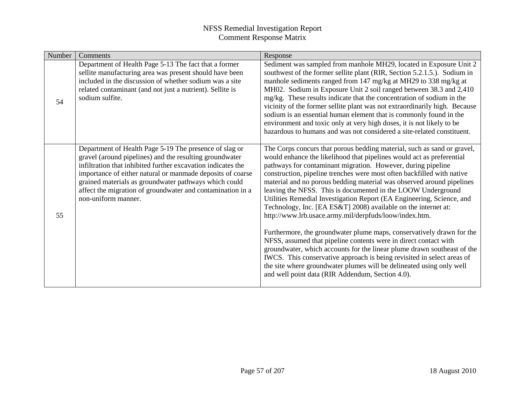| Number | Comments                                                                                                                                                                                                                                                                                                                                                                                      | Response                                                                                                                                                                                                                                                                                                                                                                                                                                                                                                                                                                                                                                                                                                                                                                                                                                                                                                                                                                                                                                                               |
|--------|-----------------------------------------------------------------------------------------------------------------------------------------------------------------------------------------------------------------------------------------------------------------------------------------------------------------------------------------------------------------------------------------------|------------------------------------------------------------------------------------------------------------------------------------------------------------------------------------------------------------------------------------------------------------------------------------------------------------------------------------------------------------------------------------------------------------------------------------------------------------------------------------------------------------------------------------------------------------------------------------------------------------------------------------------------------------------------------------------------------------------------------------------------------------------------------------------------------------------------------------------------------------------------------------------------------------------------------------------------------------------------------------------------------------------------------------------------------------------------|
| 54     | Department of Health Page 5-13 The fact that a former<br>sellite manufacturing area was present should have been<br>included in the discussion of whether sodium was a site<br>related contaminant (and not just a nutrient). Sellite is<br>sodium sulfite.                                                                                                                                   | Sediment was sampled from manhole MH29, located in Exposure Unit 2<br>southwest of the former sellite plant (RIR, Section 5.2.1.5.). Sodium in<br>manhole sediments ranged from 147 mg/kg at MH29 to 338 mg/kg at<br>MH02. Sodium in Exposure Unit 2 soil ranged between 38.3 and 2,410<br>mg/kg. These results indicate that the concentration of sodium in the<br>vicinity of the former sellite plant was not extraordinarily high. Because<br>sodium is an essential human element that is commonly found in the<br>environment and toxic only at very high doses, it is not likely to be<br>hazardous to humans and was not considered a site-related constituent.                                                                                                                                                                                                                                                                                                                                                                                                |
| 55     | Department of Health Page 5-19 The presence of slag or<br>gravel (around pipelines) and the resulting groundwater<br>infiltration that inhibited further excavation indicates the<br>importance of either natural or manmade deposits of coarse<br>grained materials as groundwater pathways which could<br>affect the migration of groundwater and contamination in a<br>non-uniform manner. | The Corps concurs that porous bedding material, such as sand or gravel,<br>would enhance the likelihood that pipelines would act as preferential<br>pathways for contaminant migration. However, during pipeline<br>construction, pipeline trenches were most often backfilled with native<br>material and no porous bedding material was observed around pipelines<br>leaving the NFSS. This is documented in the LOOW Underground<br>Utilities Remedial Investigation Report (EA Engineering, Science, and<br>Technology, Inc. [EA ES&T] 2008) available on the internet at:<br>http://www.lrb.usace.army.mil/derpfuds/loow/index.htm.<br>Furthermore, the groundwater plume maps, conservatively drawn for the<br>NFSS, assumed that pipeline contents were in direct contact with<br>groundwater, which accounts for the linear plume drawn southeast of the<br>IWCS. This conservative approach is being revisited in select areas of<br>the site where groundwater plumes will be delineated using only well<br>and well point data (RIR Addendum, Section 4.0). |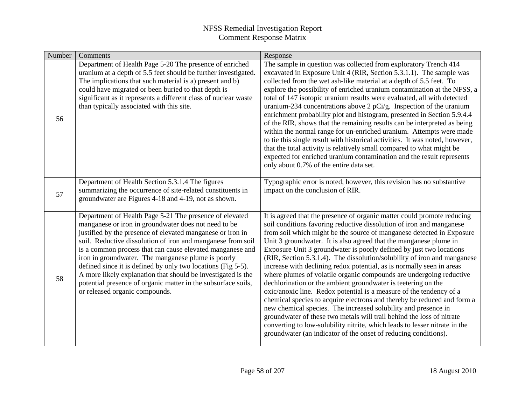| Number | Comments                                                                                                                                                                                                                                                                                                                                                                                                                                                                                                                                                                                           | Response                                                                                                                                                                                                                                                                                                                                                                                                                                                                                                                                                                                                                                                                                                                                                                                                                                                                                                                                                                                                                                                                                                        |
|--------|----------------------------------------------------------------------------------------------------------------------------------------------------------------------------------------------------------------------------------------------------------------------------------------------------------------------------------------------------------------------------------------------------------------------------------------------------------------------------------------------------------------------------------------------------------------------------------------------------|-----------------------------------------------------------------------------------------------------------------------------------------------------------------------------------------------------------------------------------------------------------------------------------------------------------------------------------------------------------------------------------------------------------------------------------------------------------------------------------------------------------------------------------------------------------------------------------------------------------------------------------------------------------------------------------------------------------------------------------------------------------------------------------------------------------------------------------------------------------------------------------------------------------------------------------------------------------------------------------------------------------------------------------------------------------------------------------------------------------------|
| 56     | Department of Health Page 5-20 The presence of enriched<br>uranium at a depth of 5.5 feet should be further investigated.<br>The implications that such material is a) present and b)<br>could have migrated or been buried to that depth is<br>significant as it represents a different class of nuclear waste<br>than typically associated with this site.                                                                                                                                                                                                                                       | The sample in question was collected from exploratory Trench 414<br>excavated in Exposure Unit 4 (RIR, Section 5.3.1.1). The sample was<br>collected from the wet ash-like material at a depth of 5.5 feet. To<br>explore the possibility of enriched uranium contamination at the NFSS, a<br>total of 147 isotopic uranium results were evaluated, all with detected<br>uranium-234 concentrations above $2 pCi/g$ . Inspection of the uranium<br>enrichment probability plot and histogram, presented in Section 5.9.4.4<br>of the RIR, shows that the remaining results can be interpreted as being<br>within the normal range for un-enriched uranium. Attempts were made<br>to tie this single result with historical activities. It was noted, however,<br>that the total activity is relatively small compared to what might be<br>expected for enriched uranium contamination and the result represents<br>only about 0.7% of the entire data set.                                                                                                                                                      |
| 57     | Department of Health Section 5.3.1.4 The figures<br>summarizing the occurrence of site-related constituents in<br>groundwater are Figures 4-18 and 4-19, not as shown.                                                                                                                                                                                                                                                                                                                                                                                                                             | Typographic error is noted, however, this revision has no substantive<br>impact on the conclusion of RIR.                                                                                                                                                                                                                                                                                                                                                                                                                                                                                                                                                                                                                                                                                                                                                                                                                                                                                                                                                                                                       |
| 58     | Department of Health Page 5-21 The presence of elevated<br>manganese or iron in groundwater does not need to be<br>justified by the presence of elevated manganese or iron in<br>soil. Reductive dissolution of iron and manganese from soil<br>is a common process that can cause elevated manganese and<br>iron in groundwater. The manganese plume is poorly<br>defined since it is defined by only two locations (Fig 5-5).<br>A more likely explanation that should be investigated is the<br>potential presence of organic matter in the subsurface soils,<br>or released organic compounds. | It is agreed that the presence of organic matter could promote reducing<br>soil conditions favoring reductive dissolution of iron and manganese<br>from soil which might be the source of manganese detected in Exposure<br>Unit 3 groundwater. It is also agreed that the manganese plume in<br>Exposure Unit 3 groundwater is poorly defined by just two locations<br>(RIR, Section 5.3.1.4). The dissolution/solubility of iron and manganese<br>increase with declining redox potential, as is normally seen in areas<br>where plumes of volatile organic compounds are undergoing reductive<br>dechlorination or the ambient groundwater is teetering on the<br>oxic/anoxic line. Redox potential is a measure of the tendency of a<br>chemical species to acquire electrons and thereby be reduced and form a<br>new chemical species. The increased solubility and presence in<br>groundwater of these two metals will trail behind the loss of nitrate<br>converting to low-solubility nitrite, which leads to lesser nitrate in the<br>groundwater (an indicator of the onset of reducing conditions). |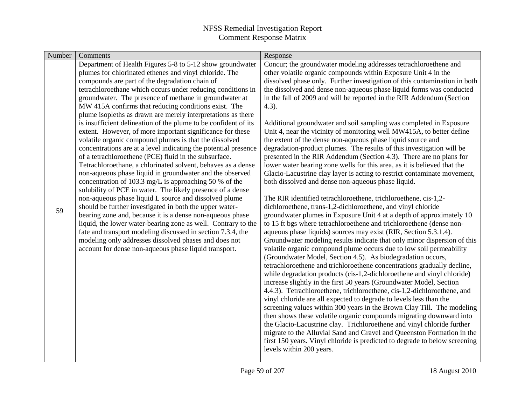| Number | Comments                                                                                                            | Response                                                                                                                                      |
|--------|---------------------------------------------------------------------------------------------------------------------|-----------------------------------------------------------------------------------------------------------------------------------------------|
|        | Department of Health Figures 5-8 to 5-12 show groundwater                                                           | Concur; the groundwater modeling addresses tetrachloroethene and                                                                              |
|        | plumes for chlorinated ethenes and vinyl chloride. The                                                              | other volatile organic compounds within Exposure Unit 4 in the                                                                                |
|        | compounds are part of the degradation chain of                                                                      | dissolved phase only. Further investigation of this contamination in both                                                                     |
|        | tetrachloroethane which occurs under reducing conditions in                                                         | the dissolved and dense non-aqueous phase liquid forms was conducted                                                                          |
|        | groundwater. The presence of methane in groundwater at                                                              | in the fall of 2009 and will be reported in the RIR Addendum (Section                                                                         |
|        | MW 415A confirms that reducing conditions exist. The                                                                | $4.3$ ).                                                                                                                                      |
|        | plume isopleths as drawn are merely interpretations as there                                                        |                                                                                                                                               |
|        | is insufficient delineation of the plume to be confident of its                                                     | Additional groundwater and soil sampling was completed in Exposure                                                                            |
|        | extent. However, of more important significance for these<br>volatile organic compound plumes is that the dissolved | Unit 4, near the vicinity of monitoring well MW415A, to better define<br>the extent of the dense non-aqueous phase liquid source and          |
|        | concentrations are at a level indicating the potential presence                                                     | degradation-product plumes. The results of this investigation will be                                                                         |
|        | of a tetrachloroethene (PCE) fluid in the subsurface.                                                               | presented in the RIR Addendum (Section 4.3). There are no plans for                                                                           |
|        | Tetrachloroethane, a chlorinated solvent, behaves as a dense                                                        | lower water bearing zone wells for this area, as it is believed that the                                                                      |
|        | non-aqueous phase liquid in groundwater and the observed                                                            | Glacio-Lacustrine clay layer is acting to restrict contaminate movement,                                                                      |
|        | concentration of 103.3 mg/L is approaching 50 % of the                                                              | both dissolved and dense non-aqueous phase liquid.                                                                                            |
|        | solubility of PCE in water. The likely presence of a dense                                                          |                                                                                                                                               |
|        | non-aqueous phase liquid L source and dissolved plume                                                               | The RIR identified tetrachloroethene, trichloroethene, cis-1,2-                                                                               |
| 59     | should be further investigated in both the upper water-                                                             | dichloroethene, trans-1,2-dichloroethene, and vinyl chloride                                                                                  |
|        | bearing zone and, because it is a dense non-aqueous phase                                                           | groundwater plumes in Exposure Unit 4 at a depth of approximately 10                                                                          |
|        | liquid, the lower water-bearing zone as well. Contrary to the                                                       | to 15 ft bgs where tetrachloroethene and trichloroethene (dense non-                                                                          |
|        | fate and transport modeling discussed in section 7.3.4, the                                                         | aqueous phase liquids) sources may exist (RIR, Section 5.3.1.4).                                                                              |
|        | modeling only addresses dissolved phases and does not                                                               | Groundwater modeling results indicate that only minor dispersion of this                                                                      |
|        | account for dense non-aqueous phase liquid transport.                                                               | volatile organic compound plume occurs due to low soil permeability                                                                           |
|        |                                                                                                                     | (Groundwater Model, Section 4.5). As biodegradation occurs,                                                                                   |
|        |                                                                                                                     | tetrachloroethene and trichloroethene concentrations gradually decline,                                                                       |
|        |                                                                                                                     | while degradation products (cis-1,2-dichloroethene and vinyl chloride)<br>increase slightly in the first 50 years (Groundwater Model, Section |
|        |                                                                                                                     | 4.4.3). Tetrachloroethene, trichloroethene, cis-1,2-dichloroethene, and                                                                       |
|        |                                                                                                                     | vinyl chloride are all expected to degrade to levels less than the                                                                            |
|        |                                                                                                                     | screening values within 300 years in the Brown Clay Till. The modeling                                                                        |
|        |                                                                                                                     | then shows these volatile organic compounds migrating downward into                                                                           |
|        |                                                                                                                     | the Glacio-Lacustrine clay. Trichloroethene and vinyl chloride further                                                                        |
|        |                                                                                                                     | migrate to the Alluvial Sand and Gravel and Queenston Formation in the                                                                        |
|        |                                                                                                                     | first 150 years. Vinyl chloride is predicted to degrade to below screening                                                                    |
|        |                                                                                                                     | levels within 200 years.                                                                                                                      |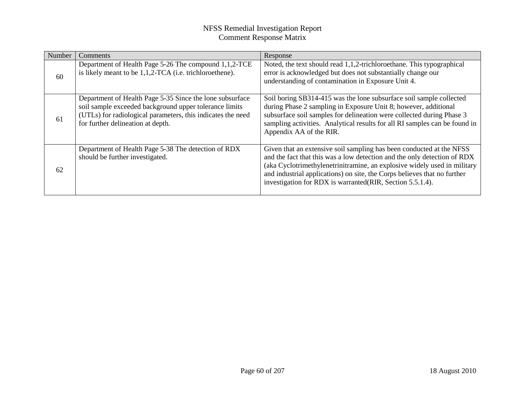| Number | Comments                                                                                                                                                                                                               | Response                                                                                                                                                                                                                                                                                                                                                              |
|--------|------------------------------------------------------------------------------------------------------------------------------------------------------------------------------------------------------------------------|-----------------------------------------------------------------------------------------------------------------------------------------------------------------------------------------------------------------------------------------------------------------------------------------------------------------------------------------------------------------------|
| 60     | Department of Health Page 5-26 The compound 1,1,2-TCE<br>is likely meant to be 1,1,2-TCA (i.e. trichloroethene).                                                                                                       | Noted, the text should read 1,1,2-trichloroethane. This typographical<br>error is acknowledged but does not substantially change our<br>understanding of contamination in Exposure Unit 4.                                                                                                                                                                            |
| 61     | Department of Health Page 5-35 Since the lone subsurface<br>soil sample exceeded background upper tolerance limits<br>(UTLs) for radiological parameters, this indicates the need<br>for further delineation at depth. | Soil boring SB314-415 was the lone subsurface soil sample collected<br>during Phase 2 sampling in Exposure Unit 8; however, additional<br>subsurface soil samples for delineation were collected during Phase 3<br>sampling activities. Analytical results for all RI samples can be found in<br>Appendix AA of the RIR.                                              |
| 62     | Department of Health Page 5-38 The detection of RDX<br>should be further investigated.                                                                                                                                 | Given that an extensive soil sampling has been conducted at the NFSS<br>and the fact that this was a low detection and the only detection of RDX<br>(aka Cyclotrimethylenetrinitramine, an explosive widely used in military<br>and industrial applications) on site, the Corps believes that no further<br>investigation for RDX is warranted(RIR, Section 5.5.1.4). |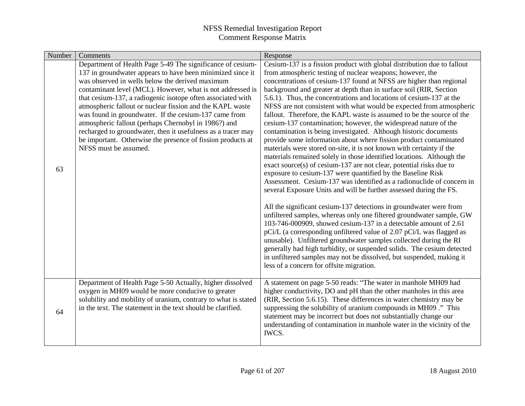| Number | Comments                                                                                                                                                                                                                                                                                                                                                                                                                                                                                                                                                                                                                                       | Response                                                                                                                                                                                                                                                                                                                                                                                                                                                                                                                                                                                                                                                                                                                                                                                                                                                                                                                                                                                                                                                                                                                                                                                                                                                                                                                                                                                                                                                                                                                                                                                                                                                                                                                 |
|--------|------------------------------------------------------------------------------------------------------------------------------------------------------------------------------------------------------------------------------------------------------------------------------------------------------------------------------------------------------------------------------------------------------------------------------------------------------------------------------------------------------------------------------------------------------------------------------------------------------------------------------------------------|--------------------------------------------------------------------------------------------------------------------------------------------------------------------------------------------------------------------------------------------------------------------------------------------------------------------------------------------------------------------------------------------------------------------------------------------------------------------------------------------------------------------------------------------------------------------------------------------------------------------------------------------------------------------------------------------------------------------------------------------------------------------------------------------------------------------------------------------------------------------------------------------------------------------------------------------------------------------------------------------------------------------------------------------------------------------------------------------------------------------------------------------------------------------------------------------------------------------------------------------------------------------------------------------------------------------------------------------------------------------------------------------------------------------------------------------------------------------------------------------------------------------------------------------------------------------------------------------------------------------------------------------------------------------------------------------------------------------------|
| 63     | Department of Health Page 5-49 The significance of cesium-<br>137 in groundwater appears to have been minimized since it<br>was observed in wells below the derived maximum<br>contaminant level (MCL). However, what is not addressed is<br>that cesium-137, a radiogenic isotope often associated with<br>atmospheric fallout or nuclear fission and the KAPL waste<br>was found in groundwater. If the cesium-137 came from<br>atmospheric fallout (perhaps Chernobyl in 1986?) and<br>recharged to groundwater, then it usefulness as a tracer may<br>be important. Otherwise the presence of fission products at<br>NFSS must be assumed. | Cesium-137 is a fission product with global distribution due to fallout<br>from atmospheric testing of nuclear weapons; however, the<br>concentrations of cesium-137 found at NFSS are higher than regional<br>background and greater at depth than in surface soil (RIR, Section<br>5.6.1). Thus, the concentrations and locations of cesium-137 at the<br>NFSS are not consistent with what would be expected from atmospheric<br>fallout. Therefore, the KAPL waste is assumed to be the source of the<br>cesium-137 contamination; however, the widespread nature of the<br>contamination is being investigated. Although historic documents<br>provide some information about where fission product contaminated<br>materials were stored on-site, it is not known with certainty if the<br>materials remained solely in those identified locations. Although the<br>exact source(s) of cesium-137 are not clear, potential risks due to<br>exposure to cesium-137 were quantified by the Baseline Risk<br>Assessment. Cesium-137 was identified as a radionuclide of concern in<br>several Exposure Units and will be further assessed during the FS.<br>All the significant cesium-137 detections in groundwater were from<br>unfiltered samples, whereas only one filtered groundwater sample, GW<br>103-746-000909, showed cesium-137 in a detectable amount of 2.61<br>pCi/L (a corresponding unfiltered value of 2.07 pCi/L was flagged as<br>unusable). Unfiltered groundwater samples collected during the RI<br>generally had high turbidity, or suspended solids. The cesium detected<br>in unfiltered samples may not be dissolved, but suspended, making it<br>less of a concern for offsite migration. |
| 64     | Department of Health Page 5-50 Actually, higher dissolved<br>oxygen in MH09 would be more conducive to greater<br>solubility and mobility of uranium, contrary to what is stated<br>in the text. The statement in the text should be clarified.                                                                                                                                                                                                                                                                                                                                                                                                | A statement on page 5-50 reads: "The water in manhole MH09 had<br>higher conductivity, DO and pH than the other manholes in this area<br>(RIR, Section 5.6.15). These differences in water chemistry may be<br>suppressing the solubility of uranium compounds in MH09." This<br>statement may be incorrect but does not substantially change our<br>understanding of contamination in manhole water in the vicinity of the<br>IWCS.                                                                                                                                                                                                                                                                                                                                                                                                                                                                                                                                                                                                                                                                                                                                                                                                                                                                                                                                                                                                                                                                                                                                                                                                                                                                                     |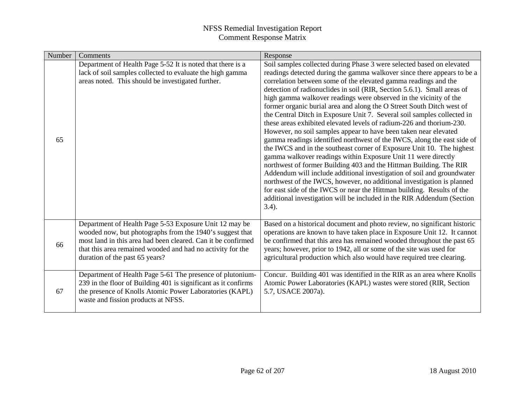| Number | Comments                                                                                                                                                                                                                                                                           | Response                                                                                                                                                                                                                                                                                                                                                                                                                                                                                                                                                                                                                                                                                                                                                                                                                                                                                                                                                                                                                                                                                                                                                                                                                                                                           |
|--------|------------------------------------------------------------------------------------------------------------------------------------------------------------------------------------------------------------------------------------------------------------------------------------|------------------------------------------------------------------------------------------------------------------------------------------------------------------------------------------------------------------------------------------------------------------------------------------------------------------------------------------------------------------------------------------------------------------------------------------------------------------------------------------------------------------------------------------------------------------------------------------------------------------------------------------------------------------------------------------------------------------------------------------------------------------------------------------------------------------------------------------------------------------------------------------------------------------------------------------------------------------------------------------------------------------------------------------------------------------------------------------------------------------------------------------------------------------------------------------------------------------------------------------------------------------------------------|
| 65     | Department of Health Page 5-52 It is noted that there is a<br>lack of soil samples collected to evaluate the high gamma<br>areas noted. This should be investigated further.                                                                                                       | Soil samples collected during Phase 3 were selected based on elevated<br>readings detected during the gamma walkover since there appears to be a<br>correlation between some of the elevated gamma readings and the<br>detection of radionuclides in soil (RIR, Section 5.6.1). Small areas of<br>high gamma walkover readings were observed in the vicinity of the<br>former organic burial area and along the O Street South Ditch west of<br>the Central Ditch in Exposure Unit 7. Several soil samples collected in<br>these areas exhibited elevated levels of radium-226 and thorium-230.<br>However, no soil samples appear to have been taken near elevated<br>gamma readings identified northwest of the IWCS, along the east side of<br>the IWCS and in the southeast corner of Exposure Unit 10. The highest<br>gamma walkover readings within Exposure Unit 11 were directly<br>northwest of former Building 403 and the Hittman Building. The RIR<br>Addendum will include additional investigation of soil and groundwater<br>northwest of the IWCS, however, no additional investigation is planned<br>for east side of the IWCS or near the Hittman building. Results of the<br>additional investigation will be included in the RIR Addendum (Section<br>$3.4$ ). |
| 66     | Department of Health Page 5-53 Exposure Unit 12 may be<br>wooded now, but photographs from the 1940's suggest that<br>most land in this area had been cleared. Can it be confirmed<br>that this area remained wooded and had no activity for the<br>duration of the past 65 years? | Based on a historical document and photo review, no significant historic<br>operations are known to have taken place in Exposure Unit 12. It cannot<br>be confirmed that this area has remained wooded throughout the past 65<br>years; however, prior to 1942, all or some of the site was used for<br>agricultural production which also would have required tree clearing.                                                                                                                                                                                                                                                                                                                                                                                                                                                                                                                                                                                                                                                                                                                                                                                                                                                                                                      |
| 67     | Department of Health Page 5-61 The presence of plutonium-<br>239 in the floor of Building 401 is significant as it confirms<br>the presence of Knolls Atomic Power Laboratories (KAPL)<br>waste and fission products at NFSS.                                                      | Concur. Building 401 was identified in the RIR as an area where Knolls<br>Atomic Power Laboratories (KAPL) wastes were stored (RIR, Section<br>5.7, USACE 2007a).                                                                                                                                                                                                                                                                                                                                                                                                                                                                                                                                                                                                                                                                                                                                                                                                                                                                                                                                                                                                                                                                                                                  |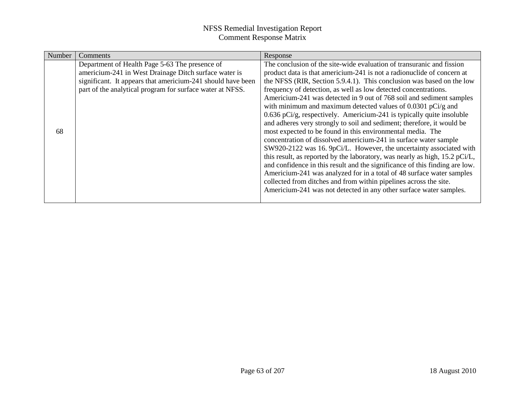| Number | Comments                                                    | Response                                                                    |
|--------|-------------------------------------------------------------|-----------------------------------------------------------------------------|
|        | Department of Health Page 5-63 The presence of              | The conclusion of the site-wide evaluation of transuranic and fission       |
|        | americium-241 in West Drainage Ditch surface water is       | product data is that americium-241 is not a radionuclide of concern at      |
|        | significant. It appears that americium-241 should have been | the NFSS (RIR, Section 5.9.4.1). This conclusion was based on the low       |
|        | part of the analytical program for surface water at NFSS.   | frequency of detection, as well as low detected concentrations.             |
|        |                                                             | Americium-241 was detected in 9 out of 768 soil and sediment samples        |
|        |                                                             | with minimum and maximum detected values of 0.0301 pCi/g and                |
|        |                                                             | $0.636$ pCi/g, respectively. Americium-241 is typically quite insoluble     |
|        |                                                             | and adheres very strongly to soil and sediment; therefore, it would be      |
| 68     |                                                             | most expected to be found in this environmental media. The                  |
|        |                                                             | concentration of dissolved americium-241 in surface water sample            |
|        |                                                             | SW920-2122 was 16. 9pCi/L. However, the uncertainty associated with         |
|        |                                                             | this result, as reported by the laboratory, was nearly as high, 15.2 pCi/L, |
|        |                                                             | and confidence in this result and the significance of this finding are low. |
|        |                                                             | Americium-241 was analyzed for in a total of 48 surface water samples       |
|        |                                                             | collected from ditches and from within pipelines across the site.           |
|        |                                                             | Americium-241 was not detected in any other surface water samples.          |
|        |                                                             |                                                                             |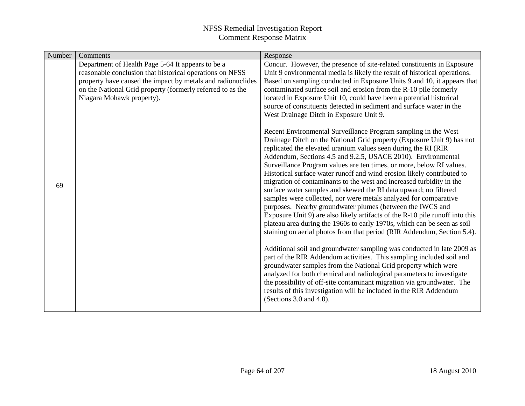| Department of Health Page 5-64 It appears to be a<br>reasonable conclusion that historical operations on NFSS<br>Unit 9 environmental media is likely the result of historical operations.<br>property have caused the impact by metals and radionuclides<br>on the National Grid property (formerly referred to as the<br>contaminated surface soil and erosion from the R-10 pile formerly<br>Niagara Mohawk property).<br>located in Exposure Unit 10, could have been a potential historical<br>source of constituents detected in sediment and surface water in the<br>West Drainage Ditch in Exposure Unit 9.                                                                                                                                                                                                                                                                                                                                                                                                                                                                                                 | Number | Comments | Response                                                                                                                                                                                                                                                                                                                                                                                                                                                         |
|---------------------------------------------------------------------------------------------------------------------------------------------------------------------------------------------------------------------------------------------------------------------------------------------------------------------------------------------------------------------------------------------------------------------------------------------------------------------------------------------------------------------------------------------------------------------------------------------------------------------------------------------------------------------------------------------------------------------------------------------------------------------------------------------------------------------------------------------------------------------------------------------------------------------------------------------------------------------------------------------------------------------------------------------------------------------------------------------------------------------|--------|----------|------------------------------------------------------------------------------------------------------------------------------------------------------------------------------------------------------------------------------------------------------------------------------------------------------------------------------------------------------------------------------------------------------------------------------------------------------------------|
| Recent Environmental Surveillance Program sampling in the West<br>replicated the elevated uranium values seen during the RI (RIR<br>Addendum, Sections 4.5 and 9.2.5, USACE 2010). Environmental<br>Surveillance Program values are ten times, or more, below RI values.<br>Historical surface water runoff and wind erosion likely contributed to<br>migration of contaminants to the west and increased turbidity in the<br>69<br>surface water samples and skewed the RI data upward; no filtered<br>samples were collected, nor were metals analyzed for comparative<br>purposes. Nearby groundwater plumes (between the IWCS and<br>plateau area during the 1960s to early 1970s, which can be seen as soil<br>part of the RIR Addendum activities. This sampling included soil and<br>groundwater samples from the National Grid property which were<br>analyzed for both chemical and radiological parameters to investigate<br>the possibility of off-site contaminant migration via groundwater. The<br>results of this investigation will be included in the RIR Addendum<br>(Sections $3.0$ and $4.0$ ). |        |          | Concur. However, the presence of site-related constituents in Exposure<br>Based on sampling conducted in Exposure Units 9 and 10, it appears that<br>Drainage Ditch on the National Grid property (Exposure Unit 9) has not<br>Exposure Unit 9) are also likely artifacts of the R-10 pile runoff into this<br>staining on aerial photos from that period (RIR Addendum, Section 5.4).<br>Additional soil and groundwater sampling was conducted in late 2009 as |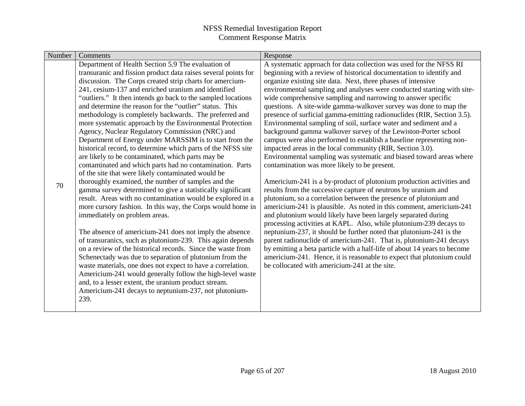| Number | Comments                                                       | Response                                                                 |
|--------|----------------------------------------------------------------|--------------------------------------------------------------------------|
|        | Department of Health Section 5.9 The evaluation of             | A systematic approach for data collection was used for the NFSS RI       |
|        | transuranic and fission product data raises several points for | beginning with a review of historical documentation to identify and      |
|        | discussion. The Corps created strip charts for amercium-       | organize existing site data. Next, three phases of intensive             |
|        | 241, cesium-137 and enriched uranium and identified            | environmental sampling and analyses were conducted starting with site-   |
|        | "outliers." It then intends go back to the sampled locations   | wide comprehensive sampling and narrowing to answer specific             |
|        | and determine the reason for the "outlier" status. This        | questions. A site-wide gamma-walkover survey was done to map the         |
|        | methodology is completely backwards. The preferred and         | presence of surficial gamma-emitting radionuclides (RIR, Section 3.5).   |
|        | more systematic approach by the Environmental Protection       | Environmental sampling of soil, surface water and sediment and a         |
|        | Agency, Nuclear Regulatory Commission (NRC) and                | background gamma walkover survey of the Lewiston-Porter school           |
|        | Department of Energy under MARSSIM is to start from the        | campus were also performed to establish a baseline representing non-     |
|        | historical record, to determine which parts of the NFSS site   | impacted areas in the local community (RIR, Section 3.0).                |
|        | are likely to be contaminated, which parts may be              | Environmental sampling was systematic and biased toward areas where      |
|        | contaminated and which parts had no contamination. Parts       | contamination was more likely to be present.                             |
|        | of the site that were likely contaminated would be             |                                                                          |
| 70     | thoroughly examined, the number of samples and the             | Americium-241 is a by-product of plutonium production activities and     |
|        | gamma survey determined to give a statistically significant    | results from the successive capture of neutrons by uranium and           |
|        | result. Areas with no contamination would be explored in a     | plutonium, so a correlation between the presence of plutonium and        |
|        | more cursory fashion. In this way, the Corps would home in     | americium-241 is plausible. As noted in this comment, americium-241      |
|        | immediately on problem areas.                                  | and plutonium would likely have been largely separated during            |
|        |                                                                | processing activities at KAPL. Also, while plutonium-239 decays to       |
|        | The absence of americium-241 does not imply the absence        | neptunium-237, it should be further noted that plutonium-241 is the      |
|        | of transuranics, such as plutonium-239. This again depends     | parent radionuclide of americium-241. That is, plutonium-241 decays      |
|        | on a review of the historical records. Since the waste from    | by emitting a beta particle with a half-life of about 14 years to become |
|        | Schenectady was due to separation of plutonium from the        | americium-241. Hence, it is reasonable to expect that plutonium could    |
|        | waste materials, one does not expect to have a correlation.    | be collocated with americium-241 at the site.                            |
|        | Americium-241 would generally follow the high-level waste      |                                                                          |
|        | and, to a lesser extent, the uranium product stream.           |                                                                          |
|        | Americium-241 decays to neptunium-237, not plutonium-          |                                                                          |
|        | 239.                                                           |                                                                          |
|        |                                                                |                                                                          |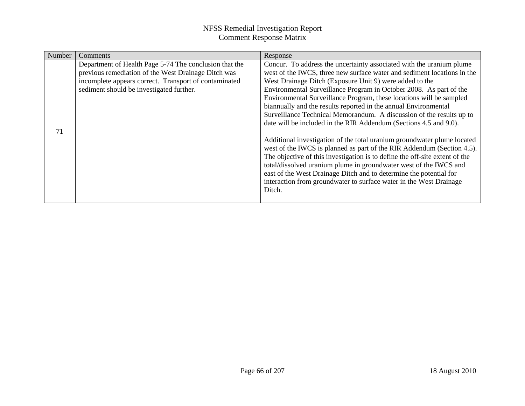| Number | Comments                                               | Response                                                                    |
|--------|--------------------------------------------------------|-----------------------------------------------------------------------------|
|        | Department of Health Page 5-74 The conclusion that the | Concur. To address the uncertainty associated with the uranium plume        |
|        | previous remediation of the West Drainage Ditch was    | west of the IWCS, three new surface water and sediment locations in the     |
|        | incomplete appears correct. Transport of contaminated  | West Drainage Ditch (Exposure Unit 9) were added to the                     |
|        | sediment should be investigated further.               | Environmental Surveillance Program in October 2008. As part of the          |
|        |                                                        | Environmental Surveillance Program, these locations will be sampled         |
|        |                                                        | biannually and the results reported in the annual Environmental             |
|        |                                                        | Surveillance Technical Memorandum. A discussion of the results up to        |
|        |                                                        | date will be included in the RIR Addendum (Sections 4.5 and 9.0).           |
| 71     |                                                        |                                                                             |
|        |                                                        | Additional investigation of the total uranium groundwater plume located     |
|        |                                                        | west of the IWCS is planned as part of the RIR Addendum (Section 4.5).      |
|        |                                                        | The objective of this investigation is to define the off-site extent of the |
|        |                                                        | total/dissolved uranium plume in groundwater west of the IWCS and           |
|        |                                                        | east of the West Drainage Ditch and to determine the potential for          |
|        |                                                        | interaction from groundwater to surface water in the West Drainage          |
|        |                                                        | Ditch.                                                                      |
|        |                                                        |                                                                             |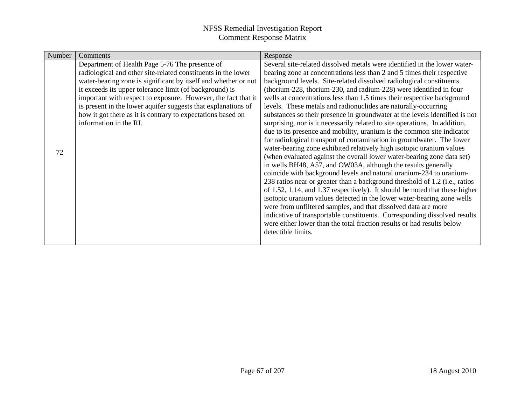| Number | Comments                                                       | Response                                                                    |
|--------|----------------------------------------------------------------|-----------------------------------------------------------------------------|
|        | Department of Health Page 5-76 The presence of                 | Several site-related dissolved metals were identified in the lower water-   |
|        | radiological and other site-related constituents in the lower  | bearing zone at concentrations less than 2 and 5 times their respective     |
|        | water-bearing zone is significant by itself and whether or not | background levels. Site-related dissolved radiological constituents         |
|        | it exceeds its upper tolerance limit (of background) is        | (thorium-228, thorium-230, and radium-228) were identified in four          |
|        | important with respect to exposure. However, the fact that it  | wells at concentrations less than 1.5 times their respective background     |
|        | is present in the lower aquifer suggests that explanations of  | levels. These metals and radionuclides are naturally-occurring              |
|        | how it got there as it is contrary to expectations based on    | substances so their presence in groundwater at the levels identified is not |
|        | information in the RI.                                         | surprising, nor is it necessarily related to site operations. In addition,  |
|        |                                                                | due to its presence and mobility, uranium is the common site indicator      |
|        |                                                                | for radiological transport of contamination in groundwater. The lower       |
| 72     |                                                                | water-bearing zone exhibited relatively high isotopic uranium values        |
|        |                                                                | (when evaluated against the overall lower water-bearing zone data set)      |
|        |                                                                | in wells BH48, A57, and OW03A, although the results generally               |
|        |                                                                | coincide with background levels and natural uranium-234 to uranium-         |
|        |                                                                | 238 ratios near or greater than a background threshold of 1.2 (i.e., ratios |
|        |                                                                | of 1.52, 1.14, and 1.37 respectively). It should be noted that these higher |
|        |                                                                | isotopic uranium values detected in the lower water-bearing zone wells      |
|        |                                                                | were from unfiltered samples, and that dissolved data are more              |
|        |                                                                | indicative of transportable constituents. Corresponding dissolved results   |
|        |                                                                | were either lower than the total fraction results or had results below      |
|        |                                                                | detectible limits.                                                          |
|        |                                                                |                                                                             |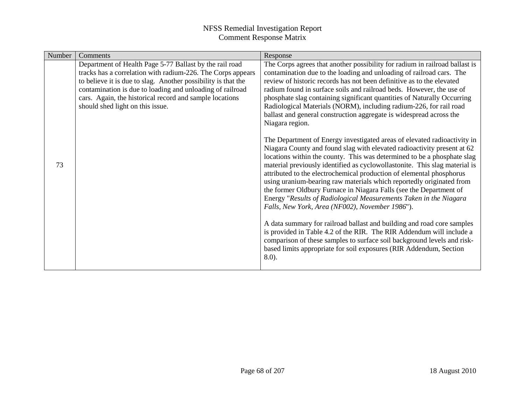| Number | Comments                                                                                                                                                                                                                                                                                                                                            | Response                                                                                                                                                                                                                                                                                                                                                                                                                                                                                                                                                                                                                                                                                                                                                                                                                                                                                                                                                                                                                                                                                                                                                                                                                                                                                                                                                                                                                                                                                                                     |
|--------|-----------------------------------------------------------------------------------------------------------------------------------------------------------------------------------------------------------------------------------------------------------------------------------------------------------------------------------------------------|------------------------------------------------------------------------------------------------------------------------------------------------------------------------------------------------------------------------------------------------------------------------------------------------------------------------------------------------------------------------------------------------------------------------------------------------------------------------------------------------------------------------------------------------------------------------------------------------------------------------------------------------------------------------------------------------------------------------------------------------------------------------------------------------------------------------------------------------------------------------------------------------------------------------------------------------------------------------------------------------------------------------------------------------------------------------------------------------------------------------------------------------------------------------------------------------------------------------------------------------------------------------------------------------------------------------------------------------------------------------------------------------------------------------------------------------------------------------------------------------------------------------------|
| 73     | Department of Health Page 5-77 Ballast by the rail road<br>tracks has a correlation with radium-226. The Corps appears<br>to believe it is due to slag. Another possibility is that the<br>contamination is due to loading and unloading of railroad<br>cars. Again, the historical record and sample locations<br>should shed light on this issue. | The Corps agrees that another possibility for radium in railroad ballast is<br>contamination due to the loading and unloading of railroad cars. The<br>review of historic records has not been definitive as to the elevated<br>radium found in surface soils and railroad beds. However, the use of<br>phosphate slag containing significant quantities of Naturally Occurring<br>Radiological Materials (NORM), including radium-226, for rail road<br>ballast and general construction aggregate is widespread across the<br>Niagara region.<br>The Department of Energy investigated areas of elevated radioactivity in<br>Niagara County and found slag with elevated radioactivity present at 62<br>locations within the county. This was determined to be a phosphate slag<br>material previously identified as cyclowollastonite. This slag material is<br>attributed to the electrochemical production of elemental phosphorus<br>using uranium-bearing raw materials which reportedly originated from<br>the former Oldbury Furnace in Niagara Falls (see the Department of<br>Energy "Results of Radiological Measurements Taken in the Niagara<br>Falls, New York, Area (NF002), November 1986").<br>A data summary for railroad ballast and building and road core samples<br>is provided in Table 4.2 of the RIR. The RIR Addendum will include a<br>comparison of these samples to surface soil background levels and risk-<br>based limits appropriate for soil exposures (RIR Addendum, Section<br>$8.0$ ). |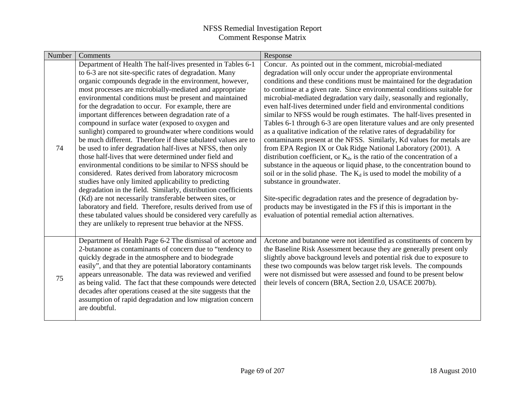| Number | Comments                                                                                                                                                                                                                                                                                                                                                                                                                                                                                                                                                                                                                                                                                                                                                                                                                                                                                                                                                                                                                                                                                                                                                                                                                             | Response                                                                                                                                                                                                                                                                                                                                                                                                                                                                                                                                                                                                                                                                                                                                                                                                                                                                                                                                                                                                                                                                                                                                                                                                                                                                             |
|--------|--------------------------------------------------------------------------------------------------------------------------------------------------------------------------------------------------------------------------------------------------------------------------------------------------------------------------------------------------------------------------------------------------------------------------------------------------------------------------------------------------------------------------------------------------------------------------------------------------------------------------------------------------------------------------------------------------------------------------------------------------------------------------------------------------------------------------------------------------------------------------------------------------------------------------------------------------------------------------------------------------------------------------------------------------------------------------------------------------------------------------------------------------------------------------------------------------------------------------------------|--------------------------------------------------------------------------------------------------------------------------------------------------------------------------------------------------------------------------------------------------------------------------------------------------------------------------------------------------------------------------------------------------------------------------------------------------------------------------------------------------------------------------------------------------------------------------------------------------------------------------------------------------------------------------------------------------------------------------------------------------------------------------------------------------------------------------------------------------------------------------------------------------------------------------------------------------------------------------------------------------------------------------------------------------------------------------------------------------------------------------------------------------------------------------------------------------------------------------------------------------------------------------------------|
| 74     | Department of Health The half-lives presented in Tables 6-1<br>to 6-3 are not site-specific rates of degradation. Many<br>organic compounds degrade in the environment, however,<br>most processes are microbially-mediated and appropriate<br>environmental conditions must be present and maintained<br>for the degradation to occur. For example, there are<br>important differences between degradation rate of a<br>compound in surface water (exposed to oxygen and<br>sunlight) compared to groundwater where conditions would<br>be much different. Therefore if these tabulated values are to<br>be used to infer degradation half-lives at NFSS, then only<br>those half-lives that were determined under field and<br>environmental conditions to be similar to NFSS should be<br>considered. Rates derived from laboratory microcosm<br>studies have only limited applicability to predicting<br>degradation in the field. Similarly, distribution coefficients<br>(Kd) are not necessarily transferable between sites, or<br>laboratory and field. Therefore, results derived from use of<br>these tabulated values should be considered very carefully as<br>they are unlikely to represent true behavior at the NFSS. | Concur. As pointed out in the comment, microbial-mediated<br>degradation will only occur under the appropriate environmental<br>conditions and these conditions must be maintained for the degradation<br>to continue at a given rate. Since environmental conditions suitable for<br>microbial-mediated degradation vary daily, seasonally and regionally,<br>even half-lives determined under field and environmental conditions<br>similar to NFSS would be rough estimates. The half-lives presented in<br>Tables 6-1 through 6-3 are open literature values and are only presented<br>as a qualitative indication of the relative rates of degradability for<br>contaminants present at the NFSS. Similarly, Kd values for metals are<br>from EPA Region IX or Oak Ridge National Laboratory (2001). A<br>distribution coefficient, or $K_d$ , is the ratio of the concentration of a<br>substance in the aqueous or liquid phase, to the concentration bound to<br>soil or in the solid phase. The $K_d$ is used to model the mobility of a<br>substance in groundwater.<br>Site-specific degradation rates and the presence of degradation by-<br>products may be investigated in the FS if this is important in the<br>evaluation of potential remedial action alternatives. |
| 75     | Department of Health Page 6-2 The dismissal of acetone and<br>2-butanone as contaminants of concern due to "tendency to<br>quickly degrade in the atmosphere and to biodegrade<br>easily", and that they are potential laboratory contaminants<br>appears unreasonable. The data was reviewed and verified<br>as being valid. The fact that these compounds were detected<br>decades after operations ceased at the site suggests that the<br>assumption of rapid degradation and low migration concern<br>are doubtful.                                                                                                                                                                                                                                                                                                                                                                                                                                                                                                                                                                                                                                                                                                             | Acetone and butanone were not identified as constituents of concern by<br>the Baseline Risk Assessment because they are generally present only<br>slightly above background levels and potential risk due to exposure to<br>these two compounds was below target risk levels. The compounds<br>were not dismissed but were assessed and found to be present below<br>their levels of concern (BRA, Section 2.0, USACE 2007b).                                                                                                                                                                                                                                                                                                                                                                                                                                                                                                                                                                                                                                                                                                                                                                                                                                                        |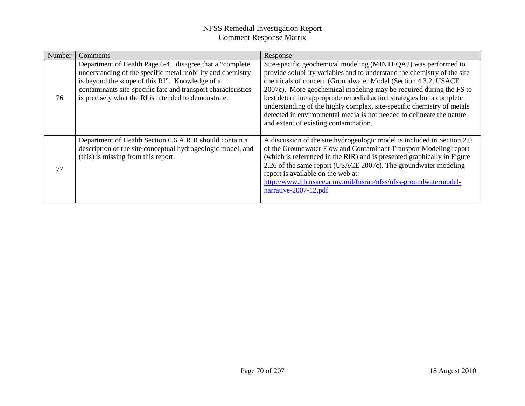| Number | Comments                                                                                                                                                                                                                                                                                             | Response                                                                                                                                                                                                                                                                                                                                                                                                                                                                                                                                              |
|--------|------------------------------------------------------------------------------------------------------------------------------------------------------------------------------------------------------------------------------------------------------------------------------------------------------|-------------------------------------------------------------------------------------------------------------------------------------------------------------------------------------------------------------------------------------------------------------------------------------------------------------------------------------------------------------------------------------------------------------------------------------------------------------------------------------------------------------------------------------------------------|
| 76     | Department of Health Page 6-4 I disagree that a "complete"<br>understanding of the specific metal mobility and chemistry<br>is beyond the scope of this RI". Knowledge of a<br>contaminants site-specific fate and transport characteristics<br>is precisely what the RI is intended to demonstrate. | Site-specific geochemical modeling (MINTEQA2) was performed to<br>provide solubility variables and to understand the chemistry of the site<br>chemicals of concern (Groundwater Model (Section 4.3.2, USACE<br>2007c). More geochemical modeling may be required during the FS to<br>best determine appropriate remedial action strategies but a complete<br>understanding of the highly complex, site-specific chemistry of metals<br>detected in environmental media is not needed to delineate the nature<br>and extent of existing contamination. |
| 77     | Department of Health Section 6.6 A RIR should contain a<br>description of the site conceptual hydrogeologic model, and<br>(this) is missing from this report.                                                                                                                                        | A discussion of the site hydrogeologic model is included in Section 2.0<br>of the Groundwater Flow and Contaminant Transport Modeling report<br>(which is referenced in the RIR) and is presented graphically in Figure<br>2.26 of the same report (USACE 2007c). The groundwater modeling<br>report is available on the web at:<br>http://www.lrb.usace.army.mil/fusrap/nfss/nfss-groundwatermodel-<br>narrative-2007-12.pdf                                                                                                                         |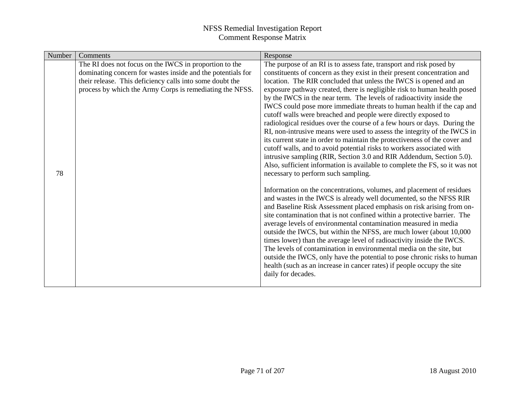| Number | Comments                                                                                                                                                                                                                                      | Response                                                                                                                                                                                                                                                                                                                                                                                                                                                                                                                                                                                                                                                                                                                                                                                                                                                                                                                                                                                                                                                                                                                                                                                                                                                                                                                                                                                                                                                                                                                                                                                                                                                                                                                                                                                                    |
|--------|-----------------------------------------------------------------------------------------------------------------------------------------------------------------------------------------------------------------------------------------------|-------------------------------------------------------------------------------------------------------------------------------------------------------------------------------------------------------------------------------------------------------------------------------------------------------------------------------------------------------------------------------------------------------------------------------------------------------------------------------------------------------------------------------------------------------------------------------------------------------------------------------------------------------------------------------------------------------------------------------------------------------------------------------------------------------------------------------------------------------------------------------------------------------------------------------------------------------------------------------------------------------------------------------------------------------------------------------------------------------------------------------------------------------------------------------------------------------------------------------------------------------------------------------------------------------------------------------------------------------------------------------------------------------------------------------------------------------------------------------------------------------------------------------------------------------------------------------------------------------------------------------------------------------------------------------------------------------------------------------------------------------------------------------------------------------------|
| 78     | The RI does not focus on the IWCS in proportion to the<br>dominating concern for wastes inside and the potentials for<br>their release. This deficiency calls into some doubt the<br>process by which the Army Corps is remediating the NFSS. | The purpose of an RI is to assess fate, transport and risk posed by<br>constituents of concern as they exist in their present concentration and<br>location. The RIR concluded that unless the IWCS is opened and an<br>exposure pathway created, there is negligible risk to human health posed<br>by the IWCS in the near term. The levels of radioactivity inside the<br>IWCS could pose more immediate threats to human health if the cap and<br>cutoff walls were breached and people were directly exposed to<br>radiological residues over the course of a few hours or days. During the<br>RI, non-intrusive means were used to assess the integrity of the IWCS in<br>its current state in order to maintain the protectiveness of the cover and<br>cutoff walls, and to avoid potential risks to workers associated with<br>intrusive sampling (RIR, Section 3.0 and RIR Addendum, Section 5.0).<br>Also, sufficient information is available to complete the FS, so it was not<br>necessary to perform such sampling.<br>Information on the concentrations, volumes, and placement of residues<br>and wastes in the IWCS is already well documented, so the NFSS RIR<br>and Baseline Risk Assessment placed emphasis on risk arising from on-<br>site contamination that is not confined within a protective barrier. The<br>average levels of environmental contamination measured in media<br>outside the IWCS, but within the NFSS, are much lower (about 10,000)<br>times lower) than the average level of radioactivity inside the IWCS.<br>The levels of contamination in environmental media on the site, but<br>outside the IWCS, only have the potential to pose chronic risks to human<br>health (such as an increase in cancer rates) if people occupy the site<br>daily for decades. |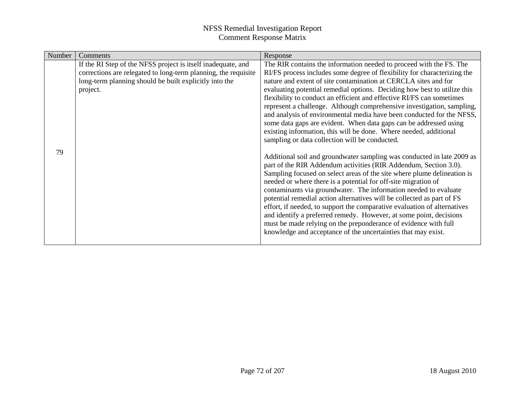| Number | Comments                                                       | Response                                                                 |
|--------|----------------------------------------------------------------|--------------------------------------------------------------------------|
|        | If the RI Step of the NFSS project is itself inadequate, and   | The RIR contains the information needed to proceed with the FS. The      |
|        | corrections are relegated to long-term planning, the requisite | RI/FS process includes some degree of flexibility for characterizing the |
|        | long-term planning should be built explicitly into the         | nature and extent of site contamination at CERCLA sites and for          |
|        | project.                                                       | evaluating potential remedial options. Deciding how best to utilize this |
|        |                                                                | flexibility to conduct an efficient and effective RI/FS can sometimes    |
|        |                                                                | represent a challenge. Although comprehensive investigation, sampling,   |
|        |                                                                | and analysis of environmental media have been conducted for the NFSS,    |
|        |                                                                | some data gaps are evident. When data gaps can be addressed using        |
|        |                                                                | existing information, this will be done. Where needed, additional        |
|        |                                                                | sampling or data collection will be conducted.                           |
| 79     |                                                                | Additional soil and groundwater sampling was conducted in late 2009 as   |
|        |                                                                | part of the RIR Addendum activities (RIR Addendum, Section 3.0).         |
|        |                                                                | Sampling focused on select areas of the site where plume delineation is  |
|        |                                                                | needed or where there is a potential for off-site migration of           |
|        |                                                                | contaminants via groundwater. The information needed to evaluate         |
|        |                                                                | potential remedial action alternatives will be collected as part of FS   |
|        |                                                                | effort, if needed, to support the comparative evaluation of alternatives |
|        |                                                                | and identify a preferred remedy. However, at some point, decisions       |
|        |                                                                | must be made relying on the preponderance of evidence with full          |
|        |                                                                | knowledge and acceptance of the uncertainties that may exist.            |
|        |                                                                |                                                                          |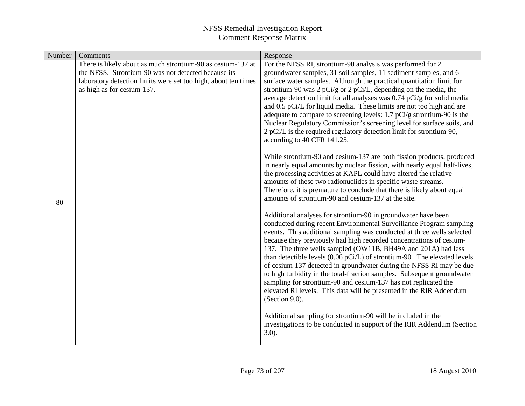| Number | Comments                                                       | Response                                                                                                                                           |
|--------|----------------------------------------------------------------|----------------------------------------------------------------------------------------------------------------------------------------------------|
|        | There is likely about as much strontium-90 as cesium-137 at    | For the NFSS RI, strontium-90 analysis was performed for 2                                                                                         |
|        | the NFSS. Strontium-90 was not detected because its            | groundwater samples, 31 soil samples, 11 sediment samples, and 6                                                                                   |
|        | laboratory detection limits were set too high, about ten times | surface water samples. Although the practical quantitation limit for                                                                               |
|        | as high as for cesium-137.                                     | strontium-90 was 2 pCi/g or 2 pCi/L, depending on the media, the                                                                                   |
|        |                                                                | average detection limit for all analyses was 0.74 pCi/g for solid media                                                                            |
|        |                                                                | and 0.5 pCi/L for liquid media. These limits are not too high and are                                                                              |
|        |                                                                | adequate to compare to screening levels: $1.7$ pCi/g strontium-90 is the<br>Nuclear Regulatory Commission's screening level for surface soils, and |
|        |                                                                | 2 pCi/L is the required regulatory detection limit for strontium-90,                                                                               |
|        |                                                                | according to 40 CFR 141.25.                                                                                                                        |
|        |                                                                |                                                                                                                                                    |
|        |                                                                | While strontium-90 and cesium-137 are both fission products, produced                                                                              |
|        |                                                                | in nearly equal amounts by nuclear fission, with nearly equal half-lives,                                                                          |
|        |                                                                | the processing activities at KAPL could have altered the relative<br>amounts of these two radionuclides in specific waste streams.                 |
|        |                                                                | Therefore, it is premature to conclude that there is likely about equal                                                                            |
|        |                                                                | amounts of strontium-90 and cesium-137 at the site.                                                                                                |
| 80     |                                                                |                                                                                                                                                    |
|        |                                                                | Additional analyses for strontium-90 in groundwater have been<br>conducted during recent Environmental Surveillance Program sampling               |
|        |                                                                | events. This additional sampling was conducted at three wells selected                                                                             |
|        |                                                                | because they previously had high recorded concentrations of cesium-                                                                                |
|        |                                                                | 137. The three wells sampled (OW11B, BH49A and 201A) had less                                                                                      |
|        |                                                                | than detectible levels $(0.06 \text{ pCi/L})$ of strontium-90. The elevated levels                                                                 |
|        |                                                                | of cesium-137 detected in groundwater during the NFSS RI may be due                                                                                |
|        |                                                                | to high turbidity in the total-fraction samples. Subsequent groundwater<br>sampling for strontium-90 and cesium-137 has not replicated the         |
|        |                                                                | elevated RI levels. This data will be presented in the RIR Addendum                                                                                |
|        |                                                                | (Section 9.0).                                                                                                                                     |
|        |                                                                | Additional sampling for strontium-90 will be included in the                                                                                       |
|        |                                                                | investigations to be conducted in support of the RIR Addendum (Section                                                                             |
|        |                                                                | $3.0$ ).                                                                                                                                           |
|        |                                                                |                                                                                                                                                    |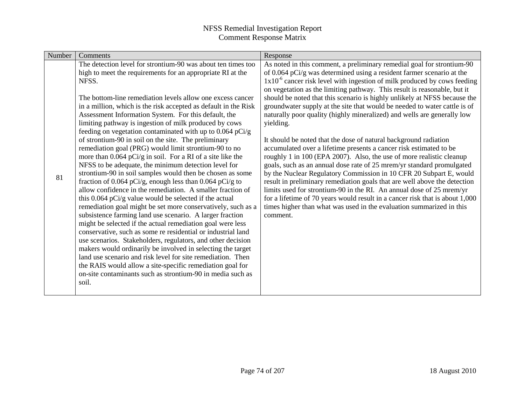| Number | Comments                                                                                                                                                                                                                                                                                                                                                                                                                                                                                                                                                                                                                                                                                                                                                                                                                                                                                                                                                                                                                                                                                                                                                                                                                                                                                                                                                                                                                                                                                                                                   | Response                                                                                                                                                                                                                                                                                                                                                                                                                                                                                                                                                                                                                                                                                                                                                                                                                                                                                                                                                                                                                                                                                                                                                                                                                                              |
|--------|--------------------------------------------------------------------------------------------------------------------------------------------------------------------------------------------------------------------------------------------------------------------------------------------------------------------------------------------------------------------------------------------------------------------------------------------------------------------------------------------------------------------------------------------------------------------------------------------------------------------------------------------------------------------------------------------------------------------------------------------------------------------------------------------------------------------------------------------------------------------------------------------------------------------------------------------------------------------------------------------------------------------------------------------------------------------------------------------------------------------------------------------------------------------------------------------------------------------------------------------------------------------------------------------------------------------------------------------------------------------------------------------------------------------------------------------------------------------------------------------------------------------------------------------|-------------------------------------------------------------------------------------------------------------------------------------------------------------------------------------------------------------------------------------------------------------------------------------------------------------------------------------------------------------------------------------------------------------------------------------------------------------------------------------------------------------------------------------------------------------------------------------------------------------------------------------------------------------------------------------------------------------------------------------------------------------------------------------------------------------------------------------------------------------------------------------------------------------------------------------------------------------------------------------------------------------------------------------------------------------------------------------------------------------------------------------------------------------------------------------------------------------------------------------------------------|
| 81     | The detection level for strontium-90 was about ten times too<br>high to meet the requirements for an appropriate RI at the<br>NFSS.<br>The bottom-line remediation levels allow one excess cancer<br>in a million, which is the risk accepted as default in the Risk<br>Assessment Information System. For this default, the<br>limiting pathway is ingestion of milk produced by cows<br>feeding on vegetation contaminated with up to $0.064$ pCi/g<br>of strontium-90 in soil on the site. The preliminary<br>remediation goal (PRG) would limit strontium-90 to no<br>more than $0.064$ pCi/g in soil. For a RI of a site like the<br>NFSS to be adequate, the minimum detection level for<br>strontium-90 in soil samples would then be chosen as some<br>fraction of 0.064 pCi/g, enough less than 0.064 pCi/g to<br>allow confidence in the remediation. A smaller fraction of<br>this 0.064 pCi/g value would be selected if the actual<br>remediation goal might be set more conservatively, such as a<br>subsistence farming land use scenario. A larger fraction<br>might be selected if the actual remediation goal were less<br>conservative, such as some re residential or industrial land<br>use scenarios. Stakeholders, regulators, and other decision<br>makers would ordinarily be involved in selecting the target<br>land use scenario and risk level for site remediation. Then<br>the RAIS would allow a site-specific remediation goal for<br>on-site contaminants such as strontium-90 in media such as<br>soil. | As noted in this comment, a preliminary remedial goal for strontium-90<br>of 0.064 pCi/g was determined using a resident farmer scenario at the<br>$1x10-6$ cancer risk level with ingestion of milk produced by cows feeding<br>on vegetation as the limiting pathway. This result is reasonable, but it<br>should be noted that this scenario is highly unlikely at NFSS because the<br>groundwater supply at the site that would be needed to water cattle is of<br>naturally poor quality (highly mineralized) and wells are generally low<br>yielding.<br>It should be noted that the dose of natural background radiation<br>accumulated over a lifetime presents a cancer risk estimated to be<br>roughly 1 in 100 (EPA 2007). Also, the use of more realistic cleanup<br>goals, such as an annual dose rate of 25 mrem/yr standard promulgated<br>by the Nuclear Regulatory Commission in 10 CFR 20 Subpart E, would<br>result in preliminary remediation goals that are well above the detection<br>limits used for strontium-90 in the RI. An annual dose of 25 mrem/yr<br>for a lifetime of 70 years would result in a cancer risk that is about 1,000<br>times higher than what was used in the evaluation summarized in this<br>comment. |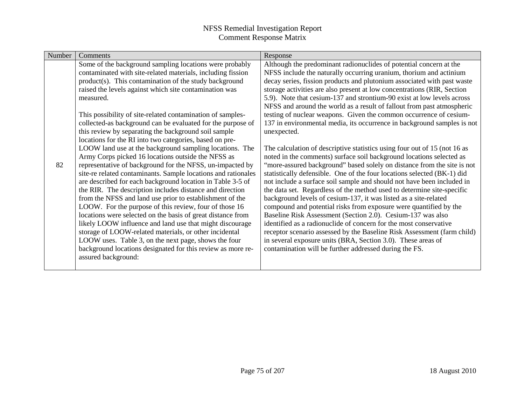| Number | Comments                                                                                                            | Response                                                                                                               |
|--------|---------------------------------------------------------------------------------------------------------------------|------------------------------------------------------------------------------------------------------------------------|
|        | Some of the background sampling locations were probably                                                             | Although the predominant radionuclides of potential concern at the                                                     |
|        | contaminated with site-related materials, including fission                                                         | NFSS include the naturally occurring uranium, thorium and actinium                                                     |
|        | product(s). This contamination of the study background                                                              | decay series, fission products and plutonium associated with past waste                                                |
|        | raised the levels against which site contamination was                                                              | storage activities are also present at low concentrations (RIR, Section                                                |
|        | measured.                                                                                                           | 5.9). Note that cesium-137 and strontium-90 exist at low levels across                                                 |
|        |                                                                                                                     | NFSS and around the world as a result of fallout from past atmospheric                                                 |
|        | This possibility of site-related contamination of samples-                                                          | testing of nuclear weapons. Given the common occurrence of cesium-                                                     |
|        | collected-as background can be evaluated for the purpose of                                                         | 137 in environmental media, its occurrence in background samples is not                                                |
|        | this review by separating the background soil sample                                                                | unexpected.                                                                                                            |
|        | locations for the RI into two categories, based on pre-                                                             |                                                                                                                        |
|        | LOOW land use at the background sampling locations. The                                                             | The calculation of descriptive statistics using four out of 15 (not 16 as                                              |
|        | Army Corps picked 16 locations outside the NFSS as                                                                  | noted in the comments) surface soil background locations selected as                                                   |
| 82     | representative of background for the NFSS, un-impacted by                                                           | "more-assured background" based solely on distance from the site is not                                                |
|        | site-re related contaminants. Sample locations and rationales                                                       | statistically defensible. One of the four locations selected (BK-1) did                                                |
|        | are described for each background location in Table 3-5 of                                                          | not include a surface soil sample and should not have been included in                                                 |
|        | the RIR. The description includes distance and direction                                                            | the data set. Regardless of the method used to determine site-specific                                                 |
|        | from the NFSS and land use prior to establishment of the                                                            | background levels of cesium-137, it was listed as a site-related                                                       |
|        | LOOW. For the purpose of this review, four of those 16                                                              | compound and potential risks from exposure were quantified by the                                                      |
|        | locations were selected on the basis of great distance from                                                         | Baseline Risk Assessment (Section 2.0). Cesium-137 was also                                                            |
|        | likely LOOW influence and land use that might discourage                                                            | identified as a radionuclide of concern for the most conservative                                                      |
|        | storage of LOOW-related materials, or other incidental                                                              | receptor scenario assessed by the Baseline Risk Assessment (farm child)                                                |
|        | LOOW uses. Table 3, on the next page, shows the four<br>background locations designated for this review as more re- | in several exposure units (BRA, Section 3.0). These areas of<br>contamination will be further addressed during the FS. |
|        | assured background:                                                                                                 |                                                                                                                        |
|        |                                                                                                                     |                                                                                                                        |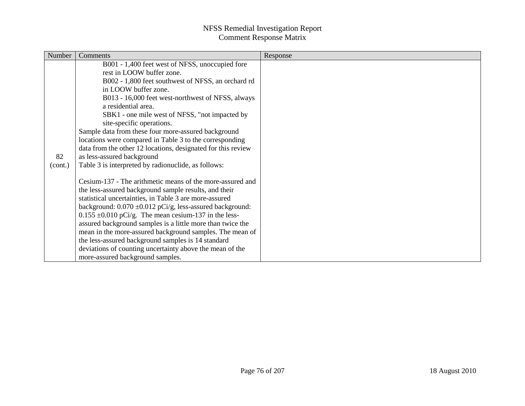| Number  | Comments                                                      | Response |
|---------|---------------------------------------------------------------|----------|
|         | B001 - 1,400 feet west of NFSS, unoccupied fore               |          |
|         | rest in LOOW buffer zone.                                     |          |
|         | B002 - 1,800 feet southwest of NFSS, an orchard rd            |          |
|         | in LOOW buffer zone.                                          |          |
|         | B013 - 16,000 feet west-northwest of NFSS, always             |          |
|         | a residential area.                                           |          |
|         | SBK1 - one mile west of NFSS, "not impacted by                |          |
|         | site-specific operations.                                     |          |
|         | Sample data from these four more-assured background           |          |
|         | locations were compared in Table 3 to the corresponding       |          |
|         | data from the other 12 locations, designated for this review  |          |
| 82      | as less-assured background                                    |          |
| (cont.) | Table 3 is interpreted by radionuclide, as follows:           |          |
|         |                                                               |          |
|         | Cesium-137 - The arithmetic means of the more-assured and     |          |
|         | the less-assured background sample results, and their         |          |
|         | statistical uncertainties, in Table 3 are more-assured        |          |
|         | background: $0.070 \pm 0.012$ pCi/g, less-assured background: |          |
|         | $0.155 \pm 0.010$ pCi/g. The mean cesium-137 in the less-     |          |
|         | assured background samples is a little more than twice the    |          |
|         | mean in the more-assured background samples. The mean of      |          |
|         | the less-assured background samples is 14 standard            |          |
|         | deviations of counting uncertainty above the mean of the      |          |
|         | more-assured background samples.                              |          |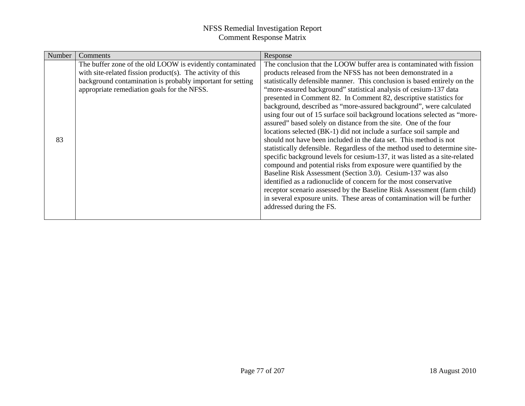| Number | Comments                                                   | Response                                                                   |
|--------|------------------------------------------------------------|----------------------------------------------------------------------------|
|        | The buffer zone of the old LOOW is evidently contaminated  | The conclusion that the LOOW buffer area is contaminated with fission      |
|        | with site-related fission product(s). The activity of this | products released from the NFSS has not been demonstrated in a             |
|        | background contamination is probably important for setting | statistically defensible manner. This conclusion is based entirely on the  |
|        | appropriate remediation goals for the NFSS.                | "more-assured background" statistical analysis of cesium-137 data          |
|        |                                                            | presented in Comment 82. In Comment 82, descriptive statistics for         |
|        |                                                            | background, described as "more-assured background", were calculated        |
|        |                                                            | using four out of 15 surface soil background locations selected as "more-  |
|        |                                                            | assured" based solely on distance from the site. One of the four           |
|        |                                                            | locations selected (BK-1) did not include a surface soil sample and        |
| 83     |                                                            | should not have been included in the data set. This method is not          |
|        |                                                            | statistically defensible. Regardless of the method used to determine site- |
|        |                                                            | specific background levels for cesium-137, it was listed as a site-related |
|        |                                                            | compound and potential risks from exposure were quantified by the          |
|        |                                                            | Baseline Risk Assessment (Section 3.0). Cesium-137 was also                |
|        |                                                            | identified as a radionuclide of concern for the most conservative          |
|        |                                                            | receptor scenario assessed by the Baseline Risk Assessment (farm child)    |
|        |                                                            | in several exposure units. These areas of contamination will be further    |
|        |                                                            | addressed during the FS.                                                   |
|        |                                                            |                                                                            |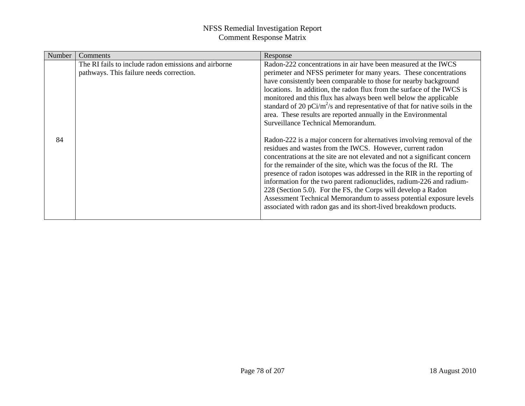| Number | Comments                                             | Response                                                                                                                                                     |
|--------|------------------------------------------------------|--------------------------------------------------------------------------------------------------------------------------------------------------------------|
|        | The RI fails to include radon emissions and airborne | Radon-222 concentrations in air have been measured at the IWCS                                                                                               |
|        | pathways. This failure needs correction.             | perimeter and NFSS perimeter for many years. These concentrations                                                                                            |
|        |                                                      | have consistently been comparable to those for nearby background                                                                                             |
|        |                                                      | locations. In addition, the radon flux from the surface of the IWCS is                                                                                       |
|        |                                                      | monitored and this flux has always been well below the applicable<br>standard of 20 pCi/m <sup>2</sup> /s and representative of that for native soils in the |
|        |                                                      | area. These results are reported annually in the Environmental                                                                                               |
|        |                                                      | Surveillance Technical Memorandum.                                                                                                                           |
|        |                                                      |                                                                                                                                                              |
| 84     |                                                      | Radon-222 is a major concern for alternatives involving removal of the                                                                                       |
|        |                                                      | residues and wastes from the IWCS. However, current radon                                                                                                    |
|        |                                                      | concentrations at the site are not elevated and not a significant concern<br>for the remainder of the site, which was the focus of the RI. The               |
|        |                                                      | presence of radon isotopes was addressed in the RIR in the reporting of                                                                                      |
|        |                                                      | information for the two parent radionuclides, radium-226 and radium-                                                                                         |
|        |                                                      | 228 (Section 5.0). For the FS, the Corps will develop a Radon                                                                                                |
|        |                                                      | Assessment Technical Memorandum to assess potential exposure levels                                                                                          |
|        |                                                      | associated with radon gas and its short-lived breakdown products.                                                                                            |
|        |                                                      |                                                                                                                                                              |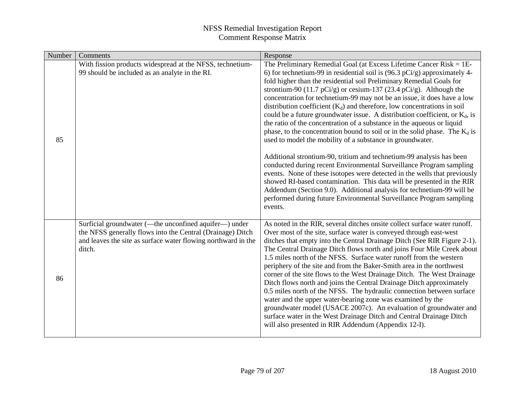| Number | Comments                                                                                                                                                                                        | Response                                                                                                                                                                                                                                                                                                                                                                                                                                                                                                                                                                                                                                                                                                                                                                                                                                                                                                                                                                                                                                                                                                                                                                                                                                      |
|--------|-------------------------------------------------------------------------------------------------------------------------------------------------------------------------------------------------|-----------------------------------------------------------------------------------------------------------------------------------------------------------------------------------------------------------------------------------------------------------------------------------------------------------------------------------------------------------------------------------------------------------------------------------------------------------------------------------------------------------------------------------------------------------------------------------------------------------------------------------------------------------------------------------------------------------------------------------------------------------------------------------------------------------------------------------------------------------------------------------------------------------------------------------------------------------------------------------------------------------------------------------------------------------------------------------------------------------------------------------------------------------------------------------------------------------------------------------------------|
| 85     | With fission products widespread at the NFSS, technetium-<br>99 should be included as an analyte in the RI.                                                                                     | The Preliminary Remedial Goal (at Excess Lifetime Cancer $Risk = 1E-$<br>6) for technetium-99 in residential soil is $(96.3 \text{ pCi/g})$ approximately 4-<br>fold higher than the residential soil Preliminary Remedial Goals for<br>strontium-90 (11.7 pCi/g) or cesium-137 (23.4 pCi/g). Although the<br>concentration for technetium-99 may not be an issue, it does have a low<br>distribution coefficient $(K_d)$ and therefore, low concentrations in soil<br>could be a future groundwater issue. A distribution coefficient, or $K_d$ , is<br>the ratio of the concentration of a substance in the aqueous or liquid<br>phase, to the concentration bound to soil or in the solid phase. The $K_d$ is<br>used to model the mobility of a substance in groundwater.<br>Additional strontium-90, tritium and technetium-99 analysis has been<br>conducted during recent Environmental Surveillance Program sampling<br>events. None of these isotopes were detected in the wells that previously<br>showed RI-based contamination. This data will be presented in the RIR<br>Addendum (Section 9.0). Additional analysis for technetium-99 will be<br>performed during future Environmental Surveillance Program sampling<br>events. |
| 86     | Surficial groundwater (-the unconfined aquifer-) under<br>the NFSS generally flows into the Central (Drainage) Ditch<br>and leaves the site as surface water flowing northward in the<br>ditch. | As noted in the RIR, several ditches onsite collect surface water runoff.<br>Over most of the site, surface water is conveyed through east-west<br>ditches that empty into the Central Drainage Ditch (See RIR Figure 2-1).<br>The Central Drainage Ditch flows north and joins Four Mile Creek about<br>1.5 miles north of the NFSS. Surface water runoff from the western<br>periphery of the site and from the Baker-Smith area in the northwest<br>corner of the site flows to the West Drainage Ditch. The West Drainage<br>Ditch flows north and joins the Central Drainage Ditch approximately<br>0.5 miles north of the NFSS. The hydraulic connection between surface<br>water and the upper water-bearing zone was examined by the<br>groundwater model (USACE 2007c). An evaluation of groundwater and<br>surface water in the West Drainage Ditch and Central Drainage Ditch<br>will also presented in RIR Addendum (Appendix 12-I).                                                                                                                                                                                                                                                                                              |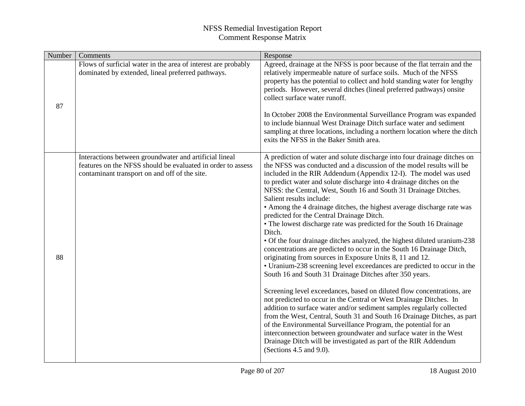| Number | Comments                                                                                                                                                               | Response                                                                                                                                                                                                                                                                                                                                                                                                                                                                                                                                                                                                                                                                                                                                                                                                                                                                                                                                                                                                                                                                                                                                                                                                                                                                                                                                                                                                                                                                                                   |
|--------|------------------------------------------------------------------------------------------------------------------------------------------------------------------------|------------------------------------------------------------------------------------------------------------------------------------------------------------------------------------------------------------------------------------------------------------------------------------------------------------------------------------------------------------------------------------------------------------------------------------------------------------------------------------------------------------------------------------------------------------------------------------------------------------------------------------------------------------------------------------------------------------------------------------------------------------------------------------------------------------------------------------------------------------------------------------------------------------------------------------------------------------------------------------------------------------------------------------------------------------------------------------------------------------------------------------------------------------------------------------------------------------------------------------------------------------------------------------------------------------------------------------------------------------------------------------------------------------------------------------------------------------------------------------------------------------|
| 87     | Flows of surficial water in the area of interest are probably<br>dominated by extended, lineal preferred pathways.                                                     | Agreed, drainage at the NFSS is poor because of the flat terrain and the<br>relatively impermeable nature of surface soils. Much of the NFSS<br>property has the potential to collect and hold standing water for lengthy<br>periods. However, several ditches (lineal preferred pathways) onsite<br>collect surface water runoff.<br>In October 2008 the Environmental Surveillance Program was expanded<br>to include biannual West Drainage Ditch surface water and sediment<br>sampling at three locations, including a northern location where the ditch<br>exits the NFSS in the Baker Smith area.                                                                                                                                                                                                                                                                                                                                                                                                                                                                                                                                                                                                                                                                                                                                                                                                                                                                                                   |
| 88     | Interactions between groundwater and artificial lineal<br>features on the NFSS should be evaluated in order to assess<br>contaminant transport on and off of the site. | A prediction of water and solute discharge into four drainage ditches on<br>the NFSS was conducted and a discussion of the model results will be<br>included in the RIR Addendum (Appendix 12-I). The model was used<br>to predict water and solute discharge into 4 drainage ditches on the<br>NFSS: the Central, West, South 16 and South 31 Drainage Ditches.<br>Salient results include:<br>• Among the 4 drainage ditches, the highest average discharge rate was<br>predicted for the Central Drainage Ditch.<br>• The lowest discharge rate was predicted for the South 16 Drainage<br>Ditch.<br>• Of the four drainage ditches analyzed, the highest diluted uranium-238<br>concentrations are predicted to occur in the South 16 Drainage Ditch,<br>originating from sources in Exposure Units 8, 11 and 12.<br>• Uranium-238 screening level exceedances are predicted to occur in the<br>South 16 and South 31 Drainage Ditches after 350 years.<br>Screening level exceedances, based on diluted flow concentrations, are<br>not predicted to occur in the Central or West Drainage Ditches. In<br>addition to surface water and/or sediment samples regularly collected<br>from the West, Central, South 31 and South 16 Drainage Ditches, as part<br>of the Environmental Surveillance Program, the potential for an<br>interconnection between groundwater and surface water in the West<br>Drainage Ditch will be investigated as part of the RIR Addendum<br>(Sections $4.5$ and $9.0$ ). |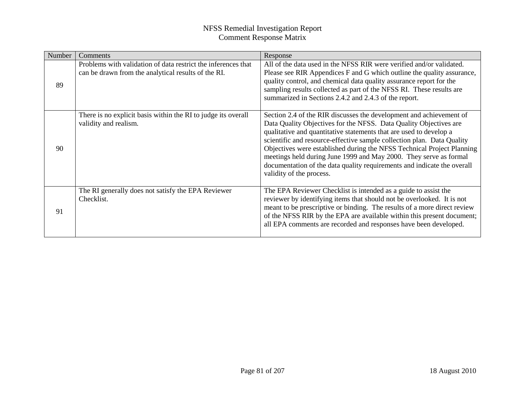| Number | <b>Comments</b>                                                                                                      | Response                                                                                                                                                                                                                                                                                                                                                                                                                                                                                                                                       |
|--------|----------------------------------------------------------------------------------------------------------------------|------------------------------------------------------------------------------------------------------------------------------------------------------------------------------------------------------------------------------------------------------------------------------------------------------------------------------------------------------------------------------------------------------------------------------------------------------------------------------------------------------------------------------------------------|
| 89     | Problems with validation of data restrict the inferences that<br>can be drawn from the analytical results of the RI. | All of the data used in the NFSS RIR were verified and/or validated.<br>Please see RIR Appendices F and G which outline the quality assurance,<br>quality control, and chemical data quality assurance report for the<br>sampling results collected as part of the NFSS RI. These results are<br>summarized in Sections 2.4.2 and 2.4.3 of the report.                                                                                                                                                                                         |
| 90     | There is no explicit basis within the RI to judge its overall<br>validity and realism.                               | Section 2.4 of the RIR discusses the development and achievement of<br>Data Quality Objectives for the NFSS. Data Quality Objectives are<br>qualitative and quantitative statements that are used to develop a<br>scientific and resource-effective sample collection plan. Data Quality<br>Objectives were established during the NFSS Technical Project Planning<br>meetings held during June 1999 and May 2000. They serve as formal<br>documentation of the data quality requirements and indicate the overall<br>validity of the process. |
| 91     | The RI generally does not satisfy the EPA Reviewer<br>Checklist.                                                     | The EPA Reviewer Checklist is intended as a guide to assist the<br>reviewer by identifying items that should not be overlooked. It is not<br>meant to be prescriptive or binding. The results of a more direct review<br>of the NFSS RIR by the EPA are available within this present document;<br>all EPA comments are recorded and responses have been developed.                                                                                                                                                                            |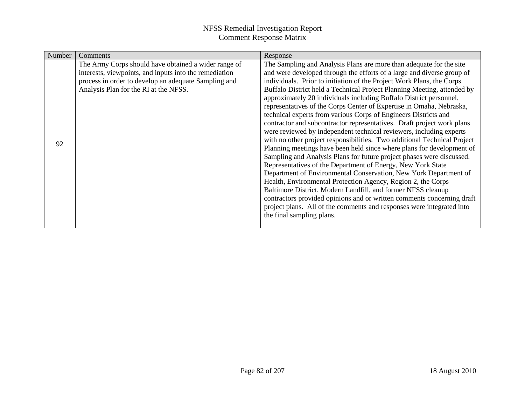| Number | Comments                                                                                                                                                                                                        | Response                                                                                                                                                                                                                                                                                                                                                                                                                                                                                                                                                                                                                                                                                                                                                                                                                                                                                                                                                                                                                                                                                                                                                                                                                                                                                                                                             |
|--------|-----------------------------------------------------------------------------------------------------------------------------------------------------------------------------------------------------------------|------------------------------------------------------------------------------------------------------------------------------------------------------------------------------------------------------------------------------------------------------------------------------------------------------------------------------------------------------------------------------------------------------------------------------------------------------------------------------------------------------------------------------------------------------------------------------------------------------------------------------------------------------------------------------------------------------------------------------------------------------------------------------------------------------------------------------------------------------------------------------------------------------------------------------------------------------------------------------------------------------------------------------------------------------------------------------------------------------------------------------------------------------------------------------------------------------------------------------------------------------------------------------------------------------------------------------------------------------|
| 92     | The Army Corps should have obtained a wider range of<br>interests, viewpoints, and inputs into the remediation<br>process in order to develop an adequate Sampling and<br>Analysis Plan for the RI at the NFSS. | The Sampling and Analysis Plans are more than adequate for the site<br>and were developed through the efforts of a large and diverse group of<br>individuals. Prior to initiation of the Project Work Plans, the Corps<br>Buffalo District held a Technical Project Planning Meeting, attended by<br>approximately 20 individuals including Buffalo District personnel,<br>representatives of the Corps Center of Expertise in Omaha, Nebraska,<br>technical experts from various Corps of Engineers Districts and<br>contractor and subcontractor representatives. Draft project work plans<br>were reviewed by independent technical reviewers, including experts<br>with no other project responsibilities. Two additional Technical Project<br>Planning meetings have been held since where plans for development of<br>Sampling and Analysis Plans for future project phases were discussed.<br>Representatives of the Department of Energy, New York State<br>Department of Environmental Conservation, New York Department of<br>Health, Environmental Protection Agency, Region 2, the Corps<br>Baltimore District, Modern Landfill, and former NFSS cleanup<br>contractors provided opinions and or written comments concerning draft<br>project plans. All of the comments and responses were integrated into<br>the final sampling plans. |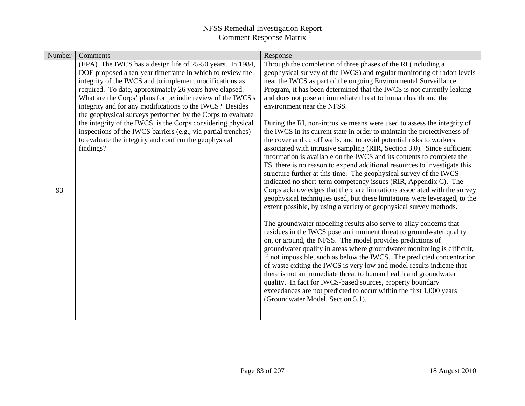| Number | Comments                                                                                                                | Response                                                                                                                                        |
|--------|-------------------------------------------------------------------------------------------------------------------------|-------------------------------------------------------------------------------------------------------------------------------------------------|
|        | (EPA) The IWCS has a design life of 25-50 years. In 1984,                                                               | Through the completion of three phases of the RI (including a                                                                                   |
|        | DOE proposed a ten-year timeframe in which to review the                                                                | geophysical survey of the IWCS) and regular monitoring of radon levels                                                                          |
|        | integrity of the IWCS and to implement modifications as                                                                 | near the IWCS as part of the ongoing Environmental Surveillance                                                                                 |
|        | required. To date, approximately 26 years have elapsed.                                                                 | Program, it has been determined that the IWCS is not currently leaking                                                                          |
|        | What are the Corps' plans for periodic review of the IWCS's<br>integrity and for any modifications to the IWCS? Besides | and does not pose an immediate threat to human health and the<br>environment near the NFSS.                                                     |
|        | the geophysical surveys performed by the Corps to evaluate                                                              |                                                                                                                                                 |
|        | the integrity of the IWCS, is the Corps considering physical                                                            | During the RI, non-intrusive means were used to assess the integrity of                                                                         |
|        | inspections of the IWCS barriers (e.g., via partial trenches)                                                           | the IWCS in its current state in order to maintain the protectiveness of                                                                        |
|        | to evaluate the integrity and confirm the geophysical                                                                   | the cover and cutoff walls, and to avoid potential risks to workers                                                                             |
|        | findings?                                                                                                               | associated with intrusive sampling (RIR, Section 3.0). Since sufficient                                                                         |
|        |                                                                                                                         | information is available on the IWCS and its contents to complete the                                                                           |
|        |                                                                                                                         | FS, there is no reason to expend additional resources to investigate this                                                                       |
|        |                                                                                                                         | structure further at this time. The geophysical survey of the IWCS                                                                              |
| 93     |                                                                                                                         | indicated no short-term competency issues (RIR, Appendix C). The<br>Corps acknowledges that there are limitations associated with the survey    |
|        |                                                                                                                         | geophysical techniques used, but these limitations were leveraged, to the                                                                       |
|        |                                                                                                                         | extent possible, by using a variety of geophysical survey methods.                                                                              |
|        |                                                                                                                         |                                                                                                                                                 |
|        |                                                                                                                         | The groundwater modeling results also serve to allay concerns that                                                                              |
|        |                                                                                                                         | residues in the IWCS pose an imminent threat to groundwater quality                                                                             |
|        |                                                                                                                         | on, or around, the NFSS. The model provides predictions of                                                                                      |
|        |                                                                                                                         | groundwater quality in areas where groundwater monitoring is difficult,                                                                         |
|        |                                                                                                                         | if not impossible, such as below the IWCS. The predicted concentration<br>of waste exiting the IWCS is very low and model results indicate that |
|        |                                                                                                                         | there is not an immediate threat to human health and groundwater                                                                                |
|        |                                                                                                                         | quality. In fact for IWCS-based sources, property boundary                                                                                      |
|        |                                                                                                                         | exceedances are not predicted to occur within the first 1,000 years                                                                             |
|        |                                                                                                                         | (Groundwater Model, Section 5.1).                                                                                                               |
|        |                                                                                                                         |                                                                                                                                                 |
|        |                                                                                                                         |                                                                                                                                                 |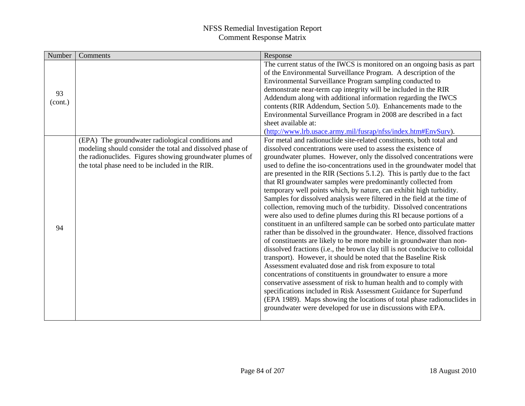| Number  | Comments                                                                                                                                                                                                                      | Response                                                                                                                                                                                                                                                                                                                                                                                                                                                                                                                                                                                                                                                                                                                                                                                                                                                                                                                                                                                                                                                                                                                                                                                                                                                                                                                                                                                                                                                                                                                                        |
|---------|-------------------------------------------------------------------------------------------------------------------------------------------------------------------------------------------------------------------------------|-------------------------------------------------------------------------------------------------------------------------------------------------------------------------------------------------------------------------------------------------------------------------------------------------------------------------------------------------------------------------------------------------------------------------------------------------------------------------------------------------------------------------------------------------------------------------------------------------------------------------------------------------------------------------------------------------------------------------------------------------------------------------------------------------------------------------------------------------------------------------------------------------------------------------------------------------------------------------------------------------------------------------------------------------------------------------------------------------------------------------------------------------------------------------------------------------------------------------------------------------------------------------------------------------------------------------------------------------------------------------------------------------------------------------------------------------------------------------------------------------------------------------------------------------|
| 93      |                                                                                                                                                                                                                               | The current status of the IWCS is monitored on an ongoing basis as part<br>of the Environmental Surveillance Program. A description of the<br>Environmental Surveillance Program sampling conducted to<br>demonstrate near-term cap integrity will be included in the RIR<br>Addendum along with additional information regarding the IWCS                                                                                                                                                                                                                                                                                                                                                                                                                                                                                                                                                                                                                                                                                                                                                                                                                                                                                                                                                                                                                                                                                                                                                                                                      |
| (cont.) |                                                                                                                                                                                                                               | contents (RIR Addendum, Section 5.0). Enhancements made to the<br>Environmental Surveillance Program in 2008 are described in a fact<br>sheet available at:<br>(http://www.lrb.usace.army.mil/fusrap/nfss/index.htm#EnvSurv).                                                                                                                                                                                                                                                                                                                                                                                                                                                                                                                                                                                                                                                                                                                                                                                                                                                                                                                                                                                                                                                                                                                                                                                                                                                                                                                   |
| 94      | (EPA) The groundwater radiological conditions and<br>modeling should consider the total and dissolved phase of<br>the radionuclides. Figures showing groundwater plumes of<br>the total phase need to be included in the RIR. | For metal and radionuclide site-related constituents, both total and<br>dissolved concentrations were used to assess the existence of<br>groundwater plumes. However, only the dissolved concentrations were<br>used to define the iso-concentrations used in the groundwater model that<br>are presented in the RIR (Sections 5.1.2). This is partly due to the fact<br>that RI groundwater samples were predominantly collected from<br>temporary well points which, by nature, can exhibit high turbidity.<br>Samples for dissolved analysis were filtered in the field at the time of<br>collection, removing much of the turbidity. Dissolved concentrations<br>were also used to define plumes during this RI because portions of a<br>constituent in an unfiltered sample can be sorbed onto particulate matter<br>rather than be dissolved in the groundwater. Hence, dissolved fractions<br>of constituents are likely to be more mobile in groundwater than non-<br>dissolved fractions (i.e., the brown clay till is not conducive to colloidal<br>transport). However, it should be noted that the Baseline Risk<br>Assessment evaluated dose and risk from exposure to total<br>concentrations of constituents in groundwater to ensure a more<br>conservative assessment of risk to human health and to comply with<br>specifications included in Risk Assessment Guidance for Superfund<br>(EPA 1989). Maps showing the locations of total phase radionuclides in<br>groundwater were developed for use in discussions with EPA. |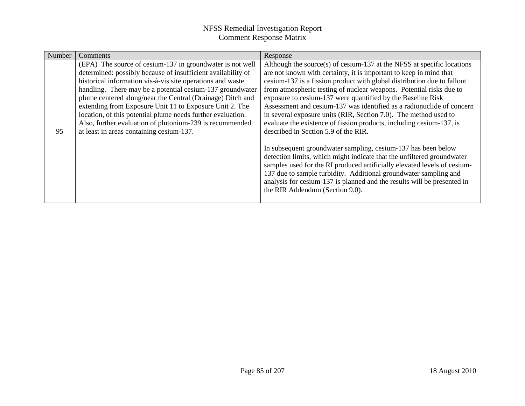| Number | Comments                                                                                                                                                                                                                                                                                                                                                                                                                                                                                                 | Response                                                                                                                                                                                                                                                                                                                                                                                                                                                                                                                                                                           |
|--------|----------------------------------------------------------------------------------------------------------------------------------------------------------------------------------------------------------------------------------------------------------------------------------------------------------------------------------------------------------------------------------------------------------------------------------------------------------------------------------------------------------|------------------------------------------------------------------------------------------------------------------------------------------------------------------------------------------------------------------------------------------------------------------------------------------------------------------------------------------------------------------------------------------------------------------------------------------------------------------------------------------------------------------------------------------------------------------------------------|
|        | (EPA) The source of cesium-137 in groundwater is not well<br>determined: possibly because of insufficient availability of<br>historical information vis-à-vis site operations and waste<br>handling. There may be a potential cesium-137 groundwater<br>plume centered along/near the Central (Drainage) Ditch and<br>extending from Exposure Unit 11 to Exposure Unit 2. The<br>location, of this potential plume needs further evaluation.<br>Also, further evaluation of plutonium-239 is recommended | Although the source(s) of cesium-137 at the NFSS at specific locations<br>are not known with certainty, it is important to keep in mind that<br>cesium-137 is a fission product with global distribution due to fallout<br>from atmospheric testing of nuclear weapons. Potential risks due to<br>exposure to cesium-137 were quantified by the Baseline Risk<br>Assessment and cesium-137 was identified as a radionuclide of concern<br>in several exposure units (RIR, Section 7.0). The method used to<br>evaluate the existence of fission products, including cesium-137, is |
| 95     | at least in areas containing cesium-137.                                                                                                                                                                                                                                                                                                                                                                                                                                                                 | described in Section 5.9 of the RIR.<br>In subsequent groundwater sampling, cesium-137 has been below<br>detection limits, which might indicate that the unfiltered groundwater<br>samples used for the RI produced artificially elevated levels of cesium-<br>137 due to sample turbidity. Additional groundwater sampling and<br>analysis for cesium-137 is planned and the results will be presented in<br>the RIR Addendum (Section 9.0).                                                                                                                                      |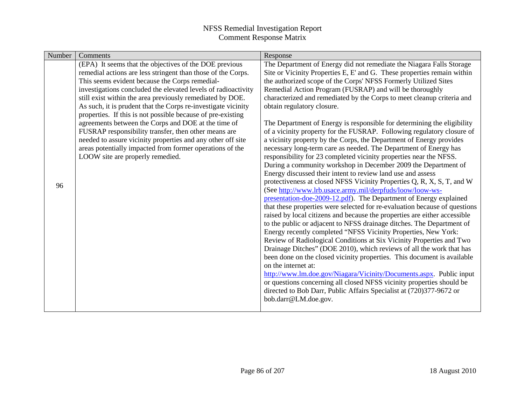| Number | Comments                                                      | Response                                                                                                                       |
|--------|---------------------------------------------------------------|--------------------------------------------------------------------------------------------------------------------------------|
|        | (EPA) It seems that the objectives of the DOE previous        | The Department of Energy did not remediate the Niagara Falls Storage                                                           |
|        | remedial actions are less stringent than those of the Corps.  | Site or Vicinity Properties E, E' and G. These properties remain within                                                        |
|        | This seems evident because the Corps remedial-                | the authorized scope of the Corps' NFSS Formerly Utilized Sites                                                                |
|        | investigations concluded the elevated levels of radioactivity | Remedial Action Program (FUSRAP) and will be thoroughly                                                                        |
|        | still exist within the area previously remediated by DOE.     | characterized and remediated by the Corps to meet cleanup criteria and                                                         |
|        | As such, it is prudent that the Corps re-investigate vicinity | obtain regulatory closure.                                                                                                     |
|        | properties. If this is not possible because of pre-existing   |                                                                                                                                |
|        | agreements between the Corps and DOE at the time of           | The Department of Energy is responsible for determining the eligibility                                                        |
|        | FUSRAP responsibility transfer, then other means are          | of a vicinity property for the FUSRAP. Following regulatory closure of                                                         |
|        | needed to assure vicinity properties and any other off site   | a vicinity property by the Corps, the Department of Energy provides                                                            |
|        | areas potentially impacted from former operations of the      | necessary long-term care as needed. The Department of Energy has                                                               |
|        | LOOW site are properly remedied.                              | responsibility for 23 completed vicinity properties near the NFSS.                                                             |
|        |                                                               | During a community workshop in December 2009 the Department of                                                                 |
|        |                                                               | Energy discussed their intent to review land use and assess                                                                    |
| 96     |                                                               | protectiveness at closed NFSS Vicinity Properties Q, R, X, S, T, and W                                                         |
|        |                                                               | (See http://www.lrb.usace.army.mil/derpfuds/loow/loow-ws-<br>presentation-doe-2009-12.pdf). The Department of Energy explained |
|        |                                                               | that these properties were selected for re-evaluation because of questions                                                     |
|        |                                                               | raised by local citizens and because the properties are either accessible                                                      |
|        |                                                               | to the public or adjacent to NFSS drainage ditches. The Department of                                                          |
|        |                                                               | Energy recently completed "NFSS Vicinity Properties, New York:                                                                 |
|        |                                                               | Review of Radiological Conditions at Six Vicinity Properties and Two                                                           |
|        |                                                               | Drainage Ditches" (DOE 2010), which reviews of all the work that has                                                           |
|        |                                                               | been done on the closed vicinity properties. This document is available                                                        |
|        |                                                               | on the internet at:                                                                                                            |
|        |                                                               | http://www.lm.doe.gov/Niagara/Vicinity/Documents.aspx. Public input                                                            |
|        |                                                               | or questions concerning all closed NFSS vicinity properties should be                                                          |
|        |                                                               | directed to Bob Darr, Public Affairs Specialist at (720)377-9672 or                                                            |
|        |                                                               | bob.darr@LM.doe.gov.                                                                                                           |
|        |                                                               |                                                                                                                                |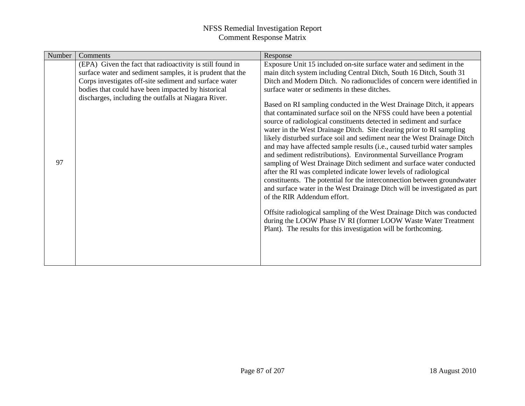| Number | Comments                                                                                                                                                                                                                                                                                        | Response                                                                                                                                                                                                                                                                                                                                                                                                                                                                                                                                                                                                                                                                                                                                                                                                                                                                                                                                                                                                                                                                                                                                                                                                                                                                                                                                             |
|--------|-------------------------------------------------------------------------------------------------------------------------------------------------------------------------------------------------------------------------------------------------------------------------------------------------|------------------------------------------------------------------------------------------------------------------------------------------------------------------------------------------------------------------------------------------------------------------------------------------------------------------------------------------------------------------------------------------------------------------------------------------------------------------------------------------------------------------------------------------------------------------------------------------------------------------------------------------------------------------------------------------------------------------------------------------------------------------------------------------------------------------------------------------------------------------------------------------------------------------------------------------------------------------------------------------------------------------------------------------------------------------------------------------------------------------------------------------------------------------------------------------------------------------------------------------------------------------------------------------------------------------------------------------------------|
| 97     | (EPA) Given the fact that radioactivity is still found in<br>surface water and sediment samples, it is prudent that the<br>Corps investigates off-site sediment and surface water<br>bodies that could have been impacted by historical<br>discharges, including the outfalls at Niagara River. | Exposure Unit 15 included on-site surface water and sediment in the<br>main ditch system including Central Ditch, South 16 Ditch, South 31<br>Ditch and Modern Ditch. No radionuclides of concern were identified in<br>surface water or sediments in these ditches.<br>Based on RI sampling conducted in the West Drainage Ditch, it appears<br>that contaminated surface soil on the NFSS could have been a potential<br>source of radiological constituents detected in sediment and surface<br>water in the West Drainage Ditch. Site clearing prior to RI sampling<br>likely disturbed surface soil and sediment near the West Drainage Ditch<br>and may have affected sample results (i.e., caused turbid water samples<br>and sediment redistributions). Environmental Surveillance Program<br>sampling of West Drainage Ditch sediment and surface water conducted<br>after the RI was completed indicate lower levels of radiological<br>constituents. The potential for the interconnection between groundwater<br>and surface water in the West Drainage Ditch will be investigated as part<br>of the RIR Addendum effort.<br>Offsite radiological sampling of the West Drainage Ditch was conducted<br>during the LOOW Phase IV RI (former LOOW Waste Water Treatment<br>Plant). The results for this investigation will be forthcoming. |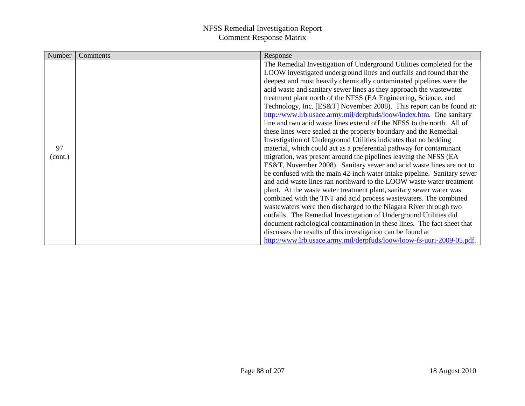| Number  | Comments | Response                                                                |
|---------|----------|-------------------------------------------------------------------------|
|         |          | The Remedial Investigation of Underground Utilities completed for the   |
|         |          | LOOW investigated underground lines and outfalls and found that the     |
|         |          | deepest and most heavily chemically contaminated pipelines were the     |
|         |          | acid waste and sanitary sewer lines as they approach the wastewater     |
|         |          | treatment plant north of the NFSS (EA Engineering, Science, and         |
|         |          | Technology, Inc. [ES&T] November 2008). This report can be found at:    |
|         |          | http://www.lrb.usace.army.mil/derpfuds/loow/index.htm. One sanitary     |
|         |          | line and two acid waste lines extend off the NFSS to the north. All of  |
|         |          | these lines were sealed at the property boundary and the Remedial       |
|         |          | Investigation of Underground Utilities indicates that no bedding        |
| 97      |          | material, which could act as a preferential pathway for contaminant     |
| (cont.) |          | migration, was present around the pipelines leaving the NFSS (EA        |
|         |          | ES&T, November 2008). Sanitary sewer and acid waste lines are not to    |
|         |          | be confused with the main 42-inch water intake pipeline. Sanitary sewer |
|         |          | and acid waste lines ran northward to the LOOW waste water treatment    |
|         |          | plant. At the waste water treatment plant, sanitary sewer water was     |
|         |          | combined with the TNT and acid process wastewaters. The combined        |
|         |          | wastewaters were then discharged to the Niagara River through two       |
|         |          | outfalls. The Remedial Investigation of Underground Utilities did       |
|         |          | document radiological contamination in these lines. The fact sheet that |
|         |          | discusses the results of this investigation can be found at             |
|         |          | http://www.lrb.usace.army.mil/derpfuds/loow/loow-fs-uuri-2009-05.pdf.   |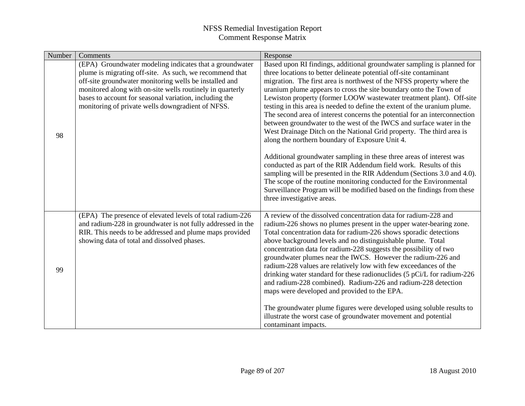| Number | Comments                                                                                                                                                                                                                                                                                                                                                 | Response                                                                                                                                                                                                                                                                                                                                                                                                                                                                                                                                                                                                                                                                                                                                                                                                                                                                                                                                                                                                                                                                                                                              |
|--------|----------------------------------------------------------------------------------------------------------------------------------------------------------------------------------------------------------------------------------------------------------------------------------------------------------------------------------------------------------|---------------------------------------------------------------------------------------------------------------------------------------------------------------------------------------------------------------------------------------------------------------------------------------------------------------------------------------------------------------------------------------------------------------------------------------------------------------------------------------------------------------------------------------------------------------------------------------------------------------------------------------------------------------------------------------------------------------------------------------------------------------------------------------------------------------------------------------------------------------------------------------------------------------------------------------------------------------------------------------------------------------------------------------------------------------------------------------------------------------------------------------|
| 98     | (EPA) Groundwater modeling indicates that a groundwater<br>plume is migrating off-site. As such, we recommend that<br>off-site groundwater monitoring wells be installed and<br>monitored along with on-site wells routinely in quarterly<br>bases to account for seasonal variation, including the<br>monitoring of private wells downgradient of NFSS. | Based upon RI findings, additional groundwater sampling is planned for<br>three locations to better delineate potential off-site contaminant<br>migration. The first area is northwest of the NFSS property where the<br>uranium plume appears to cross the site boundary onto the Town of<br>Lewiston property (former LOOW wastewater treatment plant). Off-site<br>testing in this area is needed to define the extent of the uranium plume.<br>The second area of interest concerns the potential for an interconnection<br>between groundwater to the west of the IWCS and surface water in the<br>West Drainage Ditch on the National Grid property. The third area is<br>along the northern boundary of Exposure Unit 4.<br>Additional groundwater sampling in these three areas of interest was<br>conducted as part of the RIR Addendum field work. Results of this<br>sampling will be presented in the RIR Addendum (Sections 3.0 and 4.0).<br>The scope of the routine monitoring conducted for the Environmental<br>Surveillance Program will be modified based on the findings from these<br>three investigative areas. |
| 99     | (EPA) The presence of elevated levels of total radium-226<br>and radium-228 in groundwater is not fully addressed in the<br>RIR. This needs to be addressed and plume maps provided<br>showing data of total and dissolved phases.                                                                                                                       | A review of the dissolved concentration data for radium-228 and<br>radium-226 shows no plumes present in the upper water-bearing zone.<br>Total concentration data for radium-226 shows sporadic detections<br>above background levels and no distinguishable plume. Total<br>concentration data for radium-228 suggests the possibility of two<br>groundwater plumes near the IWCS. However the radium-226 and<br>radium-228 values are relatively low with few exceedances of the<br>drinking water standard for these radionuclides (5 pCi/L for radium-226<br>and radium-228 combined). Radium-226 and radium-228 detection<br>maps were developed and provided to the EPA.<br>The groundwater plume figures were developed using soluble results to<br>illustrate the worst case of groundwater movement and potential<br>contaminant impacts.                                                                                                                                                                                                                                                                                   |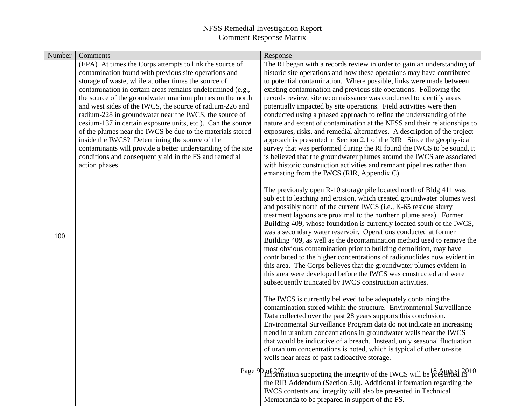| Number | Comments                                                                                                     | Response                                                                                                                                          |
|--------|--------------------------------------------------------------------------------------------------------------|---------------------------------------------------------------------------------------------------------------------------------------------------|
|        | (EPA) At times the Corps attempts to link the source of                                                      | The RI began with a records review in order to gain an understanding of                                                                           |
|        | contamination found with previous site operations and                                                        | historic site operations and how these operations may have contributed                                                                            |
|        | storage of waste, while at other times the source of                                                         | to potential contamination. Where possible, links were made between                                                                               |
|        | contamination in certain areas remains undetermined (e.g.,                                                   | existing contamination and previous site operations. Following the                                                                                |
|        | the source of the groundwater uranium plumes on the north                                                    | records review, site reconnaissance was conducted to identify areas                                                                               |
|        | and west sides of the IWCS, the source of radium-226 and                                                     | potentially impacted by site operations. Field activities were then                                                                               |
|        | radium-228 in groundwater near the IWCS, the source of                                                       | conducted using a phased approach to refine the understanding of the                                                                              |
|        | cesium-137 in certain exposure units, etc.). Can the source                                                  | nature and extent of contamination at the NFSS and their relationships to                                                                         |
|        | of the plumes near the IWCS be due to the materials stored<br>inside the IWCS? Determining the source of the | exposures, risks, and remedial alternatives. A description of the project                                                                         |
|        | contaminants will provide a better understanding of the site                                                 | approach is presented in Section 2.1 of the RIR Since the geophysical<br>survey that was performed during the RI found the IWCS to be sound, it   |
|        | conditions and consequently aid in the FS and remedial                                                       | is believed that the groundwater plumes around the IWCS are associated                                                                            |
|        | action phases.                                                                                               | with historic construction activities and remnant pipelines rather than                                                                           |
|        |                                                                                                              | emanating from the IWCS (RIR, Appendix C).                                                                                                        |
|        |                                                                                                              |                                                                                                                                                   |
|        |                                                                                                              | The previously open R-10 storage pile located north of Bldg 411 was                                                                               |
|        |                                                                                                              | subject to leaching and erosion, which created groundwater plumes west                                                                            |
|        |                                                                                                              | and possibly north of the current IWCS (i.e., K-65 residue slurry                                                                                 |
|        |                                                                                                              | treatment lagoons are proximal to the northern plume area). Former                                                                                |
|        |                                                                                                              | Building 409, whose foundation is currently located south of the IWCS,                                                                            |
| 100    |                                                                                                              | was a secondary water reservoir. Operations conducted at former                                                                                   |
|        |                                                                                                              | Building 409, as well as the decontamination method used to remove the<br>most obvious contamination prior to building demolition, may have       |
|        |                                                                                                              | contributed to the higher concentrations of radionuclides now evident in                                                                          |
|        |                                                                                                              | this area. The Corps believes that the groundwater plumes evident in                                                                              |
|        |                                                                                                              | this area were developed before the IWCS was constructed and were                                                                                 |
|        |                                                                                                              | subsequently truncated by IWCS construction activities.                                                                                           |
|        |                                                                                                              |                                                                                                                                                   |
|        |                                                                                                              | The IWCS is currently believed to be adequately containing the                                                                                    |
|        |                                                                                                              | contamination stored within the structure. Environmental Surveillance                                                                             |
|        |                                                                                                              | Data collected over the past 28 years supports this conclusion.                                                                                   |
|        |                                                                                                              | Environmental Surveillance Program data do not indicate an increasing                                                                             |
|        |                                                                                                              | trend in uranium concentrations in groundwater wells near the IWCS                                                                                |
|        |                                                                                                              | that would be indicative of a breach. Instead, only seasonal fluctuation<br>of uranium concentrations is noted, which is typical of other on-site |
|        |                                                                                                              | wells near areas of past radioactive storage.                                                                                                     |
|        |                                                                                                              |                                                                                                                                                   |
|        |                                                                                                              | Page 90 of 207<br>mformation supporting the integrity of the IWCS will be presented in<br>10                                                      |
|        |                                                                                                              | the RIR Addendum (Section 5.0). Additional information regarding the                                                                              |
|        |                                                                                                              | IWCS contents and integrity will also be presented in Technical                                                                                   |
|        |                                                                                                              | Memoranda to be prepared in support of the FS.                                                                                                    |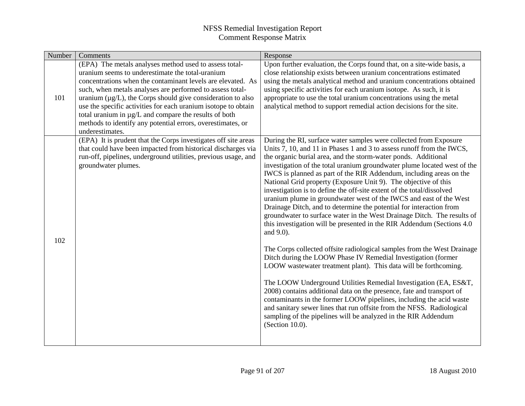| Number | Comments                                                                                                                                                                                                                                                                                                                                                                                                                                                                                                                      | Response                                                                                                                                                                                                                                                                                                                                                                                                                                                                                                                                                                                                                                                                                                                                                                                                                                                                                                                                                                                                                                                                                                                                                                                                                                                                                                                                                                                                                      |
|--------|-------------------------------------------------------------------------------------------------------------------------------------------------------------------------------------------------------------------------------------------------------------------------------------------------------------------------------------------------------------------------------------------------------------------------------------------------------------------------------------------------------------------------------|-------------------------------------------------------------------------------------------------------------------------------------------------------------------------------------------------------------------------------------------------------------------------------------------------------------------------------------------------------------------------------------------------------------------------------------------------------------------------------------------------------------------------------------------------------------------------------------------------------------------------------------------------------------------------------------------------------------------------------------------------------------------------------------------------------------------------------------------------------------------------------------------------------------------------------------------------------------------------------------------------------------------------------------------------------------------------------------------------------------------------------------------------------------------------------------------------------------------------------------------------------------------------------------------------------------------------------------------------------------------------------------------------------------------------------|
| 101    | (EPA) The metals analyses method used to assess total-<br>uranium seems to underestimate the total-uranium<br>concentrations when the contaminant levels are elevated. As<br>such, when metals analyses are performed to assess total-<br>uranium $(\mu g/L)$ , the Corps should give consideration to also<br>use the specific activities for each uranium isotope to obtain<br>total uranium in $\mu$ g/L and compare the results of both<br>methods to identify any potential errors, overestimates, or<br>underestimates. | Upon further evaluation, the Corps found that, on a site-wide basis, a<br>close relationship exists between uranium concentrations estimated<br>using the metals analytical method and uranium concentrations obtained<br>using specific activities for each uranium isotope. As such, it is<br>appropriate to use the total uranium concentrations using the metal<br>analytical method to support remedial action decisions for the site.                                                                                                                                                                                                                                                                                                                                                                                                                                                                                                                                                                                                                                                                                                                                                                                                                                                                                                                                                                                   |
| 102    | (EPA) It is prudent that the Corps investigates off site areas<br>that could have been impacted from historical discharges via<br>run-off, pipelines, underground utilities, previous usage, and<br>groundwater plumes.                                                                                                                                                                                                                                                                                                       | During the RI, surface water samples were collected from Exposure<br>Units 7, 10, and 11 in Phases 1 and 3 to assess runoff from the IWCS,<br>the organic burial area, and the storm-water ponds. Additional<br>investigation of the total uranium groundwater plume located west of the<br>IWCS is planned as part of the RIR Addendum, including areas on the<br>National Grid property (Exposure Unit 9). The objective of this<br>investigation is to define the off-site extent of the total/dissolved<br>uranium plume in groundwater west of the IWCS and east of the West<br>Drainage Ditch, and to determine the potential for interaction from<br>groundwater to surface water in the West Drainage Ditch. The results of<br>this investigation will be presented in the RIR Addendum (Sections 4.0)<br>and 9.0).<br>The Corps collected offsite radiological samples from the West Drainage<br>Ditch during the LOOW Phase IV Remedial Investigation (former<br>LOOW wastewater treatment plant). This data will be forthcoming.<br>The LOOW Underground Utilities Remedial Investigation (EA, ES&T,<br>2008) contains additional data on the presence, fate and transport of<br>contaminants in the former LOOW pipelines, including the acid waste<br>and sanitary sewer lines that run offsite from the NFSS. Radiological<br>sampling of the pipelines will be analyzed in the RIR Addendum<br>(Section 10.0). |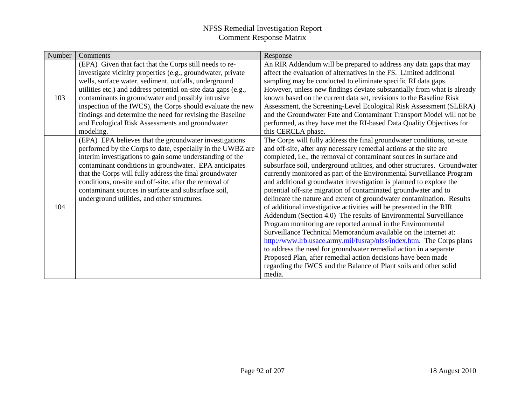| Number | Comments                                                       | Response                                                                  |
|--------|----------------------------------------------------------------|---------------------------------------------------------------------------|
| 103    | (EPA) Given that fact that the Corps still needs to re-        | An RIR Addendum will be prepared to address any data gaps that may        |
|        | investigate vicinity properties (e.g., groundwater, private    | affect the evaluation of alternatives in the FS. Limited additional       |
|        | wells, surface water, sediment, outfalls, underground          | sampling may be conducted to eliminate specific RI data gaps.             |
|        | utilities etc.) and address potential on-site data gaps (e.g., | However, unless new findings deviate substantially from what is already   |
|        | contaminants in groundwater and possibly intrusive             | known based on the current data set, revisions to the Baseline Risk       |
|        | inspection of the IWCS), the Corps should evaluate the new     | Assessment, the Screening-Level Ecological Risk Assessment (SLERA)        |
|        | findings and determine the need for revising the Baseline      | and the Groundwater Fate and Contaminant Transport Model will not be      |
|        | and Ecological Risk Assessments and groundwater                | performed, as they have met the RI-based Data Quality Objectives for      |
|        | modeling.                                                      | this CERCLA phase.                                                        |
|        | (EPA) EPA believes that the groundwater investigations         | The Corps will fully address the final groundwater conditions, on-site    |
|        | performed by the Corps to date, especially in the UWBZ are     | and off-site, after any necessary remedial actions at the site are        |
|        | interim investigations to gain some understanding of the       | completed, i.e., the removal of contaminant sources in surface and        |
|        | contaminant conditions in groundwater. EPA anticipates         | subsurface soil, underground utilities, and other structures. Groundwater |
|        | that the Corps will fully address the final groundwater        | currently monitored as part of the Environmental Surveillance Program     |
|        | conditions, on-site and off-site, after the removal of         | and additional groundwater investigation is planned to explore the        |
|        | contaminant sources in surface and subsurface soil,            | potential off-site migration of contaminated groundwater and to           |
|        | underground utilities, and other structures.                   | delineate the nature and extent of groundwater contamination. Results     |
| 104    |                                                                | of additional investigative activities will be presented in the RIR       |
|        |                                                                | Addendum (Section 4.0) The results of Environmental Surveillance          |
|        |                                                                | Program monitoring are reported annual in the Environmental               |
|        |                                                                | Surveillance Technical Memorandum available on the internet at:           |
|        |                                                                | http://www.lrb.usace.army.mil/fusrap/nfss/index.htm. The Corps plans      |
|        |                                                                | to address the need for groundwater remedial action in a separate         |
|        |                                                                | Proposed Plan, after remedial action decisions have been made             |
|        |                                                                | regarding the IWCS and the Balance of Plant soils and other solid         |
|        |                                                                | media.                                                                    |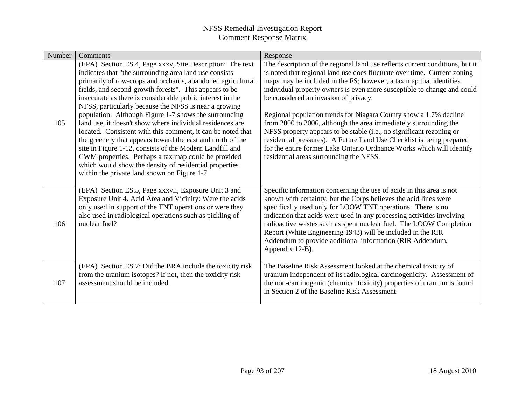| Number | Comments                                                                                                               | Response                                                                                                                                       |
|--------|------------------------------------------------------------------------------------------------------------------------|------------------------------------------------------------------------------------------------------------------------------------------------|
|        | (EPA) Section ES.4, Page xxxv, Site Description: The text                                                              | The description of the regional land use reflects current conditions, but it                                                                   |
|        | indicates that "the surrounding area land use consists<br>primarily of row-crops and orchards, abandoned agricultural  | is noted that regional land use does fluctuate over time. Current zoning<br>maps may be included in the FS; however, a tax map that identifies |
|        | fields, and second-growth forests". This appears to be<br>inaccurate as there is considerable public interest in the   | individual property owners is even more susceptible to change and could<br>be considered an invasion of privacy.                               |
|        | NFSS, particularly because the NFSS is near a growing                                                                  |                                                                                                                                                |
| 105    | population. Although Figure 1-7 shows the surrounding<br>land use, it doesn't show where individual residences are     | Regional population trends for Niagara County show a 1.7% decline<br>from 2000 to 2006, although the area immediately surrounding the          |
|        | located. Consistent with this comment, it can be noted that                                                            | NFSS property appears to be stable (i.e., no significant rezoning or                                                                           |
|        | the greenery that appears toward the east and north of the<br>site in Figure 1-12, consists of the Modern Landfill and | residential pressures). A Future Land Use Checklist is being prepared<br>for the entire former Lake Ontario Ordnance Works which will identify |
|        | CWM properties. Perhaps a tax map could be provided                                                                    | residential areas surrounding the NFSS.                                                                                                        |
|        | which would show the density of residential properties                                                                 |                                                                                                                                                |
|        | within the private land shown on Figure 1-7.                                                                           |                                                                                                                                                |
|        | (EPA) Section ES.5, Page xxxvii, Exposure Unit 3 and<br>Exposure Unit 4. Acid Area and Vicinity: Were the acids        | Specific information concerning the use of acids in this area is not<br>known with certainty, but the Corps believes the acid lines were       |
|        | only used in support of the TNT operations or were they                                                                | specifically used only for LOOW TNT operations. There is no                                                                                    |
| 106    | also used in radiological operations such as pickling of<br>nuclear fuel?                                              | indication that acids were used in any processing activities involving<br>radioactive wastes such as spent nuclear fuel. The LOOW Completion   |
|        |                                                                                                                        | Report (White Engineering 1943) will be included in the RIR                                                                                    |
|        |                                                                                                                        | Addendum to provide additional information (RIR Addendum,<br>Appendix 12-B).                                                                   |
|        |                                                                                                                        |                                                                                                                                                |
|        | (EPA) Section ES.7: Did the BRA include the toxicity risk<br>from the uranium isotopes? If not, then the toxicity risk | The Baseline Risk Assessment looked at the chemical toxicity of<br>uranium independent of its radiological carcinogenicity. Assessment of      |
| 107    | assessment should be included.                                                                                         | the non-carcinogenic (chemical toxicity) properties of uranium is found                                                                        |
|        |                                                                                                                        | in Section 2 of the Baseline Risk Assessment.                                                                                                  |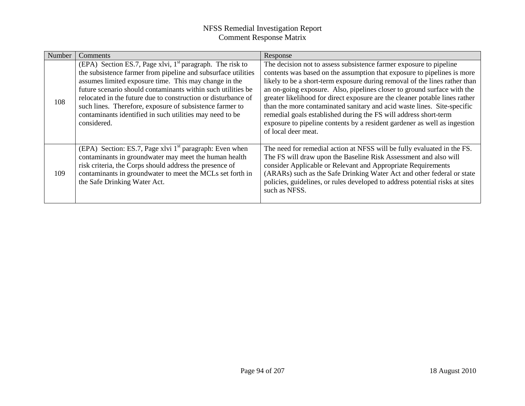| Number | Comments                                                                                                                                                                                                                                                                                                                                                                                                                                                      | Response                                                                                                                                                                                                                                                                                                                                                                                                                                                                                                                                                                                                                                 |
|--------|---------------------------------------------------------------------------------------------------------------------------------------------------------------------------------------------------------------------------------------------------------------------------------------------------------------------------------------------------------------------------------------------------------------------------------------------------------------|------------------------------------------------------------------------------------------------------------------------------------------------------------------------------------------------------------------------------------------------------------------------------------------------------------------------------------------------------------------------------------------------------------------------------------------------------------------------------------------------------------------------------------------------------------------------------------------------------------------------------------------|
| 108    | (EPA) Section ES.7, Page xlvi, $1st$ paragraph. The risk to<br>the subsistence farmer from pipeline and subsurface utilities<br>assumes limited exposure time. This may change in the<br>future scenario should contaminants within such utilities be<br>relocated in the future due to construction or disturbance of<br>such lines. Therefore, exposure of subsistence farmer to<br>contaminants identified in such utilities may need to be<br>considered. | The decision not to assess subsistence farmer exposure to pipeline<br>contents was based on the assumption that exposure to pipelines is more<br>likely to be a short-term exposure during removal of the lines rather than<br>an on-going exposure. Also, pipelines closer to ground surface with the<br>greater likelihood for direct exposure are the cleaner potable lines rather<br>than the more contaminated sanitary and acid waste lines. Site-specific<br>remedial goals established during the FS will address short-term<br>exposure to pipeline contents by a resident gardener as well as ingestion<br>of local deer meat. |
| 109    | (EPA) Section: ES.7, Page xlvi $1st$ paragraph: Even when<br>contaminants in groundwater may meet the human health<br>risk criteria, the Corps should address the presence of<br>contaminants in groundwater to meet the MCLs set forth in<br>the Safe Drinking Water Act.                                                                                                                                                                                    | The need for remedial action at NFSS will be fully evaluated in the FS.<br>The FS will draw upon the Baseline Risk Assessment and also will<br>consider Applicable or Relevant and Appropriate Requirements<br>(ARARs) such as the Safe Drinking Water Act and other federal or state<br>policies, guidelines, or rules developed to address potential risks at sites<br>such as NFSS.                                                                                                                                                                                                                                                   |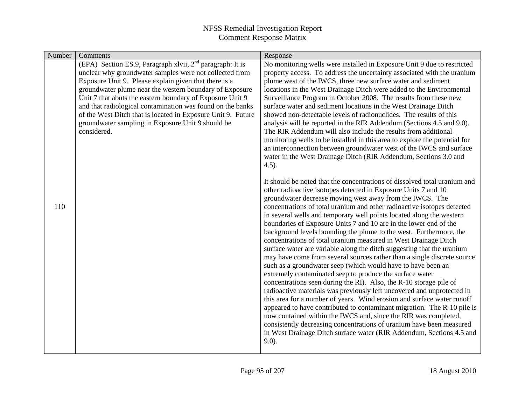| Number | Comments                                                              | Response                                                                                                                                  |
|--------|-----------------------------------------------------------------------|-------------------------------------------------------------------------------------------------------------------------------------------|
|        | (EPA) Section ES.9, Paragraph xlvii, 2 <sup>nd</sup> paragraph: It is | No monitoring wells were installed in Exposure Unit 9 due to restricted                                                                   |
|        | unclear why groundwater samples were not collected from               | property access. To address the uncertainty associated with the uranium                                                                   |
|        | Exposure Unit 9. Please explain given that there is a                 | plume west of the IWCS, three new surface water and sediment                                                                              |
|        | groundwater plume near the western boundary of Exposure               | locations in the West Drainage Ditch were added to the Environmental                                                                      |
|        | Unit 7 that abuts the eastern boundary of Exposure Unit 9             | Surveillance Program in October 2008. The results from these new                                                                          |
|        | and that radiological contamination was found on the banks            | surface water and sediment locations in the West Drainage Ditch                                                                           |
|        | of the West Ditch that is located in Exposure Unit 9. Future          | showed non-detectable levels of radionuclides. The results of this                                                                        |
|        | groundwater sampling in Exposure Unit 9 should be                     | analysis will be reported in the RIR Addendum (Sections 4.5 and 9.0).                                                                     |
|        | considered.                                                           | The RIR Addendum will also include the results from additional                                                                            |
|        |                                                                       | monitoring wells to be installed in this area to explore the potential for                                                                |
|        |                                                                       | an interconnection between groundwater west of the IWCS and surface<br>water in the West Drainage Ditch (RIR Addendum, Sections 3.0 and   |
|        |                                                                       | (4.5).                                                                                                                                    |
|        |                                                                       |                                                                                                                                           |
|        |                                                                       | It should be noted that the concentrations of dissolved total uranium and                                                                 |
|        |                                                                       | other radioactive isotopes detected in Exposure Units 7 and 10                                                                            |
|        |                                                                       | groundwater decrease moving west away from the IWCS. The                                                                                  |
| 110    |                                                                       | concentrations of total uranium and other radioactive isotopes detected                                                                   |
|        |                                                                       | in several wells and temporary well points located along the western                                                                      |
|        |                                                                       | boundaries of Exposure Units 7 and 10 are in the lower end of the                                                                         |
|        |                                                                       | background levels bounding the plume to the west. Furthermore, the                                                                        |
|        |                                                                       | concentrations of total uranium measured in West Drainage Ditch<br>surface water are variable along the ditch suggesting that the uranium |
|        |                                                                       | may have come from several sources rather than a single discrete source                                                                   |
|        |                                                                       | such as a groundwater seep (which would have to have been an                                                                              |
|        |                                                                       | extremely contaminated seep to produce the surface water                                                                                  |
|        |                                                                       | concentrations seen during the RI). Also, the R-10 storage pile of                                                                        |
|        |                                                                       | radioactive materials was previously left uncovered and unprotected in                                                                    |
|        |                                                                       | this area for a number of years. Wind erosion and surface water runoff                                                                    |
|        |                                                                       | appeared to have contributed to contaminant migration. The R-10 pile is                                                                   |
|        |                                                                       | now contained within the IWCS and, since the RIR was completed,                                                                           |
|        |                                                                       | consistently decreasing concentrations of uranium have been measured                                                                      |
|        |                                                                       | in West Drainage Ditch surface water (RIR Addendum, Sections 4.5 and                                                                      |
|        |                                                                       | $9.0$ ).                                                                                                                                  |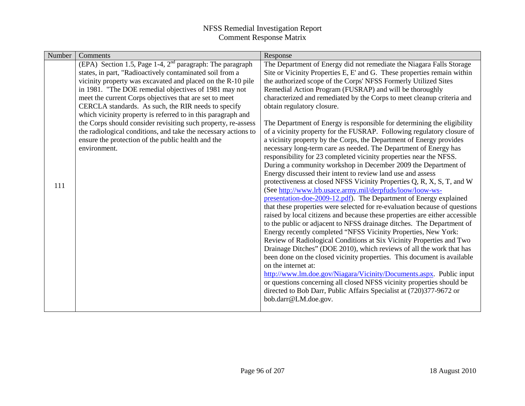| Number | Comments                                                                                                                                                                                                                                                                                                                                                                                                                                                                                                                                                                                                                                  | Response                                                                                                                                                                                                                                                                                                                                                                                                                                                                                                                                                                                                                                                                                                                                                                                                                                                                                                                                                                                                                                                                                                                                                                                                                                                                                                                                                                                                                                                                                                                                                                                                                                                                                                                                                                                                                                                                                                          |
|--------|-------------------------------------------------------------------------------------------------------------------------------------------------------------------------------------------------------------------------------------------------------------------------------------------------------------------------------------------------------------------------------------------------------------------------------------------------------------------------------------------------------------------------------------------------------------------------------------------------------------------------------------------|-------------------------------------------------------------------------------------------------------------------------------------------------------------------------------------------------------------------------------------------------------------------------------------------------------------------------------------------------------------------------------------------------------------------------------------------------------------------------------------------------------------------------------------------------------------------------------------------------------------------------------------------------------------------------------------------------------------------------------------------------------------------------------------------------------------------------------------------------------------------------------------------------------------------------------------------------------------------------------------------------------------------------------------------------------------------------------------------------------------------------------------------------------------------------------------------------------------------------------------------------------------------------------------------------------------------------------------------------------------------------------------------------------------------------------------------------------------------------------------------------------------------------------------------------------------------------------------------------------------------------------------------------------------------------------------------------------------------------------------------------------------------------------------------------------------------------------------------------------------------------------------------------------------------|
| 111    | (EPA) Section 1.5, Page 1-4, $2nd$ paragraph: The paragraph<br>states, in part, "Radioactively contaminated soil from a<br>vicinity property was excavated and placed on the R-10 pile<br>in 1981. "The DOE remedial objectives of 1981 may not<br>meet the current Corps objectives that are set to meet<br>CERCLA standards. As such, the RIR needs to specify<br>which vicinity property is referred to in this paragraph and<br>the Corps should consider revisiting such property, re-assess<br>the radiological conditions, and take the necessary actions to<br>ensure the protection of the public health and the<br>environment. | The Department of Energy did not remediate the Niagara Falls Storage<br>Site or Vicinity Properties E, E' and G. These properties remain within<br>the authorized scope of the Corps' NFSS Formerly Utilized Sites<br>Remedial Action Program (FUSRAP) and will be thoroughly<br>characterized and remediated by the Corps to meet cleanup criteria and<br>obtain regulatory closure.<br>The Department of Energy is responsible for determining the eligibility<br>of a vicinity property for the FUSRAP. Following regulatory closure of<br>a vicinity property by the Corps, the Department of Energy provides<br>necessary long-term care as needed. The Department of Energy has<br>responsibility for 23 completed vicinity properties near the NFSS.<br>During a community workshop in December 2009 the Department of<br>Energy discussed their intent to review land use and assess<br>protectiveness at closed NFSS Vicinity Properties Q, R, X, S, T, and W<br>(See http://www.lrb.usace.army.mil/derpfuds/loow/loow-ws-<br>presentation-doe-2009-12.pdf). The Department of Energy explained<br>that these properties were selected for re-evaluation because of questions<br>raised by local citizens and because these properties are either accessible<br>to the public or adjacent to NFSS drainage ditches. The Department of<br>Energy recently completed "NFSS Vicinity Properties, New York:<br>Review of Radiological Conditions at Six Vicinity Properties and Two<br>Drainage Ditches" (DOE 2010), which reviews of all the work that has<br>been done on the closed vicinity properties. This document is available<br>on the internet at:<br>http://www.lm.doe.gov/Niagara/Vicinity/Documents.aspx. Public input<br>or questions concerning all closed NFSS vicinity properties should be<br>directed to Bob Darr, Public Affairs Specialist at (720)377-9672 or<br>bob.darr@LM.doe.gov. |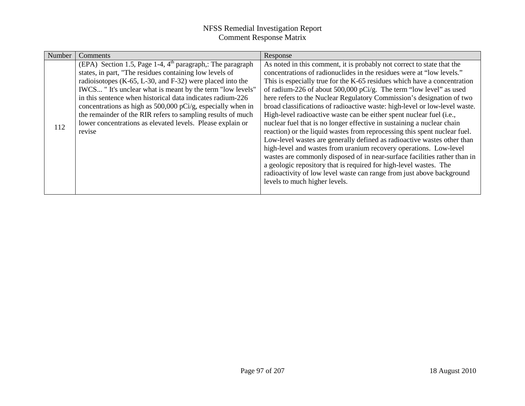| Number | <b>Comments</b>                                                                                                                                                                                                                                                                                                                                                                                                                                                                                                         | Response                                                                                                                                                                                                                                                                                                                                                                                                                                                                                                                                                                                                                                                                                                                                                                                                                                                                                                                                                                                                                                                                                            |
|--------|-------------------------------------------------------------------------------------------------------------------------------------------------------------------------------------------------------------------------------------------------------------------------------------------------------------------------------------------------------------------------------------------------------------------------------------------------------------------------------------------------------------------------|-----------------------------------------------------------------------------------------------------------------------------------------------------------------------------------------------------------------------------------------------------------------------------------------------------------------------------------------------------------------------------------------------------------------------------------------------------------------------------------------------------------------------------------------------------------------------------------------------------------------------------------------------------------------------------------------------------------------------------------------------------------------------------------------------------------------------------------------------------------------------------------------------------------------------------------------------------------------------------------------------------------------------------------------------------------------------------------------------------|
| 112    | (EPA) Section 1.5, Page 1-4, $4th$ paragraph,: The paragraph<br>states, in part, "The residues containing low levels of<br>radioisotopes (K-65, L-30, and F-32) were placed into the<br>IWCS "It's unclear what is meant by the term "low levels"<br>in this sentence when historical data indicates radium-226<br>concentrations as high as $500,000$ pCi/g, especially when in<br>the remainder of the RIR refers to sampling results of much<br>lower concentrations as elevated levels. Please explain or<br>revise | As noted in this comment, it is probably not correct to state that the<br>concentrations of radionuclides in the residues were at "low levels."<br>This is especially true for the K-65 residues which have a concentration<br>of radium-226 of about 500,000 pCi/g. The term "low level" as used<br>here refers to the Nuclear Regulatory Commission's designation of two<br>broad classifications of radioactive waste: high-level or low-level waste.<br>High-level radioactive waste can be either spent nuclear fuel (i.e.,<br>nuclear fuel that is no longer effective in sustaining a nuclear chain<br>reaction) or the liquid wastes from reprocessing this spent nuclear fuel.<br>Low-level wastes are generally defined as radioactive wastes other than<br>high-level and wastes from uranium recovery operations. Low-level<br>wastes are commonly disposed of in near-surface facilities rather than in<br>a geologic repository that is required for high-level wastes. The<br>radioactivity of low level waste can range from just above background<br>levels to much higher levels. |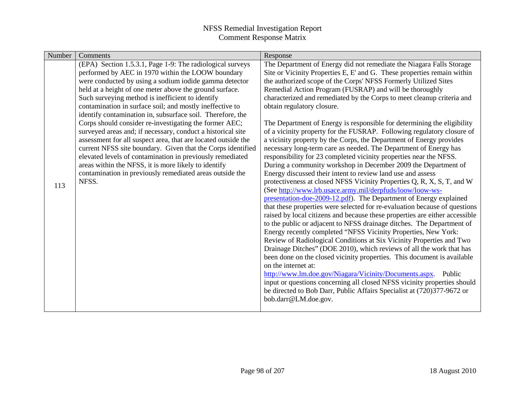| Number | Comments                                                      | Response                                                                                                                                        |
|--------|---------------------------------------------------------------|-------------------------------------------------------------------------------------------------------------------------------------------------|
|        | (EPA) Section 1.5.3.1, Page 1-9: The radiological surveys     | The Department of Energy did not remediate the Niagara Falls Storage                                                                            |
|        | performed by AEC in 1970 within the LOOW boundary             | Site or Vicinity Properties E, E' and G. These properties remain within                                                                         |
|        | were conducted by using a sodium iodide gamma detector        | the authorized scope of the Corps' NFSS Formerly Utilized Sites                                                                                 |
|        | held at a height of one meter above the ground surface.       | Remedial Action Program (FUSRAP) and will be thoroughly                                                                                         |
|        | Such surveying method is inefficient to identify              | characterized and remediated by the Corps to meet cleanup criteria and                                                                          |
|        | contamination in surface soil; and mostly ineffective to      | obtain regulatory closure.                                                                                                                      |
|        | identify contamination in, subsurface soil. Therefore, the    |                                                                                                                                                 |
|        | Corps should consider re-investigating the former AEC;        | The Department of Energy is responsible for determining the eligibility                                                                         |
|        | surveyed areas and; if necessary, conduct a historical site   | of a vicinity property for the FUSRAP. Following regulatory closure of                                                                          |
|        | assessment for all suspect area, that are located outside the | a vicinity property by the Corps, the Department of Energy provides                                                                             |
|        | current NFSS site boundary. Given that the Corps identified   | necessary long-term care as needed. The Department of Energy has                                                                                |
|        | elevated levels of contamination in previously remediated     | responsibility for 23 completed vicinity properties near the NFSS.                                                                              |
|        | areas within the NFSS, it is more likely to identify          | During a community workshop in December 2009 the Department of                                                                                  |
|        | contamination in previously remediated areas outside the      | Energy discussed their intent to review land use and assess                                                                                     |
| 113    | NFSS.                                                         | protectiveness at closed NFSS Vicinity Properties Q, R, X, S, T, and W                                                                          |
|        |                                                               | (See http://www.lrb.usace.army.mil/derpfuds/loow/loow-ws-                                                                                       |
|        |                                                               | presentation-doe-2009-12.pdf). The Department of Energy explained                                                                               |
|        |                                                               | that these properties were selected for re-evaluation because of questions                                                                      |
|        |                                                               | raised by local citizens and because these properties are either accessible                                                                     |
|        |                                                               | to the public or adjacent to NFSS drainage ditches. The Department of                                                                           |
|        |                                                               | Energy recently completed "NFSS Vicinity Properties, New York:                                                                                  |
|        |                                                               | Review of Radiological Conditions at Six Vicinity Properties and Two                                                                            |
|        |                                                               | Drainage Ditches" (DOE 2010), which reviews of all the work that has<br>been done on the closed vicinity properties. This document is available |
|        |                                                               | on the internet at:                                                                                                                             |
|        |                                                               | http://www.lm.doe.gov/Niagara/Vicinity/Documents.aspx.<br>Public                                                                                |
|        |                                                               | input or questions concerning all closed NFSS vicinity properties should                                                                        |
|        |                                                               | be directed to Bob Darr, Public Affairs Specialist at (720)377-9672 or                                                                          |
|        |                                                               | bob.darr@LM.doe.gov.                                                                                                                            |
|        |                                                               |                                                                                                                                                 |
|        |                                                               |                                                                                                                                                 |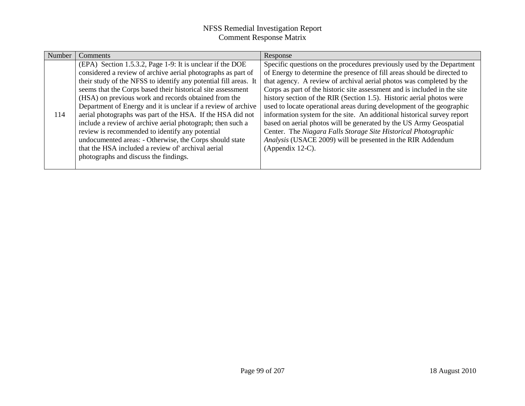| Number | Comments                                                         | Response                                                                  |
|--------|------------------------------------------------------------------|---------------------------------------------------------------------------|
|        | (EPA) Section 1.5.3.2, Page 1-9: It is unclear if the DOE        | Specific questions on the procedures previously used by the Department    |
|        | considered a review of archive aerial photographs as part of     | of Energy to determine the presence of fill areas should be directed to   |
|        | their study of the NFSS to identify any potential fill areas. It | that agency. A review of archival aerial photos was completed by the      |
|        | seems that the Corps based their historical site assessment      | Corps as part of the historic site assessment and is included in the site |
|        | (HSA) on previous work and records obtained from the             | history section of the RIR (Section 1.5). Historic aerial photos were     |
|        | Department of Energy and it is unclear if a review of archive    | used to locate operational areas during development of the geographic     |
| 114    | aerial photographs was part of the HSA. If the HSA did not       | information system for the site. An additional historical survey report   |
|        | include a review of archive aerial photograph; then such a       | based on aerial photos will be generated by the US Army Geospatial        |
|        | review is recommended to identify any potential                  | Center. The Niagara Falls Storage Site Historical Photographic            |
|        | undocumented areas: - Otherwise, the Corps should state          | Analysis (USACE 2009) will be presented in the RIR Addendum               |
|        | that the HSA included a review of archival aerial                | (Appendix 12-C).                                                          |
|        | photographs and discuss the findings.                            |                                                                           |
|        |                                                                  |                                                                           |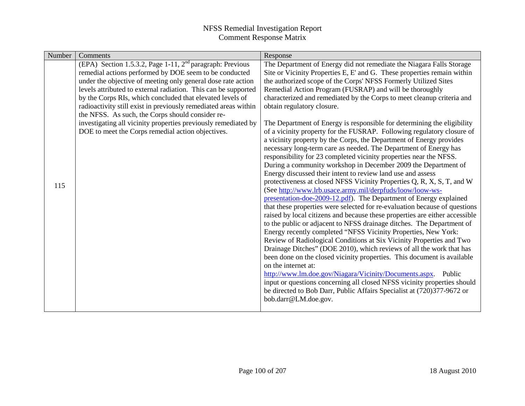| (EPA) Section 1.5.3.2, Page 1-11, $2nd$ paragraph: Previous<br>remedial actions performed by DOE seem to be conducted<br>the authorized scope of the Corps' NFSS Formerly Utilized Sites<br>under the objective of meeting only general dose rate action<br>levels attributed to external radiation. This can be supported<br>Remedial Action Program (FUSRAP) and will be thoroughly<br>by the Corps RIs, which concluded that elevated levels of<br>radioactivity still exist in previously remediated areas within<br>obtain regulatory closure.<br>the NFSS. As such, the Corps should consider re-<br>investigating all vicinity properties previously remediated by<br>DOE to meet the Corps remedial action objectives. | Number | Comments | Response                                                                                                                                                                                                                                                                                                                                                                                                                                                                                                                                                                                                                                                                                                                                                                                                                                                                                                                                                                                                                                                                                                                                                                                                                                                                                                                                                                    |
|--------------------------------------------------------------------------------------------------------------------------------------------------------------------------------------------------------------------------------------------------------------------------------------------------------------------------------------------------------------------------------------------------------------------------------------------------------------------------------------------------------------------------------------------------------------------------------------------------------------------------------------------------------------------------------------------------------------------------------|--------|----------|-----------------------------------------------------------------------------------------------------------------------------------------------------------------------------------------------------------------------------------------------------------------------------------------------------------------------------------------------------------------------------------------------------------------------------------------------------------------------------------------------------------------------------------------------------------------------------------------------------------------------------------------------------------------------------------------------------------------------------------------------------------------------------------------------------------------------------------------------------------------------------------------------------------------------------------------------------------------------------------------------------------------------------------------------------------------------------------------------------------------------------------------------------------------------------------------------------------------------------------------------------------------------------------------------------------------------------------------------------------------------------|
| responsibility for 23 completed vicinity properties near the NFSS.<br>Energy discussed their intent to review land use and assess<br>115<br>(See http://www.lrb.usace.army.mil/derpfuds/loow/loow-ws-<br>Energy recently completed "NFSS Vicinity Properties, New York:<br>on the internet at:<br>http://www.lm.doe.gov/Niagara/Vicinity/Documents.aspx.<br>bob.darr@LM.doe.gov.                                                                                                                                                                                                                                                                                                                                               |        |          | The Department of Energy did not remediate the Niagara Falls Storage<br>Site or Vicinity Properties E, E' and G. These properties remain within<br>characterized and remediated by the Corps to meet cleanup criteria and<br>The Department of Energy is responsible for determining the eligibility<br>of a vicinity property for the FUSRAP. Following regulatory closure of<br>a vicinity property by the Corps, the Department of Energy provides<br>necessary long-term care as needed. The Department of Energy has<br>During a community workshop in December 2009 the Department of<br>protectiveness at closed NFSS Vicinity Properties Q, R, X, S, T, and W<br>presentation-doe-2009-12.pdf). The Department of Energy explained<br>that these properties were selected for re-evaluation because of questions<br>raised by local citizens and because these properties are either accessible<br>to the public or adjacent to NFSS drainage ditches. The Department of<br>Review of Radiological Conditions at Six Vicinity Properties and Two<br>Drainage Ditches" (DOE 2010), which reviews of all the work that has<br>been done on the closed vicinity properties. This document is available<br>Public<br>input or questions concerning all closed NFSS vicinity properties should<br>be directed to Bob Darr, Public Affairs Specialist at (720)377-9672 or |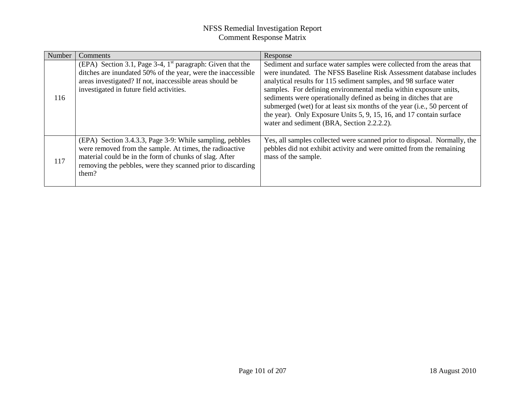| Number | Comments                                                                                                                                                                                                                                              | Response                                                                                                                                                                                                                                                                                                                                                                                                                                                                                                                                                    |
|--------|-------------------------------------------------------------------------------------------------------------------------------------------------------------------------------------------------------------------------------------------------------|-------------------------------------------------------------------------------------------------------------------------------------------------------------------------------------------------------------------------------------------------------------------------------------------------------------------------------------------------------------------------------------------------------------------------------------------------------------------------------------------------------------------------------------------------------------|
| 116    | (EPA) Section 3.1, Page 3-4, $1st$ paragraph: Given that the<br>ditches are inundated 50% of the year, were the inaccessible<br>areas investigated? If not, inaccessible areas should be<br>investigated in future field activities.                  | Sediment and surface water samples were collected from the areas that<br>were inundated. The NFSS Baseline Risk Assessment database includes<br>analytical results for 115 sediment samples, and 98 surface water<br>samples. For defining environmental media within exposure units,<br>sediments were operationally defined as being in ditches that are<br>submerged (wet) for at least six months of the year (i.e., 50 percent of<br>the year). Only Exposure Units 5, 9, 15, 16, and 17 contain surface<br>water and sediment (BRA, Section 2.2.2.2). |
| 117    | (EPA) Section 3.4.3.3, Page 3-9: While sampling, pebbles<br>were removed from the sample. At times, the radioactive<br>material could be in the form of chunks of slag. After<br>removing the pebbles, were they scanned prior to discarding<br>them? | Yes, all samples collected were scanned prior to disposal. Normally, the<br>pebbles did not exhibit activity and were omitted from the remaining<br>mass of the sample.                                                                                                                                                                                                                                                                                                                                                                                     |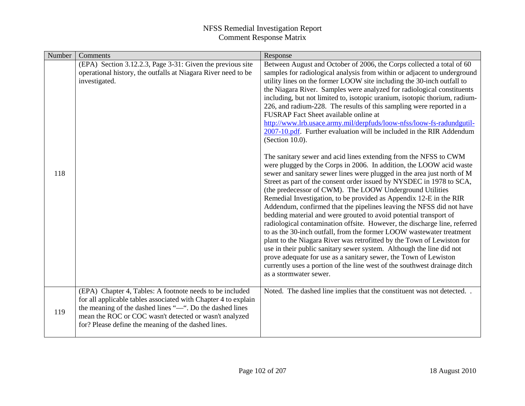| Number | Comments                                                                                                                                                                                                                                                                                                | Response                                                                                                                                                                                                                                                                                                                                                                                                                                                                                                                                                                                                                                                                                                                                                                                                                                                                                                                                                                                                                                                                                                                                                                                                                                                                                                                                                                                                                                                                                                                                                                                                                                                                                                                                |
|--------|---------------------------------------------------------------------------------------------------------------------------------------------------------------------------------------------------------------------------------------------------------------------------------------------------------|-----------------------------------------------------------------------------------------------------------------------------------------------------------------------------------------------------------------------------------------------------------------------------------------------------------------------------------------------------------------------------------------------------------------------------------------------------------------------------------------------------------------------------------------------------------------------------------------------------------------------------------------------------------------------------------------------------------------------------------------------------------------------------------------------------------------------------------------------------------------------------------------------------------------------------------------------------------------------------------------------------------------------------------------------------------------------------------------------------------------------------------------------------------------------------------------------------------------------------------------------------------------------------------------------------------------------------------------------------------------------------------------------------------------------------------------------------------------------------------------------------------------------------------------------------------------------------------------------------------------------------------------------------------------------------------------------------------------------------------------|
| 118    | (EPA) Section 3.12.2.3, Page 3-31: Given the previous site<br>operational history, the outfalls at Niagara River need to be<br>investigated.                                                                                                                                                            | Between August and October of 2006, the Corps collected a total of 60<br>samples for radiological analysis from within or adjacent to underground<br>utility lines on the former LOOW site including the 30-inch outfall to<br>the Niagara River. Samples were analyzed for radiological constituents<br>including, but not limited to, isotopic uranium, isotopic thorium, radium-<br>226, and radium-228. The results of this sampling were reported in a<br>FUSRAP Fact Sheet available online at<br>http://www.lrb.usace.army.mil/derpfuds/loow-nfss/loow-fs-radundgutil-<br>2007-10.pdf. Further evaluation will be included in the RIR Addendum<br>(Section 10.0).<br>The sanitary sewer and acid lines extending from the NFSS to CWM<br>were plugged by the Corps in 2006. In addition, the LOOW acid waste<br>sewer and sanitary sewer lines were plugged in the area just north of M<br>Street as part of the consent order issued by NYSDEC in 1978 to SCA,<br>(the predecessor of CWM). The LOOW Underground Utilities<br>Remedial Investigation, to be provided as Appendix 12-E in the RIR<br>Addendum, confirmed that the pipelines leaving the NFSS did not have<br>bedding material and were grouted to avoid potential transport of<br>radiological contamination offsite. However, the discharge line, referred<br>to as the 30-inch outfall, from the former LOOW wastewater treatment<br>plant to the Niagara River was retrofitted by the Town of Lewiston for<br>use in their public sanitary sewer system. Although the line did not<br>prove adequate for use as a sanitary sewer, the Town of Lewiston<br>currently uses a portion of the line west of the southwest drainage ditch<br>as a stormwater sewer. |
| 119    | (EPA) Chapter 4, Tables: A footnote needs to be included<br>for all applicable tables associated with Chapter 4 to explain<br>the meaning of the dashed lines "-". Do the dashed lines<br>mean the ROC or COC wasn't detected or wasn't analyzed<br>for? Please define the meaning of the dashed lines. | Noted. The dashed line implies that the constituent was not detected. .                                                                                                                                                                                                                                                                                                                                                                                                                                                                                                                                                                                                                                                                                                                                                                                                                                                                                                                                                                                                                                                                                                                                                                                                                                                                                                                                                                                                                                                                                                                                                                                                                                                                 |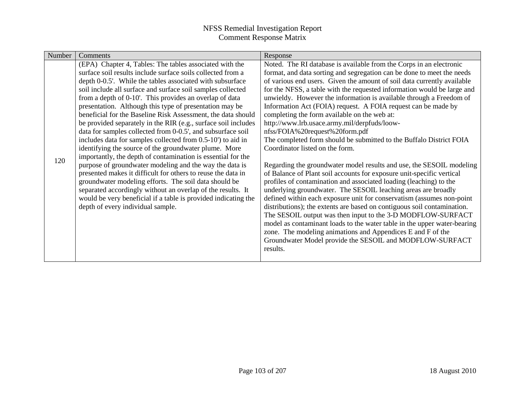| Number | Comments                                                                                                                                                                                                                                                                                                                                                                                                                                                                                                                                                                                                                                                                                                                                                                                                                                                                                                                                                                                                                                                                                                                    | Response                                                                                                                                                                                                                                                                                                                                                                                                                                                                                                                                                                                                                                                                                                                                                                                                                                                                                                                                                                                                                                                                                                                                                                                                                                                                                                                                                                                                              |
|--------|-----------------------------------------------------------------------------------------------------------------------------------------------------------------------------------------------------------------------------------------------------------------------------------------------------------------------------------------------------------------------------------------------------------------------------------------------------------------------------------------------------------------------------------------------------------------------------------------------------------------------------------------------------------------------------------------------------------------------------------------------------------------------------------------------------------------------------------------------------------------------------------------------------------------------------------------------------------------------------------------------------------------------------------------------------------------------------------------------------------------------------|-----------------------------------------------------------------------------------------------------------------------------------------------------------------------------------------------------------------------------------------------------------------------------------------------------------------------------------------------------------------------------------------------------------------------------------------------------------------------------------------------------------------------------------------------------------------------------------------------------------------------------------------------------------------------------------------------------------------------------------------------------------------------------------------------------------------------------------------------------------------------------------------------------------------------------------------------------------------------------------------------------------------------------------------------------------------------------------------------------------------------------------------------------------------------------------------------------------------------------------------------------------------------------------------------------------------------------------------------------------------------------------------------------------------------|
| 120    | (EPA) Chapter 4, Tables: The tables associated with the<br>surface soil results include surface soils collected from a<br>depth 0-0.5'. While the tables associated with subsurface<br>soil include all surface and surface soil samples collected<br>from a depth of 0-10'. This provides an overlap of data<br>presentation. Although this type of presentation may be<br>beneficial for the Baseline Risk Assessment, the data should<br>be provided separately in the RIR (e.g., surface soil includes<br>data for samples collected from 0-0.5', and subsurface soil<br>includes data for samples collected from 0.5-10') to aid in<br>identifying the source of the groundwater plume. More<br>importantly, the depth of contamination is essential for the<br>purpose of groundwater modeling and the way the data is<br>presented makes it difficult for others to reuse the data in<br>groundwater modeling efforts. The soil data should be<br>separated accordingly without an overlap of the results. It<br>would be very beneficial if a table is provided indicating the<br>depth of every individual sample. | Noted. The RI database is available from the Corps in an electronic<br>format, and data sorting and segregation can be done to meet the needs<br>of various end users. Given the amount of soil data currently available<br>for the NFSS, a table with the requested information would be large and<br>unwieldy. However the information is available through a Freedom of<br>Information Act (FOIA) request. A FOIA request can be made by<br>completing the form available on the web at:<br>http://www.lrb.usace.army.mil/derpfuds/loow-<br>nfss/FOIA%20request%20form.pdf<br>The completed form should be submitted to the Buffalo District FOIA<br>Coordinator listed on the form.<br>Regarding the groundwater model results and use, the SESOIL modeling<br>of Balance of Plant soil accounts for exposure unit-specific vertical<br>profiles of contamination and associated loading (leaching) to the<br>underlying groundwater. The SESOIL leaching areas are broadly<br>defined within each exposure unit for conservatism (assumes non-point<br>distributions); the extents are based on contiguous soil contamination.<br>The SESOIL output was then input to the 3-D MODFLOW-SURFACT<br>model as contaminant loads to the water table in the upper water-bearing<br>zone. The modeling animations and Appendices E and F of the<br>Groundwater Model provide the SESOIL and MODFLOW-SURFACT<br>results. |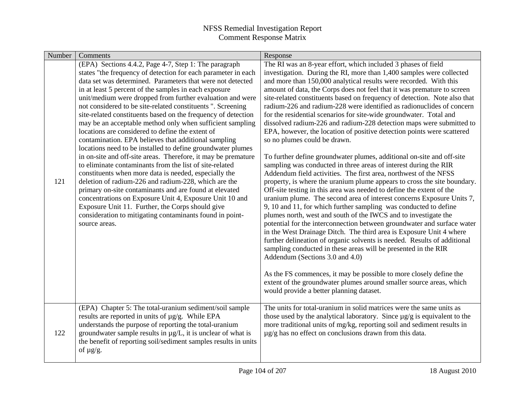| Number | Comments                                                                                                                                                                                                                                                                                                                                                                                                                                                                                                                                                                                                                                                                                                                                                                                                                                                                                                                                                                                                                                                                                                                                                                              | Response                                                                                                                                                                                                                                                                                                                                                                                                                                                                                                                                                                                                                                                                                                                                                                                                                                                                                                                                                                                                                                                                                                                                                                                                                                                                                                                                                                                                                                                                                                                                                                                                                                                                                                                                                                                                             |
|--------|---------------------------------------------------------------------------------------------------------------------------------------------------------------------------------------------------------------------------------------------------------------------------------------------------------------------------------------------------------------------------------------------------------------------------------------------------------------------------------------------------------------------------------------------------------------------------------------------------------------------------------------------------------------------------------------------------------------------------------------------------------------------------------------------------------------------------------------------------------------------------------------------------------------------------------------------------------------------------------------------------------------------------------------------------------------------------------------------------------------------------------------------------------------------------------------|----------------------------------------------------------------------------------------------------------------------------------------------------------------------------------------------------------------------------------------------------------------------------------------------------------------------------------------------------------------------------------------------------------------------------------------------------------------------------------------------------------------------------------------------------------------------------------------------------------------------------------------------------------------------------------------------------------------------------------------------------------------------------------------------------------------------------------------------------------------------------------------------------------------------------------------------------------------------------------------------------------------------------------------------------------------------------------------------------------------------------------------------------------------------------------------------------------------------------------------------------------------------------------------------------------------------------------------------------------------------------------------------------------------------------------------------------------------------------------------------------------------------------------------------------------------------------------------------------------------------------------------------------------------------------------------------------------------------------------------------------------------------------------------------------------------------|
| 121    | (EPA) Sections 4.4.2, Page 4-7, Step 1: The paragraph<br>states "the frequency of detection for each parameter in each<br>data set was determined. Parameters that were not detected<br>in at least 5 percent of the samples in each exposure<br>unit/medium were dropped from further evaluation and were<br>not considered to be site-related constituents ". Screening<br>site-related constituents based on the frequency of detection<br>may be an acceptable method only when sufficient sampling<br>locations are considered to define the extent of<br>contamination. EPA believes that additional sampling<br>locations need to be installed to define groundwater plumes<br>in on-site and off-site areas. Therefore, it may be premature<br>to eliminate contaminants from the list of site-related<br>constituents when more data is needed, especially the<br>deletion of radium-226 and radium-228, which are the<br>primary on-site contaminants and are found at elevated<br>concentrations on Exposure Unit 4, Exposure Unit 10 and<br>Exposure Unit 11. Further, the Corps should give<br>consideration to mitigating contaminants found in point-<br>source areas. | The RI was an 8-year effort, which included 3 phases of field<br>investigation. During the RI, more than 1,400 samples were collected<br>and more than 150,000 analytical results were recorded. With this<br>amount of data, the Corps does not feel that it was premature to screen<br>site-related constituents based on frequency of detection. Note also that<br>radium-226 and radium-228 were identified as radionuclides of concern<br>for the residential scenarios for site-wide groundwater. Total and<br>dissolved radium-226 and radium-228 detection maps were submitted to<br>EPA, however, the location of positive detection points were scattered<br>so no plumes could be drawn.<br>To further define groundwater plumes, additional on-site and off-site<br>sampling was conducted in three areas of interest during the RIR<br>Addendum field activities. The first area, northwest of the NFSS<br>property, is where the uranium plume appears to cross the site boundary.<br>Off-site testing in this area was needed to define the extent of the<br>uranium plume. The second area of interest concerns Exposure Units 7,<br>9, 10 and 11, for which further sampling was conducted to define<br>plumes north, west and south of the IWCS and to investigate the<br>potential for the interconnection between groundwater and surface water<br>in the West Drainage Ditch. The third area is Exposure Unit 4 where<br>further delineation of organic solvents is needed. Results of additional<br>sampling conducted in these areas will be presented in the RIR<br>Addendum (Sections 3.0 and 4.0)<br>As the FS commences, it may be possible to more closely define the<br>extent of the groundwater plumes around smaller source areas, which<br>would provide a better planning dataset. |
| 122    | (EPA) Chapter 5: The total-uranium sediment/soil sample<br>results are reported in units of $\mu$ g/g. While EPA<br>understands the purpose of reporting the total-uranium<br>groundwater sample results in $\mu$ g/L, it is unclear of what is<br>the benefit of reporting soil/sediment samples results in units<br>of $\mu$ g/g.                                                                                                                                                                                                                                                                                                                                                                                                                                                                                                                                                                                                                                                                                                                                                                                                                                                   | The units for total-uranium in solid matrices were the same units as<br>those used by the analytical laboratory. Since $\mu$ g/g is equivalent to the<br>more traditional units of mg/kg, reporting soil and sediment results in<br>$\mu$ g/g has no effect on conclusions drawn from this data.                                                                                                                                                                                                                                                                                                                                                                                                                                                                                                                                                                                                                                                                                                                                                                                                                                                                                                                                                                                                                                                                                                                                                                                                                                                                                                                                                                                                                                                                                                                     |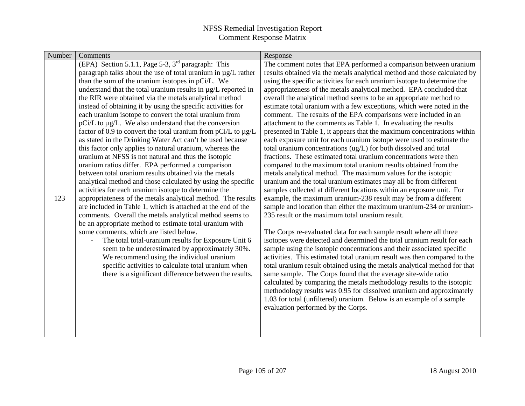| Number | Comments                                                                                                                     | Response                                                                                                                               |
|--------|------------------------------------------------------------------------------------------------------------------------------|----------------------------------------------------------------------------------------------------------------------------------------|
|        | (EPA) Section 5.1.1, Page 5-3, $3rd$ paragraph: This                                                                         | The comment notes that EPA performed a comparison between uranium                                                                      |
|        | paragraph talks about the use of total uranium in $\mu$ g/L rather                                                           | results obtained via the metals analytical method and those calculated by                                                              |
|        | than the sum of the uranium isotopes in pCi/L. We                                                                            | using the specific activities for each uranium isotope to determine the                                                                |
|        | understand that the total uranium results in µg/L reported in                                                                | appropriateness of the metals analytical method. EPA concluded that                                                                    |
|        | the RIR were obtained via the metals analytical method                                                                       | overall the analytical method seems to be an appropriate method to                                                                     |
|        | instead of obtaining it by using the specific activities for                                                                 | estimate total uranium with a few exceptions, which were noted in the                                                                  |
|        | each uranium isotope to convert the total uranium from                                                                       | comment. The results of the EPA comparisons were included in an                                                                        |
|        | pCi/L to µg/L. We also understand that the conversion                                                                        | attachment to the comments as Table 1. In evaluating the results                                                                       |
|        | factor of 0.9 to convert the total uranium from $pCi/L$ to $\mu g/L$                                                         | presented in Table 1, it appears that the maximum concentrations within                                                                |
|        | as stated in the Drinking Water Act can't be used because                                                                    | each exposure unit for each uranium isotope were used to estimate the                                                                  |
|        | this factor only applies to natural uranium, whereas the                                                                     | total uranium concentrations (ug/L) for both dissolved and total                                                                       |
|        | uranium at NFSS is not natural and thus the isotopic                                                                         | fractions. These estimated total uranium concentrations were then                                                                      |
|        | uranium ratios differ. EPA performed a comparison                                                                            | compared to the maximum total uranium results obtained from the                                                                        |
|        | between total uranium results obtained via the metals                                                                        | metals analytical method. The maximum values for the isotopic                                                                          |
|        | analytical method and those calculated by using the specific                                                                 | uranium and the total uranium estimates may all be from different                                                                      |
| 123    | activities for each uranium isotope to determine the                                                                         | samples collected at different locations within an exposure unit. For                                                                  |
|        | appropriateness of the metals analytical method. The results<br>are included in Table 1, which is attached at the end of the | example, the maximum uranium-238 result may be from a different<br>sample and location than either the maximum uranium-234 or uranium- |
|        | comments. Overall the metals analytical method seems to                                                                      | 235 result or the maximum total uranium result.                                                                                        |
|        | be an appropriate method to estimate total-uranium with                                                                      |                                                                                                                                        |
|        | some comments, which are listed below.                                                                                       | The Corps re-evaluated data for each sample result where all three                                                                     |
|        | The total total-uranium results for Exposure Unit 6<br>$\overline{\phantom{a}}$                                              | isotopes were detected and determined the total uranium result for each                                                                |
|        | seem to be underestimated by approximately 30%.                                                                              | sample using the isotopic concentrations and their associated specific                                                                 |
|        | We recommend using the individual uranium                                                                                    | activities. This estimated total uranium result was then compared to the                                                               |
|        | specific activities to calculate total uranium when                                                                          | total uranium result obtained using the metals analytical method for that                                                              |
|        | there is a significant difference between the results.                                                                       | same sample. The Corps found that the average site-wide ratio                                                                          |
|        |                                                                                                                              | calculated by comparing the metals methodology results to the isotopic                                                                 |
|        |                                                                                                                              | methodology results was 0.95 for dissolved uranium and approximately                                                                   |
|        |                                                                                                                              | 1.03 for total (unfiltered) uranium. Below is an example of a sample                                                                   |
|        |                                                                                                                              | evaluation performed by the Corps.                                                                                                     |
|        |                                                                                                                              |                                                                                                                                        |
|        |                                                                                                                              |                                                                                                                                        |
|        |                                                                                                                              |                                                                                                                                        |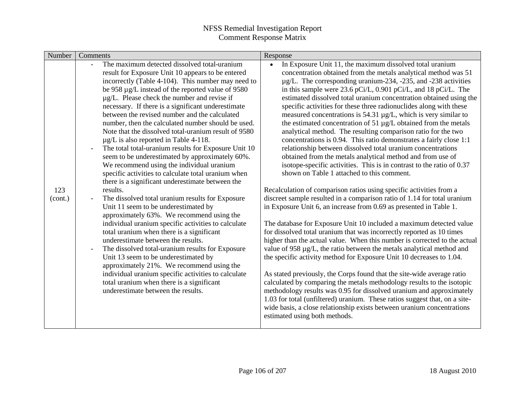| Number  | Comments                                                                                     | Response                                                                                                                            |
|---------|----------------------------------------------------------------------------------------------|-------------------------------------------------------------------------------------------------------------------------------------|
|         | The maximum detected dissolved total-uranium<br>$\blacksquare$                               | In Exposure Unit 11, the maximum dissolved total uranium                                                                            |
|         | result for Exposure Unit 10 appears to be entered                                            | concentration obtained from the metals analytical method was 51                                                                     |
|         | incorrectly (Table 4-104). This number may need to                                           | $\mu$ g/L. The corresponding uranium-234, -235, and -238 activities                                                                 |
|         | be 958 µg/L instead of the reported value of 9580                                            | in this sample were 23.6 pCi/L, 0.901 pCi/L, and 18 pCi/L. The                                                                      |
|         | $\mu$ g/L. Please check the number and revise if                                             | estimated dissolved total uranium concentration obtained using the                                                                  |
|         | necessary. If there is a significant underestimate                                           | specific activities for these three radionuclides along with these                                                                  |
|         | between the revised number and the calculated                                                | measured concentrations is 54.31 $\mu$ g/L, which is very similar to                                                                |
|         | number, then the calculated number should be used.                                           | the estimated concentration of 51 µg/L obtained from the metals                                                                     |
|         | Note that the dissolved total-uranium result of 9580                                         | analytical method. The resulting comparison ratio for the two                                                                       |
|         | $\mu$ g/L is also reported in Table 4-118.                                                   | concentrations is 0.94. This ratio demonstrates a fairly close 1:1                                                                  |
|         | The total total-uranium results for Exposure Unit 10                                         | relationship between dissolved total uranium concentrations                                                                         |
|         | seem to be underestimated by approximately 60%.<br>We recommend using the individual uranium | obtained from the metals analytical method and from use of<br>isotope-specific activities. This is in contrast to the ratio of 0.37 |
|         | specific activities to calculate total uranium when                                          | shown on Table 1 attached to this comment.                                                                                          |
|         | there is a significant underestimate between the                                             |                                                                                                                                     |
| 123     | results.                                                                                     | Recalculation of comparison ratios using specific activities from a                                                                 |
| (cont.) | The dissolved total uranium results for Exposure                                             | discreet sample resulted in a comparison ratio of 1.14 for total uranium                                                            |
|         | Unit 11 seem to be underestimated by                                                         | in Exposure Unit 6, an increase from 0.69 as presented in Table 1.                                                                  |
|         | approximately 63%. We recommend using the                                                    |                                                                                                                                     |
|         | individual uranium specific activities to calculate                                          | The database for Exposure Unit 10 included a maximum detected value                                                                 |
|         | total uranium when there is a significant                                                    | for dissolved total uranium that was incorrectly reported as 10 times                                                               |
|         | underestimate between the results.                                                           | higher than the actual value. When this number is corrected to the actual                                                           |
|         | The dissolved total-uranium results for Exposure                                             | value of 958 µg/L, the ratio between the metals analytical method and                                                               |
|         | Unit 13 seem to be underestimated by                                                         | the specific activity method for Exposure Unit 10 decreases to 1.04.                                                                |
|         | approximately 21%. We recommend using the                                                    |                                                                                                                                     |
|         | individual uranium specific activities to calculate                                          | As stated previously, the Corps found that the site-wide average ratio                                                              |
|         | total uranium when there is a significant                                                    | calculated by comparing the metals methodology results to the isotopic                                                              |
|         | underestimate between the results.                                                           | methodology results was 0.95 for dissolved uranium and approximately                                                                |
|         |                                                                                              | 1.03 for total (unfiltered) uranium. These ratios suggest that, on a site-                                                          |
|         |                                                                                              | wide basis, a close relationship exists between uranium concentrations<br>estimated using both methods.                             |
|         |                                                                                              |                                                                                                                                     |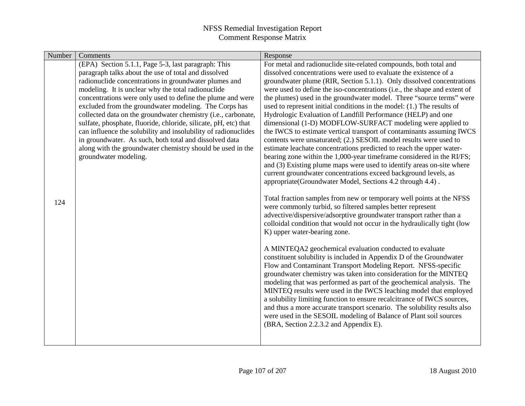| Number | Comments                                                                            | Response                                                                                                                                      |
|--------|-------------------------------------------------------------------------------------|-----------------------------------------------------------------------------------------------------------------------------------------------|
|        | (EPA) Section 5.1.1, Page 5-3, last paragraph: This                                 | For metal and radionuclide site-related compounds, both total and                                                                             |
|        | paragraph talks about the use of total and dissolved                                | dissolved concentrations were used to evaluate the existence of a                                                                             |
|        | radionuclide concentrations in groundwater plumes and                               | groundwater plume (RIR, Section 5.1.1). Only dissolved concentrations                                                                         |
|        | modeling. It is unclear why the total radionuclide                                  | were used to define the iso-concentrations (i.e., the shape and extent of                                                                     |
|        | concentrations were only used to define the plume and were                          | the plumes) used in the groundwater model. Three "source terms" were                                                                          |
|        | excluded from the groundwater modeling. The Corps has                               | used to represent initial conditions in the model: (1.) The results of                                                                        |
|        | collected data on the groundwater chemistry (i.e., carbonate,                       | Hydrologic Evaluation of Landfill Performance (HELP) and one                                                                                  |
|        | sulfate, phosphate, fluoride, chloride, silicate, pH, etc) that                     | dimensional (1-D) MODFLOW-SURFACT modeling were applied to                                                                                    |
|        | can influence the solubility and insolubility of radionuclides                      | the IWCS to estimate vertical transport of contaminants assuming IWCS                                                                         |
|        | in groundwater. As such, both total and dissolved data                              | contents were unsaturated; (2.) SESOIL model results were used to                                                                             |
|        | along with the groundwater chemistry should be used in the<br>groundwater modeling. | estimate leachate concentrations predicted to reach the upper water-<br>bearing zone within the 1,000-year timeframe considered in the RI/FS; |
|        |                                                                                     | and (3) Existing plume maps were used to identify areas on-site where                                                                         |
|        |                                                                                     | current groundwater concentrations exceed background levels, as                                                                               |
|        |                                                                                     | appropriate(Groundwater Model, Sections 4.2 through 4.4).                                                                                     |
|        |                                                                                     |                                                                                                                                               |
|        |                                                                                     | Total fraction samples from new or temporary well points at the NFSS                                                                          |
| 124    |                                                                                     | were commonly turbid, so filtered samples better represent                                                                                    |
|        |                                                                                     | advective/dispersive/adsorptive groundwater transport rather than a                                                                           |
|        |                                                                                     | colloidal condition that would not occur in the hydraulically tight (low                                                                      |
|        |                                                                                     | K) upper water-bearing zone.                                                                                                                  |
|        |                                                                                     | A MINTEQA2 geochemical evaluation conducted to evaluate                                                                                       |
|        |                                                                                     | constituent solubility is included in Appendix D of the Groundwater                                                                           |
|        |                                                                                     | Flow and Contaminant Transport Modeling Report. NFSS-specific                                                                                 |
|        |                                                                                     | groundwater chemistry was taken into consideration for the MINTEQ                                                                             |
|        |                                                                                     | modeling that was performed as part of the geochemical analysis. The                                                                          |
|        |                                                                                     | MINTEQ results were used in the IWCS leaching model that employed                                                                             |
|        |                                                                                     | a solubility limiting function to ensure recalcitrance of IWCS sources,                                                                       |
|        |                                                                                     | and thus a more accurate transport scenario. The solubility results also<br>were used in the SESOIL modeling of Balance of Plant soil sources |
|        |                                                                                     | (BRA, Section 2.2.3.2 and Appendix E).                                                                                                        |
|        |                                                                                     |                                                                                                                                               |
|        |                                                                                     |                                                                                                                                               |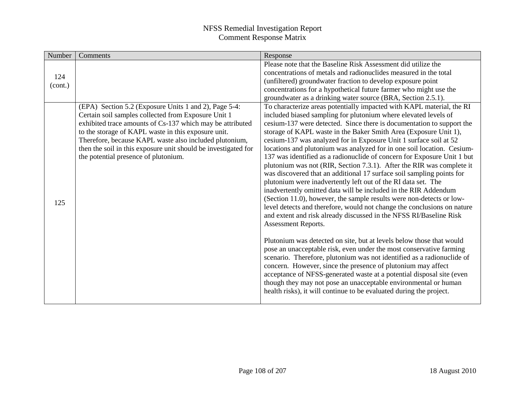| Number  | Comments                                                                                               | Response                                                                                                                                          |
|---------|--------------------------------------------------------------------------------------------------------|---------------------------------------------------------------------------------------------------------------------------------------------------|
|         |                                                                                                        | Please note that the Baseline Risk Assessment did utilize the                                                                                     |
| 124     |                                                                                                        | concentrations of metals and radionuclides measured in the total                                                                                  |
| (cont.) |                                                                                                        | (unfiltered) groundwater fraction to develop exposure point                                                                                       |
|         |                                                                                                        | concentrations for a hypothetical future farmer who might use the                                                                                 |
|         |                                                                                                        | groundwater as a drinking water source (BRA, Section 2.5.1).                                                                                      |
|         | (EPA) Section 5.2 (Exposure Units 1 and 2), Page 5-4:                                                  | To characterize areas potentially impacted with KAPL material, the RI                                                                             |
|         | Certain soil samples collected from Exposure Unit 1                                                    | included biased sampling for plutonium where elevated levels of                                                                                   |
|         | exhibited trace amounts of Cs-137 which may be attributed                                              | cesium-137 were detected. Since there is documentation to support the                                                                             |
|         | to the storage of KAPL waste in this exposure unit.                                                    | storage of KAPL waste in the Baker Smith Area (Exposure Unit 1),                                                                                  |
|         | Therefore, because KAPL waste also included plutonium,                                                 | cesium-137 was analyzed for in Exposure Unit 1 surface soil at 52                                                                                 |
|         | then the soil in this exposure unit should be investigated for<br>the potential presence of plutonium. | locations and plutonium was analyzed for in one soil location. Cesium-<br>137 was identified as a radionuclide of concern for Exposure Unit 1 but |
|         |                                                                                                        | plutonium was not (RIR, Section 7.3.1). After the RIR was complete it                                                                             |
|         |                                                                                                        | was discovered that an additional 17 surface soil sampling points for                                                                             |
|         |                                                                                                        | plutonium were inadvertently left out of the RI data set. The                                                                                     |
|         |                                                                                                        | inadvertently omitted data will be included in the RIR Addendum                                                                                   |
|         |                                                                                                        | (Section 11.0), however, the sample results were non-detects or low-                                                                              |
| 125     |                                                                                                        | level detects and therefore, would not change the conclusions on nature                                                                           |
|         |                                                                                                        | and extent and risk already discussed in the NFSS RI/Baseline Risk                                                                                |
|         |                                                                                                        | Assessment Reports.                                                                                                                               |
|         |                                                                                                        |                                                                                                                                                   |
|         |                                                                                                        | Plutonium was detected on site, but at levels below those that would                                                                              |
|         |                                                                                                        | pose an unacceptable risk, even under the most conservative farming                                                                               |
|         |                                                                                                        | scenario. Therefore, plutonium was not identified as a radionuclide of                                                                            |
|         |                                                                                                        | concern. However, since the presence of plutonium may affect                                                                                      |
|         |                                                                                                        | acceptance of NFSS-generated waste at a potential disposal site (even                                                                             |
|         |                                                                                                        | though they may not pose an unacceptable environmental or human                                                                                   |
|         |                                                                                                        | health risks), it will continue to be evaluated during the project.                                                                               |
|         |                                                                                                        |                                                                                                                                                   |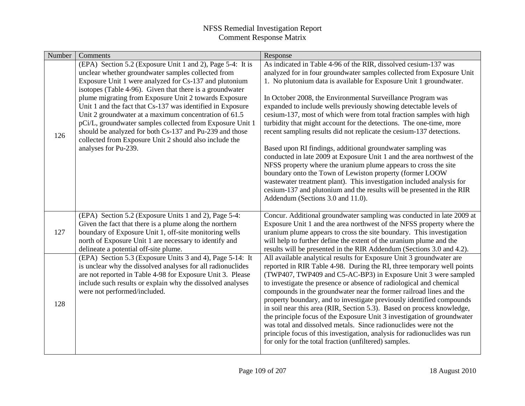| Number | Comments                                                                                                                                                                                                                                                                                                                                                                                                                                                                                                                                                                                                                         | Response                                                                                                                                                                                                                                                                                                                                                                                                                                                                                                                                                                                                                                                                                                                                                                                                                                                                                                                                                                                                                                  |
|--------|----------------------------------------------------------------------------------------------------------------------------------------------------------------------------------------------------------------------------------------------------------------------------------------------------------------------------------------------------------------------------------------------------------------------------------------------------------------------------------------------------------------------------------------------------------------------------------------------------------------------------------|-------------------------------------------------------------------------------------------------------------------------------------------------------------------------------------------------------------------------------------------------------------------------------------------------------------------------------------------------------------------------------------------------------------------------------------------------------------------------------------------------------------------------------------------------------------------------------------------------------------------------------------------------------------------------------------------------------------------------------------------------------------------------------------------------------------------------------------------------------------------------------------------------------------------------------------------------------------------------------------------------------------------------------------------|
| 126    | (EPA) Section 5.2 (Exposure Unit 1 and 2), Page 5-4: It is<br>unclear whether groundwater samples collected from<br>Exposure Unit 1 were analyzed for Cs-137 and plutonium<br>isotopes (Table 4-96). Given that there is a groundwater<br>plume migrating from Exposure Unit 2 towards Exposure<br>Unit 1 and the fact that Cs-137 was identified in Exposure<br>Unit 2 groundwater at a maximum concentration of 61.5<br>pCi/L, groundwater samples collected from Exposure Unit 1<br>should be analyzed for both Cs-137 and Pu-239 and those<br>collected from Exposure Unit 2 should also include the<br>analyses for Pu-239. | As indicated in Table 4-96 of the RIR, dissolved cesium-137 was<br>analyzed for in four groundwater samples collected from Exposure Unit<br>1. No plutonium data is available for Exposure Unit 1 groundwater.<br>In October 2008, the Environmental Surveillance Program was<br>expanded to include wells previously showing detectable levels of<br>cesium-137, most of which were from total fraction samples with high<br>turbidity that might account for the detections. The one-time, more<br>recent sampling results did not replicate the cesium-137 detections.<br>Based upon RI findings, additional groundwater sampling was<br>conducted in late 2009 at Exposure Unit 1 and the area northwest of the<br>NFSS property where the uranium plume appears to cross the site<br>boundary onto the Town of Lewiston property (former LOOW<br>wastewater treatment plant). This investigation included analysis for<br>cesium-137 and plutonium and the results will be presented in the RIR<br>Addendum (Sections 3.0 and 11.0). |
| 127    | (EPA) Section 5.2 (Exposure Units 1 and 2), Page 5-4:<br>Given the fact that there is a plume along the northern<br>boundary of Exposure Unit 1, off-site monitoring wells<br>north of Exposure Unit 1 are necessary to identify and<br>delineate a potential off-site plume.                                                                                                                                                                                                                                                                                                                                                    | Concur. Additional groundwater sampling was conducted in late 2009 at<br>Exposure Unit 1 and the area northwest of the NFSS property where the<br>uranium plume appears to cross the site boundary. This investigation<br>will help to further define the extent of the uranium plume and the<br>results will be presented in the RIR Addendum (Sections 3.0 and 4.2).                                                                                                                                                                                                                                                                                                                                                                                                                                                                                                                                                                                                                                                                    |
| 128    | (EPA) Section 5.3 (Exposure Units 3 and 4), Page 5-14: It<br>is unclear why the dissolved analyses for all radionuclides<br>are not reported in Table 4-98 for Exposure Unit 3. Please<br>include such results or explain why the dissolved analyses<br>were not performed/included.                                                                                                                                                                                                                                                                                                                                             | All available analytical results for Exposure Unit 3 groundwater are<br>reported in RIR Table 4-98. During the RI, three temporary well points<br>(TWP407, TWP409 and C5-AC-BP3) in Exposure Unit 3 were sampled<br>to investigate the presence or absence of radiological and chemical<br>compounds in the groundwater near the former railroad lines and the<br>property boundary, and to investigate previously identified compounds<br>in soil near this area (RIR, Section 5.3). Based on process knowledge,<br>the principle focus of the Exposure Unit 3 investigation of groundwater<br>was total and dissolved metals. Since radionuclides were not the<br>principle focus of this investigation, analysis for radionuclides was run<br>for only for the total fraction (unfiltered) samples.                                                                                                                                                                                                                                    |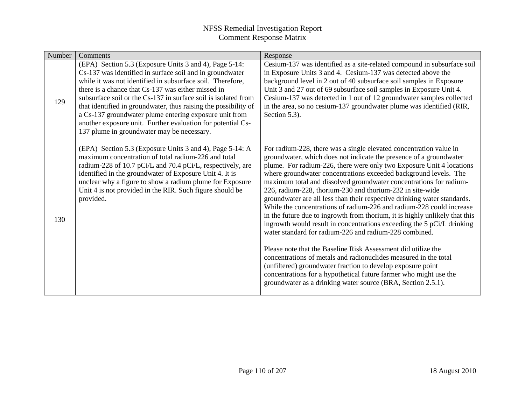| Number | Comments                                                                                                                                                                                                                                                                                                                                                                                                                                                                                                                                           | Response                                                                                                                                                                                                                                                                                                                                                                                                                                                                                                                                                                                                                                                                                                                                                                                                                                                                                                                                                                                                                                                                                                                                |
|--------|----------------------------------------------------------------------------------------------------------------------------------------------------------------------------------------------------------------------------------------------------------------------------------------------------------------------------------------------------------------------------------------------------------------------------------------------------------------------------------------------------------------------------------------------------|-----------------------------------------------------------------------------------------------------------------------------------------------------------------------------------------------------------------------------------------------------------------------------------------------------------------------------------------------------------------------------------------------------------------------------------------------------------------------------------------------------------------------------------------------------------------------------------------------------------------------------------------------------------------------------------------------------------------------------------------------------------------------------------------------------------------------------------------------------------------------------------------------------------------------------------------------------------------------------------------------------------------------------------------------------------------------------------------------------------------------------------------|
| 129    | (EPA) Section 5.3 (Exposure Units 3 and 4), Page 5-14:<br>Cs-137 was identified in surface soil and in groundwater<br>while it was not identified in subsurface soil. Therefore,<br>there is a chance that Cs-137 was either missed in<br>subsurface soil or the Cs-137 in surface soil is isolated from<br>that identified in groundwater, thus raising the possibility of<br>a Cs-137 groundwater plume entering exposure unit from<br>another exposure unit. Further evaluation for potential Cs-<br>137 plume in groundwater may be necessary. | Cesium-137 was identified as a site-related compound in subsurface soil<br>in Exposure Units 3 and 4. Cesium-137 was detected above the<br>background level in 2 out of 40 subsurface soil samples in Exposure<br>Unit 3 and 27 out of 69 subsurface soil samples in Exposure Unit 4.<br>Cesium-137 was detected in 1 out of 12 groundwater samples collected<br>in the area, so no cesium-137 groundwater plume was identified (RIR,<br>Section 5.3).                                                                                                                                                                                                                                                                                                                                                                                                                                                                                                                                                                                                                                                                                  |
| 130    | (EPA) Section 5.3 (Exposure Units 3 and 4), Page 5-14: A<br>maximum concentration of total radium-226 and total<br>radium-228 of 10.7 pCi/L and 70.4 pCi/L, respectively, are<br>identified in the groundwater of Exposure Unit 4. It is<br>unclear why a figure to show a radium plume for Exposure<br>Unit 4 is not provided in the RIR. Such figure should be<br>provided.                                                                                                                                                                      | For radium-228, there was a single elevated concentration value in<br>groundwater, which does not indicate the presence of a groundwater<br>plume. For radium-226, there were only two Exposure Unit 4 locations<br>where groundwater concentrations exceeded background levels. The<br>maximum total and dissolved groundwater concentrations for radium-<br>226, radium-228, thorium-230 and thorium-232 in site-wide<br>groundwater are all less than their respective drinking water standards.<br>While the concentrations of radium-226 and radium-228 could increase<br>in the future due to ingrowth from thorium, it is highly unlikely that this<br>ingrowth would result in concentrations exceeding the 5 pCi/L drinking<br>water standard for radium-226 and radium-228 combined.<br>Please note that the Baseline Risk Assessment did utilize the<br>concentrations of metals and radionuclides measured in the total<br>(unfiltered) groundwater fraction to develop exposure point<br>concentrations for a hypothetical future farmer who might use the<br>groundwater as a drinking water source (BRA, Section 2.5.1). |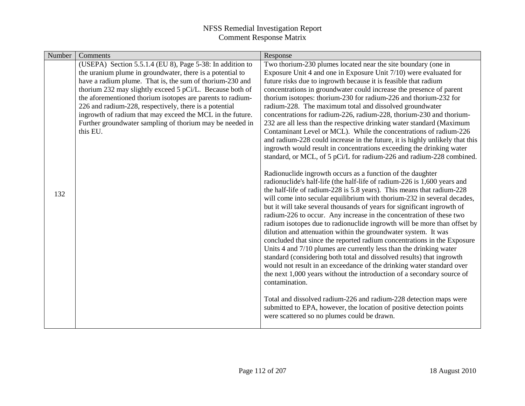| Number | Comments                                                   | Response                                                                                                                                             |
|--------|------------------------------------------------------------|------------------------------------------------------------------------------------------------------------------------------------------------------|
|        | (USEPA) Section 5.5.1.4 (EU 8), Page 5-38: In addition to  | Two thorium-230 plumes located near the site boundary (one in                                                                                        |
|        | the uranium plume in groundwater, there is a potential to  | Exposure Unit 4 and one in Exposure Unit 7/10) were evaluated for                                                                                    |
|        | have a radium plume. That is, the sum of thorium-230 and   | future risks due to ingrowth because it is feasible that radium                                                                                      |
|        | thorium 232 may slightly exceed 5 pCi/L. Because both of   | concentrations in groundwater could increase the presence of parent                                                                                  |
|        | the aforementioned thorium isotopes are parents to radium- | thorium isotopes: thorium-230 for radium-226 and thorium-232 for                                                                                     |
|        | 226 and radium-228, respectively, there is a potential     | radium-228. The maximum total and dissolved groundwater                                                                                              |
|        | ingrowth of radium that may exceed the MCL in the future.  | concentrations for radium-226, radium-228, thorium-230 and thorium-                                                                                  |
|        | Further groundwater sampling of thorium may be needed in   | 232 are all less than the respective drinking water standard (Maximum                                                                                |
|        | this EU.                                                   | Contaminant Level or MCL). While the concentrations of radium-226                                                                                    |
|        |                                                            | and radium-228 could increase in the future, it is highly unlikely that this<br>ingrowth would result in concentrations exceeding the drinking water |
|        |                                                            | standard, or MCL, of 5 pCi/L for radium-226 and radium-228 combined.                                                                                 |
|        |                                                            |                                                                                                                                                      |
|        |                                                            | Radionuclide ingrowth occurs as a function of the daughter                                                                                           |
|        |                                                            | radionuclide's half-life (the half-life of radium-226 is 1,600 years and                                                                             |
| 132    |                                                            | the half-life of radium-228 is 5.8 years). This means that radium-228                                                                                |
|        |                                                            | will come into secular equilibrium with thorium-232 in several decades,                                                                              |
|        |                                                            | but it will take several thousands of years for significant ingrowth of                                                                              |
|        |                                                            | radium-226 to occur. Any increase in the concentration of these two                                                                                  |
|        |                                                            | radium isotopes due to radionuclide ingrowth will be more than offset by                                                                             |
|        |                                                            | dilution and attenuation within the groundwater system. It was                                                                                       |
|        |                                                            | concluded that since the reported radium concentrations in the Exposure<br>Units 4 and 7/10 plumes are currently less than the drinking water        |
|        |                                                            | standard (considering both total and dissolved results) that ingrowth                                                                                |
|        |                                                            | would not result in an exceedance of the drinking water standard over                                                                                |
|        |                                                            | the next 1,000 years without the introduction of a secondary source of                                                                               |
|        |                                                            | contamination.                                                                                                                                       |
|        |                                                            |                                                                                                                                                      |
|        |                                                            | Total and dissolved radium-226 and radium-228 detection maps were                                                                                    |
|        |                                                            | submitted to EPA, however, the location of positive detection points                                                                                 |
|        |                                                            | were scattered so no plumes could be drawn.                                                                                                          |
|        |                                                            |                                                                                                                                                      |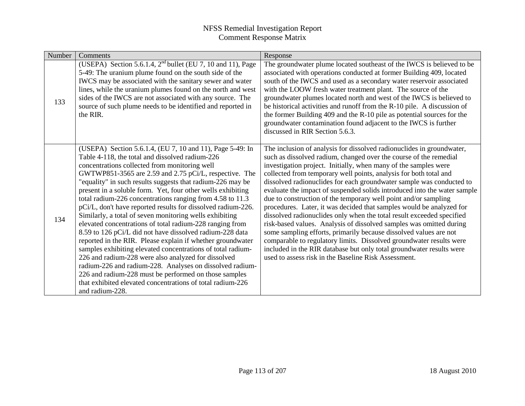| Number | Comments                                                                                                                                                                                                                                                                                                                                                                                                                                                                                                                                                                                                                                                                                                                                                                                                                                                                                                                                                                                                                                                       | Response                                                                                                                                                                                                                                                                                                                                                                                                                                                                                                                                                                                                                                                                                                                                                                                                                                                                                                                                                                                                      |
|--------|----------------------------------------------------------------------------------------------------------------------------------------------------------------------------------------------------------------------------------------------------------------------------------------------------------------------------------------------------------------------------------------------------------------------------------------------------------------------------------------------------------------------------------------------------------------------------------------------------------------------------------------------------------------------------------------------------------------------------------------------------------------------------------------------------------------------------------------------------------------------------------------------------------------------------------------------------------------------------------------------------------------------------------------------------------------|---------------------------------------------------------------------------------------------------------------------------------------------------------------------------------------------------------------------------------------------------------------------------------------------------------------------------------------------------------------------------------------------------------------------------------------------------------------------------------------------------------------------------------------------------------------------------------------------------------------------------------------------------------------------------------------------------------------------------------------------------------------------------------------------------------------------------------------------------------------------------------------------------------------------------------------------------------------------------------------------------------------|
| 133    | (USEPA) Section 5.6.1.4, $2nd$ bullet (EU 7, 10 and 11), Page<br>5-49: The uranium plume found on the south side of the<br>IWCS may be associated with the sanitary sewer and water<br>lines, while the uranium plumes found on the north and west<br>sides of the IWCS are not associated with any source. The<br>source of such plume needs to be identified and reported in<br>the RIR.                                                                                                                                                                                                                                                                                                                                                                                                                                                                                                                                                                                                                                                                     | The groundwater plume located southeast of the IWCS is believed to be<br>associated with operations conducted at former Building 409, located<br>south of the IWCS and used as a secondary water reservoir associated<br>with the LOOW fresh water treatment plant. The source of the<br>groundwater plumes located north and west of the IWCS is believed to<br>be historical activities and runoff from the R-10 pile. A discussion of<br>the former Building 409 and the R-10 pile as potential sources for the<br>groundwater contamination found adjacent to the IWCS is further<br>discussed in RIR Section 5.6.3.                                                                                                                                                                                                                                                                                                                                                                                      |
| 134    | (USEPA) Section 5.6.1.4, (EU 7, 10 and 11), Page 5-49: In<br>Table 4-118, the total and dissolved radium-226<br>concentrations collected from monitoring well<br>GWTWP851-3565 are 2.59 and 2.75 pCi/L, respective. The<br>"equality" in such results suggests that radium-226 may be<br>present in a soluble form. Yet, four other wells exhibiting<br>total radium-226 concentrations ranging from 4.58 to 11.3<br>pCi/L, don't have reported results for dissolved radium-226.<br>Similarly, a total of seven monitoring wells exhibiting<br>elevated concentrations of total radium-228 ranging from<br>8.59 to 126 pCi/L did not have dissolved radium-228 data<br>reported in the RIR. Please explain if whether groundwater<br>samples exhibiting elevated concentrations of total radium-<br>226 and radium-228 were also analyzed for dissolved<br>radium-226 and radium-228. Analyses on dissolved radium-<br>226 and radium-228 must be performed on those samples<br>that exhibited elevated concentrations of total radium-226<br>and radium-228. | The inclusion of analysis for dissolved radionuclides in groundwater,<br>such as dissolved radium, changed over the course of the remedial<br>investigation project. Initially, when many of the samples were<br>collected from temporary well points, analysis for both total and<br>dissolved radionuclides for each groundwater sample was conducted to<br>evaluate the impact of suspended solids introduced into the water sample<br>due to construction of the temporary well point and/or sampling<br>procedures. Later, it was decided that samples would be analyzed for<br>dissolved radionuclides only when the total result exceeded specified<br>risk-based values. Analysis of dissolved samples was omitted during<br>some sampling efforts, primarily because dissolved values are not<br>comparable to regulatory limits. Dissolved groundwater results were<br>included in the RIR database but only total groundwater results were<br>used to assess risk in the Baseline Risk Assessment. |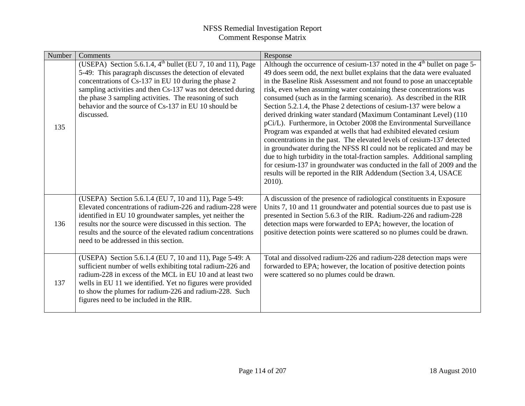| Number | Comments                                                                                                                                                                                                                                                                                                                                                                                                 | Response                                                                                                                                                                                                                                                                                                                                                                                                                                                                                                                                                                                                                                                                                                                                                                                                                                                                                                                                                                                                                                                |
|--------|----------------------------------------------------------------------------------------------------------------------------------------------------------------------------------------------------------------------------------------------------------------------------------------------------------------------------------------------------------------------------------------------------------|---------------------------------------------------------------------------------------------------------------------------------------------------------------------------------------------------------------------------------------------------------------------------------------------------------------------------------------------------------------------------------------------------------------------------------------------------------------------------------------------------------------------------------------------------------------------------------------------------------------------------------------------------------------------------------------------------------------------------------------------------------------------------------------------------------------------------------------------------------------------------------------------------------------------------------------------------------------------------------------------------------------------------------------------------------|
| 135    | (USEPA) Section 5.6.1.4, $4^{\text{th}}$ bullet (EU 7, 10 and $\overline{11}$ ), Page<br>5-49: This paragraph discusses the detection of elevated<br>concentrations of Cs-137 in EU 10 during the phase 2<br>sampling activities and then Cs-137 was not detected during<br>the phase 3 sampling activities. The reasoning of such<br>behavior and the source of Cs-137 in EU 10 should be<br>discussed. | Although the occurrence of cesium-137 noted in the $4th$ bullet on page 5-<br>49 does seem odd, the next bullet explains that the data were evaluated<br>in the Baseline Risk Assessment and not found to pose an unacceptable<br>risk, even when assuming water containing these concentrations was<br>consumed (such as in the farming scenario). As described in the RIR<br>Section 5.2.1.4, the Phase 2 detections of cesium-137 were below a<br>derived drinking water standard (Maximum Contaminant Level) (110<br>pCi/L). Furthermore, in October 2008 the Environmental Surveillance<br>Program was expanded at wells that had exhibited elevated cesium<br>concentrations in the past. The elevated levels of cesium-137 detected<br>in groundwater during the NFSS RI could not be replicated and may be<br>due to high turbidity in the total-fraction samples. Additional sampling<br>for cesium-137 in groundwater was conducted in the fall of 2009 and the<br>results will be reported in the RIR Addendum (Section 3.4, USACE<br>2010). |
| 136    | (USEPA) Section 5.6.1.4 (EU 7, 10 and 11), Page 5-49:<br>Elevated concentrations of radium-226 and radium-228 were<br>identified in EU 10 groundwater samples, yet neither the<br>results nor the source were discussed in this section. The<br>results and the source of the elevated radium concentrations<br>need to be addressed in this section.                                                    | A discussion of the presence of radiological constituents in Exposure<br>Units 7, 10 and 11 groundwater and potential sources due to past use is<br>presented in Section 5.6.3 of the RIR. Radium-226 and radium-228<br>detection maps were forwarded to EPA; however, the location of<br>positive detection points were scattered so no plumes could be drawn.                                                                                                                                                                                                                                                                                                                                                                                                                                                                                                                                                                                                                                                                                         |
| 137    | (USEPA) Section 5.6.1.4 (EU 7, 10 and 11), Page 5-49: A<br>sufficient number of wells exhibiting total radium-226 and<br>radium-228 in excess of the MCL in EU 10 and at least two<br>wells in EU 11 we identified. Yet no figures were provided<br>to show the plumes for radium-226 and radium-228. Such<br>figures need to be included in the RIR.                                                    | Total and dissolved radium-226 and radium-228 detection maps were<br>forwarded to EPA; however, the location of positive detection points<br>were scattered so no plumes could be drawn.                                                                                                                                                                                                                                                                                                                                                                                                                                                                                                                                                                                                                                                                                                                                                                                                                                                                |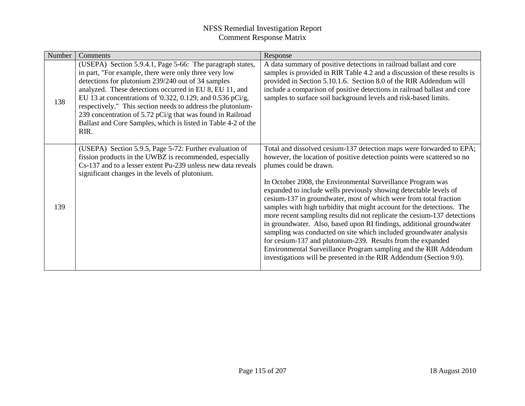| Number | Comments                                                                                                                                                                                                                                                                                                                                                                                                                                                                                                | Response                                                                                                                                                                                                                                                                                                                                                                                                                                                                                                                                                                                                                                                                                                                                                                                                                                                                                         |
|--------|---------------------------------------------------------------------------------------------------------------------------------------------------------------------------------------------------------------------------------------------------------------------------------------------------------------------------------------------------------------------------------------------------------------------------------------------------------------------------------------------------------|--------------------------------------------------------------------------------------------------------------------------------------------------------------------------------------------------------------------------------------------------------------------------------------------------------------------------------------------------------------------------------------------------------------------------------------------------------------------------------------------------------------------------------------------------------------------------------------------------------------------------------------------------------------------------------------------------------------------------------------------------------------------------------------------------------------------------------------------------------------------------------------------------|
| 138    | (USEPA) Section 5.9.4.1, Page 5-66: The paragraph states,<br>in part, "For example, there were only three very low<br>detections for plutonium 239/240 out of 34 samples<br>analyzed. These detections occurred in EU 8, EU 11, and<br>EU 13 at concentrations of '0.322, 0.129, and 0.536 pCi/g,<br>respectively." This section needs to address the plutonium-<br>239 concentration of 5.72 pCi/g that was found in Railroad<br>Ballast and Core Samples, which is listed in Table 4-2 of the<br>RIR. | A data summary of positive detections in railroad ballast and core<br>samples is provided in RIR Table 4.2 and a discussion of these results is<br>provided in Section 5.10.1.6. Section 8.0 of the RIR Addendum will<br>include a comparison of positive detections in railroad ballast and core<br>samples to surface soil background levels and risk-based limits.                                                                                                                                                                                                                                                                                                                                                                                                                                                                                                                            |
| 139    | (USEPA) Section 5.9.5, Page 5-72: Further evaluation of<br>fission products in the UWBZ is recommended, especially<br>Cs-137 and to a lesser extent Pu-239 unless new data reveals<br>significant changes in the levels of plutonium.                                                                                                                                                                                                                                                                   | Total and dissolved cesium-137 detection maps were forwarded to EPA;<br>however, the location of positive detection points were scattered so no<br>plumes could be drawn.<br>In October 2008, the Environmental Surveillance Program was<br>expanded to include wells previously showing detectable levels of<br>cesium-137 in groundwater, most of which were from total fraction<br>samples with high turbidity that might account for the detections. The<br>more recent sampling results did not replicate the cesium-137 detections<br>in groundwater. Also, based upon RI findings, additional groundwater<br>sampling was conducted on site which included groundwater analysis<br>for cesium-137 and plutonium-239. Results from the expanded<br>Environmental Surveillance Program sampling and the RIR Addendum<br>investigations will be presented in the RIR Addendum (Section 9.0). |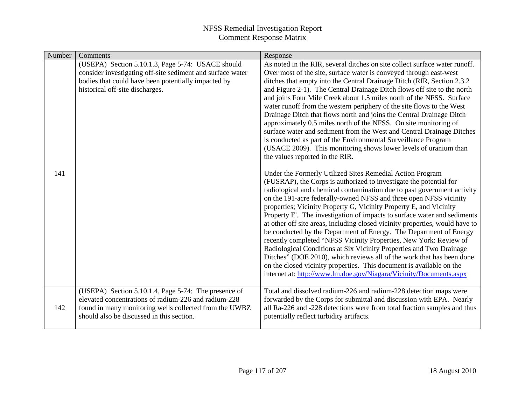| Number | Comments                                                                                                                                                                                                            | Response                                                                                                                                                                                                                                                                                                                                                                                                                                                                                                                                                                                                                                                                                                                                                                                                                                                                                                                                                   |
|--------|---------------------------------------------------------------------------------------------------------------------------------------------------------------------------------------------------------------------|------------------------------------------------------------------------------------------------------------------------------------------------------------------------------------------------------------------------------------------------------------------------------------------------------------------------------------------------------------------------------------------------------------------------------------------------------------------------------------------------------------------------------------------------------------------------------------------------------------------------------------------------------------------------------------------------------------------------------------------------------------------------------------------------------------------------------------------------------------------------------------------------------------------------------------------------------------|
|        | (USEPA) Section 5.10.1.3, Page 5-74: USACE should<br>consider investigating off-site sediment and surface water<br>bodies that could have been potentially impacted by<br>historical off-site discharges.           | As noted in the RIR, several ditches on site collect surface water runoff.<br>Over most of the site, surface water is conveyed through east-west<br>ditches that empty into the Central Drainage Ditch (RIR, Section 2.3.2)<br>and Figure 2-1). The Central Drainage Ditch flows off site to the north<br>and joins Four Mile Creek about 1.5 miles north of the NFSS. Surface<br>water runoff from the western periphery of the site flows to the West<br>Drainage Ditch that flows north and joins the Central Drainage Ditch<br>approximately 0.5 miles north of the NFSS. On site monitoring of<br>surface water and sediment from the West and Central Drainage Ditches<br>is conducted as part of the Environmental Surveillance Program<br>(USACE 2009). This monitoring shows lower levels of uranium than<br>the values reported in the RIR.                                                                                                      |
| 141    |                                                                                                                                                                                                                     | Under the Formerly Utilized Sites Remedial Action Program<br>(FUSRAP), the Corps is authorized to investigate the potential for<br>radiological and chemical contamination due to past government activity<br>on the 191-acre federally-owned NFSS and three open NFSS vicinity<br>properties; Vicinity Property G, Vicinity Property E, and Vicinity<br>Property E'. The investigation of impacts to surface water and sediments<br>at other off site areas, including closed vicinity properties, would have to<br>be conducted by the Department of Energy. The Department of Energy<br>recently completed "NFSS Vicinity Properties, New York: Review of<br>Radiological Conditions at Six Vicinity Properties and Two Drainage<br>Ditches" (DOE 2010), which reviews all of the work that has been done<br>on the closed vicinity properties. This document is available on the<br>internet at: http://www.lm.doe.gov/Niagara/Vicinity/Documents.aspx |
| 142    | (USEPA) Section 5.10.1.4, Page 5-74: The presence of<br>elevated concentrations of radium-226 and radium-228<br>found in many monitoring wells collected from the UWBZ<br>should also be discussed in this section. | Total and dissolved radium-226 and radium-228 detection maps were<br>forwarded by the Corps for submittal and discussion with EPA. Nearly<br>all Ra-226 and -228 detections were from total fraction samples and thus<br>potentially reflect turbidity artifacts.                                                                                                                                                                                                                                                                                                                                                                                                                                                                                                                                                                                                                                                                                          |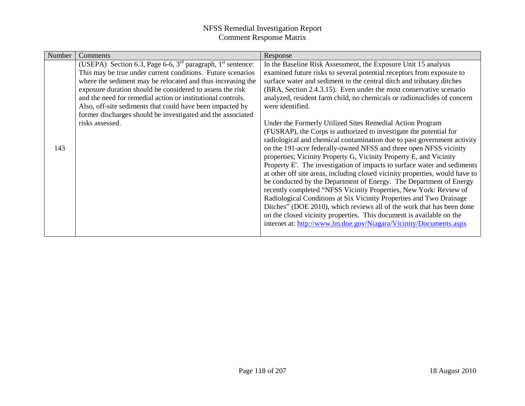| Number<br>Comments                                                                                                                                                                                                                                                                                                                                                                                                                                                              | Response                                                                                                                                                                                                                                                                                                                                                                                                                                                                                                                                                                                                                                                                                                                                                                                                                                                                                                                                                                                                                                                                                                                                                                                                                                                                                                                                            |
|---------------------------------------------------------------------------------------------------------------------------------------------------------------------------------------------------------------------------------------------------------------------------------------------------------------------------------------------------------------------------------------------------------------------------------------------------------------------------------|-----------------------------------------------------------------------------------------------------------------------------------------------------------------------------------------------------------------------------------------------------------------------------------------------------------------------------------------------------------------------------------------------------------------------------------------------------------------------------------------------------------------------------------------------------------------------------------------------------------------------------------------------------------------------------------------------------------------------------------------------------------------------------------------------------------------------------------------------------------------------------------------------------------------------------------------------------------------------------------------------------------------------------------------------------------------------------------------------------------------------------------------------------------------------------------------------------------------------------------------------------------------------------------------------------------------------------------------------------|
| (USEPA) Section 6.3, Page 6-6, $3rd$ paragraph, $1st$ sentence:<br>This may be true under current conditions. Future scenarios<br>where the sediment may be relocated and thus increasing the<br>exposure duration should be considered to assess the risk<br>and the need for remedial action or institutional controls.<br>Also, off-site sediments that could have been impacted by<br>former discharges should be investigated and the associated<br>risks assessed.<br>143 | In the Baseline Risk Assessment, the Exposure Unit 15 analysis<br>examined future risks to several potential receptors from exposure to<br>surface water and sediment in the central ditch and tributary ditches<br>(BRA, Section 2.4.3.15). Even under the most conservative scenario<br>analyzed, resident farm child, no chemicals or radionuclides of concern<br>were identified.<br>Under the Formerly Utilized Sites Remedial Action Program<br>(FUSRAP), the Corps is authorized to investigate the potential for<br>radiological and chemical contamination due to past government activity<br>on the 191-acre federally-owned NFSS and three open NFSS vicinity<br>properties; Vicinity Property G, Vicinity Property E, and Vicinity<br>Property E'. The investigation of impacts to surface water and sediments<br>at other off site areas, including closed vicinity properties, would have to<br>be conducted by the Department of Energy. The Department of Energy<br>recently completed "NFSS Vicinity Properties, New York: Review of<br>Radiological Conditions at Six Vicinity Properties and Two Drainage<br>Ditches" (DOE 2010), which reviews all of the work that has been done<br>on the closed vicinity properties. This document is available on the<br>internet at: http://www.lm.doe.gov/Niagara/Vicinity/Documents.aspx |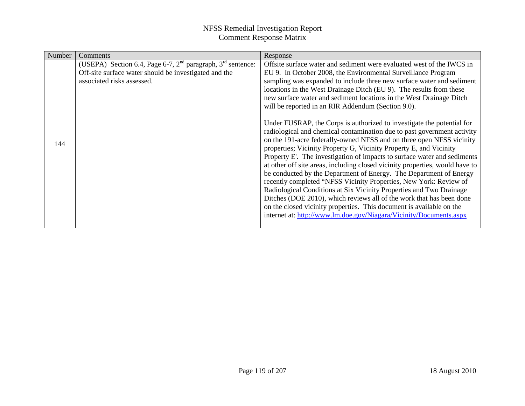| Number | Comments                                                                                                                                                                                | Response                                                                                                                                                                                                                                                                                                                                                                                                                                                                                                                                                                                                                                                                                                                                                                                                                                                                                                                                                                                                                                                                                                                                                                                                                                                                                                                   |
|--------|-----------------------------------------------------------------------------------------------------------------------------------------------------------------------------------------|----------------------------------------------------------------------------------------------------------------------------------------------------------------------------------------------------------------------------------------------------------------------------------------------------------------------------------------------------------------------------------------------------------------------------------------------------------------------------------------------------------------------------------------------------------------------------------------------------------------------------------------------------------------------------------------------------------------------------------------------------------------------------------------------------------------------------------------------------------------------------------------------------------------------------------------------------------------------------------------------------------------------------------------------------------------------------------------------------------------------------------------------------------------------------------------------------------------------------------------------------------------------------------------------------------------------------|
| 144    | $\overline{(USEPA)}$ Section 6.4, Page 6-7, 2 <sup>nd</sup> paragraph, 3 <sup>rd</sup> sentence:<br>Off-site surface water should be investigated and the<br>associated risks assessed. | Offsite surface water and sediment were evaluated west of the IWCS in<br>EU 9. In October 2008, the Environmental Surveillance Program<br>sampling was expanded to include three new surface water and sediment<br>locations in the West Drainage Ditch (EU 9). The results from these<br>new surface water and sediment locations in the West Drainage Ditch<br>will be reported in an RIR Addendum (Section 9.0).<br>Under FUSRAP, the Corps is authorized to investigate the potential for<br>radiological and chemical contamination due to past government activity<br>on the 191-acre federally-owned NFSS and on three open NFSS vicinity<br>properties; Vicinity Property G, Vicinity Property E, and Vicinity<br>Property E'. The investigation of impacts to surface water and sediments<br>at other off site areas, including closed vicinity properties, would have to<br>be conducted by the Department of Energy. The Department of Energy<br>recently completed "NFSS Vicinity Properties, New York: Review of<br>Radiological Conditions at Six Vicinity Properties and Two Drainage<br>Ditches (DOE 2010), which reviews all of the work that has been done<br>on the closed vicinity properties. This document is available on the<br>internet at: http://www.lm.doe.gov/Niagara/Vicinity/Documents.aspx |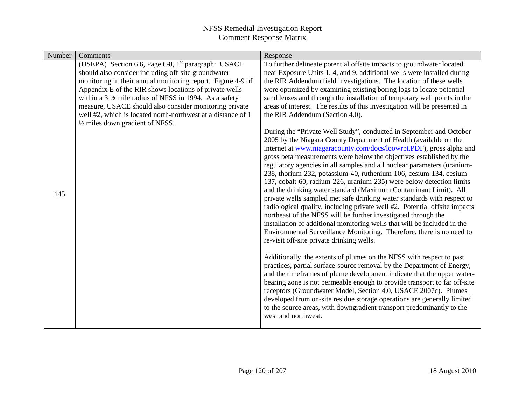| Number | Comments                                                                                                                                                                                                                                                                                                                                                                                                                                      | Response                                                                                                                                                                                                                                                                                                                                                                                                                                                                                                                                                                                                                                                                                                                                                                                                                                                                                                                                                                                                                                                                                                                                                                                                                                                                                                                                                                                                                                                                                                                                                                  |
|--------|-----------------------------------------------------------------------------------------------------------------------------------------------------------------------------------------------------------------------------------------------------------------------------------------------------------------------------------------------------------------------------------------------------------------------------------------------|---------------------------------------------------------------------------------------------------------------------------------------------------------------------------------------------------------------------------------------------------------------------------------------------------------------------------------------------------------------------------------------------------------------------------------------------------------------------------------------------------------------------------------------------------------------------------------------------------------------------------------------------------------------------------------------------------------------------------------------------------------------------------------------------------------------------------------------------------------------------------------------------------------------------------------------------------------------------------------------------------------------------------------------------------------------------------------------------------------------------------------------------------------------------------------------------------------------------------------------------------------------------------------------------------------------------------------------------------------------------------------------------------------------------------------------------------------------------------------------------------------------------------------------------------------------------------|
|        | (USEPA) Section 6.6, Page 6-8, 1 <sup>st</sup> paragraph: USACE<br>should also consider including off-site groundwater<br>monitoring in their annual monitoring report. Figure 4-9 of<br>Appendix E of the RIR shows locations of private wells<br>within a $3\frac{1}{2}$ mile radius of NFSS in 1994. As a safety<br>measure, USACE should also consider monitoring private<br>well #2, which is located north-northwest at a distance of 1 | To further delineate potential offsite impacts to groundwater located<br>near Exposure Units 1, 4, and 9, additional wells were installed during<br>the RIR Addendum field investigations. The location of these wells<br>were optimized by examining existing boring logs to locate potential<br>sand lenses and through the installation of temporary well points in the<br>areas of interest. The results of this investigation will be presented in<br>the RIR Addendum (Section 4.0).                                                                                                                                                                                                                                                                                                                                                                                                                                                                                                                                                                                                                                                                                                                                                                                                                                                                                                                                                                                                                                                                                |
| 145    | $\frac{1}{2}$ miles down gradient of NFSS.                                                                                                                                                                                                                                                                                                                                                                                                    | During the "Private Well Study", conducted in September and October<br>2005 by the Niagara County Department of Health (available on the<br>internet at www.niagaracounty.com/docs/loowrpt.PDF), gross alpha and<br>gross beta measurements were below the objectives established by the<br>regulatory agencies in all samples and all nuclear parameters (uranium-<br>238, thorium-232, potassium-40, ruthenium-106, cesium-134, cesium-<br>137, cobalt-60, radium-226, uranium-235) were below detection limits<br>and the drinking water standard (Maximum Contaminant Limit). All<br>private wells sampled met safe drinking water standards with respect to<br>radiological quality, including private well #2. Potential offsite impacts<br>northeast of the NFSS will be further investigated through the<br>installation of additional monitoring wells that will be included in the<br>Environmental Surveillance Monitoring. Therefore, there is no need to<br>re-visit off-site private drinking wells.<br>Additionally, the extents of plumes on the NFSS with respect to past<br>practices, partial surface-source removal by the Department of Energy,<br>and the timeframes of plume development indicate that the upper water-<br>bearing zone is not permeable enough to provide transport to far off-site<br>receptors (Groundwater Model, Section 4.0, USACE 2007c). Plumes<br>developed from on-site residue storage operations are generally limited<br>to the source areas, with downgradient transport predominantly to the<br>west and northwest. |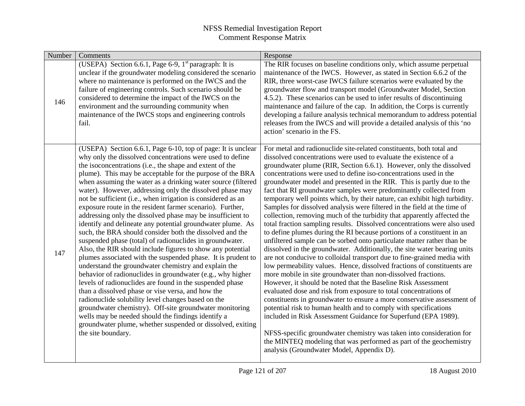| Number | Comments                                                                                                                                                                                                                                                                                                                                                                                                                                                                                                                                                                                                                                                                                                                                                                                                                                                                                                                                                                                                                                                                                                                                                                                                                                                                                                                                                                                        | Response                                                                                                                                                                                                                                                                                                                                                                                                                                                                                                                                                                                                                                                                                                                                                                                                                                                                                                                                                                                                                                                                                                                                                                                                                                                                                                                                                                                                                                                                                                                                                                                                                                                                                                                                                     |
|--------|-------------------------------------------------------------------------------------------------------------------------------------------------------------------------------------------------------------------------------------------------------------------------------------------------------------------------------------------------------------------------------------------------------------------------------------------------------------------------------------------------------------------------------------------------------------------------------------------------------------------------------------------------------------------------------------------------------------------------------------------------------------------------------------------------------------------------------------------------------------------------------------------------------------------------------------------------------------------------------------------------------------------------------------------------------------------------------------------------------------------------------------------------------------------------------------------------------------------------------------------------------------------------------------------------------------------------------------------------------------------------------------------------|--------------------------------------------------------------------------------------------------------------------------------------------------------------------------------------------------------------------------------------------------------------------------------------------------------------------------------------------------------------------------------------------------------------------------------------------------------------------------------------------------------------------------------------------------------------------------------------------------------------------------------------------------------------------------------------------------------------------------------------------------------------------------------------------------------------------------------------------------------------------------------------------------------------------------------------------------------------------------------------------------------------------------------------------------------------------------------------------------------------------------------------------------------------------------------------------------------------------------------------------------------------------------------------------------------------------------------------------------------------------------------------------------------------------------------------------------------------------------------------------------------------------------------------------------------------------------------------------------------------------------------------------------------------------------------------------------------------------------------------------------------------|
| 146    | (USEPA) Section 6.6.1, Page 6-9, $1st$ paragraph: It is<br>unclear if the groundwater modeling considered the scenario<br>where no maintenance is performed on the IWCS and the<br>failure of engineering controls. Such scenario should be<br>considered to determine the impact of the IWCS on the<br>environment and the surrounding community when<br>maintenance of the IWCS stops and engineering controls<br>fail.                                                                                                                                                                                                                                                                                                                                                                                                                                                                                                                                                                                                                                                                                                                                                                                                                                                                                                                                                                       | The RIR focuses on baseline conditions only, which assume perpetual<br>maintenance of the IWCS. However, as stated in Section 6.6.2 of the<br>RIR, three worst-case IWCS failure scenarios were evaluated by the<br>groundwater flow and transport model (Groundwater Model, Section<br>4.5.2). These scenarios can be used to infer results of discontinuing<br>maintenance and failure of the cap. In addition, the Corps is currently<br>developing a failure analysis technical memorandum to address potential<br>releases from the IWCS and will provide a detailed analysis of this 'no<br>action' scenario in the FS.                                                                                                                                                                                                                                                                                                                                                                                                                                                                                                                                                                                                                                                                                                                                                                                                                                                                                                                                                                                                                                                                                                                                |
| 147    | (USEPA) Section 6.6.1, Page 6-10, top of page: It is unclear<br>why only the dissolved concentrations were used to define<br>the isoconcentrations (i.e., the shape and extent of the<br>plume). This may be acceptable for the purpose of the BRA<br>when assuming the water as a drinking water source (filtered<br>water). However, addressing only the dissolved phase may<br>not be sufficient (i.e., when irrigation is considered as an<br>exposure route in the resident farmer scenario). Further,<br>addressing only the dissolved phase may be insufficient to<br>identify and delineate any potential groundwater plume. As<br>such, the BRA should consider both the dissolved and the<br>suspended phase (total) of radionuclides in groundwater.<br>Also, the RIR should include figures to show any potential<br>plumes associated with the suspended phase. It is prudent to<br>understand the groundwater chemistry and explain the<br>behavior of radionuclides in groundwater (e.g., why higher<br>levels of radionuclides are found in the suspended phase<br>than a dissolved phase or vise versa, and how the<br>radionuclide solubility level changes based on the<br>groundwater chemistry). Off-site groundwater monitoring<br>wells may be needed should the findings identify a<br>groundwater plume, whether suspended or dissolved, exiting<br>the site boundary. | For metal and radionuclide site-related constituents, both total and<br>dissolved concentrations were used to evaluate the existence of a<br>groundwater plume (RIR, Section 6.6.1). However, only the dissolved<br>concentrations were used to define iso-concentrations used in the<br>groundwater model and presented in the RIR. This is partly due to the<br>fact that RI groundwater samples were predominantly collected from<br>temporary well points which, by their nature, can exhibit high turbidity.<br>Samples for dissolved analysis were filtered in the field at the time of<br>collection, removing much of the turbidity that apparently affected the<br>total fraction sampling results. Dissolved concentrations were also used<br>to define plumes during the RI because portions of a constituent in an<br>unfiltered sample can be sorbed onto particulate matter rather than be<br>dissolved in the groundwater. Additionally, the site water bearing units<br>are not conducive to colloidal transport due to fine-grained media with<br>low permeability values. Hence, dissolved fractions of constituents are<br>more mobile in site groundwater than non-dissolved fractions.<br>However, it should be noted that the Baseline Risk Assessment<br>evaluated dose and risk from exposure to total concentrations of<br>constituents in groundwater to ensure a more conservative assessment of<br>potential risk to human health and to comply with specifications<br>included in Risk Assessment Guidance for Superfund (EPA 1989).<br>NFSS-specific groundwater chemistry was taken into consideration for<br>the MINTEQ modeling that was performed as part of the geochemistry<br>analysis (Groundwater Model, Appendix D). |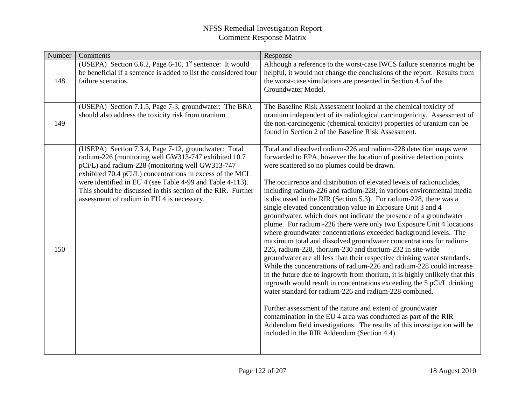| Number | Comments                                                                                                                                                                                                                                                                                                                                                                                                 | Response                                                                                                                                                                                                                                                                                                                                                                                                                                                                                                                                                                                                                                                                                                                                                                                                                                                                                                                                                                                                                                                                                                                                                                                                                                                                                                                                                                                                                                                             |
|--------|----------------------------------------------------------------------------------------------------------------------------------------------------------------------------------------------------------------------------------------------------------------------------------------------------------------------------------------------------------------------------------------------------------|----------------------------------------------------------------------------------------------------------------------------------------------------------------------------------------------------------------------------------------------------------------------------------------------------------------------------------------------------------------------------------------------------------------------------------------------------------------------------------------------------------------------------------------------------------------------------------------------------------------------------------------------------------------------------------------------------------------------------------------------------------------------------------------------------------------------------------------------------------------------------------------------------------------------------------------------------------------------------------------------------------------------------------------------------------------------------------------------------------------------------------------------------------------------------------------------------------------------------------------------------------------------------------------------------------------------------------------------------------------------------------------------------------------------------------------------------------------------|
| 148    | (USEPA) Section 6.6.2, Page 6-10, $1st$ sentence: It would<br>be beneficial if a sentence is added to list the considered four<br>failure scenarios.                                                                                                                                                                                                                                                     | Although a reference to the worst-case IWCS failure scenarios might be<br>helpful, it would not change the conclusions of the report. Results from<br>the worst-case simulations are presented in Section 4.5 of the<br>Groundwater Model.                                                                                                                                                                                                                                                                                                                                                                                                                                                                                                                                                                                                                                                                                                                                                                                                                                                                                                                                                                                                                                                                                                                                                                                                                           |
| 149    | (USEPA) Section 7.1.5, Page 7-3, groundwater: The BRA<br>should also address the toxicity risk from uranium.                                                                                                                                                                                                                                                                                             | The Baseline Risk Assessment looked at the chemical toxicity of<br>uranium independent of its radiological carcinogenicity. Assessment of<br>the non-carcinogenic (chemical toxicity) properties of uranium can be<br>found in Section 2 of the Baseline Risk Assessment.                                                                                                                                                                                                                                                                                                                                                                                                                                                                                                                                                                                                                                                                                                                                                                                                                                                                                                                                                                                                                                                                                                                                                                                            |
| 150    | (USEPA) Section 7.3.4, Page 7-12, groundwater: Total<br>radium-226 (monitoring well GW313-747 exhibited 10.7<br>pCi/L) and radium-228 (monitoring well GW313-747<br>exhibited 70.4 pCi/L) concentrations in excess of the MCL<br>were identified in EU 4 (see Table 4-99 and Table 4-113).<br>This should be discussed in this section of the RIR. Further<br>assessment of radium in EU 4 is necessary. | Total and dissolved radium-226 and radium-228 detection maps were<br>forwarded to EPA, however the location of positive detection points<br>were scattered so no plumes could be drawn.<br>The occurrence and distribution of elevated levels of radionuclides,<br>including radium-226 and radium-228, in various environmental media<br>is discussed in the RIR (Section 5.3). For radium-228, there was a<br>single elevated concentration value in Exposure Unit 3 and 4<br>groundwater, which does not indicate the presence of a groundwater<br>plume. For radium -226 there were only two Exposure Unit 4 locations<br>where groundwater concentrations exceeded background levels. The<br>maximum total and dissolved groundwater concentrations for radium-<br>226, radium-228, thorium-230 and thorium-232 in site-wide<br>groundwater are all less than their respective drinking water standards.<br>While the concentrations of radium-226 and radium-228 could increase<br>in the future due to ingrowth from thorium, it is highly unlikely that this<br>ingrowth would result in concentrations exceeding the 5 pCi/L drinking<br>water standard for radium-226 and radium-228 combined.<br>Further assessment of the nature and extent of groundwater<br>contamination in the EU 4 area was conducted as part of the RIR<br>Addendum field investigations. The results of this investigation will be<br>included in the RIR Addendum (Section 4.4). |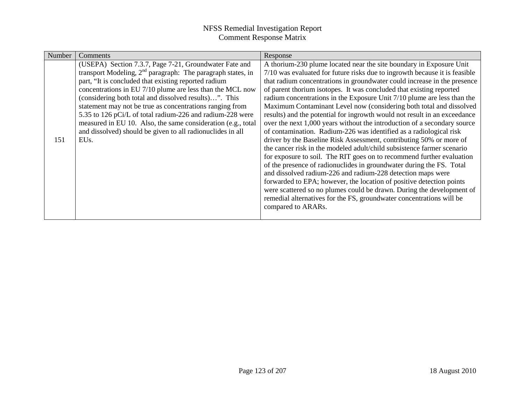| Number | Comments                                                      | Response                                                                   |
|--------|---------------------------------------------------------------|----------------------------------------------------------------------------|
|        | (USEPA) Section 7.3.7, Page 7-21, Groundwater Fate and        | A thorium-230 plume located near the site boundary in Exposure Unit        |
|        | transport Modeling, $2nd$ paragraph: The paragraph states, in | 7/10 was evaluated for future risks due to ingrowth because it is feasible |
|        | part, "It is concluded that existing reported radium          | that radium concentrations in groundwater could increase in the presence   |
|        | concentrations in EU 7/10 plume are less than the MCL now     | of parent thorium isotopes. It was concluded that existing reported        |
|        | (considering both total and dissolved results)". This         | radium concentrations in the Exposure Unit 7/10 plume are less than the    |
|        | statement may not be true as concentrations ranging from      | Maximum Contaminant Level now (considering both total and dissolved        |
|        | 5.35 to 126 pCi/L of total radium-226 and radium-228 were     | results) and the potential for ingrowth would not result in an exceedance  |
| 151    | measured in EU 10. Also, the same consideration (e.g., total  | over the next 1,000 years without the introduction of a secondary source   |
|        | and dissolved) should be given to all radionuclides in all    | of contamination. Radium-226 was identified as a radiological risk         |
|        | EU <sub>s</sub> .                                             | driver by the Baseline Risk Assessment, contributing 50% or more of        |
|        |                                                               | the cancer risk in the modeled adult/child subsistence farmer scenario     |
|        |                                                               | for exposure to soil. The RIT goes on to recommend further evaluation      |
|        |                                                               | of the presence of radionuclides in groundwater during the FS. Total       |
|        |                                                               | and dissolved radium-226 and radium-228 detection maps were                |
|        |                                                               | forwarded to EPA; however, the location of positive detection points       |
|        |                                                               | were scattered so no plumes could be drawn. During the development of      |
|        |                                                               | remedial alternatives for the FS, groundwater concentrations will be       |
|        |                                                               | compared to ARARs.                                                         |
|        |                                                               |                                                                            |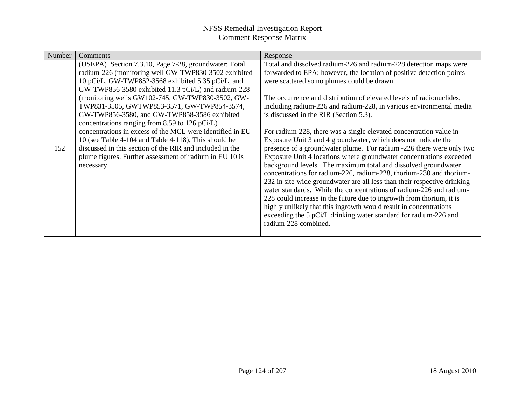| <b>Number</b> | Comments                                                  | Response                                                                 |
|---------------|-----------------------------------------------------------|--------------------------------------------------------------------------|
|               | (USEPA) Section 7.3.10, Page 7-28, groundwater: Total     | Total and dissolved radium-226 and radium-228 detection maps were        |
|               | radium-226 (monitoring well GW-TWP830-3502 exhibited      | forwarded to EPA; however, the location of positive detection points     |
|               | 10 pCi/L, GW-TWP852-3568 exhibited 5.35 pCi/L, and        | were scattered so no plumes could be drawn.                              |
|               | GW-TWP856-3580 exhibited 11.3 pCi/L) and radium-228       |                                                                          |
|               | (monitoring wells GW102-745, GW-TWP830-3502, GW-          | The occurrence and distribution of elevated levels of radionuclides,     |
|               | TWP831-3505, GWTWP853-3571, GW-TWP854-3574,               | including radium-226 and radium-228, in various environmental media      |
|               | GW-TWP856-3580, and GW-TWP858-3586 exhibited              | is discussed in the RIR (Section 5.3).                                   |
|               | concentrations ranging from 8.59 to 126 pCi/L)            |                                                                          |
|               | concentrations in excess of the MCL were identified in EU | For radium-228, there was a single elevated concentration value in       |
|               | 10 (see Table 4-104 and Table 4-118), This should be      | Exposure Unit 3 and 4 groundwater, which does not indicate the           |
| 152           | discussed in this section of the RIR and included in the  | presence of a groundwater plume. For radium -226 there were only two     |
|               | plume figures. Further assessment of radium in EU 10 is   | Exposure Unit 4 locations where groundwater concentrations exceeded      |
|               | necessary.                                                | background levels. The maximum total and dissolved groundwater           |
|               |                                                           | concentrations for radium-226, radium-228, thorium-230 and thorium-      |
|               |                                                           | 232 in site-wide groundwater are all less than their respective drinking |
|               |                                                           | water standards. While the concentrations of radium-226 and radium-      |
|               |                                                           | 228 could increase in the future due to ingrowth from thorium, it is     |
|               |                                                           | highly unlikely that this ingrowth would result in concentrations        |
|               |                                                           | exceeding the 5 pCi/L drinking water standard for radium-226 and         |
|               |                                                           | radium-228 combined.                                                     |
|               |                                                           |                                                                          |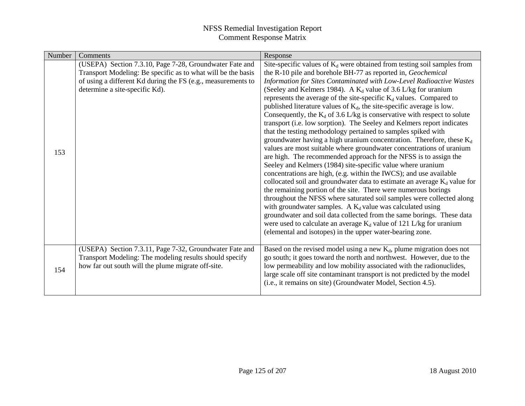| Number | Comments                                                                                                                                                                                                                  | Response                                                                                                                                                                                                                                                                                                                                                                                                                                                                                                                                                                                                                                                                                                                                                                                                                                                                                                                                                                                                                                                                                                                                                                                                                                                                                                                                                                                                                                                                                                                                  |
|--------|---------------------------------------------------------------------------------------------------------------------------------------------------------------------------------------------------------------------------|-------------------------------------------------------------------------------------------------------------------------------------------------------------------------------------------------------------------------------------------------------------------------------------------------------------------------------------------------------------------------------------------------------------------------------------------------------------------------------------------------------------------------------------------------------------------------------------------------------------------------------------------------------------------------------------------------------------------------------------------------------------------------------------------------------------------------------------------------------------------------------------------------------------------------------------------------------------------------------------------------------------------------------------------------------------------------------------------------------------------------------------------------------------------------------------------------------------------------------------------------------------------------------------------------------------------------------------------------------------------------------------------------------------------------------------------------------------------------------------------------------------------------------------------|
| 153    | (USEPA) Section 7.3.10, Page 7-28, Groundwater Fate and<br>Transport Modeling: Be specific as to what will be the basis<br>of using a different Kd during the FS (e.g., measurements to<br>determine a site-specific Kd). | Site-specific values of $K_d$ were obtained from testing soil samples from<br>the R-10 pile and borehole BH-77 as reported in, Geochemical<br>Information for Sites Contaminated with Low-Level Radioactive Wastes<br>(Seeley and Kelmers 1984). A $K_d$ value of 3.6 L/kg for uranium<br>represents the average of the site-specific $K_d$ values. Compared to<br>published literature values of $K_d$ , the site-specific average is low.<br>Consequently, the $K_d$ of 3.6 L/kg is conservative with respect to solute<br>transport (i.e. low sorption). The Seeley and Kelmers report indicates<br>that the testing methodology pertained to samples spiked with<br>groundwater having a high uranium concentration. Therefore, these $K_d$<br>values are most suitable where groundwater concentrations of uranium<br>are high. The recommended approach for the NFSS is to assign the<br>Seeley and Kelmers (1984) site-specific value where uranium<br>concentrations are high, (e.g. within the IWCS); and use available<br>collocated soil and groundwater data to estimate an average $K_d$ value for<br>the remaining portion of the site. There were numerous borings<br>throughout the NFSS where saturated soil samples were collected along<br>with groundwater samples. A $K_d$ value was calculated using<br>groundwater and soil data collected from the same borings. These data<br>were used to calculate an average $K_d$ value of 121 L/kg for uranium<br>(elemental and isotopes) in the upper water-bearing zone. |
| 154    | (USEPA) Section 7.3.11, Page 7-32, Groundwater Fate and<br>Transport Modeling: The modeling results should specify<br>how far out south will the plume migrate off-site.                                                  | Based on the revised model using a new $K_d$ , plume migration does not<br>go south; it goes toward the north and northwest. However, due to the<br>low permeability and low mobility associated with the radionuclides,<br>large scale off site contaminant transport is not predicted by the model<br>(i.e., it remains on site) (Groundwater Model, Section 4.5).                                                                                                                                                                                                                                                                                                                                                                                                                                                                                                                                                                                                                                                                                                                                                                                                                                                                                                                                                                                                                                                                                                                                                                      |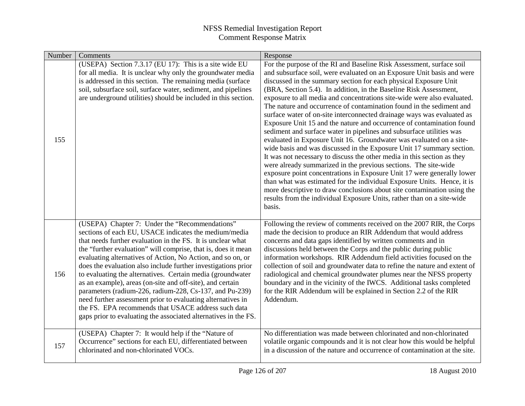| Number | Comments                                                                                                                                                                                                                                                                                                                                                                                                                                                                                                                                                                                                                                                                                                                                               | Response                                                                                                                                                                                                                                                                                                                                                                                                                                                                                                                                                                                                                                                                                                                                                                                                                                                                                                                                                                                                                                                                                                                                                                                                                                                                                |
|--------|--------------------------------------------------------------------------------------------------------------------------------------------------------------------------------------------------------------------------------------------------------------------------------------------------------------------------------------------------------------------------------------------------------------------------------------------------------------------------------------------------------------------------------------------------------------------------------------------------------------------------------------------------------------------------------------------------------------------------------------------------------|-----------------------------------------------------------------------------------------------------------------------------------------------------------------------------------------------------------------------------------------------------------------------------------------------------------------------------------------------------------------------------------------------------------------------------------------------------------------------------------------------------------------------------------------------------------------------------------------------------------------------------------------------------------------------------------------------------------------------------------------------------------------------------------------------------------------------------------------------------------------------------------------------------------------------------------------------------------------------------------------------------------------------------------------------------------------------------------------------------------------------------------------------------------------------------------------------------------------------------------------------------------------------------------------|
| 155    | (USEPA) Section 7.3.17 (EU 17): This is a site wide EU<br>for all media. It is unclear why only the groundwater media<br>is addressed in this section. The remaining media (surface<br>soil, subsurface soil, surface water, sediment, and pipelines<br>are underground utilities) should be included in this section.                                                                                                                                                                                                                                                                                                                                                                                                                                 | For the purpose of the RI and Baseline Risk Assessment, surface soil<br>and subsurface soil, were evaluated on an Exposure Unit basis and were<br>discussed in the summary section for each physical Exposure Unit<br>(BRA, Section 5.4). In addition, in the Baseline Risk Assessment,<br>exposure to all media and concentrations site-wide were also evaluated.<br>The nature and occurrence of contamination found in the sediment and<br>surface water of on-site interconnected drainage ways was evaluated as<br>Exposure Unit 15 and the nature and occurrence of contamination found<br>sediment and surface water in pipelines and subsurface utilities was<br>evaluated in Exposure Unit 16. Groundwater was evaluated on a site-<br>wide basis and was discussed in the Exposure Unit 17 summary section.<br>It was not necessary to discuss the other media in this section as they<br>were already summarized in the previous sections. The site-wide<br>exposure point concentrations in Exposure Unit 17 were generally lower<br>than what was estimated for the individual Exposure Units. Hence, it is<br>more descriptive to draw conclusions about site contamination using the<br>results from the individual Exposure Units, rather than on a site-wide<br>basis. |
| 156    | (USEPA) Chapter 7: Under the "Recommendations"<br>sections of each EU, USACE indicates the medium/media<br>that needs further evaluation in the FS. It is unclear what<br>the "further evaluation" will comprise, that is, does it mean<br>evaluating alternatives of Action, No Action, and so on, or<br>does the evaluation also include further investigations prior<br>to evaluating the alternatives. Certain media (groundwater<br>as an example), areas (on-site and off-site), and certain<br>parameters (radium-226, radium-228, Cs-137, and Pu-239)<br>need further assessment prior to evaluating alternatives in<br>the FS. EPA recommends that USACE address such data<br>gaps prior to evaluating the associated alternatives in the FS. | Following the review of comments received on the 2007 RIR, the Corps<br>made the decision to produce an RIR Addendum that would address<br>concerns and data gaps identified by written comments and in<br>discussions held between the Corps and the public during public<br>information workshops. RIR Addendum field activities focused on the<br>collection of soil and groundwater data to refine the nature and extent of<br>radiological and chemical groundwater plumes near the NFSS property<br>boundary and in the vicinity of the IWCS. Additional tasks completed<br>for the RIR Addendum will be explained in Section 2.2 of the RIR<br>Addendum.                                                                                                                                                                                                                                                                                                                                                                                                                                                                                                                                                                                                                         |
| 157    | (USEPA) Chapter 7: It would help if the "Nature of<br>Occurrence" sections for each EU, differentiated between<br>chlorinated and non-chlorinated VOCs.                                                                                                                                                                                                                                                                                                                                                                                                                                                                                                                                                                                                | No differentiation was made between chlorinated and non-chlorinated<br>volatile organic compounds and it is not clear how this would be helpful<br>in a discussion of the nature and occurrence of contamination at the site.                                                                                                                                                                                                                                                                                                                                                                                                                                                                                                                                                                                                                                                                                                                                                                                                                                                                                                                                                                                                                                                           |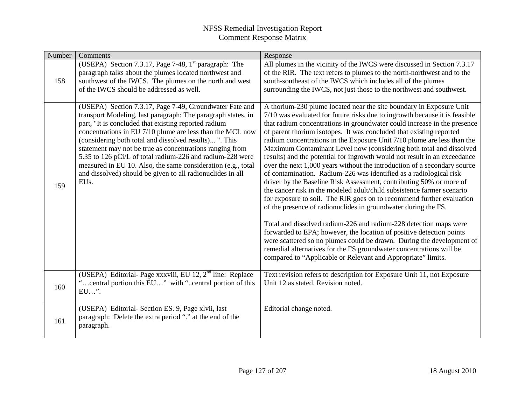| Number | Comments                                                                                                                                                                                                                                                                                                                                                                                                                                                                                                                                                              | Response                                                                                                                                                                                                                                                                                                                                                                                                                                                                                                                                                                                                                                                                                                                                                                                                                                                                                                                                                                                                                                                                                                                                                                                                                                                                                                                                       |
|--------|-----------------------------------------------------------------------------------------------------------------------------------------------------------------------------------------------------------------------------------------------------------------------------------------------------------------------------------------------------------------------------------------------------------------------------------------------------------------------------------------------------------------------------------------------------------------------|------------------------------------------------------------------------------------------------------------------------------------------------------------------------------------------------------------------------------------------------------------------------------------------------------------------------------------------------------------------------------------------------------------------------------------------------------------------------------------------------------------------------------------------------------------------------------------------------------------------------------------------------------------------------------------------------------------------------------------------------------------------------------------------------------------------------------------------------------------------------------------------------------------------------------------------------------------------------------------------------------------------------------------------------------------------------------------------------------------------------------------------------------------------------------------------------------------------------------------------------------------------------------------------------------------------------------------------------|
| 158    | (USEPA) Section 7.3.17, Page 7-48, $1st$ paragraph: The<br>paragraph talks about the plumes located northwest and<br>southwest of the IWCS. The plumes on the north and west<br>of the IWCS should be addressed as well.                                                                                                                                                                                                                                                                                                                                              | All plumes in the vicinity of the IWCS were discussed in Section 7.3.17<br>of the RIR. The text refers to plumes to the north-northwest and to the<br>south-southeast of the IWCS which includes all of the plumes<br>surrounding the IWCS, not just those to the northwest and southwest.                                                                                                                                                                                                                                                                                                                                                                                                                                                                                                                                                                                                                                                                                                                                                                                                                                                                                                                                                                                                                                                     |
| 159    | (USEPA) Section 7.3.17, Page 7-49, Groundwater Fate and<br>transport Modeling, last paragraph: The paragraph states, in<br>part, "It is concluded that existing reported radium<br>concentrations in EU 7/10 plume are less than the MCL now<br>(considering both total and dissolved results) ". This<br>statement may not be true as concentrations ranging from<br>5.35 to 126 pCi/L of total radium-226 and radium-228 were<br>measured in EU 10. Also, the same consideration (e.g., total<br>and dissolved) should be given to all radionuclides in all<br>EUs. | A thorium-230 plume located near the site boundary in Exposure Unit<br>7/10 was evaluated for future risks due to ingrowth because it is feasible<br>that radium concentrations in groundwater could increase in the presence<br>of parent thorium isotopes. It was concluded that existing reported<br>radium concentrations in the Exposure Unit 7/10 plume are less than the<br>Maximum Contaminant Level now (considering both total and dissolved<br>results) and the potential for ingrowth would not result in an exceedance<br>over the next 1,000 years without the introduction of a secondary source<br>of contamination. Radium-226 was identified as a radiological risk<br>driver by the Baseline Risk Assessment, contributing 50% or more of<br>the cancer risk in the modeled adult/child subsistence farmer scenario<br>for exposure to soil. The RIR goes on to recommend further evaluation<br>of the presence of radionuclides in groundwater during the FS.<br>Total and dissolved radium-226 and radium-228 detection maps were<br>forwarded to EPA; however, the location of positive detection points<br>were scattered so no plumes could be drawn. During the development of<br>remedial alternatives for the FS groundwater concentrations will be<br>compared to "Applicable or Relevant and Appropriate" limits. |
| 160    | (USEPA) Editorial- Page xxxviii, EU 12, 2 <sup>nd</sup> line: Replace<br>"central portion this EU" with "central portion of this<br>EU".                                                                                                                                                                                                                                                                                                                                                                                                                              | Text revision refers to description for Exposure Unit 11, not Exposure<br>Unit 12 as stated. Revision noted.                                                                                                                                                                                                                                                                                                                                                                                                                                                                                                                                                                                                                                                                                                                                                                                                                                                                                                                                                                                                                                                                                                                                                                                                                                   |
| 161    | (USEPA) Editorial- Section ES. 9, Page xlvii, last<br>paragraph: Delete the extra period "." at the end of the<br>paragraph.                                                                                                                                                                                                                                                                                                                                                                                                                                          | Editorial change noted.                                                                                                                                                                                                                                                                                                                                                                                                                                                                                                                                                                                                                                                                                                                                                                                                                                                                                                                                                                                                                                                                                                                                                                                                                                                                                                                        |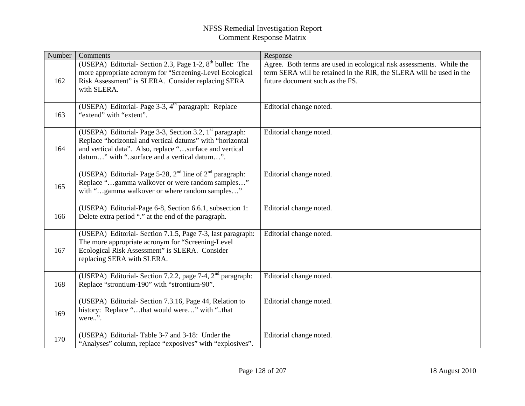| Number | Comments                                                                                                                                                                                                                          | Response                                                                                                                                                                        |
|--------|-----------------------------------------------------------------------------------------------------------------------------------------------------------------------------------------------------------------------------------|---------------------------------------------------------------------------------------------------------------------------------------------------------------------------------|
| 162    | (USEPA) Editorial-Section 2.3, Page 1-2, $8th$ bullet: The<br>more appropriate acronym for "Screening-Level Ecological<br>Risk Assessment" is SLERA. Consider replacing SERA<br>with SLERA.                                       | Agree. Both terms are used in ecological risk assessments. While the<br>term SERA will be retained in the RIR, the SLERA will be used in the<br>future document such as the FS. |
| 163    | (USEPA) Editorial-Page 3-3, 4 <sup>th</sup> paragraph: Replace<br>"extend" with "extent".                                                                                                                                         | Editorial change noted.                                                                                                                                                         |
| 164    | (USEPA) Editorial- Page 3-3, Section 3.2, $1st$ paragraph:<br>Replace "horizontal and vertical datums" with "horizontal<br>and vertical data". Also, replace "surface and vertical<br>datum" with "surface and a vertical datum". | Editorial change noted.                                                                                                                                                         |
| 165    | (USEPA) Editorial- Page 5-28, $2nd$ line of $2nd$ paragraph:<br>Replace "gamma walkover or were random samples"<br>with "gamma walkover or where random samples"                                                                  | Editorial change noted.                                                                                                                                                         |
| 166    | (USEPA) Editorial-Page 6-8, Section 6.6.1, subsection 1:<br>Delete extra period "." at the end of the paragraph.                                                                                                                  | Editorial change noted.                                                                                                                                                         |
| 167    | (USEPA) Editorial- Section 7.1.5, Page 7-3, last paragraph:<br>The more appropriate acronym for "Screening-Level<br>Ecological Risk Assessment" is SLERA. Consider<br>replacing SERA with SLERA.                                  | Editorial change noted.                                                                                                                                                         |
| 168    | (USEPA) Editorial- Section 7.2.2, page 7-4, 2 <sup>nd</sup> paragraph:<br>Replace "strontium-190" with "strontium-90".                                                                                                            | Editorial change noted.                                                                                                                                                         |
| 169    | (USEPA) Editorial-Section 7.3.16, Page 44, Relation to<br>history: Replace "that would were" with "that<br>were".                                                                                                                 | Editorial change noted.                                                                                                                                                         |
| 170    | (USEPA) Editorial-Table 3-7 and 3-18: Under the<br>"Analyses" column, replace "exposives" with "explosives".                                                                                                                      | Editorial change noted.                                                                                                                                                         |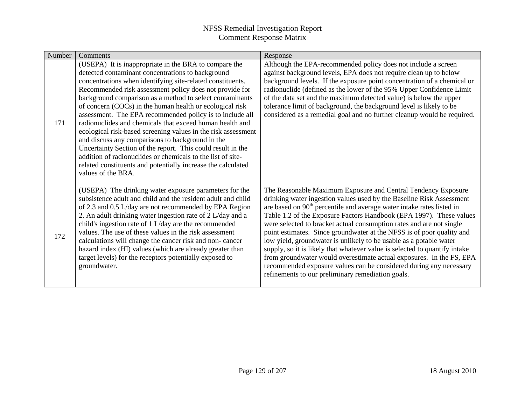| Number | Comments                                                                                                                                                                                                                                                                                                                                                                                                                                                                                                                                                                                                                                                                                                                                                                                                                     | Response                                                                                                                                                                                                                                                                                                                                                                                                                                                                                                                                                                                                                                                                                                                                                                                                  |
|--------|------------------------------------------------------------------------------------------------------------------------------------------------------------------------------------------------------------------------------------------------------------------------------------------------------------------------------------------------------------------------------------------------------------------------------------------------------------------------------------------------------------------------------------------------------------------------------------------------------------------------------------------------------------------------------------------------------------------------------------------------------------------------------------------------------------------------------|-----------------------------------------------------------------------------------------------------------------------------------------------------------------------------------------------------------------------------------------------------------------------------------------------------------------------------------------------------------------------------------------------------------------------------------------------------------------------------------------------------------------------------------------------------------------------------------------------------------------------------------------------------------------------------------------------------------------------------------------------------------------------------------------------------------|
| 171    | (USEPA) It is inappropriate in the BRA to compare the<br>detected contaminant concentrations to background<br>concentrations when identifying site-related constituents.<br>Recommended risk assessment policy does not provide for<br>background comparison as a method to select contaminants<br>of concern (COCs) in the human health or ecological risk<br>assessment. The EPA recommended policy is to include all<br>radionuclides and chemicals that exceed human health and<br>ecological risk-based screening values in the risk assessment<br>and discuss any comparisons to background in the<br>Uncertainty Section of the report. This could result in the<br>addition of radionuclides or chemicals to the list of site-<br>related constituents and potentially increase the calculated<br>values of the BRA. | Although the EPA-recommended policy does not include a screen<br>against background levels, EPA does not require clean up to below<br>background levels. If the exposure point concentration of a chemical or<br>radionuclide (defined as the lower of the 95% Upper Confidence Limit<br>of the data set and the maximum detected value) is below the upper<br>tolerance limit of background, the background level is likely to be<br>considered as a remedial goal and no further cleanup would be required.                                                                                                                                                                                                                                                                                             |
| 172    | (USEPA) The drinking water exposure parameters for the<br>subsistence adult and child and the resident adult and child<br>of 2.3 and 0.5 L/day are not recommended by EPA Region<br>2. An adult drinking water ingestion rate of 2 L/day and a<br>child's ingestion rate of 1 L/day are the recommended<br>values. The use of these values in the risk assessment<br>calculations will change the cancer risk and non-cancer<br>hazard index (HI) values (which are already greater than<br>target levels) for the receptors potentially exposed to<br>groundwater.                                                                                                                                                                                                                                                          | The Reasonable Maximum Exposure and Central Tendency Exposure<br>drinking water ingestion values used by the Baseline Risk Assessment<br>are based on 90 <sup>th</sup> percentile and average water intake rates listed in<br>Table 1.2 of the Exposure Factors Handbook (EPA 1997). These values<br>were selected to bracket actual consumption rates and are not single<br>point estimates. Since groundwater at the NFSS is of poor quality and<br>low yield, groundwater is unlikely to be usable as a potable water<br>supply, so it is likely that whatever value is selected to quantify intake<br>from groundwater would overestimate actual exposures. In the FS, EPA<br>recommended exposure values can be considered during any necessary<br>refinements to our preliminary remediation goals. |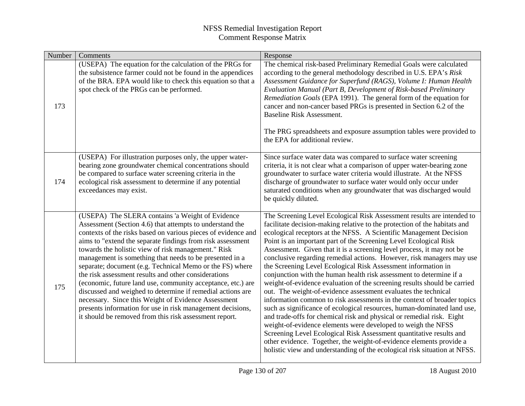| Number | Comments                                                                                                                                                                                                                                                                                                                                                                                                                                                                                                                                                                                                                                                                                                                                                                                      | Response                                                                                                                                                                                                                                                                                                                                                                                                                                                                                                                                                                                                                                                                                                                                                                                                                                                                                                                                                                                                                                                                                                                                                                                                                                                         |
|--------|-----------------------------------------------------------------------------------------------------------------------------------------------------------------------------------------------------------------------------------------------------------------------------------------------------------------------------------------------------------------------------------------------------------------------------------------------------------------------------------------------------------------------------------------------------------------------------------------------------------------------------------------------------------------------------------------------------------------------------------------------------------------------------------------------|------------------------------------------------------------------------------------------------------------------------------------------------------------------------------------------------------------------------------------------------------------------------------------------------------------------------------------------------------------------------------------------------------------------------------------------------------------------------------------------------------------------------------------------------------------------------------------------------------------------------------------------------------------------------------------------------------------------------------------------------------------------------------------------------------------------------------------------------------------------------------------------------------------------------------------------------------------------------------------------------------------------------------------------------------------------------------------------------------------------------------------------------------------------------------------------------------------------------------------------------------------------|
| 173    | (USEPA) The equation for the calculation of the PRGs for<br>the subsistence farmer could not be found in the appendices<br>of the BRA. EPA would like to check this equation so that a<br>spot check of the PRGs can be performed.                                                                                                                                                                                                                                                                                                                                                                                                                                                                                                                                                            | The chemical risk-based Preliminary Remedial Goals were calculated<br>according to the general methodology described in U.S. EPA's Risk<br>Assessment Guidance for Superfund (RAGS), Volume I: Human Health<br>Evaluation Manual (Part B, Development of Risk-based Preliminary<br>Remediation Goals (EPA 1991). The general form of the equation for<br>cancer and non-cancer based PRGs is presented in Section 6.2 of the<br><b>Baseline Risk Assessment.</b><br>The PRG spreadsheets and exposure assumption tables were provided to<br>the EPA for additional review.                                                                                                                                                                                                                                                                                                                                                                                                                                                                                                                                                                                                                                                                                       |
| 174    | (USEPA) For illustration purposes only, the upper water-<br>bearing zone groundwater chemical concentrations should<br>be compared to surface water screening criteria in the<br>ecological risk assessment to determine if any potential<br>exceedances may exist.                                                                                                                                                                                                                                                                                                                                                                                                                                                                                                                           | Since surface water data was compared to surface water screening<br>criteria, it is not clear what a comparison of upper water-bearing zone<br>groundwater to surface water criteria would illustrate. At the NFSS<br>discharge of groundwater to surface water would only occur under<br>saturated conditions when any groundwater that was discharged would<br>be quickly diluted.                                                                                                                                                                                                                                                                                                                                                                                                                                                                                                                                                                                                                                                                                                                                                                                                                                                                             |
| 175    | (USEPA) The SLERA contains 'a Weight of Evidence<br>Assessment (Section 4.6) that attempts to understand the<br>contexts of the risks based on various pieces of evidence and<br>aims to "extend the separate findings from risk assessment<br>towards the holistic view of risk management." Risk<br>management is something that needs to be presented in a<br>separate; document (e.g. Technical Memo or the FS) where<br>the risk assessment results and other considerations<br>(economic, future land use, community acceptance, etc.) are<br>discussed and weighed to determine if remedial actions are<br>necessary. Since this Weight of Evidence Assessment<br>presents information for use in risk management decisions,<br>it should be removed from this risk assessment report. | The Screening Level Ecological Risk Assessment results are intended to<br>facilitate decision-making relative to the protection of the habitats and<br>ecological receptors at the NFSS. A Scientific Management Decision<br>Point is an important part of the Screening Level Ecological Risk<br>Assessment. Given that it is a screening level process, it may not be<br>conclusive regarding remedial actions. However, risk managers may use<br>the Screening Level Ecological Risk Assessment information in<br>conjunction with the human health risk assessment to determine if a<br>weight-of-evidence evaluation of the screening results should be carried<br>out. The weight-of-evidence assessment evaluates the technical<br>information common to risk assessments in the context of broader topics<br>such as significance of ecological resources, human-dominated land use,<br>and trade-offs for chemical risk and physical or remedial risk. Eight<br>weight-of-evidence elements were developed to weigh the NFSS<br>Screening Level Ecological Risk Assessment quantitative results and<br>other evidence. Together, the weight-of-evidence elements provide a<br>holistic view and understanding of the ecological risk situation at NFSS. |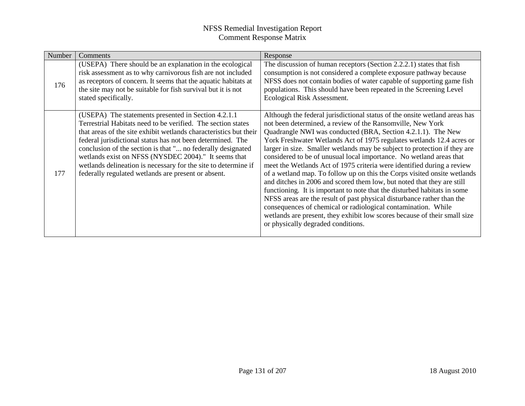| Number | Comments                                                                                                                                                                                                                                                                                                                                                                                                                                                                                               | Response                                                                                                                                                                                                                                                                                                                                                                                                                                                                                                                                                                                                                                                                                                                                                                                                                                                                                                                                                                                                        |
|--------|--------------------------------------------------------------------------------------------------------------------------------------------------------------------------------------------------------------------------------------------------------------------------------------------------------------------------------------------------------------------------------------------------------------------------------------------------------------------------------------------------------|-----------------------------------------------------------------------------------------------------------------------------------------------------------------------------------------------------------------------------------------------------------------------------------------------------------------------------------------------------------------------------------------------------------------------------------------------------------------------------------------------------------------------------------------------------------------------------------------------------------------------------------------------------------------------------------------------------------------------------------------------------------------------------------------------------------------------------------------------------------------------------------------------------------------------------------------------------------------------------------------------------------------|
| 176    | (USEPA) There should be an explanation in the ecological<br>risk assessment as to why carnivorous fish are not included<br>as receptors of concern. It seems that the aquatic habitats at<br>the site may not be suitable for fish survival but it is not<br>stated specifically.                                                                                                                                                                                                                      | The discussion of human receptors (Section 2.2.2.1) states that fish<br>consumption is not considered a complete exposure pathway because<br>NFSS does not contain bodies of water capable of supporting game fish<br>populations. This should have been repeated in the Screening Level<br>Ecological Risk Assessment.                                                                                                                                                                                                                                                                                                                                                                                                                                                                                                                                                                                                                                                                                         |
| 177    | (USEPA) The statements presented in Section 4.2.1.1<br>Terrestrial Habitats need to be verified. The section states<br>that areas of the site exhibit wetlands characteristics but their<br>federal jurisdictional status has not been determined. The<br>conclusion of the section is that " no federally designated<br>wetlands exist on NFSS (NYSDEC 2004)." It seems that<br>wetlands delineation is necessary for the site to determine if<br>federally regulated wetlands are present or absent. | Although the federal jurisdictional status of the onsite wetland areas has<br>not been determined, a review of the Ransomville, New York<br>Quadrangle NWI was conducted (BRA, Section 4.2.1.1). The New<br>York Freshwater Wetlands Act of 1975 regulates wetlands 12.4 acres or<br>larger in size. Smaller wetlands may be subject to protection if they are<br>considered to be of unusual local importance. No wetland areas that<br>meet the Wetlands Act of 1975 criteria were identified during a review<br>of a wetland map. To follow up on this the Corps visited onsite wetlands<br>and ditches in 2006 and scored them low, but noted that they are still<br>functioning. It is important to note that the disturbed habitats in some<br>NFSS areas are the result of past physical disturbance rather than the<br>consequences of chemical or radiological contamination. While<br>wetlands are present, they exhibit low scores because of their small size<br>or physically degraded conditions. |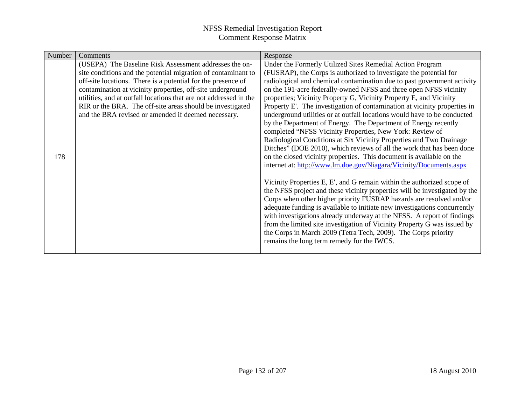| Number | Comments                                                          | Response                                                                   |
|--------|-------------------------------------------------------------------|----------------------------------------------------------------------------|
|        | (USEPA) The Baseline Risk Assessment addresses the on-            | Under the Formerly Utilized Sites Remedial Action Program                  |
|        | site conditions and the potential migration of contaminant to     | (FUSRAP), the Corps is authorized to investigate the potential for         |
|        | off-site locations. There is a potential for the presence of      | radiological and chemical contamination due to past government activity    |
|        | contamination at vicinity properties, off-site underground        | on the 191-acre federally-owned NFSS and three open NFSS vicinity          |
|        | utilities, and at outfall locations that are not addressed in the | properties; Vicinity Property G, Vicinity Property E, and Vicinity         |
|        | RIR or the BRA. The off-site areas should be investigated         | Property E'. The investigation of contamination at vicinity properties in  |
|        | and the BRA revised or amended if deemed necessary.               | underground utilities or at outfall locations would have to be conducted   |
|        |                                                                   | by the Department of Energy. The Department of Energy recently             |
|        |                                                                   | completed "NFSS Vicinity Properties, New York: Review of                   |
|        |                                                                   | Radiological Conditions at Six Vicinity Properties and Two Drainage        |
| 178    |                                                                   | Ditches" (DOE 2010), which reviews of all the work that has been done      |
|        |                                                                   | on the closed vicinity properties. This document is available on the       |
|        |                                                                   | internet at: http://www.lm.doe.gov/Niagara/Vicinity/Documents.aspx         |
|        |                                                                   | Vicinity Properties E, E', and G remain within the authorized scope of     |
|        |                                                                   | the NFSS project and these vicinity properties will be investigated by the |
|        |                                                                   | Corps when other higher priority FUSRAP hazards are resolved and/or        |
|        |                                                                   | adequate funding is available to initiate new investigations concurrently  |
|        |                                                                   | with investigations already underway at the NFSS. A report of findings     |
|        |                                                                   | from the limited site investigation of Vicinity Property G was issued by   |
|        |                                                                   | the Corps in March 2009 (Tetra Tech, 2009). The Corps priority             |
|        |                                                                   | remains the long term remedy for the IWCS.                                 |
|        |                                                                   |                                                                            |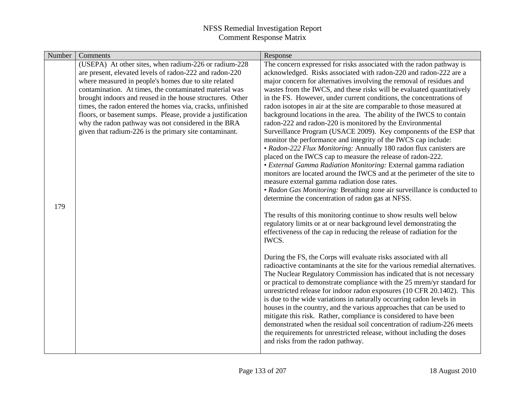| Number | Comments                                                   | Response                                                                    |
|--------|------------------------------------------------------------|-----------------------------------------------------------------------------|
|        | (USEPA) At other sites, when radium-226 or radium-228      | The concern expressed for risks associated with the radon pathway is        |
|        | are present, elevated levels of radon-222 and radon-220    | acknowledged. Risks associated with radon-220 and radon-222 are a           |
|        | where measured in people's homes due to site related       | major concern for alternatives involving the removal of residues and        |
|        | contamination. At times, the contaminated material was     | wastes from the IWCS, and these risks will be evaluated quantitatively      |
|        | brought indoors and reused in the house structures. Other  | in the FS. However, under current conditions, the concentrations of         |
|        | times, the radon entered the homes via, cracks, unfinished | radon isotopes in air at the site are comparable to those measured at       |
|        | floors, or basement sumps. Please, provide a justification | background locations in the area. The ability of the IWCS to contain        |
|        | why the radon pathway was not considered in the BRA        | radon-222 and radon-220 is monitored by the Environmental                   |
|        | given that radium-226 is the primary site contaminant.     | Surveillance Program (USACE 2009). Key components of the ESP that           |
|        |                                                            | monitor the performance and integrity of the IWCS cap include:              |
|        |                                                            | • Radon-222 Flux Monitoring: Annually 180 radon flux canisters are          |
|        |                                                            | placed on the IWCS cap to measure the release of radon-222.                 |
|        |                                                            | • External Gamma Radiation Monitoring: External gamma radiation             |
|        |                                                            | monitors are located around the IWCS and at the perimeter of the site to    |
|        |                                                            | measure external gamma radiation dose rates.                                |
|        |                                                            | • Radon Gas Monitoring: Breathing zone air surveillance is conducted to     |
|        |                                                            | determine the concentration of radon gas at NFSS.                           |
| 179    |                                                            | The results of this monitoring continue to show results well below          |
|        |                                                            | regulatory limits or at or near background level demonstrating the          |
|        |                                                            | effectiveness of the cap in reducing the release of radiation for the       |
|        |                                                            | IWCS.                                                                       |
|        |                                                            | During the FS, the Corps will evaluate risks associated with all            |
|        |                                                            | radioactive contaminants at the site for the various remedial alternatives. |
|        |                                                            | The Nuclear Regulatory Commission has indicated that is not necessary       |
|        |                                                            | or practical to demonstrate compliance with the 25 mrem/yr standard for     |
|        |                                                            | unrestricted release for indoor radon exposures (10 CFR 20.1402). This      |
|        |                                                            | is due to the wide variations in naturally occurring radon levels in        |
|        |                                                            | houses in the country, and the various approaches that can be used to       |
|        |                                                            | mitigate this risk. Rather, compliance is considered to have been           |
|        |                                                            | demonstrated when the residual soil concentration of radium-226 meets       |
|        |                                                            | the requirements for unrestricted release, without including the doses      |
|        |                                                            | and risks from the radon pathway.                                           |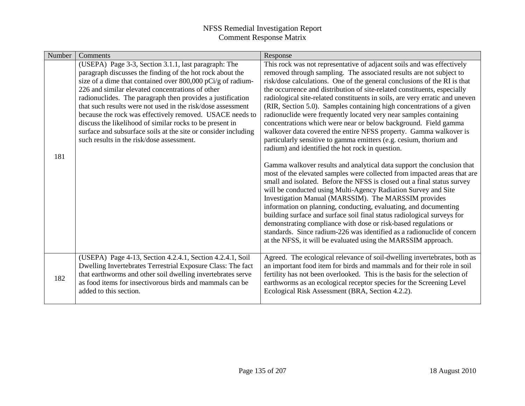| Number | Comments                                                                                                                                                                                                                                                                                                                                                                                                                                                                                                                                                                                                   | Response                                                                                                                                                                                                                                                                                                                                                                                                                                                                                                                                                                                                                                                                                                                                                                                                                                                                                                                                                                                                                                                                                                                                                                                                                                                                                                                                                                                                                                                                                                                       |
|--------|------------------------------------------------------------------------------------------------------------------------------------------------------------------------------------------------------------------------------------------------------------------------------------------------------------------------------------------------------------------------------------------------------------------------------------------------------------------------------------------------------------------------------------------------------------------------------------------------------------|--------------------------------------------------------------------------------------------------------------------------------------------------------------------------------------------------------------------------------------------------------------------------------------------------------------------------------------------------------------------------------------------------------------------------------------------------------------------------------------------------------------------------------------------------------------------------------------------------------------------------------------------------------------------------------------------------------------------------------------------------------------------------------------------------------------------------------------------------------------------------------------------------------------------------------------------------------------------------------------------------------------------------------------------------------------------------------------------------------------------------------------------------------------------------------------------------------------------------------------------------------------------------------------------------------------------------------------------------------------------------------------------------------------------------------------------------------------------------------------------------------------------------------|
| 181    | (USEPA) Page 3-3, Section 3.1.1, last paragraph: The<br>paragraph discusses the finding of the hot rock about the<br>size of a dime that contained over $800,000$ pCi/g of radium-<br>226 and similar elevated concentrations of other<br>radionuclides. The paragraph then provides a justification<br>that such results were not used in the risk/dose assessment<br>because the rock was effectively removed. USACE needs to<br>discuss the likelihood of similar rocks to be present in<br>surface and subsurface soils at the site or consider including<br>such results in the risk/dose assessment. | This rock was not representative of adjacent soils and was effectively<br>removed through sampling. The associated results are not subject to<br>risk/dose calculations. One of the general conclusions of the RI is that<br>the occurrence and distribution of site-related constituents, especially<br>radiological site-related constituents in soils, are very erratic and uneven<br>(RIR, Section 5.0). Samples containing high concentrations of a given<br>radionuclide were frequently located very near samples containing<br>concentrations which were near or below background. Field gamma<br>walkover data covered the entire NFSS property. Gamma walkover is<br>particularly sensitive to gamma emitters (e.g. cesium, thorium and<br>radium) and identified the hot rock in question.<br>Gamma walkover results and analytical data support the conclusion that<br>most of the elevated samples were collected from impacted areas that are<br>small and isolated. Before the NFSS is closed out a final status survey<br>will be conducted using Multi-Agency Radiation Survey and Site<br>Investigation Manual (MARSSIM). The MARSSIM provides<br>information on planning, conducting, evaluating, and documenting<br>building surface and surface soil final status radiological surveys for<br>demonstrating compliance with dose or risk-based regulations or<br>standards. Since radium-226 was identified as a radionuclide of concern<br>at the NFSS, it will be evaluated using the MARSSIM approach. |
| 182    | (USEPA) Page 4-13, Section 4.2.4.1, Section 4.2.4.1, Soil<br>Dwelling Invertebrates Terrestrial Exposure Class: The fact<br>that earthworms and other soil dwelling invertebrates serve<br>as food items for insectivorous birds and mammals can be<br>added to this section.                                                                                                                                                                                                                                                                                                                              | Agreed. The ecological relevance of soil-dwelling invertebrates, both as<br>an important food item for birds and mammals and for their role in soil<br>fertility has not been overlooked. This is the basis for the selection of<br>earthworms as an ecological receptor species for the Screening Level<br>Ecological Risk Assessment (BRA, Section 4.2.2).                                                                                                                                                                                                                                                                                                                                                                                                                                                                                                                                                                                                                                                                                                                                                                                                                                                                                                                                                                                                                                                                                                                                                                   |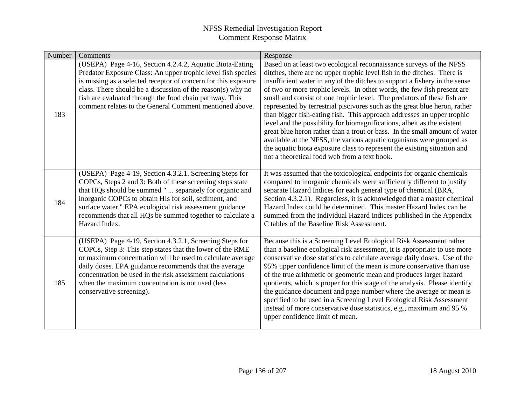| Number | Comments                                                                                                                                                                                                                                                                                                                                                                                 | Response                                                                                                                                                                                                                                                                                                                                                                                                                                                                                                                                                                                                                                                                                                                                                                                                                                                                                                |
|--------|------------------------------------------------------------------------------------------------------------------------------------------------------------------------------------------------------------------------------------------------------------------------------------------------------------------------------------------------------------------------------------------|---------------------------------------------------------------------------------------------------------------------------------------------------------------------------------------------------------------------------------------------------------------------------------------------------------------------------------------------------------------------------------------------------------------------------------------------------------------------------------------------------------------------------------------------------------------------------------------------------------------------------------------------------------------------------------------------------------------------------------------------------------------------------------------------------------------------------------------------------------------------------------------------------------|
| 183    | (USEPA) Page 4-16, Section 4.2.4.2, Aquatic Biota-Eating<br>Predator Exposure Class: An upper trophic level fish species<br>is missing as a selected receptor of concern for this exposure<br>class. There should be a discussion of the reason(s) why no<br>fish are evaluated through the food chain pathway. This<br>comment relates to the General Comment mentioned above.          | Based on at least two ecological reconnaissance surveys of the NFSS<br>ditches, there are no upper trophic level fish in the ditches. There is<br>insufficient water in any of the ditches to support a fishery in the sense<br>of two or more trophic levels. In other words, the few fish present are<br>small and consist of one trophic level. The predators of these fish are<br>represented by terrestrial piscivores such as the great blue heron, rather<br>than bigger fish-eating fish. This approach addresses an upper trophic<br>level and the possibility for biomagnifications, albeit as the existent<br>great blue heron rather than a trout or bass. In the small amount of water<br>available at the NFSS, the various aquatic organisms were grouped as<br>the aquatic biota exposure class to represent the existing situation and<br>not a theoretical food web from a text book. |
| 184    | (USEPA) Page 4-19, Section 4.3.2.1. Screening Steps for<br>COPCs, Steps 2 and 3: Both of these screening steps state<br>that HQs should be summed "  separately for organic and<br>inorganic COPCs to obtain HIs for soil, sediment, and<br>surface water." EPA ecological risk assessment guidance<br>recommends that all HQs be summed together to calculate a<br>Hazard Index.        | It was assumed that the toxicological endpoints for organic chemicals<br>compared to inorganic chemicals were sufficiently different to justify<br>separate Hazard Indices for each general type of chemical (BRA,<br>Section 4.3.2.1). Regardless, it is acknowledged that a master chemical<br>Hazard Index could be determined. This master Hazard Index can be<br>summed from the individual Hazard Indices published in the Appendix<br>C tables of the Baseline Risk Assessment.                                                                                                                                                                                                                                                                                                                                                                                                                  |
| 185    | (USEPA) Page 4-19, Section 4.3.2.1, Screening Steps for<br>COPCs, Step 3: This step states that the lower of the RME<br>or maximum concentration will be used to calculate average<br>daily doses. EPA guidance recommends that the average<br>concentration be used in the risk assessment calculations<br>when the maximum concentration is not used (less<br>conservative screening). | Because this is a Screening Level Ecological Risk Assessment rather<br>than a baseline ecological risk assessment, it is appropriate to use more<br>conservative dose statistics to calculate average daily doses. Use of the<br>95% upper confidence limit of the mean is more conservative than use<br>of the true arithmetic or geometric mean and produces larger hazard<br>quotients, which is proper for this stage of the analysis. Please identify<br>the guidance document and page number where the average or mean is<br>specified to be used in a Screening Level Ecological Risk Assessment<br>instead of more conservative dose statistics, e.g., maximum and 95 %<br>upper confidence limit of mean.                                                                                                                                                                                     |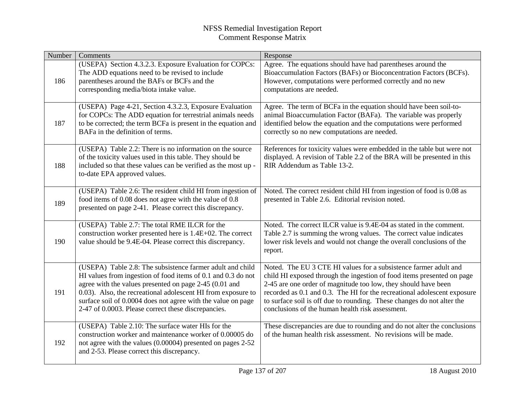| Number | Comments                                                                                                                                                                                                                                                                                                                                                                   | Response                                                                                                                                                                                                                                                                                                                                                                                                               |
|--------|----------------------------------------------------------------------------------------------------------------------------------------------------------------------------------------------------------------------------------------------------------------------------------------------------------------------------------------------------------------------------|------------------------------------------------------------------------------------------------------------------------------------------------------------------------------------------------------------------------------------------------------------------------------------------------------------------------------------------------------------------------------------------------------------------------|
| 186    | (USEPA) Section 4.3.2.3. Exposure Evaluation for COPCs:<br>The ADD equations need to be revised to include<br>parentheses around the BAFs or BCFs and the<br>corresponding media/biota intake value.                                                                                                                                                                       | Agree. The equations should have had parentheses around the<br>Bioaccumulation Factors (BAFs) or Bioconcentration Factors (BCFs).<br>However, computations were performed correctly and no new<br>computations are needed.                                                                                                                                                                                             |
| 187    | (USEPA) Page 4-21, Section 4.3.2.3, Exposure Evaluation<br>for COPCs: The ADD equation for terrestrial animals needs<br>to be corrected; the term BCFa is present in the equation and<br>BAFa in the definition of terms.                                                                                                                                                  | Agree. The term of BCFa in the equation should have been soil-to-<br>animal Bioaccumulation Factor (BAFa). The variable was properly<br>identified below the equation and the computations were performed<br>correctly so no new computations are needed.                                                                                                                                                              |
| 188    | (USEPA) Table 2.2: There is no information on the source<br>of the toxicity values used in this table. They should be<br>included so that these values can be verified as the most up -<br>to-date EPA approved values.                                                                                                                                                    | References for toxicity values were embedded in the table but were not<br>displayed. A revision of Table 2.2 of the BRA will be presented in this<br>RIR Addendum as Table 13-2.                                                                                                                                                                                                                                       |
| 189    | (USEPA) Table 2.6: The resident child HI from ingestion of<br>food items of 0.08 does not agree with the value of 0.8<br>presented on page 2-41. Please correct this discrepancy.                                                                                                                                                                                          | Noted. The correct resident child HI from ingestion of food is 0.08 as<br>presented in Table 2.6. Editorial revision noted.                                                                                                                                                                                                                                                                                            |
| 190    | (USEPA) Table 2.7: The total RME ILCR for the<br>construction worker presented here is 1.4E+02. The correct<br>value should be 9.4E-04. Please correct this discrepancy.                                                                                                                                                                                                   | Noted. The correct ILCR value is 9.4E-04 as stated in the comment.<br>Table 2.7 is summing the wrong values. The correct value indicates<br>lower risk levels and would not change the overall conclusions of the<br>report.                                                                                                                                                                                           |
| 191    | (USEPA) Table 2.8: The subsistence farmer adult and child<br>HI values from ingestion of food items of 0.1 and 0.3 do not<br>agree with the values presented on page 2-45 (0.01 and<br>0.03). Also, the recreational adolescent HI from exposure to<br>surface soil of 0.0004 does not agree with the value on page<br>2-47 of 0.0003. Please correct these discrepancies. | Noted. The EU 3 CTE HI values for a subsistence farmer adult and<br>child HI exposed through the ingestion of food items presented on page<br>2-45 are one order of magnitude too low, they should have been<br>recorded as 0.1 and 0.3. The HI for the recreational adolescent exposure<br>to surface soil is off due to rounding. These changes do not alter the<br>conclusions of the human health risk assessment. |
| 192    | (USEPA) Table 2.10: The surface water HIs for the<br>construction worker and maintenance worker of 0.00005 do<br>not agree with the values (0.00004) presented on pages 2-52<br>and 2-53. Please correct this discrepancy.                                                                                                                                                 | These discrepancies are due to rounding and do not alter the conclusions<br>of the human health risk assessment. No revisions will be made.                                                                                                                                                                                                                                                                            |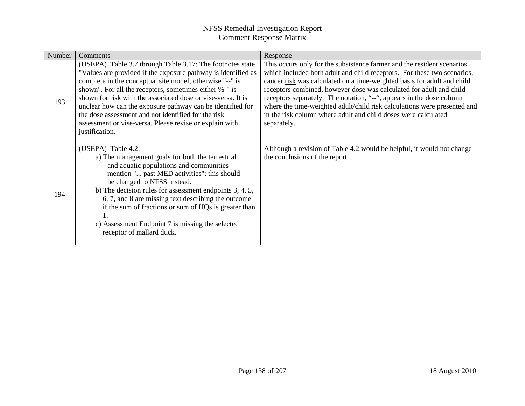| Number | Comments                                                                                                                                                                                                                                                                                                                                                                                                                                                                                                           | Response                                                                                                                                                                                                                                                                                                                                                                                                                                                                                                                                 |
|--------|--------------------------------------------------------------------------------------------------------------------------------------------------------------------------------------------------------------------------------------------------------------------------------------------------------------------------------------------------------------------------------------------------------------------------------------------------------------------------------------------------------------------|------------------------------------------------------------------------------------------------------------------------------------------------------------------------------------------------------------------------------------------------------------------------------------------------------------------------------------------------------------------------------------------------------------------------------------------------------------------------------------------------------------------------------------------|
| 193    | (USEPA) Table 3.7 through Table 3.17: The footnotes state<br>"Values are provided if the exposure pathway is identified as<br>complete in the conceptual site model, otherwise "--" is<br>shown". For all the receptors, sometimes either %-" is<br>shown for risk with the associated dose or vise-versa. It is<br>unclear how can the exposure pathway can be identified for<br>the dose assessment and not identified for the risk<br>assessment or vise-versa. Please revise or explain with<br>justification. | This occurs only for the subsistence farmer and the resident scenarios<br>which included both adult and child receptors. For these two scenarios,<br>cancer risk was calculated on a time-weighted basis for adult and child<br>receptors combined, however dose was calculated for adult and child<br>receptors separately. The notation, "--", appears in the dose column<br>where the time-weighted adult/child risk calculations were presented and<br>in the risk column where adult and child doses were calculated<br>separately. |
| 194    | (USEPA) Table 4.2:<br>a) The management goals for both the terrestrial<br>and aquatic populations and communities<br>mention " past MED activities"; this should<br>be changed to NFSS instead.<br>b) The decision rules for assessment endpoints 3, 4, 5,<br>6, 7, and 8 are missing text describing the outcome<br>if the sum of fractions or sum of HQs is greater than<br>1.<br>c) Assessment Endpoint 7 is missing the selected<br>receptor of mallard duck.                                                  | Although a revision of Table 4.2 would be helpful, it would not change<br>the conclusions of the report.                                                                                                                                                                                                                                                                                                                                                                                                                                 |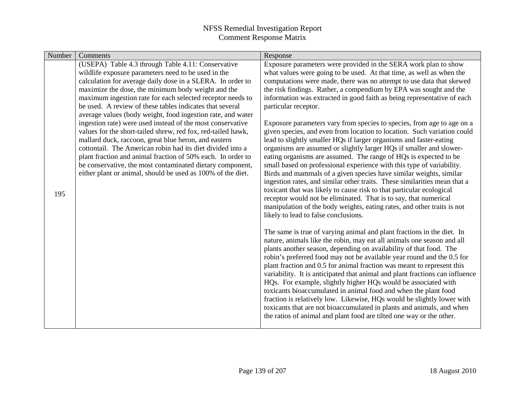| Number | Comments                                                                                                                 | Response                                                                                                                                       |
|--------|--------------------------------------------------------------------------------------------------------------------------|------------------------------------------------------------------------------------------------------------------------------------------------|
|        | (USEPA) Table 4.3 through Table 4.11: Conservative                                                                       | Exposure parameters were provided in the SERA work plan to show                                                                                |
|        | wildlife exposure parameters need to be used in the                                                                      | what values were going to be used. At that time, as well as when the                                                                           |
|        | calculation for average daily dose in a SLERA. In order to                                                               | computations were made, there was no attempt to use data that skewed                                                                           |
|        | maximize the dose, the minimum body weight and the                                                                       | the risk findings. Rather, a compendium by EPA was sought and the                                                                              |
|        | maximum ingestion rate for each selected receptor needs to<br>be used. A review of these tables indicates that several   | information was extracted in good faith as being representative of each<br>particular receptor.                                                |
|        | average values (body weight, food ingestion rate, and water                                                              |                                                                                                                                                |
|        | ingestion rate) were used instead of the most conservative                                                               | Exposure parameters vary from species to species, from age to age on a                                                                         |
|        | values for the short-tailed shrew, red fox, red-tailed hawk,                                                             | given species, and even from location to location. Such variation could                                                                        |
|        | mallard duck, raccoon, great blue heron, and eastern                                                                     | lead to slightly smaller HQs if larger organisms and faster-eating                                                                             |
|        | cottontail. The American robin had its diet divided into a                                                               | organisms are assumed or slightly larger HQs if smaller and slower-                                                                            |
|        | plant fraction and animal fraction of 50% each. In order to                                                              | eating organisms are assumed. The range of HQs is expected to be                                                                               |
|        | be conservative, the most contaminated dietary component,<br>either plant or animal, should be used as 100% of the diet. | small based on professional experience with this type of variability.<br>Birds and mammals of a given species have similar weights, similar    |
|        |                                                                                                                          | ingestion rates, and similar other traits. These similarities mean that a                                                                      |
| 195    |                                                                                                                          | toxicant that was likely to cause risk to that particular ecological                                                                           |
|        |                                                                                                                          | receptor would not be eliminated. That is to say, that numerical                                                                               |
|        |                                                                                                                          | manipulation of the body weights, eating rates, and other traits is not                                                                        |
|        |                                                                                                                          | likely to lead to false conclusions.                                                                                                           |
|        |                                                                                                                          | The same is true of varying animal and plant fractions in the diet. In                                                                         |
|        |                                                                                                                          | nature, animals like the robin, may eat all animals one season and all                                                                         |
|        |                                                                                                                          | plants another season, depending on availability of that food. The                                                                             |
|        |                                                                                                                          | robin's preferred food may not be available year round and the 0.5 for                                                                         |
|        |                                                                                                                          | plant fraction and 0.5 for animal fraction was meant to represent this                                                                         |
|        |                                                                                                                          | variability. It is anticipated that animal and plant fractions can influence<br>HQs. For example, slightly higher HQs would be associated with |
|        |                                                                                                                          | toxicants bioaccumulated in animal food and when the plant food                                                                                |
|        |                                                                                                                          | fraction is relatively low. Likewise, HQs would be slightly lower with                                                                         |
|        |                                                                                                                          | toxicants that are not bioaccumulated in plants and animals, and when                                                                          |
|        |                                                                                                                          | the ratios of animal and plant food are tilted one way or the other.                                                                           |
|        |                                                                                                                          |                                                                                                                                                |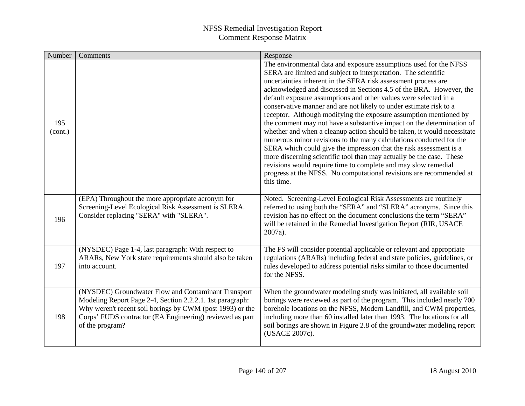| Number         | Comments                                                                                                                                                                                                                                                     | Response                                                                                                                                                                                                                                                                                                                                                                                                                                                                                                                                                                                                                                                                                                                                                                                                                                                                                                                                                                                                                    |
|----------------|--------------------------------------------------------------------------------------------------------------------------------------------------------------------------------------------------------------------------------------------------------------|-----------------------------------------------------------------------------------------------------------------------------------------------------------------------------------------------------------------------------------------------------------------------------------------------------------------------------------------------------------------------------------------------------------------------------------------------------------------------------------------------------------------------------------------------------------------------------------------------------------------------------------------------------------------------------------------------------------------------------------------------------------------------------------------------------------------------------------------------------------------------------------------------------------------------------------------------------------------------------------------------------------------------------|
| 195<br>(cont.) |                                                                                                                                                                                                                                                              | The environmental data and exposure assumptions used for the NFSS<br>SERA are limited and subject to interpretation. The scientific<br>uncertainties inherent in the SERA risk assessment process are<br>acknowledged and discussed in Sections 4.5 of the BRA. However, the<br>default exposure assumptions and other values were selected in a<br>conservative manner and are not likely to under estimate risk to a<br>receptor. Although modifying the exposure assumption mentioned by<br>the comment may not have a substantive impact on the determination of<br>whether and when a cleanup action should be taken, it would necessitate<br>numerous minor revisions to the many calculations conducted for the<br>SERA which could give the impression that the risk assessment is a<br>more discerning scientific tool than may actually be the case. These<br>revisions would require time to complete and may slow remedial<br>progress at the NFSS. No computational revisions are recommended at<br>this time. |
| 196            | (EPA) Throughout the more appropriate acronym for<br>Screening-Level Ecological Risk Assessment is SLERA.<br>Consider replacing "SERA" with "SLERA".                                                                                                         | Noted. Screening-Level Ecological Risk Assessments are routinely<br>referred to using both the "SERA" and "SLERA" acronyms. Since this<br>revision has no effect on the document conclusions the term "SERA"<br>will be retained in the Remedial Investigation Report (RIR, USACE<br>2007a).                                                                                                                                                                                                                                                                                                                                                                                                                                                                                                                                                                                                                                                                                                                                |
| 197            | (NYSDEC) Page 1-4, last paragraph: With respect to<br>ARARs, New York state requirements should also be taken<br>into account.                                                                                                                               | The FS will consider potential applicable or relevant and appropriate<br>regulations (ARARs) including federal and state policies, guidelines, or<br>rules developed to address potential risks similar to those documented<br>for the NFSS.                                                                                                                                                                                                                                                                                                                                                                                                                                                                                                                                                                                                                                                                                                                                                                                |
| 198            | (NYSDEC) Groundwater Flow and Contaminant Transport<br>Modeling Report Page 2-4, Section 2.2.2.1. 1st paragraph:<br>Why weren't recent soil borings by CWM (post 1993) or the<br>Corps' FUDS contractor (EA Engineering) reviewed as part<br>of the program? | When the groundwater modeling study was initiated, all available soil<br>borings were reviewed as part of the program. This included nearly 700<br>borehole locations on the NFSS, Modern Landfill, and CWM properties,<br>including more than 60 installed later than 1993. The locations for all<br>soil borings are shown in Figure 2.8 of the groundwater modeling report<br>(USACE 2007c).                                                                                                                                                                                                                                                                                                                                                                                                                                                                                                                                                                                                                             |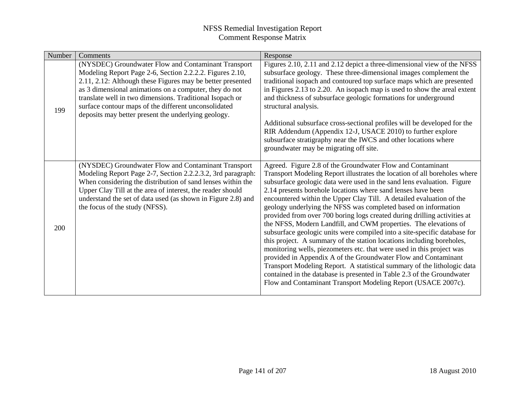| Number | Comments                                                                                                                                                                                                                                                                                                                                                                                                           | Response                                                                                                                                                                                                                                                                                                                                                                                                                                                                                                                                                                                                                                                                                                                                                                                                                                                                                                                                                                                                                                                                                           |
|--------|--------------------------------------------------------------------------------------------------------------------------------------------------------------------------------------------------------------------------------------------------------------------------------------------------------------------------------------------------------------------------------------------------------------------|----------------------------------------------------------------------------------------------------------------------------------------------------------------------------------------------------------------------------------------------------------------------------------------------------------------------------------------------------------------------------------------------------------------------------------------------------------------------------------------------------------------------------------------------------------------------------------------------------------------------------------------------------------------------------------------------------------------------------------------------------------------------------------------------------------------------------------------------------------------------------------------------------------------------------------------------------------------------------------------------------------------------------------------------------------------------------------------------------|
| 199    | (NYSDEC) Groundwater Flow and Contaminant Transport<br>Modeling Report Page 2-6, Section 2.2.2.2. Figures 2.10,<br>2.11, 2.12: Although these Figures may be better presented<br>as 3 dimensional animations on a computer, they do not<br>translate well in two dimensions. Traditional Isopach or<br>surface contour maps of the different unconsolidated<br>deposits may better present the underlying geology. | Figures 2.10, 2.11 and 2.12 depict a three-dimensional view of the NFSS<br>subsurface geology. These three-dimensional images complement the<br>traditional isopach and contoured top surface maps which are presented<br>in Figures 2.13 to 2.20. An isopach map is used to show the areal extent<br>and thickness of subsurface geologic formations for underground<br>structural analysis.<br>Additional subsurface cross-sectional profiles will be developed for the<br>RIR Addendum (Appendix 12-J, USACE 2010) to further explore<br>subsurface stratigraphy near the IWCS and other locations where<br>groundwater may be migrating off site.                                                                                                                                                                                                                                                                                                                                                                                                                                              |
| 200    | (NYSDEC) Groundwater Flow and Contaminant Transport<br>Modeling Report Page 2-7, Section 2.2.2.3.2, 3rd paragraph:<br>When considering the distribution of sand lenses within the<br>Upper Clay Till at the area of interest, the reader should<br>understand the set of data used (as shown in Figure 2.8) and<br>the focus of the study (NFSS).                                                                  | Agreed. Figure 2.8 of the Groundwater Flow and Contaminant<br>Transport Modeling Report illustrates the location of all boreholes where<br>subsurface geologic data were used in the sand lens evaluation. Figure<br>2.14 presents borehole locations where sand lenses have been<br>encountered within the Upper Clay Till. A detailed evaluation of the<br>geology underlying the NFSS was completed based on information<br>provided from over 700 boring logs created during drilling activities at<br>the NFSS, Modern Landfill, and CWM properties. The elevations of<br>subsurface geologic units were compiled into a site-specific database for<br>this project. A summary of the station locations including boreholes,<br>monitoring wells, piezometers etc. that were used in this project was<br>provided in Appendix A of the Groundwater Flow and Contaminant<br>Transport Modeling Report. A statistical summary of the lithologic data<br>contained in the database is presented in Table 2.3 of the Groundwater<br>Flow and Contaminant Transport Modeling Report (USACE 2007c). |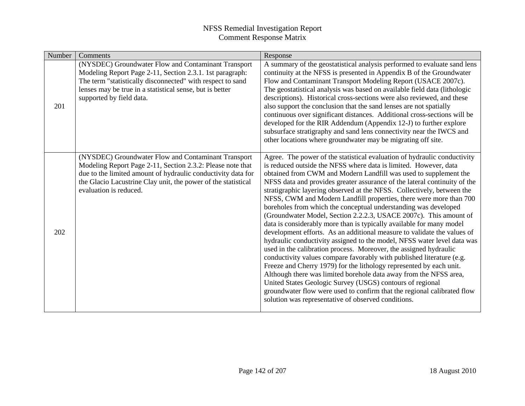| Number | Comments                                                                                                                                                                                                                                                                     | Response                                                                                                                                                                                                                                                                                                                                                                                                                                                                                                                                                                                                                                                                                                                                                                                                                                                                                                                                                                                                                                                                                                                                                                                                                                                                                                     |
|--------|------------------------------------------------------------------------------------------------------------------------------------------------------------------------------------------------------------------------------------------------------------------------------|--------------------------------------------------------------------------------------------------------------------------------------------------------------------------------------------------------------------------------------------------------------------------------------------------------------------------------------------------------------------------------------------------------------------------------------------------------------------------------------------------------------------------------------------------------------------------------------------------------------------------------------------------------------------------------------------------------------------------------------------------------------------------------------------------------------------------------------------------------------------------------------------------------------------------------------------------------------------------------------------------------------------------------------------------------------------------------------------------------------------------------------------------------------------------------------------------------------------------------------------------------------------------------------------------------------|
| 201    | (NYSDEC) Groundwater Flow and Contaminant Transport<br>Modeling Report Page 2-11, Section 2.3.1. 1st paragraph:<br>The term "statistically disconnected" with respect to sand<br>lenses may be true in a statistical sense, but is better<br>supported by field data.        | A summary of the geostatistical analysis performed to evaluate sand lens<br>continuity at the NFSS is presented in Appendix B of the Groundwater<br>Flow and Contaminant Transport Modeling Report (USACE 2007c).<br>The geostatistical analysis was based on available field data (lithologic<br>descriptions). Historical cross-sections were also reviewed, and these<br>also support the conclusion that the sand lenses are not spatially<br>continuous over significant distances. Additional cross-sections will be<br>developed for the RIR Addendum (Appendix 12-J) to further explore<br>subsurface stratigraphy and sand lens connectivity near the IWCS and<br>other locations where groundwater may be migrating off site.                                                                                                                                                                                                                                                                                                                                                                                                                                                                                                                                                                      |
| 202    | (NYSDEC) Groundwater Flow and Contaminant Transport<br>Modeling Report Page 2-11, Section 2.3.2: Please note that<br>due to the limited amount of hydraulic conductivity data for<br>the Glacio Lacustrine Clay unit, the power of the statistical<br>evaluation is reduced. | Agree. The power of the statistical evaluation of hydraulic conductivity<br>is reduced outside the NFSS where data is limited. However, data<br>obtained from CWM and Modern Landfill was used to supplement the<br>NFSS data and provides greater assurance of the lateral continuity of the<br>stratigraphic layering observed at the NFSS. Collectively, between the<br>NFSS, CWM and Modern Landfill properties, there were more than 700<br>boreholes from which the conceptual understanding was developed<br>(Groundwater Model, Section 2.2.2.3, USACE 2007c). This amount of<br>data is considerably more than is typically available for many model<br>development efforts. As an additional measure to validate the values of<br>hydraulic conductivity assigned to the model, NFSS water level data was<br>used in the calibration process. Moreover, the assigned hydraulic<br>conductivity values compare favorably with published literature (e.g.<br>Freeze and Cherry 1979) for the lithology represented by each unit.<br>Although there was limited borehole data away from the NFSS area,<br>United States Geologic Survey (USGS) contours of regional<br>groundwater flow were used to confirm that the regional calibrated flow<br>solution was representative of observed conditions. |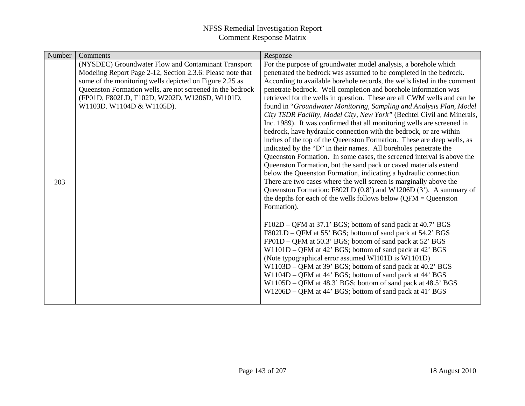| Number | Comments                                                   | Response                                                                                                                                         |
|--------|------------------------------------------------------------|--------------------------------------------------------------------------------------------------------------------------------------------------|
|        | (NYSDEC) Groundwater Flow and Contaminant Transport        | For the purpose of groundwater model analysis, a borehole which                                                                                  |
|        | Modeling Report Page 2-12, Section 2.3.6: Please note that | penetrated the bedrock was assumed to be completed in the bedrock.                                                                               |
|        | some of the monitoring wells depicted on Figure 2.25 as    | According to available borehole records, the wells listed in the comment                                                                         |
|        | Queenston Formation wells, are not screened in the bedrock | penetrate bedrock. Well completion and borehole information was                                                                                  |
|        | (FP01D, F802LD, F102D, W202D, W1206D, W1101D,              | retrieved for the wells in question. These are all CWM wells and can be                                                                          |
|        | W1103D. W1104D & W1105D).                                  | found in "Groundwater Monitoring, Sampling and Analysis Plan, Model                                                                              |
|        |                                                            | City TSDR Facility, Model City, New York" (Bechtel Civil and Minerals,<br>Inc. 1989). It was confirmed that all monitoring wells are screened in |
|        |                                                            | bedrock, have hydraulic connection with the bedrock, or are within                                                                               |
|        |                                                            | inches of the top of the Queenston Formation. These are deep wells, as                                                                           |
|        |                                                            | indicated by the "D" in their names. All boreholes penetrate the                                                                                 |
|        |                                                            | Queenston Formation. In some cases, the screened interval is above the                                                                           |
|        |                                                            | Queenston Formation, but the sand pack or caved materials extend                                                                                 |
|        |                                                            | below the Queenston Formation, indicating a hydraulic connection.                                                                                |
| 203    |                                                            | There are two cases where the well screen is marginally above the                                                                                |
|        |                                                            | Queenston Formation: F802LD (0.8') and W1206D (3'). A summary of                                                                                 |
|        |                                                            | the depths for each of the wells follows below $(QFM = Queenston)$<br>Formation).                                                                |
|        |                                                            |                                                                                                                                                  |
|        |                                                            | F102D – QFM at 37.1' BGS; bottom of sand pack at 40.7' BGS                                                                                       |
|        |                                                            | F802LD – QFM at 55' BGS; bottom of sand pack at 54.2' BGS                                                                                        |
|        |                                                            | FP01D – QFM at 50.3' BGS; bottom of sand pack at 52' BGS                                                                                         |
|        |                                                            | W1101D - QFM at 42' BGS; bottom of sand pack at 42' BGS                                                                                          |
|        |                                                            | (Note typographical error assumed W1101D is W1101D)                                                                                              |
|        |                                                            | W1103D - QFM at 39' BGS; bottom of sand pack at 40.2' BGS                                                                                        |
|        |                                                            | W1104D - QFM at 44' BGS; bottom of sand pack at 44' BGS                                                                                          |
|        |                                                            | W1105D - QFM at 48.3' BGS; bottom of sand pack at 48.5' BGS                                                                                      |
|        |                                                            | W1206D – QFM at 44' BGS; bottom of sand pack at 41' BGS                                                                                          |
|        |                                                            |                                                                                                                                                  |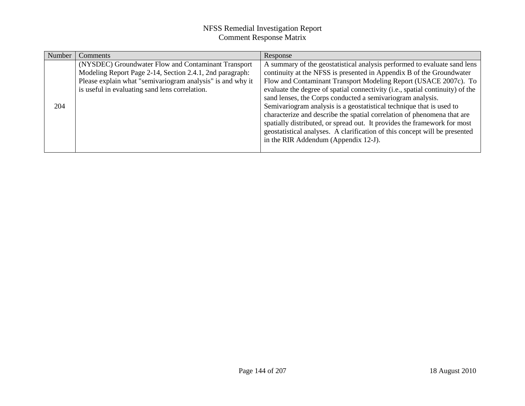| Number | <b>Comments</b>                                            | Response                                                                      |
|--------|------------------------------------------------------------|-------------------------------------------------------------------------------|
|        | (NYSDEC) Groundwater Flow and Contaminant Transport        | A summary of the geostatistical analysis performed to evaluate sand lens      |
|        | Modeling Report Page 2-14, Section 2.4.1, 2nd paragraph:   | continuity at the NFSS is presented in Appendix B of the Groundwater          |
|        | Please explain what "semivariogram analysis" is and why it | Flow and Contaminant Transport Modeling Report (USACE 2007c). To              |
|        | is useful in evaluating sand lens correlation.             | evaluate the degree of spatial connectivity (i.e., spatial continuity) of the |
| 204    |                                                            | sand lenses, the Corps conducted a semivariogram analysis.                    |
|        |                                                            | Semivariogram analysis is a geostatistical technique that is used to          |
|        |                                                            | characterize and describe the spatial correlation of phenomena that are       |
|        |                                                            | spatially distributed, or spread out. It provides the framework for most      |
|        |                                                            | geostatistical analyses. A clarification of this concept will be presented    |
|        |                                                            | in the RIR Addendum (Appendix 12-J).                                          |
|        |                                                            |                                                                               |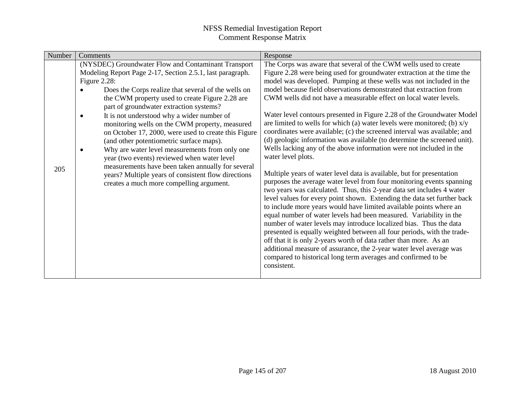| Number | Comments                                                                                                                                                                                                                                                                                                                                                                                                                                                                                                                                                                                                                                                                                                                                                                     | Response                                                                                                                                                                                                                                                                                                                                                                                                                                                                                                                                                                                                                                                                                                                                                                                                                                                                                                                                                                                                                                                                                                                                                                                                                                                                                                                                                                                                                                                                                                                                                                                                |
|--------|------------------------------------------------------------------------------------------------------------------------------------------------------------------------------------------------------------------------------------------------------------------------------------------------------------------------------------------------------------------------------------------------------------------------------------------------------------------------------------------------------------------------------------------------------------------------------------------------------------------------------------------------------------------------------------------------------------------------------------------------------------------------------|---------------------------------------------------------------------------------------------------------------------------------------------------------------------------------------------------------------------------------------------------------------------------------------------------------------------------------------------------------------------------------------------------------------------------------------------------------------------------------------------------------------------------------------------------------------------------------------------------------------------------------------------------------------------------------------------------------------------------------------------------------------------------------------------------------------------------------------------------------------------------------------------------------------------------------------------------------------------------------------------------------------------------------------------------------------------------------------------------------------------------------------------------------------------------------------------------------------------------------------------------------------------------------------------------------------------------------------------------------------------------------------------------------------------------------------------------------------------------------------------------------------------------------------------------------------------------------------------------------|
| 205    | (NYSDEC) Groundwater Flow and Contaminant Transport<br>Modeling Report Page 2-17, Section 2.5.1, last paragraph.<br>Figure 2.28:<br>Does the Corps realize that several of the wells on<br>the CWM property used to create Figure 2.28 are<br>part of groundwater extraction systems?<br>It is not understood why a wider number of<br>$\bullet$<br>monitoring wells on the CWM property, measured<br>on October 17, 2000, were used to create this Figure<br>(and other potentiometric surface maps).<br>Why are water level measurements from only one<br>$\bullet$<br>year (two events) reviewed when water level<br>measurements have been taken annually for several<br>years? Multiple years of consistent flow directions<br>creates a much more compelling argument. | The Corps was aware that several of the CWM wells used to create<br>Figure 2.28 were being used for groundwater extraction at the time the<br>model was developed. Pumping at these wells was not included in the<br>model because field observations demonstrated that extraction from<br>CWM wells did not have a measurable effect on local water levels.<br>Water level contours presented in Figure 2.28 of the Groundwater Model<br>are limited to wells for which (a) water levels were monitored; (b) $x/y$<br>coordinates were available; (c) the screened interval was available; and<br>(d) geologic information was available (to determine the screened unit).<br>Wells lacking any of the above information were not included in the<br>water level plots.<br>Multiple years of water level data is available, but for presentation<br>purposes the average water level from four monitoring events spanning<br>two years was calculated. Thus, this 2-year data set includes 4 water<br>level values for every point shown. Extending the data set further back<br>to include more years would have limited available points where an<br>equal number of water levels had been measured. Variability in the<br>number of water levels may introduce localized bias. Thus the data<br>presented is equally weighted between all four periods, with the trade-<br>off that it is only 2-years worth of data rather than more. As an<br>additional measure of assurance, the 2-year water level average was<br>compared to historical long term averages and confirmed to be<br>consistent. |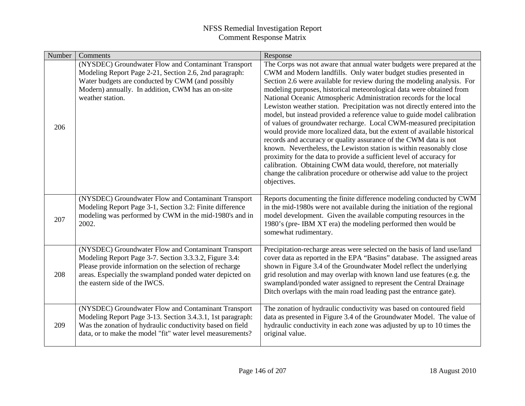| Number | Comments                                                                                                                                                                                                                                                              | Response                                                                                                                                                                                                                                                                                                                                                                                                                                                                                                                                                                                                                                                                                                                                                                                                                                                                                                                                                                                                                                                         |
|--------|-----------------------------------------------------------------------------------------------------------------------------------------------------------------------------------------------------------------------------------------------------------------------|------------------------------------------------------------------------------------------------------------------------------------------------------------------------------------------------------------------------------------------------------------------------------------------------------------------------------------------------------------------------------------------------------------------------------------------------------------------------------------------------------------------------------------------------------------------------------------------------------------------------------------------------------------------------------------------------------------------------------------------------------------------------------------------------------------------------------------------------------------------------------------------------------------------------------------------------------------------------------------------------------------------------------------------------------------------|
| 206    | (NYSDEC) Groundwater Flow and Contaminant Transport<br>Modeling Report Page 2-21, Section 2.6, 2nd paragraph:<br>Water budgets are conducted by CWM (and possibly<br>Modern) annually. In addition, CWM has an on-site<br>weather station.                            | The Corps was not aware that annual water budgets were prepared at the<br>CWM and Modern landfills. Only water budget studies presented in<br>Section 2.6 were available for review during the modeling analysis. For<br>modeling purposes, historical meteorological data were obtained from<br>National Oceanic Atmospheric Administration records for the local<br>Lewiston weather station. Precipitation was not directly entered into the<br>model, but instead provided a reference value to guide model calibration<br>of values of groundwater recharge. Local CWM-measured precipitation<br>would provide more localized data, but the extent of available historical<br>records and accuracy or quality assurance of the CWM data is not<br>known. Nevertheless, the Lewiston station is within reasonably close<br>proximity for the data to provide a sufficient level of accuracy for<br>calibration. Obtaining CWM data would, therefore, not materially<br>change the calibration procedure or otherwise add value to the project<br>objectives. |
| 207    | (NYSDEC) Groundwater Flow and Contaminant Transport<br>Modeling Report Page 3-1, Section 3.2: Finite difference<br>modeling was performed by CWM in the mid-1980's and in<br>2002.                                                                                    | Reports documenting the finite difference modeling conducted by CWM<br>in the mid-1980s were not available during the initiation of the regional<br>model development. Given the available computing resources in the<br>1980's (pre- IBM XT era) the modeling performed then would be<br>somewhat rudimentary.                                                                                                                                                                                                                                                                                                                                                                                                                                                                                                                                                                                                                                                                                                                                                  |
| 208    | (NYSDEC) Groundwater Flow and Contaminant Transport<br>Modeling Report Page 3-7. Section 3.3.3.2, Figure 3.4:<br>Please provide information on the selection of recharge<br>areas. Especially the swampland ponded water depicted on<br>the eastern side of the IWCS. | Precipitation-recharge areas were selected on the basis of land use/land<br>cover data as reported in the EPA "Basins" database. The assigned areas<br>shown in Figure 3.4 of the Groundwater Model reflect the underlying<br>grid resolution and may overlap with known land use features (e.g. the<br>swampland/ponded water assigned to represent the Central Drainage<br>Ditch overlaps with the main road leading past the entrance gate).                                                                                                                                                                                                                                                                                                                                                                                                                                                                                                                                                                                                                  |
| 209    | (NYSDEC) Groundwater Flow and Contaminant Transport<br>Modeling Report Page 3-13. Section 3.4.3.1, 1st paragraph:<br>Was the zonation of hydraulic conductivity based on field<br>data, or to make the model "fit" water level measurements?                          | The zonation of hydraulic conductivity was based on contoured field<br>data as presented in Figure 3.4 of the Groundwater Model. The value of<br>hydraulic conductivity in each zone was adjusted by up to 10 times the<br>original value.                                                                                                                                                                                                                                                                                                                                                                                                                                                                                                                                                                                                                                                                                                                                                                                                                       |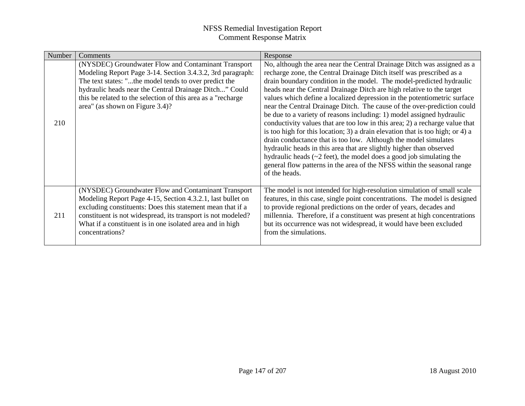| Number | <b>Comments</b>                                                                                                                                                                                                                                                                                                                          | Response                                                                                                                                                                                                                                                                                                                                                                                                                                                                                                                                                                                                                                                                                                                                                                                                                                                                                                                                                                                                            |
|--------|------------------------------------------------------------------------------------------------------------------------------------------------------------------------------------------------------------------------------------------------------------------------------------------------------------------------------------------|---------------------------------------------------------------------------------------------------------------------------------------------------------------------------------------------------------------------------------------------------------------------------------------------------------------------------------------------------------------------------------------------------------------------------------------------------------------------------------------------------------------------------------------------------------------------------------------------------------------------------------------------------------------------------------------------------------------------------------------------------------------------------------------------------------------------------------------------------------------------------------------------------------------------------------------------------------------------------------------------------------------------|
| 210    | (NYSDEC) Groundwater Flow and Contaminant Transport<br>Modeling Report Page 3-14. Section 3.4.3.2, 3rd paragraph:<br>The text states: "the model tends to over predict the<br>hydraulic heads near the Central Drainage Ditch" Could<br>this be related to the selection of this area as a "recharge"<br>area" (as shown on Figure 3.4)? | No, although the area near the Central Drainage Ditch was assigned as a<br>recharge zone, the Central Drainage Ditch itself was prescribed as a<br>drain boundary condition in the model. The model-predicted hydraulic<br>heads near the Central Drainage Ditch are high relative to the target<br>values which define a localized depression in the potentiometric surface<br>near the Central Drainage Ditch. The cause of the over-prediction could<br>be due to a variety of reasons including: 1) model assigned hydraulic<br>conductivity values that are too low in this area; 2) a recharge value that<br>is too high for this location; 3) a drain elevation that is too high; or 4) a<br>drain conductance that is too low. Although the model simulates<br>hydraulic heads in this area that are slightly higher than observed<br>hydraulic heads $(\sim 2$ feet), the model does a good job simulating the<br>general flow patterns in the area of the NFSS within the seasonal range<br>of the heads. |
| 211    | (NYSDEC) Groundwater Flow and Contaminant Transport<br>Modeling Report Page 4-15, Section 4.3.2.1, last bullet on<br>excluding constituents: Does this statement mean that if a<br>constituent is not widespread, its transport is not modeled?<br>What if a constituent is in one isolated area and in high<br>concentrations?          | The model is not intended for high-resolution simulation of small scale<br>features, in this case, single point concentrations. The model is designed<br>to provide regional predictions on the order of years, decades and<br>millennia. Therefore, if a constituent was present at high concentrations<br>but its occurrence was not widespread, it would have been excluded<br>from the simulations.                                                                                                                                                                                                                                                                                                                                                                                                                                                                                                                                                                                                             |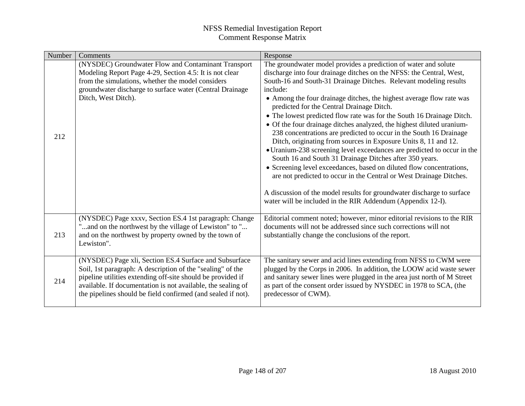| Number | Comments                                                                                                                                                                                                                                                                                                            | Response                                                                                                                                                                                                                                                                                                                                                                                                                                                                                                                                                                                                                                                                                                                                                                                                                                                                                                                                                                                                                                                               |
|--------|---------------------------------------------------------------------------------------------------------------------------------------------------------------------------------------------------------------------------------------------------------------------------------------------------------------------|------------------------------------------------------------------------------------------------------------------------------------------------------------------------------------------------------------------------------------------------------------------------------------------------------------------------------------------------------------------------------------------------------------------------------------------------------------------------------------------------------------------------------------------------------------------------------------------------------------------------------------------------------------------------------------------------------------------------------------------------------------------------------------------------------------------------------------------------------------------------------------------------------------------------------------------------------------------------------------------------------------------------------------------------------------------------|
| 212    | (NYSDEC) Groundwater Flow and Contaminant Transport<br>Modeling Report Page 4-29, Section 4.5: It is not clear<br>from the simulations, whether the model considers<br>groundwater discharge to surface water (Central Drainage<br>Ditch, West Ditch).                                                              | The groundwater model provides a prediction of water and solute<br>discharge into four drainage ditches on the NFSS: the Central, West,<br>South-16 and South-31 Drainage Ditches. Relevant modeling results<br>include:<br>• Among the four drainage ditches, the highest average flow rate was<br>predicted for the Central Drainage Ditch.<br>• The lowest predicted flow rate was for the South 16 Drainage Ditch.<br>• Of the four drainage ditches analyzed, the highest diluted uranium-<br>238 concentrations are predicted to occur in the South 16 Drainage<br>Ditch, originating from sources in Exposure Units 8, 11 and 12.<br>• Uranium-238 screening level exceedances are predicted to occur in the<br>South 16 and South 31 Drainage Ditches after 350 years.<br>• Screening level exceedances, based on diluted flow concentrations,<br>are not predicted to occur in the Central or West Drainage Ditches.<br>A discussion of the model results for groundwater discharge to surface<br>water will be included in the RIR Addendum (Appendix 12-I). |
| 213    | (NYSDEC) Page xxxv, Section ES.4 1st paragraph: Change<br>"and on the northwest by the village of Lewiston" to "<br>and on the northwest by property owned by the town of<br>Lewiston".                                                                                                                             | Editorial comment noted; however, minor editorial revisions to the RIR<br>documents will not be addressed since such corrections will not<br>substantially change the conclusions of the report.                                                                                                                                                                                                                                                                                                                                                                                                                                                                                                                                                                                                                                                                                                                                                                                                                                                                       |
| 214    | (NYSDEC) Page xli, Section ES.4 Surface and Subsurface<br>Soil, 1st paragraph: A description of the "sealing" of the<br>pipeline utilities extending off-site should be provided if<br>available. If documentation is not available, the sealing of<br>the pipelines should be field confirmed (and sealed if not). | The sanitary sewer and acid lines extending from NFSS to CWM were<br>plugged by the Corps in 2006. In addition, the LOOW acid waste sewer<br>and sanitary sewer lines were plugged in the area just north of M Street<br>as part of the consent order issued by NYSDEC in 1978 to SCA, (the<br>predecessor of CWM).                                                                                                                                                                                                                                                                                                                                                                                                                                                                                                                                                                                                                                                                                                                                                    |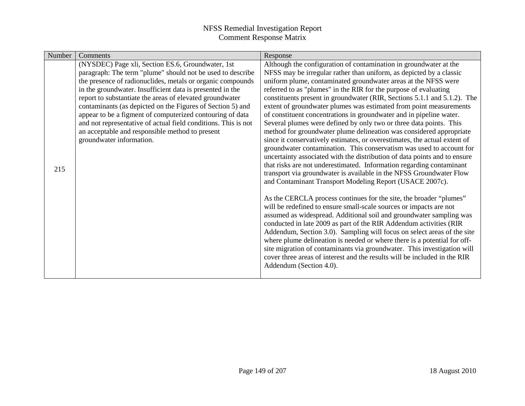| Number | Comments                                                                                                                                                                                                                                                                                                                                                                                                                                                                                                                                                                           | Response                                                                                                                                                                                                                                                                                                                                                                                                                                                                                                                                                                                                                                                                                                                                                                                                                                                                                                                                                                                                                                                                                                                                                                                                                                                                                                                                                                                                                                                                                                                                                                                                                                                                                                                             |
|--------|------------------------------------------------------------------------------------------------------------------------------------------------------------------------------------------------------------------------------------------------------------------------------------------------------------------------------------------------------------------------------------------------------------------------------------------------------------------------------------------------------------------------------------------------------------------------------------|--------------------------------------------------------------------------------------------------------------------------------------------------------------------------------------------------------------------------------------------------------------------------------------------------------------------------------------------------------------------------------------------------------------------------------------------------------------------------------------------------------------------------------------------------------------------------------------------------------------------------------------------------------------------------------------------------------------------------------------------------------------------------------------------------------------------------------------------------------------------------------------------------------------------------------------------------------------------------------------------------------------------------------------------------------------------------------------------------------------------------------------------------------------------------------------------------------------------------------------------------------------------------------------------------------------------------------------------------------------------------------------------------------------------------------------------------------------------------------------------------------------------------------------------------------------------------------------------------------------------------------------------------------------------------------------------------------------------------------------|
| 215    | (NYSDEC) Page xli, Section ES.6, Groundwater, 1st<br>paragraph: The term "plume" should not be used to describe<br>the presence of radionuclides, metals or organic compounds<br>in the groundwater. Insufficient data is presented in the<br>report to substantiate the areas of elevated groundwater<br>contaminants (as depicted on the Figures of Section 5) and<br>appear to be a figment of computerized contouring of data<br>and not representative of actual field conditions. This is not<br>an acceptable and responsible method to present<br>groundwater information. | Although the configuration of contamination in groundwater at the<br>NFSS may be irregular rather than uniform, as depicted by a classic<br>uniform plume, contaminated groundwater areas at the NFSS were<br>referred to as "plumes" in the RIR for the purpose of evaluating<br>constituents present in groundwater (RIR, Sections 5.1.1 and 5.1.2). The<br>extent of groundwater plumes was estimated from point measurements<br>of constituent concentrations in groundwater and in pipeline water.<br>Several plumes were defined by only two or three data points. This<br>method for groundwater plume delineation was considered appropriate<br>since it conservatively estimates, or overestimates, the actual extent of<br>groundwater contamination. This conservatism was used to account for<br>uncertainty associated with the distribution of data points and to ensure<br>that risks are not underestimated. Information regarding contaminant<br>transport via groundwater is available in the NFSS Groundwater Flow<br>and Contaminant Transport Modeling Report (USACE 2007c).<br>As the CERCLA process continues for the site, the broader "plumes"<br>will be redefined to ensure small-scale sources or impacts are not<br>assumed as widespread. Additional soil and groundwater sampling was<br>conducted in late 2009 as part of the RIR Addendum activities (RIR<br>Addendum, Section 3.0). Sampling will focus on select areas of the site<br>where plume delineation is needed or where there is a potential for off-<br>site migration of contaminants via groundwater. This investigation will<br>cover three areas of interest and the results will be included in the RIR<br>Addendum (Section 4.0). |
|        |                                                                                                                                                                                                                                                                                                                                                                                                                                                                                                                                                                                    |                                                                                                                                                                                                                                                                                                                                                                                                                                                                                                                                                                                                                                                                                                                                                                                                                                                                                                                                                                                                                                                                                                                                                                                                                                                                                                                                                                                                                                                                                                                                                                                                                                                                                                                                      |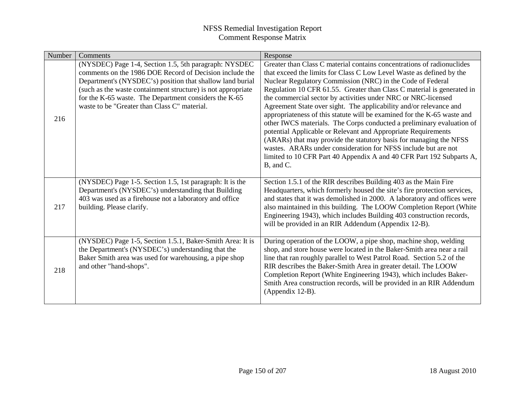| Number | Comments                                                                                                                                                                                                                                                                                                                                               | Response                                                                                                                                                                                                                                                                                                                                                                                                                                                                                                                                                                                                                                                                                                                                                                                                                                                                        |
|--------|--------------------------------------------------------------------------------------------------------------------------------------------------------------------------------------------------------------------------------------------------------------------------------------------------------------------------------------------------------|---------------------------------------------------------------------------------------------------------------------------------------------------------------------------------------------------------------------------------------------------------------------------------------------------------------------------------------------------------------------------------------------------------------------------------------------------------------------------------------------------------------------------------------------------------------------------------------------------------------------------------------------------------------------------------------------------------------------------------------------------------------------------------------------------------------------------------------------------------------------------------|
| 216    | (NYSDEC) Page 1-4, Section 1.5, 5th paragraph: NYSDEC<br>comments on the 1986 DOE Record of Decision include the<br>Department's (NYSDEC's) position that shallow land burial<br>(such as the waste containment structure) is not appropriate<br>for the K-65 waste. The Department considers the K-65<br>waste to be "Greater than Class C" material. | Greater than Class C material contains concentrations of radionuclides<br>that exceed the limits for Class C Low Level Waste as defined by the<br>Nuclear Regulatory Commission (NRC) in the Code of Federal<br>Regulation 10 CFR 61.55. Greater than Class C material is generated in<br>the commercial sector by activities under NRC or NRC-licensed<br>Agreement State over sight. The applicability and/or relevance and<br>appropriateness of this statute will be examined for the K-65 waste and<br>other IWCS materials. The Corps conducted a preliminary evaluation of<br>potential Applicable or Relevant and Appropriate Requirements<br>(ARARs) that may provide the statutory basis for managing the NFSS<br>wastes. ARARs under consideration for NFSS include but are not<br>limited to 10 CFR Part 40 Appendix A and 40 CFR Part 192 Subparts A,<br>B, and C. |
| 217    | (NYSDEC) Page 1-5. Section 1.5, 1st paragraph: It is the<br>Department's (NYSDEC's) understanding that Building<br>403 was used as a firehouse not a laboratory and office<br>building. Please clarify.                                                                                                                                                | Section 1.5.1 of the RIR describes Building 403 as the Main Fire<br>Headquarters, which formerly housed the site's fire protection services,<br>and states that it was demolished in 2000. A laboratory and offices were<br>also maintained in this building. The LOOW Completion Report (White<br>Engineering 1943), which includes Building 403 construction records,<br>will be provided in an RIR Addendum (Appendix 12-B).                                                                                                                                                                                                                                                                                                                                                                                                                                                 |
| 218    | (NYSDEC) Page 1-5, Section 1.5.1, Baker-Smith Area: It is<br>the Department's (NYSDEC's) understanding that the<br>Baker Smith area was used for warehousing, a pipe shop<br>and other "hand-shops".                                                                                                                                                   | During operation of the LOOW, a pipe shop, machine shop, welding<br>shop, and store house were located in the Baker-Smith area near a rail<br>line that ran roughly parallel to West Patrol Road. Section 5.2 of the<br>RIR describes the Baker-Smith Area in greater detail. The LOOW<br>Completion Report (White Engineering 1943), which includes Baker-<br>Smith Area construction records, will be provided in an RIR Addendum<br>(Appendix 12-B).                                                                                                                                                                                                                                                                                                                                                                                                                         |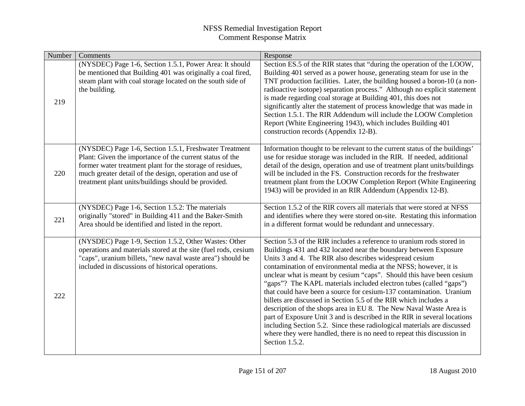| Number | Comments                                                                                                                                                                                                                                                                                          | Response                                                                                                                                                                                                                                                                                                                                                                                                                                                                                                                                                                                                                                                                                                                                                                                                                                                                                   |
|--------|---------------------------------------------------------------------------------------------------------------------------------------------------------------------------------------------------------------------------------------------------------------------------------------------------|--------------------------------------------------------------------------------------------------------------------------------------------------------------------------------------------------------------------------------------------------------------------------------------------------------------------------------------------------------------------------------------------------------------------------------------------------------------------------------------------------------------------------------------------------------------------------------------------------------------------------------------------------------------------------------------------------------------------------------------------------------------------------------------------------------------------------------------------------------------------------------------------|
| 219    | (NYSDEC) Page 1-6, Section 1.5.1, Power Area: It should<br>be mentioned that Building 401 was originally a coal fired,<br>steam plant with coal storage located on the south side of<br>the building.                                                                                             | Section ES.5 of the RIR states that "during the operation of the LOOW,<br>Building 401 served as a power house, generating steam for use in the<br>TNT production facilities. Later, the building housed a boron-10 (a non-<br>radioactive isotope) separation process." Although no explicit statement<br>is made regarding coal storage at Building 401, this does not<br>significantly alter the statement of process knowledge that was made in<br>Section 1.5.1. The RIR Addendum will include the LOOW Completion<br>Report (White Engineering 1943), which includes Building 401<br>construction records (Appendix 12-B).                                                                                                                                                                                                                                                           |
| 220    | (NYSDEC) Page 1-6, Section 1.5.1, Freshwater Treatment<br>Plant: Given the importance of the current status of the<br>former water treatment plant for the storage of residues,<br>much greater detail of the design, operation and use of<br>treatment plant units/buildings should be provided. | Information thought to be relevant to the current status of the buildings'<br>use for residue storage was included in the RIR. If needed, additional<br>detail of the design, operation and use of treatment plant units/buildings<br>will be included in the FS. Construction records for the freshwater<br>treatment plant from the LOOW Completion Report (White Engineering<br>1943) will be provided in an RIR Addendum (Appendix 12-B).                                                                                                                                                                                                                                                                                                                                                                                                                                              |
| 221    | (NYSDEC) Page 1-6, Section 1.5.2: The materials<br>originally "stored" in Building 411 and the Baker-Smith<br>Area should be identified and listed in the report.                                                                                                                                 | Section 1.5.2 of the RIR covers all materials that were stored at NFSS<br>and identifies where they were stored on-site. Restating this information<br>in a different format would be redundant and unnecessary.                                                                                                                                                                                                                                                                                                                                                                                                                                                                                                                                                                                                                                                                           |
| 222    | (NYSDEC) Page 1-9, Section 1.5.2, Other Wastes: Other<br>operations and materials stored at the site (fuel rods, cesium<br>"caps", uranium billets, "new naval waste area") should be<br>included in discussions of historical operations.                                                        | Section 5.3 of the RIR includes a reference to uranium rods stored in<br>Buildings 431 and 432 located near the boundary between Exposure<br>Units 3 and 4. The RIR also describes widespread cesium<br>contamination of environmental media at the NFSS; however, it is<br>unclear what is meant by cesium "caps". Should this have been cesium<br>"gaps"? The KAPL materials included electron tubes (called "gaps")<br>that could have been a source for cesium-137 contamination. Uranium<br>billets are discussed in Section 5.5 of the RIR which includes a<br>description of the shops area in EU 8. The New Naval Waste Area is<br>part of Exposure Unit 3 and is described in the RIR in several locations<br>including Section 5.2. Since these radiological materials are discussed<br>where they were handled, there is no need to repeat this discussion in<br>Section 1.5.2. |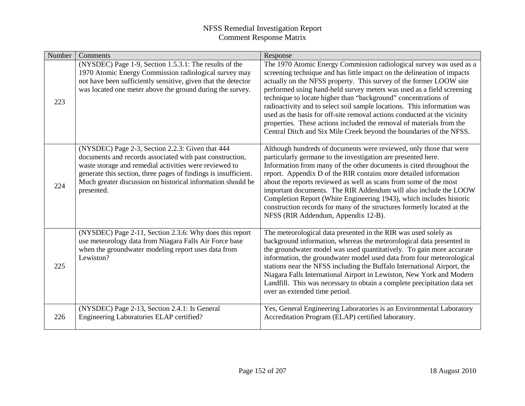| Number | Comments                                                                                                                                                                                                                                                                                                               | Response                                                                                                                                                                                                                                                                                                                                                                                                                                                                                                                                                                                                                                                              |
|--------|------------------------------------------------------------------------------------------------------------------------------------------------------------------------------------------------------------------------------------------------------------------------------------------------------------------------|-----------------------------------------------------------------------------------------------------------------------------------------------------------------------------------------------------------------------------------------------------------------------------------------------------------------------------------------------------------------------------------------------------------------------------------------------------------------------------------------------------------------------------------------------------------------------------------------------------------------------------------------------------------------------|
| 223    | (NYSDEC) Page 1-9, Section 1.5.3.1: The results of the<br>1970 Atomic Energy Commission radiological survey may<br>not have been sufficiently sensitive, given that the detector<br>was located one meter above the ground during the survey.                                                                          | The 1970 Atomic Energy Commission radiological survey was used as a<br>screening technique and has little impact on the delineation of impacts<br>actually on the NFSS property. This survey of the former LOOW site<br>performed using hand-held survey meters was used as a field screening<br>technique to locate higher than "background" concentrations of<br>radioactivity and to select soil sample locations. This information was<br>used as the basis for off-site removal actions conducted at the vicinity<br>properties. These actions included the removal of materials from the<br>Central Ditch and Six Mile Creek beyond the boundaries of the NFSS. |
| 224    | (NYSDEC) Page 2-3, Section 2.2.3: Given that 444<br>documents and records associated with past construction,<br>waste storage and remedial activities were reviewed to<br>generate this section, three pages of findings is insufficient.<br>Much greater discussion on historical information should be<br>presented. | Although hundreds of documents were reviewed, only those that were<br>particularly germane to the investigation are presented here.<br>Information from many of the other documents is cited throughout the<br>report. Appendix D of the RIR contains more detailed information<br>about the reports reviewed as well as scans from some of the most<br>important documents. The RIR Addendum will also include the LOOW<br>Completion Report (White Engineering 1943), which includes historic<br>construction records for many of the structures formerly located at the<br>NFSS (RIR Addendum, Appendix 12-B).                                                     |
| 225    | (NYSDEC) Page 2-11, Section 2.3.6: Why does this report<br>use meteorology data from Niagara Falls Air Force base<br>when the groundwater modeling report uses data from<br>Lewiston?                                                                                                                                  | The meteorological data presented in the RIR was used solely as<br>background information, whereas the meteorological data presented in<br>the groundwater model was used quantitatively. To gain more accurate<br>information, the groundwater model used data from four meteorological<br>stations near the NFSS including the Buffalo International Airport, the<br>Niagara Falls International Airport in Lewiston, New York and Modern<br>Landfill. This was necessary to obtain a complete precipitation data set<br>over an extended time period.                                                                                                              |
| 226    | (NYSDEC) Page 2-13, Section 2.4.1: Is General<br>Engineering Laboratories ELAP certified?                                                                                                                                                                                                                              | Yes, General Engineering Laboratories is an Environmental Laboratory<br>Accreditation Program (ELAP) certified laboratory.                                                                                                                                                                                                                                                                                                                                                                                                                                                                                                                                            |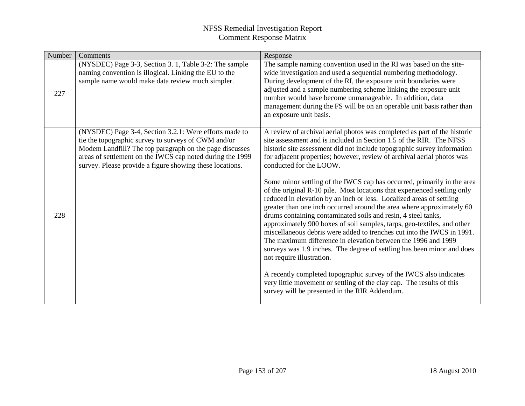| Number | Comments                                                                                                                                                                                                                                                                                          | Response                                                                                                                                                                                                                                                                                                                                                                                                                                                                                                                                                                                                                                                                                                                                                                                                                                                                                                                                                                                                                                                                                                                                                                                                                              |
|--------|---------------------------------------------------------------------------------------------------------------------------------------------------------------------------------------------------------------------------------------------------------------------------------------------------|---------------------------------------------------------------------------------------------------------------------------------------------------------------------------------------------------------------------------------------------------------------------------------------------------------------------------------------------------------------------------------------------------------------------------------------------------------------------------------------------------------------------------------------------------------------------------------------------------------------------------------------------------------------------------------------------------------------------------------------------------------------------------------------------------------------------------------------------------------------------------------------------------------------------------------------------------------------------------------------------------------------------------------------------------------------------------------------------------------------------------------------------------------------------------------------------------------------------------------------|
| 227    | (NYSDEC) Page 3-3, Section 3. 1, Table 3-2: The sample<br>naming convention is illogical. Linking the EU to the<br>sample name would make data review much simpler.                                                                                                                               | The sample naming convention used in the RI was based on the site-<br>wide investigation and used a sequential numbering methodology.<br>During development of the RI, the exposure unit boundaries were<br>adjusted and a sample numbering scheme linking the exposure unit<br>number would have become unmanageable. In addition, data<br>management during the FS will be on an operable unit basis rather than<br>an exposure unit basis.                                                                                                                                                                                                                                                                                                                                                                                                                                                                                                                                                                                                                                                                                                                                                                                         |
| 228    | (NYSDEC) Page 3-4, Section 3.2.1: Were efforts made to<br>tie the topographic survey to surveys of CWM and/or<br>Modem Landfill? The top paragraph on the page discusses<br>areas of settlement on the IWCS cap noted during the 1999<br>survey. Please provide a figure showing these locations. | A review of archival aerial photos was completed as part of the historic<br>site assessment and is included in Section 1.5 of the RIR. The NFSS<br>historic site assessment did not include topographic survey information<br>for adjacent properties; however, review of archival aerial photos was<br>conducted for the LOOW.<br>Some minor settling of the IWCS cap has occurred, primarily in the area<br>of the original R-10 pile. Most locations that experienced settling only<br>reduced in elevation by an inch or less. Localized areas of settling<br>greater than one inch occurred around the area where approximately 60<br>drums containing contaminated soils and resin, 4 steel tanks,<br>approximately 900 boxes of soil samples, tarps, geo-textiles, and other<br>miscellaneous debris were added to trenches cut into the IWCS in 1991.<br>The maximum difference in elevation between the 1996 and 1999<br>surveys was 1.9 inches. The degree of settling has been minor and does<br>not require illustration.<br>A recently completed topographic survey of the IWCS also indicates<br>very little movement or settling of the clay cap. The results of this<br>survey will be presented in the RIR Addendum. |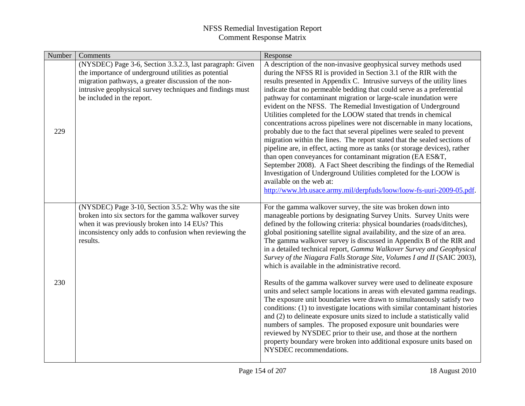| Number | Comments                                                                                                                                                                                                                                                             | Response                                                                                                                                                                                                                                                                                                                                                                                                                                                                                                                                                                                                                                                                                                                                                                                                                                                                                                                                                                                                                                                                                                                                                                                                       |
|--------|----------------------------------------------------------------------------------------------------------------------------------------------------------------------------------------------------------------------------------------------------------------------|----------------------------------------------------------------------------------------------------------------------------------------------------------------------------------------------------------------------------------------------------------------------------------------------------------------------------------------------------------------------------------------------------------------------------------------------------------------------------------------------------------------------------------------------------------------------------------------------------------------------------------------------------------------------------------------------------------------------------------------------------------------------------------------------------------------------------------------------------------------------------------------------------------------------------------------------------------------------------------------------------------------------------------------------------------------------------------------------------------------------------------------------------------------------------------------------------------------|
| 229    | (NYSDEC) Page 3-6, Section 3.3.2.3, last paragraph: Given<br>the importance of underground utilities as potential<br>migration pathways, a greater discussion of the non-<br>intrusive geophysical survey techniques and findings must<br>be included in the report. | A description of the non-invasive geophysical survey methods used<br>during the NFSS RI is provided in Section 3.1 of the RIR with the<br>results presented in Appendix C. Intrusive surveys of the utility lines<br>indicate that no permeable bedding that could serve as a preferential<br>pathway for contaminant migration or large-scale inundation were<br>evident on the NFSS. The Remedial Investigation of Underground<br>Utilities completed for the LOOW stated that trends in chemical<br>concentrations across pipelines were not discernable in many locations,<br>probably due to the fact that several pipelines were sealed to prevent<br>migration within the lines. The report stated that the sealed sections of<br>pipeline are, in effect, acting more as tanks (or storage devices), rather<br>than open conveyances for contaminant migration (EA ES&T,<br>September 2008). A Fact Sheet describing the findings of the Remedial<br>Investigation of Underground Utilities completed for the LOOW is<br>available on the web at:<br>http://www.lrb.usace.army.mil/derpfuds/loow/loow-fs-uuri-2009-05.pdf.                                                                             |
| 230    | (NYSDEC) Page 3-10, Section 3.5.2: Why was the site<br>broken into six sectors for the gamma walkover survey<br>when it was previously broken into 14 EUs? This<br>inconsistency only adds to confusion when reviewing the<br>results.                               | For the gamma walkover survey, the site was broken down into<br>manageable portions by designating Survey Units. Survey Units were<br>defined by the following criteria: physical boundaries (roads/ditches),<br>global positioning satellite signal availability, and the size of an area.<br>The gamma walkover survey is discussed in Appendix B of the RIR and<br>in a detailed technical report, Gamma Walkover Survey and Geophysical<br>Survey of the Niagara Falls Storage Site, Volumes I and II (SAIC 2003),<br>which is available in the administrative record.<br>Results of the gamma walkover survey were used to delineate exposure<br>units and select sample locations in areas with elevated gamma readings.<br>The exposure unit boundaries were drawn to simultaneously satisfy two<br>conditions: (1) to investigate locations with similar contaminant histories<br>and (2) to delineate exposure units sized to include a statistically valid<br>numbers of samples. The proposed exposure unit boundaries were<br>reviewed by NYSDEC prior to their use, and those at the northern<br>property boundary were broken into additional exposure units based on<br>NYSDEC recommendations. |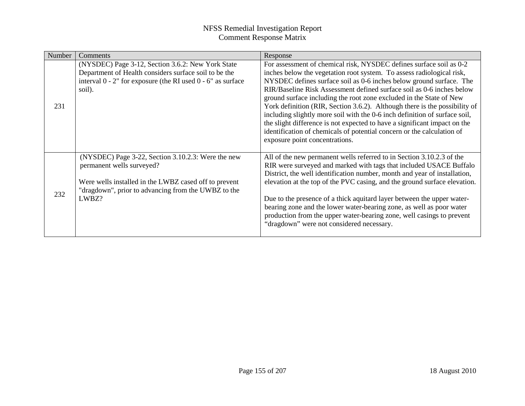| Number | <b>Comments</b>                                                                                                                                                                                          | Response                                                                                                                                                                                                                                                                                                                                                                                                                                                                                                                                                                                                                                                                                                                 |
|--------|----------------------------------------------------------------------------------------------------------------------------------------------------------------------------------------------------------|--------------------------------------------------------------------------------------------------------------------------------------------------------------------------------------------------------------------------------------------------------------------------------------------------------------------------------------------------------------------------------------------------------------------------------------------------------------------------------------------------------------------------------------------------------------------------------------------------------------------------------------------------------------------------------------------------------------------------|
| 231    | (NYSDEC) Page 3-12, Section 3.6.2: New York State<br>Department of Health considers surface soil to be the<br>interval $0 - 2$ " for exposure (the RI used $0 - 6$ " as surface<br>soil).                | For assessment of chemical risk, NYSDEC defines surface soil as 0-2<br>inches below the vegetation root system. To assess radiological risk,<br>NYSDEC defines surface soil as 0-6 inches below ground surface. The<br>RIR/Baseline Risk Assessment defined surface soil as 0-6 inches below<br>ground surface including the root zone excluded in the State of New<br>York definition (RIR, Section 3.6.2). Although there is the possibility of<br>including slightly more soil with the 0-6 inch definition of surface soil,<br>the slight difference is not expected to have a significant impact on the<br>identification of chemicals of potential concern or the calculation of<br>exposure point concentrations. |
| 232    | (NYSDEC) Page 3-22, Section 3.10.2.3: Were the new<br>permanent wells surveyed?<br>Were wells installed in the LWBZ cased off to prevent<br>"dragdown", prior to advancing from the UWBZ to the<br>LWBZ? | All of the new permanent wells referred to in Section 3.10.2.3 of the<br>RIR were surveyed and marked with tags that included USACE Buffalo<br>District, the well identification number, month and year of installation,<br>elevation at the top of the PVC casing, and the ground surface elevation.<br>Due to the presence of a thick aquitard layer between the upper water-<br>bearing zone and the lower water-bearing zone, as well as poor water<br>production from the upper water-bearing zone, well casings to prevent<br>"dragdown" were not considered necessary.                                                                                                                                            |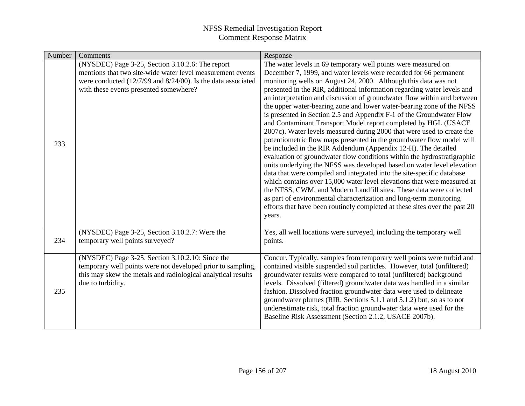| Number | Comments                                                                                                                                                                                                                      | Response                                                                                                                                                                                                                                                                                                                                                                                                                                                                                                                                                                                                                                                                                                                                                                                                                                                                                                                                                                                                                                                                                                                                                                                                                                                                                                                                          |
|--------|-------------------------------------------------------------------------------------------------------------------------------------------------------------------------------------------------------------------------------|---------------------------------------------------------------------------------------------------------------------------------------------------------------------------------------------------------------------------------------------------------------------------------------------------------------------------------------------------------------------------------------------------------------------------------------------------------------------------------------------------------------------------------------------------------------------------------------------------------------------------------------------------------------------------------------------------------------------------------------------------------------------------------------------------------------------------------------------------------------------------------------------------------------------------------------------------------------------------------------------------------------------------------------------------------------------------------------------------------------------------------------------------------------------------------------------------------------------------------------------------------------------------------------------------------------------------------------------------|
| 233    | (NYSDEC) Page 3-25, Section 3.10.2.6: The report<br>mentions that two site-wide water level measurement events<br>were conducted $(12/7/99$ and $8/24/00$ ). Is the data associated<br>with these events presented somewhere? | The water levels in 69 temporary well points were measured on<br>December 7, 1999, and water levels were recorded for 66 permanent<br>monitoring wells on August 24, 2000. Although this data was not<br>presented in the RIR, additional information regarding water levels and<br>an interpretation and discussion of groundwater flow within and between<br>the upper water-bearing zone and lower water-bearing zone of the NFSS<br>is presented in Section 2.5 and Appendix F-1 of the Groundwater Flow<br>and Contaminant Transport Model report completed by HGL (USACE<br>2007c). Water levels measured during 2000 that were used to create the<br>potentiometric flow maps presented in the groundwater flow model will<br>be included in the RIR Addendum (Appendix 12-H). The detailed<br>evaluation of groundwater flow conditions within the hydrostratigraphic<br>units underlying the NFSS was developed based on water level elevation<br>data that were compiled and integrated into the site-specific database<br>which contains over 15,000 water level elevations that were measured at<br>the NFSS, CWM, and Modern Landfill sites. These data were collected<br>as part of environmental characterization and long-term monitoring<br>efforts that have been routinely completed at these sites over the past 20<br>years. |
| 234    | (NYSDEC) Page 3-25, Section 3.10.2.7: Were the<br>temporary well points surveyed?                                                                                                                                             | Yes, all well locations were surveyed, including the temporary well<br>points.                                                                                                                                                                                                                                                                                                                                                                                                                                                                                                                                                                                                                                                                                                                                                                                                                                                                                                                                                                                                                                                                                                                                                                                                                                                                    |
| 235    | (NYSDEC) Page 3-25. Section 3.10.2.10: Since the<br>temporary well points were not developed prior to sampling,<br>this may skew the metals and radiological analytical results<br>due to turbidity.                          | Concur. Typically, samples from temporary well points were turbid and<br>contained visible suspended soil particles. However, total (unfiltered)<br>groundwater results were compared to total (unfiltered) background<br>levels. Dissolved (filtered) groundwater data was handled in a similar<br>fashion. Dissolved fraction groundwater data were used to delineate<br>groundwater plumes (RIR, Sections 5.1.1 and 5.1.2) but, so as to not<br>underestimate risk, total fraction groundwater data were used for the<br>Baseline Risk Assessment (Section 2.1.2, USACE 2007b).                                                                                                                                                                                                                                                                                                                                                                                                                                                                                                                                                                                                                                                                                                                                                                |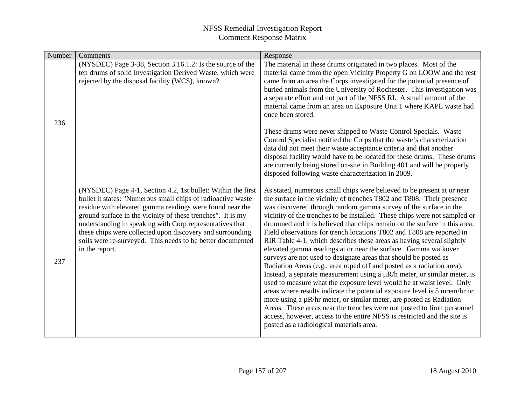| Number | Comments                                                                                                                                                                                                                                                                                                                                                                                                                                                         | Response                                                                                                                                                                                                                                                                                                                                                                                                                                                                                                                                                                                                                                                                                                                                                                                                                                                                                                                                                                                                                                                                                                                                                                                                                                                         |
|--------|------------------------------------------------------------------------------------------------------------------------------------------------------------------------------------------------------------------------------------------------------------------------------------------------------------------------------------------------------------------------------------------------------------------------------------------------------------------|------------------------------------------------------------------------------------------------------------------------------------------------------------------------------------------------------------------------------------------------------------------------------------------------------------------------------------------------------------------------------------------------------------------------------------------------------------------------------------------------------------------------------------------------------------------------------------------------------------------------------------------------------------------------------------------------------------------------------------------------------------------------------------------------------------------------------------------------------------------------------------------------------------------------------------------------------------------------------------------------------------------------------------------------------------------------------------------------------------------------------------------------------------------------------------------------------------------------------------------------------------------|
| 236    | (NYSDEC) Page 3-38, Section 3.16.1.2: Is the source of the<br>ten drums of solid Investigation Derived Waste, which were<br>rejected by the disposal facility (WCS), known?                                                                                                                                                                                                                                                                                      | The material in these drums originated in two places. Most of the<br>material came from the open Vicinity Property G on LOOW and the rest<br>came from an area the Corps investigated for the potential presence of<br>buried animals from the University of Rochester. This investigation was<br>a separate effort and not part of the NFSS RI. A small amount of the<br>material came from an area on Exposure Unit 1 where KAPL waste had<br>once been stored.                                                                                                                                                                                                                                                                                                                                                                                                                                                                                                                                                                                                                                                                                                                                                                                                |
|        |                                                                                                                                                                                                                                                                                                                                                                                                                                                                  | These drums were never shipped to Waste Control Specials. Waste<br>Control Specialist notified the Corps that the waste's characterization<br>data did not meet their waste acceptance criteria and that another<br>disposal facility would have to be located for these drums. These drums<br>are currently being stored on-site in Building 401 and will be properly<br>disposed following waste characterization in 2009.                                                                                                                                                                                                                                                                                                                                                                                                                                                                                                                                                                                                                                                                                                                                                                                                                                     |
| 237    | (NYSDEC) Page 4-1, Section 4.2, 1st bullet: Within the first<br>bullet it states: "Numerous small chips of radioactive waste<br>residue with elevated gamma readings were found near the<br>ground surface in the vicinity of these trenches". It is my<br>understanding in speaking with Corp representatives that<br>these chips were collected upon discovery and surrounding<br>soils were re-surveyed. This needs to be better documented<br>in the report. | As stated, numerous small chips were believed to be present at or near<br>the surface in the vicinity of trenches T802 and T808. Their presence<br>was discovered through random gamma survey of the surface in the<br>vicinity of the trenches to be installed. These chips were not sampled or<br>drummed and it is believed that chips remain on the surface in this area.<br>Field observations for trench locations T802 and T808 are reported in<br>RIR Table 4-1, which describes these areas as having several slightly<br>elevated gamma readings at or near the surface. Gamma walkover<br>surveys are not used to designate areas that should be posted as<br>Radiation Areas (e.g., area roped off and posted as a radiation area).<br>Instead, a separate measurement using a $\mu$ R/h meter, or similar meter, is<br>used to measure what the exposure level would be at waist level. Only<br>areas where results indicate the potential exposure level is 5 mrem/hr or<br>more using a µR/hr meter, or similar meter, are posted as Radiation<br>Areas. These areas near the trenches were not posted to limit personnel<br>access, however, access to the entire NFSS is restricted and the site is<br>posted as a radiological materials area. |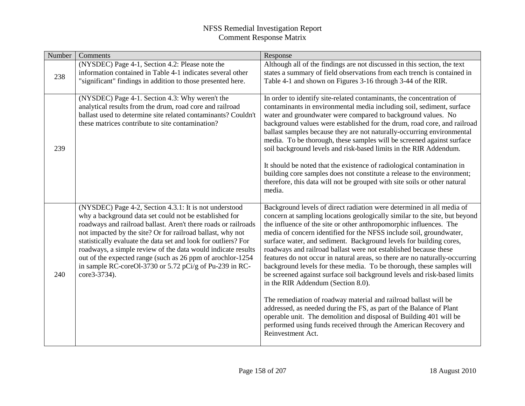| Number | Comments                                                                                                                                                                                                                                                                                                                                                                                                                                                                                                                    | Response                                                                                                                                                                                                                                                                                                                                                                                                                                                                                                                                                                                                                                                                                                                                                                                                                                                                                                                                                                                                                       |
|--------|-----------------------------------------------------------------------------------------------------------------------------------------------------------------------------------------------------------------------------------------------------------------------------------------------------------------------------------------------------------------------------------------------------------------------------------------------------------------------------------------------------------------------------|--------------------------------------------------------------------------------------------------------------------------------------------------------------------------------------------------------------------------------------------------------------------------------------------------------------------------------------------------------------------------------------------------------------------------------------------------------------------------------------------------------------------------------------------------------------------------------------------------------------------------------------------------------------------------------------------------------------------------------------------------------------------------------------------------------------------------------------------------------------------------------------------------------------------------------------------------------------------------------------------------------------------------------|
| 238    | (NYSDEC) Page 4-1, Section 4.2: Please note the<br>information contained in Table 4-1 indicates several other<br>"significant" findings in addition to those presented here.                                                                                                                                                                                                                                                                                                                                                | Although all of the findings are not discussed in this section, the text<br>states a summary of field observations from each trench is contained in<br>Table 4-1 and shown on Figures 3-16 through 3-44 of the RIR.                                                                                                                                                                                                                                                                                                                                                                                                                                                                                                                                                                                                                                                                                                                                                                                                            |
| 239    | (NYSDEC) Page 4-1. Section 4.3: Why weren't the<br>analytical results from the drum, road core and railroad<br>ballast used to determine site related contaminants? Couldn't<br>these matrices contribute to site contamination?                                                                                                                                                                                                                                                                                            | In order to identify site-related contaminants, the concentration of<br>contaminants in environmental media including soil, sediment, surface<br>water and groundwater were compared to background values. No<br>background values were established for the drum, road core, and railroad<br>ballast samples because they are not naturally-occurring environmental<br>media. To be thorough, these samples will be screened against surface<br>soil background levels and risk-based limits in the RIR Addendum.<br>It should be noted that the existence of radiological contamination in<br>building core samples does not constitute a release to the environment;<br>therefore, this data will not be grouped with site soils or other natural<br>media.                                                                                                                                                                                                                                                                  |
| 240    | (NYSDEC) Page 4-2, Section 4.3.1: It is not understood<br>why a background data set could not be established for<br>roadways and railroad ballast. Aren't there roads or railroads<br>not impacted by the site? Or for railroad ballast, why not<br>statistically evaluate the data set and look for outliers? For<br>roadways, a simple review of the data would indicate results<br>out of the expected range (such as 26 ppm of arochlor-1254<br>in sample RC-coreOl-3730 or 5.72 pCi/g of Pu-239 in RC-<br>core3-3734). | Background levels of direct radiation were determined in all media of<br>concern at sampling locations geologically similar to the site, but beyond<br>the influence of the site or other anthropomorphic influences. The<br>media of concern identified for the NFSS include soil, groundwater,<br>surface water, and sediment. Background levels for building cores,<br>roadways and railroad ballast were not established because these<br>features do not occur in natural areas, so there are no naturally-occurring<br>background levels for these media. To be thorough, these samples will<br>be screened against surface soil background levels and risk-based limits<br>in the RIR Addendum (Section 8.0).<br>The remediation of roadway material and railroad ballast will be<br>addressed, as needed during the FS, as part of the Balance of Plant<br>operable unit. The demolition and disposal of Building 401 will be<br>performed using funds received through the American Recovery and<br>Reinvestment Act. |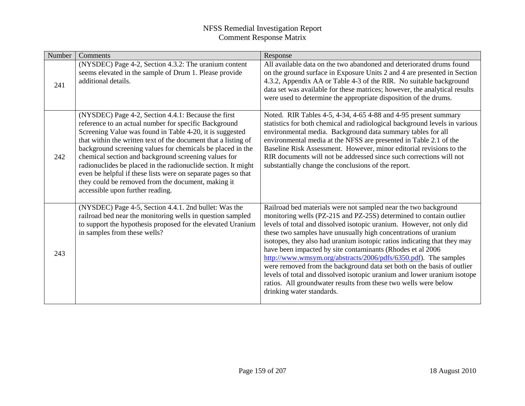| Number | Comments                                                                                                                                                                                                                                                                                                                                                                                                                                                                                                                                                                                     | Response                                                                                                                                                                                                                                                                                                                                                                                                                                                                                                                                                                                                                                                                                                                                             |
|--------|----------------------------------------------------------------------------------------------------------------------------------------------------------------------------------------------------------------------------------------------------------------------------------------------------------------------------------------------------------------------------------------------------------------------------------------------------------------------------------------------------------------------------------------------------------------------------------------------|------------------------------------------------------------------------------------------------------------------------------------------------------------------------------------------------------------------------------------------------------------------------------------------------------------------------------------------------------------------------------------------------------------------------------------------------------------------------------------------------------------------------------------------------------------------------------------------------------------------------------------------------------------------------------------------------------------------------------------------------------|
| 241    | (NYSDEC) Page 4-2, Section 4.3.2: The uranium content<br>seems elevated in the sample of Drum 1. Please provide<br>additional details.                                                                                                                                                                                                                                                                                                                                                                                                                                                       | All available data on the two abandoned and deteriorated drums found<br>on the ground surface in Exposure Units 2 and 4 are presented in Section<br>4.3.2, Appendix AA or Table 4-3 of the RIR. No suitable background<br>data set was available for these matrices; however, the analytical results<br>were used to determine the appropriate disposition of the drums.                                                                                                                                                                                                                                                                                                                                                                             |
| 242    | (NYSDEC) Page 4-2, Section 4.4.1: Because the first<br>reference to an actual number for specific Background<br>Screening Value was found in Table 4-20, it is suggested<br>that within the written text of the document that a listing of<br>background screening values for chemicals be placed in the<br>chemical section and background screening values for<br>radionuclides be placed in the radionuclide section. It might<br>even be helpful if these lists were on separate pages so that<br>they could be removed from the document, making it<br>accessible upon further reading. | Noted. RIR Tables 4-5, 4-34, 4-65 4-88 and 4-95 present summary<br>statistics for both chemical and radiological background levels in various<br>environmental media. Background data summary tables for all<br>environmental media at the NFSS are presented in Table 2.1 of the<br>Baseline Risk Assessment. However, minor editorial revisions to the<br>RIR documents will not be addressed since such corrections will not<br>substantially change the conclusions of the report.                                                                                                                                                                                                                                                               |
| 243    | (NYSDEC) Page 4-5, Section 4.4.1. 2nd bullet: Was the<br>railroad bed near the monitoring wells in question sampled<br>to support the hypothesis proposed for the elevated Uranium<br>in samples from these wells?                                                                                                                                                                                                                                                                                                                                                                           | Railroad bed materials were not sampled near the two background<br>monitoring wells (PZ-21S and PZ-25S) determined to contain outlier<br>levels of total and dissolved isotopic uranium. However, not only did<br>these two samples have unusually high concentrations of uranium<br>isotopes, they also had uranium isotopic ratios indicating that they may<br>have been impacted by site contaminants (Rhodes et al 2006<br>http://www.wmsym.org/abstracts/2006/pdfs/6350.pdf). The samples<br>were removed from the background data set both on the basis of outlier<br>levels of total and dissolved isotopic uranium and lower uranium isotope<br>ratios. All groundwater results from these two wells were below<br>drinking water standards. |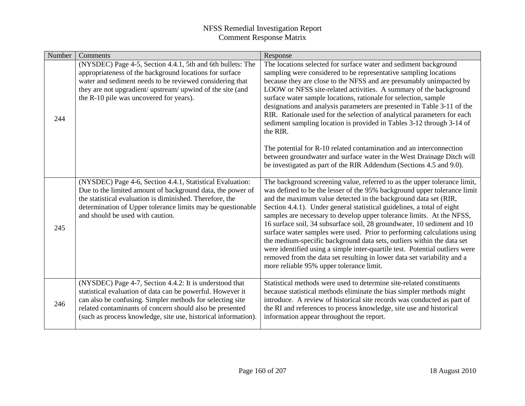| Number | Comments                                                                                                                                                                                                                                                                                                         | Response                                                                                                                                                                                                                                                                                                                                                                                                                                                                                                                                                                                                                                                                                                                                                                                                              |
|--------|------------------------------------------------------------------------------------------------------------------------------------------------------------------------------------------------------------------------------------------------------------------------------------------------------------------|-----------------------------------------------------------------------------------------------------------------------------------------------------------------------------------------------------------------------------------------------------------------------------------------------------------------------------------------------------------------------------------------------------------------------------------------------------------------------------------------------------------------------------------------------------------------------------------------------------------------------------------------------------------------------------------------------------------------------------------------------------------------------------------------------------------------------|
| 244    | (NYSDEC) Page 4-5, Section 4.4.1, 5th and 6th bullets: The<br>appropriateness of the background locations for surface<br>water and sediment needs to be reviewed considering that<br>they are not upgradient/ upstream/ upwind of the site (and<br>the R-10 pile was uncovered for years).                       | The locations selected for surface water and sediment background<br>sampling were considered to be representative sampling locations<br>because they are close to the NFSS and are presumably unimpacted by<br>LOOW or NFSS site-related activities. A summary of the background<br>surface water sample locations, rationale for selection, sample<br>designations and analysis parameters are presented in Table 3-11 of the<br>RIR. Rationale used for the selection of analytical parameters for each<br>sediment sampling location is provided in Tables 3-12 through 3-14 of<br>the RIR.<br>The potential for R-10 related contamination and an interconnection<br>between groundwater and surface water in the West Drainage Ditch will<br>be investigated as part of the RIR Addendum (Sections 4.5 and 9.0). |
| 245    | (NYSDEC) Page 4-6, Section 4.4.1, Statistical Evaluation:<br>Due to the limited amount of background data, the power of<br>the statistical evaluation is diminished. Therefore, the<br>determination of Upper tolerance limits may be questionable<br>and should be used with caution.                           | The background screening value, referred to as the upper tolerance limit,<br>was defined to be the lesser of the 95% background upper tolerance limit<br>and the maximum value detected in the background data set (RIR,<br>Section 4.4.1). Under general statistical guidelines, a total of eight<br>samples are necessary to develop upper tolerance limits. At the NFSS,<br>16 surface soil, 34 subsurface soil, 28 groundwater, 10 sediment and 10<br>surface water samples were used. Prior to performing calculations using<br>the medium-specific background data sets, outliers within the data set<br>were identified using a simple inter-quartile test. Potential outliers were<br>removed from the data set resulting in lower data set variability and a<br>more reliable 95% upper tolerance limit.     |
| 246    | (NYSDEC) Page 4-7, Section 4.4.2: It is understood that<br>statistical evaluation of data can be powerful. However it<br>can also be confusing. Simpler methods for selecting site<br>related contaminants of concern should also be presented<br>(such as process knowledge, site use, historical information). | Statistical methods were used to determine site-related constituents<br>because statistical methods eliminate the bias simpler methods might<br>introduce. A review of historical site records was conducted as part of<br>the RI and references to process knowledge, site use and historical<br>information appear throughout the report.                                                                                                                                                                                                                                                                                                                                                                                                                                                                           |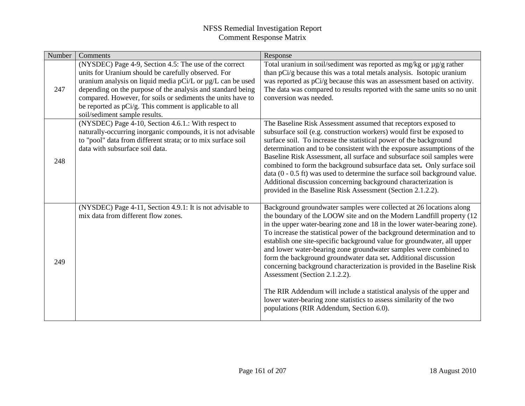| Number | Comments                                                                                                                                                                                                                                                                                                                                                                                              | Response                                                                                                                                                                                                                                                                                                                                                                                                                                                                                                                                                                                                                                                                                                                                                                                                                        |
|--------|-------------------------------------------------------------------------------------------------------------------------------------------------------------------------------------------------------------------------------------------------------------------------------------------------------------------------------------------------------------------------------------------------------|---------------------------------------------------------------------------------------------------------------------------------------------------------------------------------------------------------------------------------------------------------------------------------------------------------------------------------------------------------------------------------------------------------------------------------------------------------------------------------------------------------------------------------------------------------------------------------------------------------------------------------------------------------------------------------------------------------------------------------------------------------------------------------------------------------------------------------|
| 247    | (NYSDEC) Page 4-9, Section 4.5: The use of the correct<br>units for Uranium should be carefully observed. For<br>uranium analysis on liquid media pCi/L or µg/L can be used<br>depending on the purpose of the analysis and standard being<br>compared. However, for soils or sediments the units have to<br>be reported as pCi/g. This comment is applicable to all<br>soil/sediment sample results. | Total uranium in soil/sediment was reported as mg/kg or µg/g rather<br>than pCi/g because this was a total metals analysis. Isotopic uranium<br>was reported as pCi/g because this was an assessment based on activity.<br>The data was compared to results reported with the same units so no unit<br>conversion was needed.                                                                                                                                                                                                                                                                                                                                                                                                                                                                                                   |
| 248    | (NYSDEC) Page 4-10, Section 4.6.1.: With respect to<br>naturally-occurring inorganic compounds, it is not advisable<br>to "pool" data from different strata; or to mix surface soil<br>data with subsurface soil data.                                                                                                                                                                                | The Baseline Risk Assessment assumed that receptors exposed to<br>subsurface soil (e.g. construction workers) would first be exposed to<br>surface soil. To increase the statistical power of the background<br>determination and to be consistent with the exposure assumptions of the<br>Baseline Risk Assessment, all surface and subsurface soil samples were<br>combined to form the background subsurface data set. Only surface soil<br>data $(0 - 0.5$ ft) was used to determine the surface soil background value.<br>Additional discussion concerning background characterization is<br>provided in the Baseline Risk Assessment (Section 2.1.2.2).                                                                                                                                                                   |
| 249    | (NYSDEC) Page 4-11, Section 4.9.1: It is not advisable to<br>mix data from different flow zones.                                                                                                                                                                                                                                                                                                      | Background groundwater samples were collected at 26 locations along<br>the boundary of the LOOW site and on the Modern Landfill property (12<br>in the upper water-bearing zone and 18 in the lower water-bearing zone).<br>To increase the statistical power of the background determination and to<br>establish one site-specific background value for groundwater, all upper<br>and lower water-bearing zone groundwater samples were combined to<br>form the background groundwater data set. Additional discussion<br>concerning background characterization is provided in the Baseline Risk<br>Assessment (Section 2.1.2.2).<br>The RIR Addendum will include a statistical analysis of the upper and<br>lower water-bearing zone statistics to assess similarity of the two<br>populations (RIR Addendum, Section 6.0). |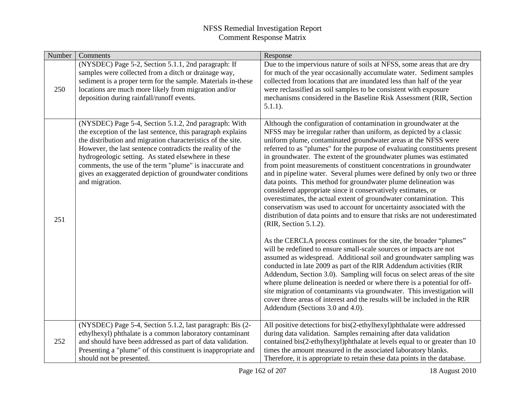| Number | Comments                                                                                                                                                                                                                                                                                                                                                                                                                                         | Response                                                                                                                                                                                                                                                                                                                                                                                                                                                                                                                                                                                                                                                                                                                                                                                                                                                                                                                                                                                                                                                                                                                                                                                                                                                                                                                                                                                                                                                                                                                                               |
|--------|--------------------------------------------------------------------------------------------------------------------------------------------------------------------------------------------------------------------------------------------------------------------------------------------------------------------------------------------------------------------------------------------------------------------------------------------------|--------------------------------------------------------------------------------------------------------------------------------------------------------------------------------------------------------------------------------------------------------------------------------------------------------------------------------------------------------------------------------------------------------------------------------------------------------------------------------------------------------------------------------------------------------------------------------------------------------------------------------------------------------------------------------------------------------------------------------------------------------------------------------------------------------------------------------------------------------------------------------------------------------------------------------------------------------------------------------------------------------------------------------------------------------------------------------------------------------------------------------------------------------------------------------------------------------------------------------------------------------------------------------------------------------------------------------------------------------------------------------------------------------------------------------------------------------------------------------------------------------------------------------------------------------|
| 250    | (NYSDEC) Page 5-2, Section 5.1.1, 2nd paragraph: If<br>samples were collected from a ditch or drainage way,<br>sediment is a proper term for the sample. Materials in-these<br>locations are much more likely from migration and/or<br>deposition during rainfall/runoff events.                                                                                                                                                                 | Due to the impervious nature of soils at NFSS, some areas that are dry<br>for much of the year occasionally accumulate water. Sediment samples<br>collected from locations that are inundated less than half of the year<br>were reclassified as soil samples to be consistent with exposure<br>mechanisms considered in the Baseline Risk Assessment (RIR, Section<br>$5.1.1$ ).                                                                                                                                                                                                                                                                                                                                                                                                                                                                                                                                                                                                                                                                                                                                                                                                                                                                                                                                                                                                                                                                                                                                                                      |
| 251    | (NYSDEC) Page 5-4, Section 5.1.2, 2nd paragraph: With<br>the exception of the last sentence, this paragraph explains<br>the distribution and migration characteristics of the site.<br>However, the last sentence contradicts the reality of the<br>hydrogeologic setting. As stated elsewhere in these<br>comments, the use of the term "plume" is inaccurate and<br>gives an exaggerated depiction of groundwater conditions<br>and migration. | Although the configuration of contamination in groundwater at the<br>NFSS may be irregular rather than uniform, as depicted by a classic<br>uniform plume, contaminated groundwater areas at the NFSS were<br>referred to as "plumes" for the purpose of evaluating constituents present<br>in groundwater. The extent of the groundwater plumes was estimated<br>from point measurements of constituent concentrations in groundwater<br>and in pipeline water. Several plumes were defined by only two or three<br>data points. This method for groundwater plume delineation was<br>considered appropriate since it conservatively estimates, or<br>overestimates, the actual extent of groundwater contamination. This<br>conservatism was used to account for uncertainty associated with the<br>distribution of data points and to ensure that risks are not underestimated<br>(RIR, Section 5.1.2).<br>As the CERCLA process continues for the site, the broader "plumes"<br>will be redefined to ensure small-scale sources or impacts are not<br>assumed as widespread. Additional soil and groundwater sampling was<br>conducted in late 2009 as part of the RIR Addendum activities (RIR<br>Addendum, Section 3.0). Sampling will focus on select areas of the site<br>where plume delineation is needed or where there is a potential for off-<br>site migration of contaminants via groundwater. This investigation will<br>cover three areas of interest and the results will be included in the RIR<br>Addendum (Sections 3.0 and 4.0). |
| 252    | (NYSDEC) Page 5-4, Section 5.1.2, last paragraph: Bis (2-<br>ethylhexyl) phthalate is a common laboratory contaminant<br>and should have been addressed as part of data validation.<br>Presenting a "plume" of this constituent is inappropriate and<br>should not be presented.                                                                                                                                                                 | All positive detections for bis(2-ethylhexyl)phthalate were addressed<br>during data validation. Samples remaining after data validation<br>contained bis(2-ethylhexyl)phthalate at levels equal to or greater than 10<br>times the amount measured in the associated laboratory blanks.<br>Therefore, it is appropriate to retain these data points in the database.                                                                                                                                                                                                                                                                                                                                                                                                                                                                                                                                                                                                                                                                                                                                                                                                                                                                                                                                                                                                                                                                                                                                                                                  |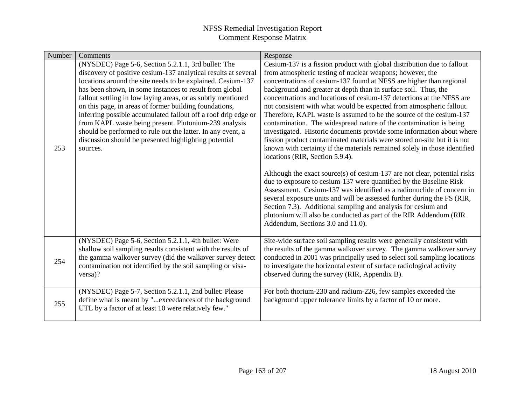| Number | Comments                                                                                                                                                                                                                                                                                                                                                                                                                                                                                                                                                                                                                                 | Response                                                                                                                                                                                                                                                                                                                                                                                                                                                                                                                                                                                                                                                                                                                                                                                                                                                                                                                                                                                                                                                                                                                                                                                                                                                                                                                            |
|--------|------------------------------------------------------------------------------------------------------------------------------------------------------------------------------------------------------------------------------------------------------------------------------------------------------------------------------------------------------------------------------------------------------------------------------------------------------------------------------------------------------------------------------------------------------------------------------------------------------------------------------------------|-------------------------------------------------------------------------------------------------------------------------------------------------------------------------------------------------------------------------------------------------------------------------------------------------------------------------------------------------------------------------------------------------------------------------------------------------------------------------------------------------------------------------------------------------------------------------------------------------------------------------------------------------------------------------------------------------------------------------------------------------------------------------------------------------------------------------------------------------------------------------------------------------------------------------------------------------------------------------------------------------------------------------------------------------------------------------------------------------------------------------------------------------------------------------------------------------------------------------------------------------------------------------------------------------------------------------------------|
| 253    | (NYSDEC) Page 5-6, Section 5.2.1.1, 3rd bullet: The<br>discovery of positive cesium-137 analytical results at several<br>locations around the site needs to be explained. Cesium-137<br>has been shown, in some instances to result from global<br>fallout settling in low laying areas, or as subtly mentioned<br>on this page, in areas of former building foundations,<br>inferring possible accumulated fallout off a roof drip edge or<br>from KAPL waste being present. Plutonium-239 analysis<br>should be performed to rule out the latter. In any event, a<br>discussion should be presented highlighting potential<br>sources. | Cesium-137 is a fission product with global distribution due to fallout<br>from atmospheric testing of nuclear weapons; however, the<br>concentrations of cesium-137 found at NFSS are higher than regional<br>background and greater at depth than in surface soil. Thus, the<br>concentrations and locations of cesium-137 detections at the NFSS are<br>not consistent with what would be expected from atmospheric fallout.<br>Therefore, KAPL waste is assumed to be the source of the cesium-137<br>contamination. The widespread nature of the contamination is being<br>investigated. Historic documents provide some information about where<br>fission product contaminated materials were stored on-site but it is not<br>known with certainty if the materials remained solely in those identified<br>locations (RIR, Section 5.9.4).<br>Although the exact source(s) of cesium-137 are not clear, potential risks<br>due to exposure to cesium-137 were quantified by the Baseline Risk<br>Assessment. Cesium-137 was identified as a radionuclide of concern in<br>several exposure units and will be assessed further during the FS (RIR,<br>Section 7.3). Additional sampling and analysis for cesium and<br>plutonium will also be conducted as part of the RIR Addendum (RIR<br>Addendum, Sections 3.0 and 11.0). |
| 254    | (NYSDEC) Page 5-6, Section 5.2.1.1, 4th bullet: Were<br>shallow soil sampling results consistent with the results of<br>the gamma walkover survey (did the walkover survey detect<br>contamination not identified by the soil sampling or visa-<br>versa)?                                                                                                                                                                                                                                                                                                                                                                               | Site-wide surface soil sampling results were generally consistent with<br>the results of the gamma walkover survey. The gamma walkover survey<br>conducted in 2001 was principally used to select soil sampling locations<br>to investigate the horizontal extent of surface radiological activity<br>observed during the survey (RIR, Appendix B).                                                                                                                                                                                                                                                                                                                                                                                                                                                                                                                                                                                                                                                                                                                                                                                                                                                                                                                                                                                 |
| 255    | (NYSDEC) Page 5-7, Section 5.2.1.1, 2nd bullet: Please<br>define what is meant by "exceedances of the background<br>UTL by a factor of at least 10 were relatively few."                                                                                                                                                                                                                                                                                                                                                                                                                                                                 | For both thorium-230 and radium-226, few samples exceeded the<br>background upper tolerance limits by a factor of 10 or more.                                                                                                                                                                                                                                                                                                                                                                                                                                                                                                                                                                                                                                                                                                                                                                                                                                                                                                                                                                                                                                                                                                                                                                                                       |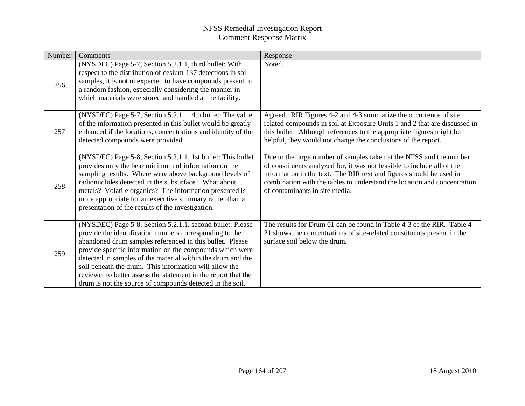| Number | Comments                                                                                                                                                                                                                                                                                                                                                                                                                                                                                             | Response                                                                                                                                                                                                                                                                                                                            |
|--------|------------------------------------------------------------------------------------------------------------------------------------------------------------------------------------------------------------------------------------------------------------------------------------------------------------------------------------------------------------------------------------------------------------------------------------------------------------------------------------------------------|-------------------------------------------------------------------------------------------------------------------------------------------------------------------------------------------------------------------------------------------------------------------------------------------------------------------------------------|
| 256    | (NYSDEC) Page 5-7, Section 5.2.1.1, third bullet: With<br>respect to the distribution of cesium-137 detections in soil<br>samples, it is not unexpected to have compounds present in<br>a random fashion, especially considering the manner in<br>which materials were stored and handled at the facility.                                                                                                                                                                                           | Noted.                                                                                                                                                                                                                                                                                                                              |
| 257    | (NYSDEC) Page 5-7, Section 5.2.1.1, 4th bullet: The value<br>of the information presented in this bullet would be greatly<br>enhanced if the locations, concentrations and identity of the<br>detected compounds were provided.                                                                                                                                                                                                                                                                      | Agreed. RIR Figures 4-2 and 4-3 summarize the occurrence of site<br>related compounds in soil at Exposure Units 1 and 2 that are discussed in<br>this bullet. Although references to the appropriate figures might be<br>helpful, they would not change the conclusions of the report.                                              |
| 258    | (NYSDEC) Page 5-8, Section 5.2.1.1. 1st bullet: This bullet<br>provides only the bear minimum of information on the<br>sampling results. Where were above background levels of<br>radionuclides detected in the subsurface? What about<br>metals? Volatile organics? The information presented is<br>more appropriate for an executive summary rather than a<br>presentation of the results of the investigation.                                                                                    | Due to the large number of samples taken at the NFSS and the number<br>of constituents analyzed for, it was not feasible to include all of the<br>information in the text. The RIR text and figures should be used in<br>combination with the tables to understand the location and concentration<br>of contaminants in site media. |
| 259    | (NYSDEC) Page 5-8, Section 5.2.1.1, second bullet: Please<br>provide the identification numbers corresponding to the<br>abandoned drum samples referenced in this bullet. Please<br>provide specific information on the compounds which were<br>detected in samples of the material within the drum and the<br>soil beneath the drum. This information will allow the<br>reviewer to better assess the statement in the report that the<br>drum is not the source of compounds detected in the soil. | The results for Drum 01 can be found in Table 4-3 of the RIR. Table 4-<br>21 shows the concentrations of site-related constituents present in the<br>surface soil below the drum.                                                                                                                                                   |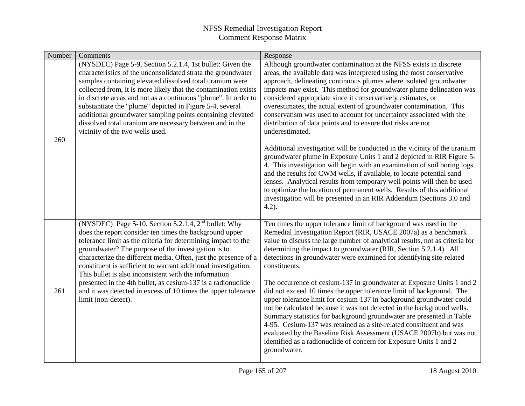| Number | Comments                                                                                                                                                                                                                                                                                                                                                                                                                                                                                                                                                                                        | Response                                                                                                                                                                                                                                                                                                                                                                                                                                                                                                                                                                                                                                                                                                                                                                                                                                                                                                                                                                                          |
|--------|-------------------------------------------------------------------------------------------------------------------------------------------------------------------------------------------------------------------------------------------------------------------------------------------------------------------------------------------------------------------------------------------------------------------------------------------------------------------------------------------------------------------------------------------------------------------------------------------------|---------------------------------------------------------------------------------------------------------------------------------------------------------------------------------------------------------------------------------------------------------------------------------------------------------------------------------------------------------------------------------------------------------------------------------------------------------------------------------------------------------------------------------------------------------------------------------------------------------------------------------------------------------------------------------------------------------------------------------------------------------------------------------------------------------------------------------------------------------------------------------------------------------------------------------------------------------------------------------------------------|
| 260    | (NYSDEC) Page 5-9, Section 5.2.1.4, 1st bullet: Given the<br>characteristics of the unconsolidated strata the groundwater<br>samples containing elevated dissolved total uranium were<br>collected from, it is more likely that the contamination exists<br>in discrete areas and not as a continuous "plume". In order to<br>substantiate the "plume" depicted in Figure 5-4, several<br>additional groundwater sampling points containing elevated<br>dissolved total uranium are necessary between and in the<br>vicinity of the two wells used.                                             | Although groundwater contamination at the NFSS exists in discrete<br>areas, the available data was interpreted using the most conservative<br>approach, delineating continuous plumes where isolated groundwater<br>impacts may exist. This method for groundwater plume delineation was<br>considered appropriate since it conservatively estimates, or<br>overestimates, the actual extent of groundwater contamination. This<br>conservatism was used to account for uncertainty associated with the<br>distribution of data points and to ensure that risks are not<br>underestimated.                                                                                                                                                                                                                                                                                                                                                                                                        |
|        |                                                                                                                                                                                                                                                                                                                                                                                                                                                                                                                                                                                                 | Additional investigation will be conducted in the vicinity of the uranium<br>groundwater plume in Exposure Units 1 and 2 depicted in RIR Figure 5-<br>4. This investigation will begin with an examination of soil boring logs<br>and the results for CWM wells, if available, to locate potential sand<br>lenses. Analytical results from temporary well points will then be used<br>to optimize the location of permanent wells. Results of this additional<br>investigation will be presented in an RIR Addendum (Sections 3.0 and<br>$4.2$ ).                                                                                                                                                                                                                                                                                                                                                                                                                                                 |
| 261    | (NYSDEC) Page 5-10, Section 5.2.1.4, $2nd$ bullet: Why<br>does the report consider ten times the background upper<br>tolerance limit as the criteria for determining impact to the<br>groundwater? The purpose of the investigation is to<br>characterize the different media. Often, just the presence of a<br>constituent is sufficient to warrant additional investigation.<br>This bullet is also inconsistent with the information<br>presented in the 4th bullet, as cesium-137 is a radionuclide<br>and it was detected in excess of 10 times the upper tolerance<br>limit (non-detect). | Ten times the upper tolerance limit of background was used in the<br>Remedial Investigation Report (RIR, USACE 2007a) as a benchmark<br>value to discuss the large number of analytical results, not as criteria for<br>determining the impact to groundwater (RIR, Section 5.2.1.4). All<br>detections in groundwater were examined for identifying site-related<br>constituents.<br>The occurrence of cesium-137 in groundwater at Exposure Units 1 and 2<br>did not exceed 10 times the upper tolerance limit of background. The<br>upper tolerance limit for cesium-137 in background groundwater could<br>not be calculated because it was not detected in the background wells.<br>Summary statistics for background groundwater are presented in Table<br>4-95. Cesium-137 was retained as a site-related constituent and was<br>evaluated by the Baseline Risk Assessment (USACE 2007b) but was not<br>identified as a radionuclide of concern for Exposure Units 1 and 2<br>groundwater. |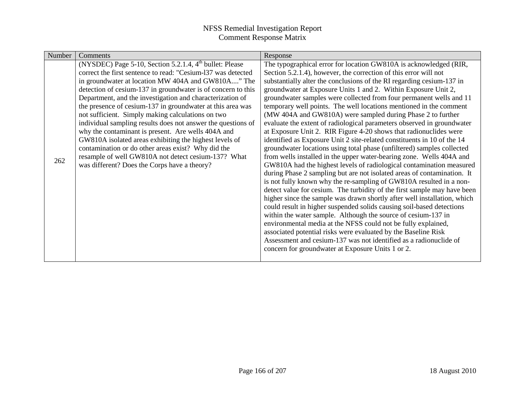| Number | <b>Comments</b>                                                                                                                                                                                                                                                                                                                                                                                                                                                                                                                                                                                                                                                                                                                                                              | Response                                                                                                                                                                                                                                                                                                                                                                                                                                                                                                                                                                                                                                                                                                                                                                                                                                                                                                                                                                                                                                                                                                                                                                                                                                                                                                                                                                                                                                                                                                                                                                                                                                                          |
|--------|------------------------------------------------------------------------------------------------------------------------------------------------------------------------------------------------------------------------------------------------------------------------------------------------------------------------------------------------------------------------------------------------------------------------------------------------------------------------------------------------------------------------------------------------------------------------------------------------------------------------------------------------------------------------------------------------------------------------------------------------------------------------------|-------------------------------------------------------------------------------------------------------------------------------------------------------------------------------------------------------------------------------------------------------------------------------------------------------------------------------------------------------------------------------------------------------------------------------------------------------------------------------------------------------------------------------------------------------------------------------------------------------------------------------------------------------------------------------------------------------------------------------------------------------------------------------------------------------------------------------------------------------------------------------------------------------------------------------------------------------------------------------------------------------------------------------------------------------------------------------------------------------------------------------------------------------------------------------------------------------------------------------------------------------------------------------------------------------------------------------------------------------------------------------------------------------------------------------------------------------------------------------------------------------------------------------------------------------------------------------------------------------------------------------------------------------------------|
| 262    | (NYSDEC) Page 5-10, Section 5.2.1.4, $4th$ bullet: Please<br>correct the first sentence to read: "Cesium-137 was detected<br>in groundwater at location MW 404A and GW810A" The<br>detection of cesium-137 in groundwater is of concern to this<br>Department, and the investigation and characterization of<br>the presence of cesium-137 in groundwater at this area was<br>not sufficient. Simply making calculations on two<br>individual sampling results does not answer the questions of<br>why the contaminant is present. Are wells 404A and<br>GW810A isolated areas exhibiting the highest levels of<br>contamination or do other areas exist? Why did the<br>resample of well GW810A not detect cesium-137? What<br>was different? Does the Corps have a theory? | The typographical error for location GW810A is acknowledged (RIR,<br>Section 5.2.1.4), however, the correction of this error will not<br>substantially alter the conclusions of the RI regarding cesium-137 in<br>groundwater at Exposure Units 1 and 2. Within Exposure Unit 2,<br>groundwater samples were collected from four permanent wells and 11<br>temporary well points. The well locations mentioned in the comment<br>(MW 404A and GW810A) were sampled during Phase 2 to further<br>evaluate the extent of radiological parameters observed in groundwater<br>at Exposure Unit 2. RIR Figure 4-20 shows that radionuclides were<br>identified as Exposure Unit 2 site-related constituents in 10 of the 14<br>groundwater locations using total phase (unfiltered) samples collected<br>from wells installed in the upper water-bearing zone. Wells 404A and<br>GW810A had the highest levels of radiological contamination measured<br>during Phase 2 sampling but are not isolated areas of contamination. It<br>is not fully known why the re-sampling of GW810A resulted in a non-<br>detect value for cesium. The turbidity of the first sample may have been<br>higher since the sample was drawn shortly after well installation, which<br>could result in higher suspended solids causing soil-based detections<br>within the water sample. Although the source of cesium-137 in<br>environmental media at the NFSS could not be fully explained,<br>associated potential risks were evaluated by the Baseline Risk<br>Assessment and cesium-137 was not identified as a radionuclide of<br>concern for groundwater at Exposure Units 1 or 2. |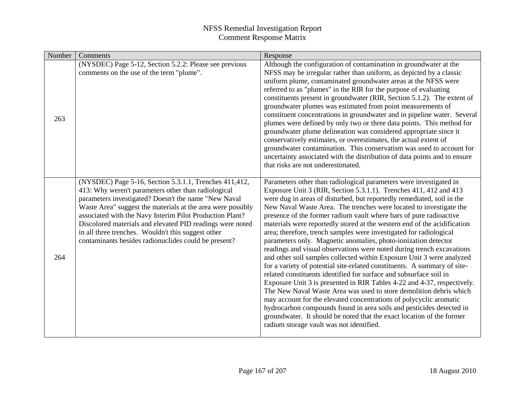| Number | Comments                                                                                                                                                                                                                                                                                                                                                                                                                                                                    | Response                                                                                                                                                                                                                                                                                                                                                                                                                                                                                                                                                                                                                                                                                                                                                                                                                                                                                                                                                                                                                                                                                                                                                                                                                                                                                                  |
|--------|-----------------------------------------------------------------------------------------------------------------------------------------------------------------------------------------------------------------------------------------------------------------------------------------------------------------------------------------------------------------------------------------------------------------------------------------------------------------------------|-----------------------------------------------------------------------------------------------------------------------------------------------------------------------------------------------------------------------------------------------------------------------------------------------------------------------------------------------------------------------------------------------------------------------------------------------------------------------------------------------------------------------------------------------------------------------------------------------------------------------------------------------------------------------------------------------------------------------------------------------------------------------------------------------------------------------------------------------------------------------------------------------------------------------------------------------------------------------------------------------------------------------------------------------------------------------------------------------------------------------------------------------------------------------------------------------------------------------------------------------------------------------------------------------------------|
| 263    | (NYSDEC) Page 5-12, Section 5.2.2: Please see previous<br>comments on the use of the term "plume".                                                                                                                                                                                                                                                                                                                                                                          | Although the configuration of contamination in groundwater at the<br>NFSS may be irregular rather than uniform, as depicted by a classic<br>uniform plume, contaminated groundwater areas at the NFSS were<br>referred to as "plumes" in the RIR for the purpose of evaluating<br>constituents present in groundwater (RIR, Section 5.1.2). The extent of<br>groundwater plumes was estimated from point measurements of<br>constituent concentrations in groundwater and in pipeline water. Several<br>plumes were defined by only two or three data points. This method for<br>groundwater plume delineation was considered appropriate since it<br>conservatively estimates, or overestimates, the actual extent of<br>groundwater contamination. This conservatism was used to account for<br>uncertainty associated with the distribution of data points and to ensure<br>that risks are not underestimated.                                                                                                                                                                                                                                                                                                                                                                                         |
| 264    | (NYSDEC) Page 5-16, Section 5.3.1.1, Trenches 411,412,<br>413: Why weren't parameters other than radiological<br>parameters investigated? Doesn't the name "New Naval<br>Waste Area" suggest the materials at the area were possibly<br>associated with the Navy Interim Pilot Production Plant?<br>Discolored materials and elevated PID readings were noted<br>in all three trenches. Wouldn't this suggest other<br>contaminants besides radionuclides could be present? | Parameters other than radiological parameters were investigated in<br>Exposure Unit 3 (RIR, Section 5.3.1.1). Trenches 411, 412 and 413<br>were dug in areas of disturbed, but reportedly remediated, soil in the<br>New Naval Waste Area. The trenches were located to investigate the<br>presence of the former radium vault where bars of pure radioactive<br>materials were reportedly stored at the western end of the acidification<br>area; therefore, trench samples were investigated for radiological<br>parameters only. Magnetic anomalies, photo-ionization detector<br>readings and visual observations were noted during trench excavations<br>and other soil samples collected within Exposure Unit 3 were analyzed<br>for a variety of potential site-related constituents. A summary of site-<br>related constituents identified for surface and subsurface soil in<br>Exposure Unit 3 is presented in RIR Tables 4-22 and 4-37, respectively.<br>The New Naval Waste Area was used to store demolition debris which<br>may account for the elevated concentrations of polycyclic aromatic<br>hydrocarbon compounds found in area soils and pesticides detected in<br>groundwater. It should be noted that the exact location of the former<br>radium storage vault was not identified. |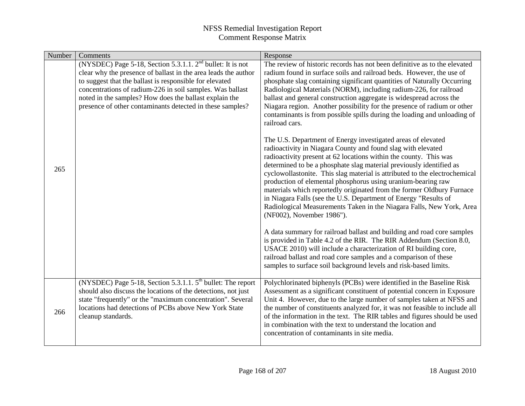| Number | Comments                                                                                                                                                                                                                                                                                                                                                                      | Response                                                                                                                                                                                                                                                                                                                                                                                                                                                                                                                                                                                                                                                                |
|--------|-------------------------------------------------------------------------------------------------------------------------------------------------------------------------------------------------------------------------------------------------------------------------------------------------------------------------------------------------------------------------------|-------------------------------------------------------------------------------------------------------------------------------------------------------------------------------------------------------------------------------------------------------------------------------------------------------------------------------------------------------------------------------------------------------------------------------------------------------------------------------------------------------------------------------------------------------------------------------------------------------------------------------------------------------------------------|
|        | (NYSDEC) Page 5-18, Section 5.3.1.1. $2nd$ bullet: It is not<br>clear why the presence of ballast in the area leads the author<br>to suggest that the ballast is responsible for elevated<br>concentrations of radium-226 in soil samples. Was ballast<br>noted in the samples? How does the ballast explain the<br>presence of other contaminants detected in these samples? | The review of historic records has not been definitive as to the elevated<br>radium found in surface soils and railroad beds. However, the use of<br>phosphate slag containing significant quantities of Naturally Occurring<br>Radiological Materials (NORM), including radium-226, for railroad<br>ballast and general construction aggregate is widespread across the<br>Niagara region. Another possibility for the presence of radium or other<br>contaminants is from possible spills during the loading and unloading of<br>railroad cars.                                                                                                                       |
| 265    |                                                                                                                                                                                                                                                                                                                                                                               | The U.S. Department of Energy investigated areas of elevated<br>radioactivity in Niagara County and found slag with elevated<br>radioactivity present at 62 locations within the county. This was<br>determined to be a phosphate slag material previously identified as<br>cyclowollastonite. This slag material is attributed to the electrochemical<br>production of elemental phosphorus using uranium-bearing raw<br>materials which reportedly originated from the former Oldbury Furnace<br>in Niagara Falls (see the U.S. Department of Energy "Results of<br>Radiological Measurements Taken in the Niagara Falls, New York, Area<br>(NF002), November 1986"). |
|        |                                                                                                                                                                                                                                                                                                                                                                               | A data summary for railroad ballast and building and road core samples<br>is provided in Table 4.2 of the RIR. The RIR Addendum (Section 8.0,<br>USACE 2010) will include a characterization of RI building core,<br>railroad ballast and road core samples and a comparison of these<br>samples to surface soil background levels and risk-based limits.                                                                                                                                                                                                                                                                                                               |
| 266    | (NYSDEC) Page 5-18, Section 5.3.1.1. $5th$ bullet: The report<br>should also discuss the locations of the detections, not just<br>state "frequently" or the "maximum concentration". Several<br>locations had detections of PCBs above New York State<br>cleanup standards.                                                                                                   | Polychlorinated biphenyls (PCBs) were identified in the Baseline Risk<br>Assessment as a significant constituent of potential concern in Exposure<br>Unit 4. However, due to the large number of samples taken at NFSS and<br>the number of constituents analyzed for, it was not feasible to include all<br>of the information in the text. The RIR tables and figures should be used<br>in combination with the text to understand the location and<br>concentration of contaminants in site media.                                                                                                                                                                   |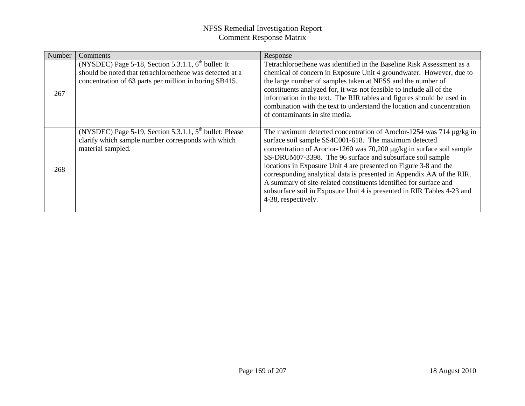| Number | Comments                                                                                                                                                                    | Response                                                                                                                                                                                                                                                                                                                                                                                                                                                                                                                                                                                   |
|--------|-----------------------------------------------------------------------------------------------------------------------------------------------------------------------------|--------------------------------------------------------------------------------------------------------------------------------------------------------------------------------------------------------------------------------------------------------------------------------------------------------------------------------------------------------------------------------------------------------------------------------------------------------------------------------------------------------------------------------------------------------------------------------------------|
| 267    | (NYSDEC) Page 5-18, Section 5.3.1.1, $6th$ bullet: It<br>should be noted that tetrachloroethene was detected at a<br>concentration of 63 parts per million in boring SB415. | Tetrachloroethene was identified in the Baseline Risk Assessment as a<br>chemical of concern in Exposure Unit 4 groundwater. However, due to<br>the large number of samples taken at NFSS and the number of<br>constituents analyzed for, it was not feasible to include all of the<br>information in the text. The RIR tables and figures should be used in<br>combination with the text to understand the location and concentration<br>of contaminants in site media.                                                                                                                   |
| 268    | (NYSDEC) Page 5-19, Section 5.3.1.1, 5 <sup>th</sup> bullet: Please<br>clarify which sample number corresponds with which<br>material sampled.                              | The maximum detected concentration of Aroclor-1254 was 714 $\mu$ g/kg in<br>surface soil sample SS4C001-618. The maximum detected<br>concentration of Aroclor-1260 was 70,200 μg/kg in surface soil sample<br>SS-DRUM07-3398. The 96 surface and subsurface soil sample<br>locations in Exposure Unit 4 are presented on Figure 3-8 and the<br>corresponding analytical data is presented in Appendix AA of the RIR.<br>A summary of site-related constituents identified for surface and<br>subsurface soil in Exposure Unit 4 is presented in RIR Tables 4-23 and<br>4-38, respectively. |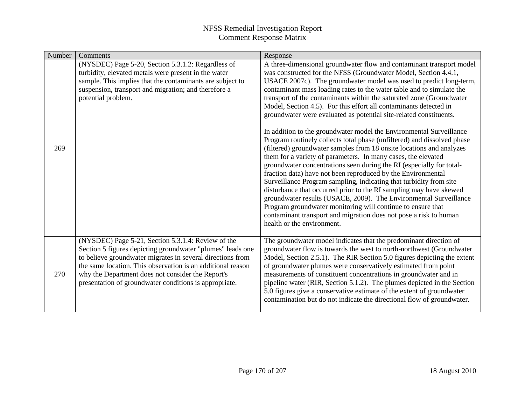| Number | Comments                                                                                                                                                                                                                                                                                                                                                     | Response                                                                                                                                                                                                                                                                                                                                                                                                                                                                                                                                                                                                                                                                                                                                                                                                                                                                                                                                                                                                                                                                                                                                                                                                                                                                                          |
|--------|--------------------------------------------------------------------------------------------------------------------------------------------------------------------------------------------------------------------------------------------------------------------------------------------------------------------------------------------------------------|---------------------------------------------------------------------------------------------------------------------------------------------------------------------------------------------------------------------------------------------------------------------------------------------------------------------------------------------------------------------------------------------------------------------------------------------------------------------------------------------------------------------------------------------------------------------------------------------------------------------------------------------------------------------------------------------------------------------------------------------------------------------------------------------------------------------------------------------------------------------------------------------------------------------------------------------------------------------------------------------------------------------------------------------------------------------------------------------------------------------------------------------------------------------------------------------------------------------------------------------------------------------------------------------------|
| 269    | (NYSDEC) Page 5-20, Section 5.3.1.2: Regardless of<br>turbidity, elevated metals were present in the water<br>sample. This implies that the contaminants are subject to<br>suspension, transport and migration; and therefore a<br>potential problem.                                                                                                        | A three-dimensional groundwater flow and contaminant transport model<br>was constructed for the NFSS (Groundwater Model, Section 4.4.1,<br>USACE 2007c). The groundwater model was used to predict long-term,<br>contaminant mass loading rates to the water table and to simulate the<br>transport of the contaminants within the saturated zone (Groundwater<br>Model, Section 4.5). For this effort all contaminants detected in<br>groundwater were evaluated as potential site-related constituents.<br>In addition to the groundwater model the Environmental Surveillance<br>Program routinely collects total phase (unfiltered) and dissolved phase<br>(filtered) groundwater samples from 18 onsite locations and analyzes<br>them for a variety of parameters. In many cases, the elevated<br>groundwater concentrations seen during the RI (especially for total-<br>fraction data) have not been reproduced by the Environmental<br>Surveillance Program sampling, indicating that turbidity from site<br>disturbance that occurred prior to the RI sampling may have skewed<br>groundwater results (USACE, 2009). The Environmental Surveillance<br>Program groundwater monitoring will continue to ensure that<br>contaminant transport and migration does not pose a risk to human |
|        |                                                                                                                                                                                                                                                                                                                                                              | health or the environment.                                                                                                                                                                                                                                                                                                                                                                                                                                                                                                                                                                                                                                                                                                                                                                                                                                                                                                                                                                                                                                                                                                                                                                                                                                                                        |
| 270    | (NYSDEC) Page 5-21, Section 5.3.1.4: Review of the<br>Section 5 figures depicting groundwater "plumes" leads one<br>to believe groundwater migrates in several directions from<br>the same location. This observation is an additional reason<br>why the Department does not consider the Report's<br>presentation of groundwater conditions is appropriate. | The groundwater model indicates that the predominant direction of<br>groundwater flow is towards the west to north-northwest (Groundwater<br>Model, Section 2.5.1). The RIR Section 5.0 figures depicting the extent<br>of groundwater plumes were conservatively estimated from point<br>measurements of constituent concentrations in groundwater and in<br>pipeline water (RIR, Section 5.1.2). The plumes depicted in the Section<br>5.0 figures give a conservative estimate of the extent of groundwater<br>contamination but do not indicate the directional flow of groundwater.                                                                                                                                                                                                                                                                                                                                                                                                                                                                                                                                                                                                                                                                                                          |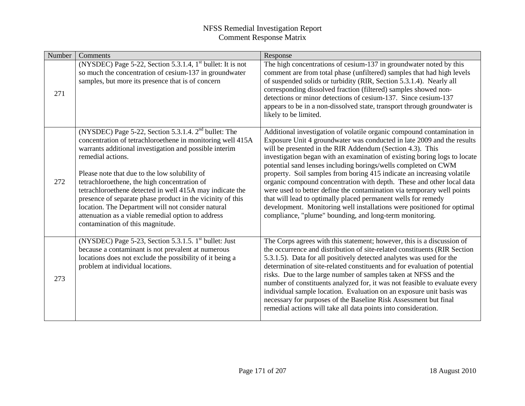| Number | Comments                                                                                                                                                                                                                                                                                                                                                                                                                                                                                                                                                                       | Response                                                                                                                                                                                                                                                                                                                                                                                                                                                                                                                                                                                                                                                                                                                                                                                        |
|--------|--------------------------------------------------------------------------------------------------------------------------------------------------------------------------------------------------------------------------------------------------------------------------------------------------------------------------------------------------------------------------------------------------------------------------------------------------------------------------------------------------------------------------------------------------------------------------------|-------------------------------------------------------------------------------------------------------------------------------------------------------------------------------------------------------------------------------------------------------------------------------------------------------------------------------------------------------------------------------------------------------------------------------------------------------------------------------------------------------------------------------------------------------------------------------------------------------------------------------------------------------------------------------------------------------------------------------------------------------------------------------------------------|
| 271    | (NYSDEC) Page 5-22, Section 5.3.1.4, 1 <sup>st</sup> bullet: It is not<br>so much the concentration of cesium-137 in groundwater<br>samples, but more its presence that is of concern                                                                                                                                                                                                                                                                                                                                                                                          | The high concentrations of cesium-137 in groundwater noted by this<br>comment are from total phase (unfiltered) samples that had high levels<br>of suspended solids or turbidity (RIR, Section 5.3.1.4). Nearly all<br>corresponding dissolved fraction (filtered) samples showed non-<br>detections or minor detections of cesium-137. Since cesium-137<br>appears to be in a non-dissolved state, transport through groundwater is<br>likely to be limited.                                                                                                                                                                                                                                                                                                                                   |
| 272    | (NYSDEC) Page 5-22, Section 5.3.1.4. $2nd$ bullet: The<br>concentration of tetrachloroethene in monitoring well 415A<br>warrants additional investigation and possible interim<br>remedial actions.<br>Please note that due to the low solubility of<br>tetrachloroethene, the high concentration of<br>tetrachloroethene detected in well 415A may indicate the<br>presence of separate phase product in the vicinity of this<br>location. The Department will not consider natural<br>attenuation as a viable remedial option to address<br>contamination of this magnitude. | Additional investigation of volatile organic compound contamination in<br>Exposure Unit 4 groundwater was conducted in late 2009 and the results<br>will be presented in the RIR Addendum (Section 4.3). This<br>investigation began with an examination of existing boring logs to locate<br>potential sand lenses including borings/wells completed on CWM<br>property. Soil samples from boring 415 indicate an increasing volatile<br>organic compound concentration with depth. These and other local data<br>were used to better define the contamination via temporary well points<br>that will lead to optimally placed permanent wells for remedy<br>development. Monitoring well installations were positioned for optimal<br>compliance, "plume" bounding, and long-term monitoring. |
| 273    | (NYSDEC) Page 5-23, Section 5.3.1.5. 1 <sup>st</sup> bullet: Just<br>because a contaminant is not prevalent at numerous<br>locations does not exclude the possibility of it being a<br>problem at individual locations.                                                                                                                                                                                                                                                                                                                                                        | The Corps agrees with this statement; however, this is a discussion of<br>the occurrence and distribution of site-related constituents (RIR Section<br>5.3.1.5). Data for all positively detected analytes was used for the<br>determination of site-related constituents and for evaluation of potential<br>risks. Due to the large number of samples taken at NFSS and the<br>number of constituents analyzed for, it was not feasible to evaluate every<br>individual sample location. Evaluation on an exposure unit basis was<br>necessary for purposes of the Baseline Risk Assessment but final<br>remedial actions will take all data points into consideration.                                                                                                                        |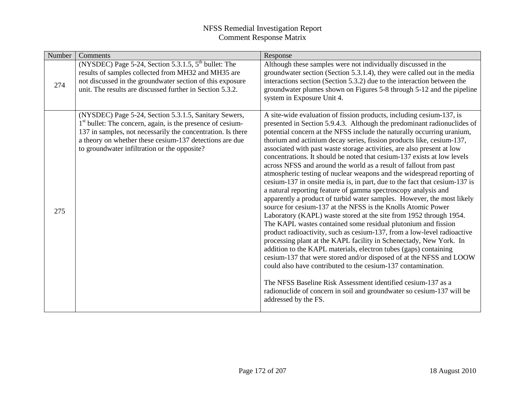| Number | Comments                                                                                                                                                                                                                                                                                                  | Response                                                                                                                                                                                                                                                                                                                                                                                                                                                                                                                                                                                                                                                                                                                                                                                                                                                                                                                                                                                                                                                                                                                                                                                                                                                                                                                                                                                                                                                                                                                                                             |
|--------|-----------------------------------------------------------------------------------------------------------------------------------------------------------------------------------------------------------------------------------------------------------------------------------------------------------|----------------------------------------------------------------------------------------------------------------------------------------------------------------------------------------------------------------------------------------------------------------------------------------------------------------------------------------------------------------------------------------------------------------------------------------------------------------------------------------------------------------------------------------------------------------------------------------------------------------------------------------------------------------------------------------------------------------------------------------------------------------------------------------------------------------------------------------------------------------------------------------------------------------------------------------------------------------------------------------------------------------------------------------------------------------------------------------------------------------------------------------------------------------------------------------------------------------------------------------------------------------------------------------------------------------------------------------------------------------------------------------------------------------------------------------------------------------------------------------------------------------------------------------------------------------------|
| 274    | (NYSDEC) Page 5-24, Section 5.3.1.5, $5th$ bullet: The<br>results of samples collected from MH32 and MH35 are<br>not discussed in the groundwater section of this exposure<br>unit. The results are discussed further in Section 5.3.2.                                                                   | Although these samples were not individually discussed in the<br>groundwater section (Section 5.3.1.4), they were called out in the media<br>interactions section (Section 5.3.2) due to the interaction between the<br>groundwater plumes shown on Figures 5-8 through 5-12 and the pipeline<br>system in Exposure Unit 4.                                                                                                                                                                                                                                                                                                                                                                                                                                                                                                                                                                                                                                                                                                                                                                                                                                                                                                                                                                                                                                                                                                                                                                                                                                          |
| 275    | (NYSDEC) Page 5-24, Section 5.3.1.5, Sanitary Sewers,<br>1 <sup>st</sup> bullet: The concern, again, is the presence of cesium-<br>137 in samples, not necessarily the concentration. Is there<br>a theory on whether these cesium-137 detections are due<br>to groundwater infiltration or the opposite? | A site-wide evaluation of fission products, including cesium-137, is<br>presented in Section 5.9.4.3. Although the predominant radionuclides of<br>potential concern at the NFSS include the naturally occurring uranium,<br>thorium and actinium decay series, fission products like, cesium-137,<br>associated with past waste storage activities, are also present at low<br>concentrations. It should be noted that cesium-137 exists at low levels<br>across NFSS and around the world as a result of fallout from past<br>atmospheric testing of nuclear weapons and the widespread reporting of<br>cesium-137 in onsite media is, in part, due to the fact that cesium-137 is<br>a natural reporting feature of gamma spectroscopy analysis and<br>apparently a product of turbid water samples. However, the most likely<br>source for cesium-137 at the NFSS is the Knolls Atomic Power<br>Laboratory (KAPL) waste stored at the site from 1952 through 1954.<br>The KAPL wastes contained some residual plutonium and fission<br>product radioactivity, such as cesium-137, from a low-level radioactive<br>processing plant at the KAPL facility in Schenectady, New York. In<br>addition to the KAPL materials, electron tubes (gaps) containing<br>cesium-137 that were stored and/or disposed of at the NFSS and LOOW<br>could also have contributed to the cesium-137 contamination.<br>The NFSS Baseline Risk Assessment identified cesium-137 as a<br>radionuclide of concern in soil and groundwater so cesium-137 will be<br>addressed by the FS. |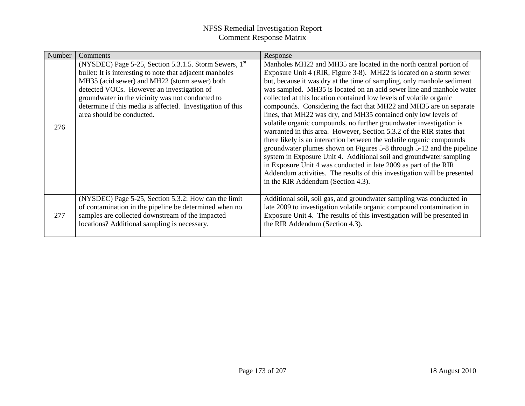| Number | Comments                                                                                                                                                                                                                                                                                                                                                           | Response                                                                                                                                                                                                                                                                                                                                                                                                                                                                                                                                                                                                                                                                                                                                                                                                                                                                                                                                                                                                                                                                   |
|--------|--------------------------------------------------------------------------------------------------------------------------------------------------------------------------------------------------------------------------------------------------------------------------------------------------------------------------------------------------------------------|----------------------------------------------------------------------------------------------------------------------------------------------------------------------------------------------------------------------------------------------------------------------------------------------------------------------------------------------------------------------------------------------------------------------------------------------------------------------------------------------------------------------------------------------------------------------------------------------------------------------------------------------------------------------------------------------------------------------------------------------------------------------------------------------------------------------------------------------------------------------------------------------------------------------------------------------------------------------------------------------------------------------------------------------------------------------------|
| 276    | (NYSDEC) Page 5-25, Section 5.3.1.5. Storm Sewers, $1st$<br>bullet: It is interesting to note that adjacent manholes<br>MH35 (acid sewer) and MH22 (storm sewer) both<br>detected VOCs. However an investigation of<br>groundwater in the vicinity was not conducted to<br>determine if this media is affected. Investigation of this<br>area should be conducted. | Manholes MH22 and MH35 are located in the north central portion of<br>Exposure Unit 4 (RIR, Figure 3-8). MH22 is located on a storm sewer<br>but, because it was dry at the time of sampling, only manhole sediment<br>was sampled. MH35 is located on an acid sewer line and manhole water<br>collected at this location contained low levels of volatile organic<br>compounds. Considering the fact that MH22 and MH35 are on separate<br>lines, that MH22 was dry, and MH35 contained only low levels of<br>volatile organic compounds, no further groundwater investigation is<br>warranted in this area. However, Section 5.3.2 of the RIR states that<br>there likely is an interaction between the volatile organic compounds<br>groundwater plumes shown on Figures 5-8 through 5-12 and the pipeline<br>system in Exposure Unit 4. Additional soil and groundwater sampling<br>in Exposure Unit 4 was conducted in late 2009 as part of the RIR<br>Addendum activities. The results of this investigation will be presented<br>in the RIR Addendum (Section 4.3). |
| 277    | (NYSDEC) Page 5-25, Section 5.3.2: How can the limit<br>of contamination in the pipeline be determined when no<br>samples are collected downstream of the impacted<br>locations? Additional sampling is necessary.                                                                                                                                                 | Additional soil, soil gas, and groundwater sampling was conducted in<br>late 2009 to investigation volatile organic compound contamination in<br>Exposure Unit 4. The results of this investigation will be presented in<br>the RIR Addendum (Section 4.3).                                                                                                                                                                                                                                                                                                                                                                                                                                                                                                                                                                                                                                                                                                                                                                                                                |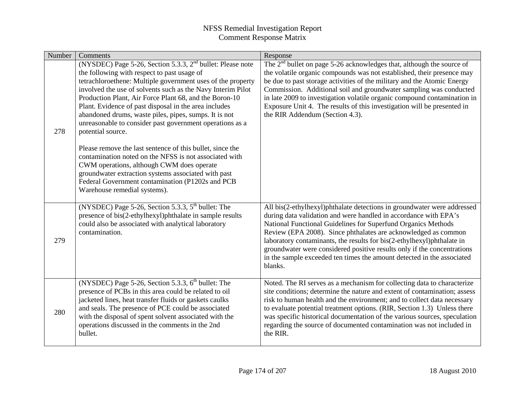| Number | Comments                                                                                                                                                                                                                                                                                                                                                                                                                                                                                               | Response                                                                                                                                                                                                                                                                                                                                                                                                                                                                                                                 |
|--------|--------------------------------------------------------------------------------------------------------------------------------------------------------------------------------------------------------------------------------------------------------------------------------------------------------------------------------------------------------------------------------------------------------------------------------------------------------------------------------------------------------|--------------------------------------------------------------------------------------------------------------------------------------------------------------------------------------------------------------------------------------------------------------------------------------------------------------------------------------------------------------------------------------------------------------------------------------------------------------------------------------------------------------------------|
| 278    | (NYSDEC) Page 5-26, Section 5.3.3, $2nd$ bullet: Please note<br>the following with respect to past usage of<br>tetrachloroethene: Multiple government uses of the property<br>involved the use of solvents such as the Navy Interim Pilot<br>Production Plant, Air Force Plant 68, and the Boron-10<br>Plant. Evidence of past disposal in the area includes<br>abandoned drums, waste piles, pipes, sumps. It is not<br>unreasonable to consider past government operations as a<br>potential source. | The $2nd$ bullet on page 5-26 acknowledges that, although the source of<br>the volatile organic compounds was not established, their presence may<br>be due to past storage activities of the military and the Atomic Energy<br>Commission. Additional soil and groundwater sampling was conducted<br>in late 2009 to investigation volatile organic compound contamination in<br>Exposure Unit 4. The results of this investigation will be presented in<br>the RIR Addendum (Section 4.3).                             |
|        | Please remove the last sentence of this bullet, since the<br>contamination noted on the NFSS is not associated with<br>CWM operations, although CWM does operate<br>groundwater extraction systems associated with past<br>Federal Government contamination (P1202s and PCB<br>Warehouse remedial systems).                                                                                                                                                                                            |                                                                                                                                                                                                                                                                                                                                                                                                                                                                                                                          |
| 279    | (NYSDEC) Page 5-26, Section 5.3.3, 5 <sup>th</sup> bullet: The<br>presence of bis(2-ethylhexyl)phthalate in sample results<br>could also be associated with analytical laboratory<br>contamination.                                                                                                                                                                                                                                                                                                    | All bis(2-ethylhexyl)phthalate detections in groundwater were addressed<br>during data validation and were handled in accordance with EPA's<br>National Functional Guidelines for Superfund Organics Methods<br>Review (EPA 2008). Since phthalates are acknowledged as common<br>laboratory contaminants, the results for bis(2-ethylhexyl)phthalate in<br>groundwater were considered positive results only if the concentrations<br>in the sample exceeded ten times the amount detected in the associated<br>blanks. |
| 280    | (NYSDEC) Page 5-26, Section 5.3.3, 6 <sup>th</sup> bullet: The<br>presence of PCBs in this area could be related to oil<br>jacketed lines, heat transfer fluids or gaskets caulks<br>and seals. The presence of PCE could be associated<br>with the disposal of spent solvent associated with the<br>operations discussed in the comments in the 2nd<br>bullet.                                                                                                                                        | Noted. The RI serves as a mechanism for collecting data to characterize<br>site conditions; determine the nature and extent of contamination; assess<br>risk to human health and the environment; and to collect data necessary<br>to evaluate potential treatment options. (RIR, Section 1.3) Unless there<br>was specific historical documentation of the various sources, speculation<br>regarding the source of documented contamination was not included in<br>the RIR.                                             |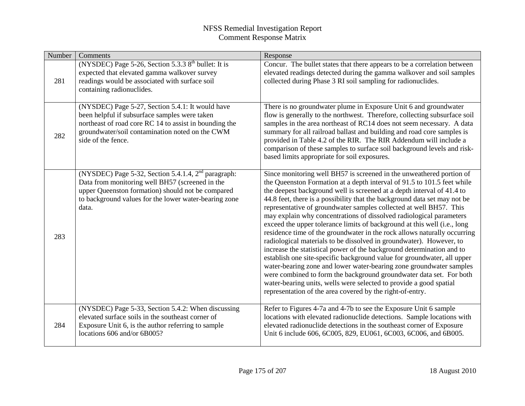| Number | Comments                                                                                                                                                                                                                             | Response                                                                                                                                                                                                                                                                                                                                                                                                                                                                                                                                                                                                                                                                                                                                                                                                                                                                                                                                                                                                                                                                                                                |
|--------|--------------------------------------------------------------------------------------------------------------------------------------------------------------------------------------------------------------------------------------|-------------------------------------------------------------------------------------------------------------------------------------------------------------------------------------------------------------------------------------------------------------------------------------------------------------------------------------------------------------------------------------------------------------------------------------------------------------------------------------------------------------------------------------------------------------------------------------------------------------------------------------------------------------------------------------------------------------------------------------------------------------------------------------------------------------------------------------------------------------------------------------------------------------------------------------------------------------------------------------------------------------------------------------------------------------------------------------------------------------------------|
| 281    | (NYSDEC) Page 5-26, Section 5.3.3 8 <sup>th</sup> bullet: It is<br>expected that elevated gamma walkover survey<br>readings would be associated with surface soil<br>containing radionuclides.                                       | Concur. The bullet states that there appears to be a correlation between<br>elevated readings detected during the gamma walkover and soil samples<br>collected during Phase 3 RI soil sampling for radionuclides.                                                                                                                                                                                                                                                                                                                                                                                                                                                                                                                                                                                                                                                                                                                                                                                                                                                                                                       |
| 282    | (NYSDEC) Page 5-27, Section 5.4.1: It would have<br>been helpful if subsurface samples were taken<br>northeast of road core RC 14 to assist in bounding the<br>groundwater/soil contamination noted on the CWM<br>side of the fence. | There is no groundwater plume in Exposure Unit 6 and groundwater<br>flow is generally to the northwest. Therefore, collecting subsurface soil<br>samples in the area northeast of RC14 does not seem necessary. A data<br>summary for all railroad ballast and building and road core samples is<br>provided in Table 4.2 of the RIR. The RIR Addendum will include a<br>comparison of these samples to surface soil background levels and risk-<br>based limits appropriate for soil exposures.                                                                                                                                                                                                                                                                                                                                                                                                                                                                                                                                                                                                                        |
| 283    | (NYSDEC) Page 5-32, Section 5.4.1.4, $2nd$ paragraph:<br>Data from monitoring well BH57 (screened in the<br>upper Queenston formation) should not be compared<br>to background values for the lower water-bearing zone<br>data.      | Since monitoring well BH57 is screened in the unweathered portion of<br>the Queenston Formation at a depth interval of 91.5 to 101.5 feet while<br>the deepest background well is screened at a depth interval of 41.4 to<br>44.8 feet, there is a possibility that the background data set may not be<br>representative of groundwater samples collected at well BH57. This<br>may explain why concentrations of dissolved radiological parameters<br>exceed the upper tolerance limits of background at this well (i.e., long<br>residence time of the groundwater in the rock allows naturally occurring<br>radiological materials to be dissolved in groundwater). However, to<br>increase the statistical power of the background determination and to<br>establish one site-specific background value for groundwater, all upper<br>water-bearing zone and lower water-bearing zone groundwater samples<br>were combined to form the background groundwater data set. For both<br>water-bearing units, wells were selected to provide a good spatial<br>representation of the area covered by the right-of-entry. |
| 284    | (NYSDEC) Page 5-33, Section 5.4.2: When discussing<br>elevated surface soils in the southeast corner of<br>Exposure Unit 6, is the author referring to sample<br>locations 606 and/or 6B005?                                         | Refer to Figures 4-7a and 4-7b to see the Exposure Unit 6 sample<br>locations with elevated radionuclide detections. Sample locations with<br>elevated radionuclide detections in the southeast corner of Exposure<br>Unit 6 include 606, 6C005, 829, EU061, 6C003, 6C006, and 6B005.                                                                                                                                                                                                                                                                                                                                                                                                                                                                                                                                                                                                                                                                                                                                                                                                                                   |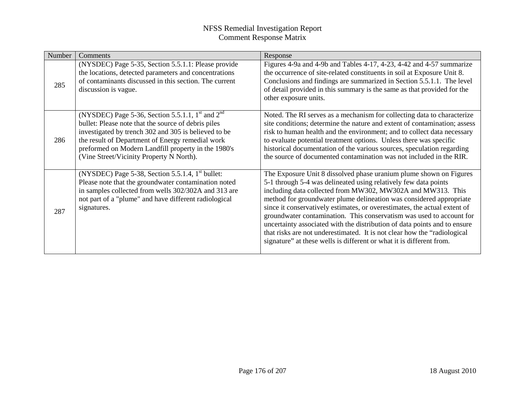| Number | Comments                                                                                                                                                                                                                                                                                                                                       | Response                                                                                                                                                                                                                                                                                                                                                                                                                                                                                                                                                                                                                                                          |
|--------|------------------------------------------------------------------------------------------------------------------------------------------------------------------------------------------------------------------------------------------------------------------------------------------------------------------------------------------------|-------------------------------------------------------------------------------------------------------------------------------------------------------------------------------------------------------------------------------------------------------------------------------------------------------------------------------------------------------------------------------------------------------------------------------------------------------------------------------------------------------------------------------------------------------------------------------------------------------------------------------------------------------------------|
| 285    | (NYSDEC) Page 5-35, Section 5.5.1.1: Please provide<br>the locations, detected parameters and concentrations<br>of contaminants discussed in this section. The current<br>discussion is vague.                                                                                                                                                 | Figures 4-9a and 4-9b and Tables 4-17, 4-23, 4-42 and 4-57 summarize<br>the occurrence of site-related constituents in soil at Exposure Unit 8.<br>Conclusions and findings are summarized in Section 5.5.1.1. The level<br>of detail provided in this summary is the same as that provided for the<br>other exposure units.                                                                                                                                                                                                                                                                                                                                      |
| 286    | (NYSDEC) Page 5-36, Section 5.5.1.1, $1^{\text{st}}$ and $2^{\text{nd}}$<br>bullet: Please note that the source of debris piles<br>investigated by trench 302 and 305 is believed to be<br>the result of Department of Energy remedial work<br>preformed on Modern Landfill property in the 1980's<br>(Vine Street/Vicinity Property N North). | Noted. The RI serves as a mechanism for collecting data to characterize<br>site conditions; determine the nature and extent of contamination; assess<br>risk to human health and the environment; and to collect data necessary<br>to evaluate potential treatment options. Unless there was specific<br>historical documentation of the various sources, speculation regarding<br>the source of documented contamination was not included in the RIR.                                                                                                                                                                                                            |
| 287    | (NYSDEC) Page 5-38, Section 5.5.1.4, $1st$ bullet:<br>Please note that the groundwater contamination noted<br>in samples collected from wells 302/302A and 313 are<br>not part of a "plume" and have different radiological<br>signatures.                                                                                                     | The Exposure Unit 8 dissolved phase uranium plume shown on Figures<br>5-1 through 5-4 was delineated using relatively few data points<br>including data collected from MW302, MW302A and MW313. This<br>method for groundwater plume delineation was considered appropriate<br>since it conservatively estimates, or overestimates, the actual extent of<br>groundwater contamination. This conservatism was used to account for<br>uncertainty associated with the distribution of data points and to ensure<br>that risks are not underestimated. It is not clear how the "radiological<br>signature" at these wells is different or what it is different from. |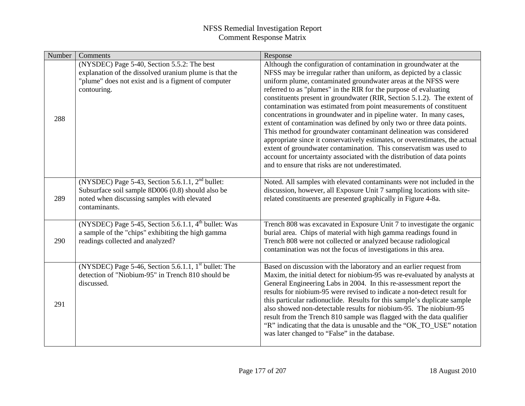| Number | Comments                                                                                                                                                                    | Response                                                                                                                                                                                                                                                                                                                                                                                                                                                                                                                                                                                                                                                                                                                                                                                                                                                                                                                                  |
|--------|-----------------------------------------------------------------------------------------------------------------------------------------------------------------------------|-------------------------------------------------------------------------------------------------------------------------------------------------------------------------------------------------------------------------------------------------------------------------------------------------------------------------------------------------------------------------------------------------------------------------------------------------------------------------------------------------------------------------------------------------------------------------------------------------------------------------------------------------------------------------------------------------------------------------------------------------------------------------------------------------------------------------------------------------------------------------------------------------------------------------------------------|
| 288    | (NYSDEC) Page 5-40, Section 5.5.2: The best<br>explanation of the dissolved uranium plume is that the<br>"plume" does not exist and is a figment of computer<br>contouring. | Although the configuration of contamination in groundwater at the<br>NFSS may be irregular rather than uniform, as depicted by a classic<br>uniform plume, contaminated groundwater areas at the NFSS were<br>referred to as "plumes" in the RIR for the purpose of evaluating<br>constituents present in groundwater (RIR, Section 5.1.2). The extent of<br>contamination was estimated from point measurements of constituent<br>concentrations in groundwater and in pipeline water. In many cases,<br>extent of contamination was defined by only two or three data points.<br>This method for groundwater contaminant delineation was considered<br>appropriate since it conservatively estimates, or overestimates, the actual<br>extent of groundwater contamination. This conservatism was used to<br>account for uncertainty associated with the distribution of data points<br>and to ensure that risks are not underestimated. |
| 289    | (NYSDEC) Page 5-43, Section 5.6.1.1, $2nd$ bullet:<br>Subsurface soil sample 8D006 (0.8) should also be<br>noted when discussing samples with elevated<br>contaminants.     | Noted. All samples with elevated contaminants were not included in the<br>discussion, however, all Exposure Unit 7 sampling locations with site-<br>related constituents are presented graphically in Figure 4-8a.                                                                                                                                                                                                                                                                                                                                                                                                                                                                                                                                                                                                                                                                                                                        |
| 290    | (NYSDEC) Page 5-45, Section 5.6.1.1, 4 <sup>th</sup> bullet: Was<br>a sample of the "chips" exhibiting the high gamma<br>readings collected and analyzed?                   | Trench 808 was excavated in Exposure Unit 7 to investigate the organic<br>burial area. Chips of material with high gamma readings found in<br>Trench 808 were not collected or analyzed because radiological<br>contamination was not the focus of investigations in this area.                                                                                                                                                                                                                                                                                                                                                                                                                                                                                                                                                                                                                                                           |
| 291    | (NYSDEC) Page 5-46, Section 5.6.1.1, 1 <sup>st</sup> bullet: The<br>detection of "Niobium-95" in Trench 810 should be<br>discussed.                                         | Based on discussion with the laboratory and an earlier request from<br>Maxim, the initial detect for niobium-95 was re-evaluated by analysts at<br>General Engineering Labs in 2004. In this re-assessment report the<br>results for niobium-95 were revised to indicate a non-detect result for<br>this particular radionuclide. Results for this sample's duplicate sample<br>also showed non-detectable results for niobium-95. The niobium-95<br>result from the Trench 810 sample was flagged with the data qualifier<br>"R" indicating that the data is unusable and the "OK_TO_USE" notation<br>was later changed to "False" in the database.                                                                                                                                                                                                                                                                                      |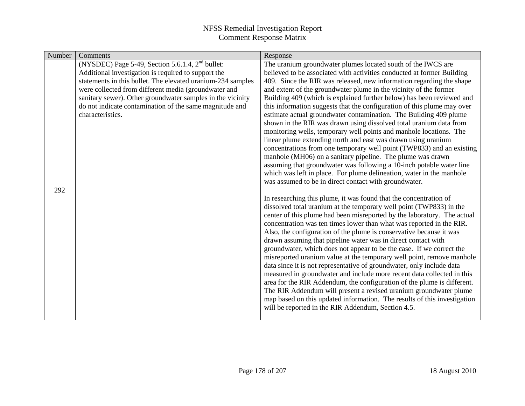| Number | Comments                                                    | Response                                                                                                                      |
|--------|-------------------------------------------------------------|-------------------------------------------------------------------------------------------------------------------------------|
|        | (NYSDEC) Page 5-49, Section 5.6.1.4, $2nd$ bullet:          | The uranium groundwater plumes located south of the IWCS are                                                                  |
|        | Additional investigation is required to support the         | believed to be associated with activities conducted at former Building                                                        |
|        | statements in this bullet. The elevated uranium-234 samples | 409. Since the RIR was released, new information regarding the shape                                                          |
|        | were collected from different media (groundwater and        | and extent of the groundwater plume in the vicinity of the former                                                             |
|        | sanitary sewer). Other groundwater samples in the vicinity  | Building 409 (which is explained further below) has been reviewed and                                                         |
|        | do not indicate contamination of the same magnitude and     | this information suggests that the configuration of this plume may over                                                       |
|        | characteristics.                                            | estimate actual groundwater contamination. The Building 409 plume                                                             |
|        |                                                             | shown in the RIR was drawn using dissolved total uranium data from                                                            |
|        |                                                             | monitoring wells, temporary well points and manhole locations. The                                                            |
|        |                                                             | linear plume extending north and east was drawn using uranium                                                                 |
|        |                                                             | concentrations from one temporary well point (TWP833) and an existing                                                         |
|        |                                                             | manhole (MH06) on a sanitary pipeline. The plume was drawn                                                                    |
|        |                                                             | assuming that groundwater was following a 10-inch potable water line                                                          |
|        |                                                             | which was left in place. For plume delineation, water in the manhole<br>was assumed to be in direct contact with groundwater. |
| 292    |                                                             |                                                                                                                               |
|        |                                                             | In researching this plume, it was found that the concentration of                                                             |
|        |                                                             | dissolved total uranium at the temporary well point (TWP833) in the                                                           |
|        |                                                             | center of this plume had been misreported by the laboratory. The actual                                                       |
|        |                                                             | concentration was ten times lower than what was reported in the RIR.                                                          |
|        |                                                             | Also, the configuration of the plume is conservative because it was                                                           |
|        |                                                             | drawn assuming that pipeline water was in direct contact with                                                                 |
|        |                                                             | groundwater, which does not appear to be the case. If we correct the                                                          |
|        |                                                             | misreported uranium value at the temporary well point, remove manhole                                                         |
|        |                                                             | data since it is not representative of groundwater, only include data                                                         |
|        |                                                             | measured in groundwater and include more recent data collected in this                                                        |
|        |                                                             | area for the RIR Addendum, the configuration of the plume is different.                                                       |
|        |                                                             | The RIR Addendum will present a revised uranium groundwater plume                                                             |
|        |                                                             | map based on this updated information. The results of this investigation                                                      |
|        |                                                             | will be reported in the RIR Addendum, Section 4.5.                                                                            |
|        |                                                             |                                                                                                                               |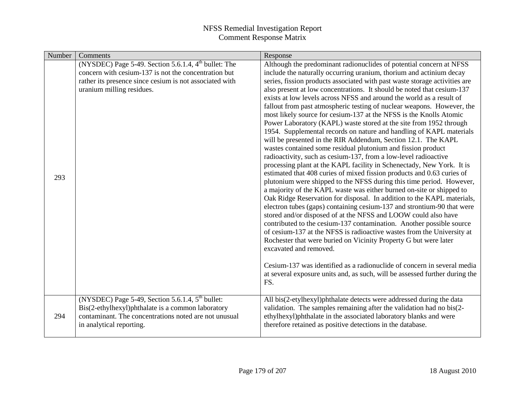| Number | Comments                                                                                                                                                                                               | Response                                                                                                                                                                                                                                                                                                                                                                                                                                                                                                                                                                                                                                                                                                                                                                                                                                                                                                                                                                                                                                                                                                                                                                                                                                                                                                                                                                                                                                                                                                                                                                                                                                                                                                                                                                                                              |
|--------|--------------------------------------------------------------------------------------------------------------------------------------------------------------------------------------------------------|-----------------------------------------------------------------------------------------------------------------------------------------------------------------------------------------------------------------------------------------------------------------------------------------------------------------------------------------------------------------------------------------------------------------------------------------------------------------------------------------------------------------------------------------------------------------------------------------------------------------------------------------------------------------------------------------------------------------------------------------------------------------------------------------------------------------------------------------------------------------------------------------------------------------------------------------------------------------------------------------------------------------------------------------------------------------------------------------------------------------------------------------------------------------------------------------------------------------------------------------------------------------------------------------------------------------------------------------------------------------------------------------------------------------------------------------------------------------------------------------------------------------------------------------------------------------------------------------------------------------------------------------------------------------------------------------------------------------------------------------------------------------------------------------------------------------------|
| 293    | (NYSDEC) Page 5-49. Section 5.6.1.4, $4th$ bullet: The<br>concern with cesium-137 is not the concentration but<br>rather its presence since cesium is not associated with<br>uranium milling residues. | Although the predominant radionuclides of potential concern at NFSS<br>include the naturally occurring uranium, thorium and actinium decay<br>series, fission products associated with past waste storage activities are<br>also present at low concentrations. It should be noted that cesium-137<br>exists at low levels across NFSS and around the world as a result of<br>fallout from past atmospheric testing of nuclear weapons. However, the<br>most likely source for cesium-137 at the NFSS is the Knolls Atomic<br>Power Laboratory (KAPL) waste stored at the site from 1952 through<br>1954. Supplemental records on nature and handling of KAPL materials<br>will be presented in the RIR Addendum, Section 12.1. The KAPL<br>wastes contained some residual plutonium and fission product<br>radioactivity, such as cesium-137, from a low-level radioactive<br>processing plant at the KAPL facility in Schenectady, New York. It is<br>estimated that 408 curies of mixed fission products and 0.63 curies of<br>plutonium were shipped to the NFSS during this time period. However,<br>a majority of the KAPL waste was either burned on-site or shipped to<br>Oak Ridge Reservation for disposal. In addition to the KAPL materials,<br>electron tubes (gaps) containing cesium-137 and strontium-90 that were<br>stored and/or disposed of at the NFSS and LOOW could also have<br>contributed to the cesium-137 contamination. Another possible source<br>of cesium-137 at the NFSS is radioactive wastes from the University at<br>Rochester that were buried on Vicinity Property G but were later<br>excavated and removed.<br>Cesium-137 was identified as a radionuclide of concern in several media<br>at several exposure units and, as such, will be assessed further during the<br>FS. |
| 294    | (NYSDEC) Page 5-49, Section 5.6.1.4, $5th$ bullet:<br>Bis(2-ethylhexyl)phthalate is a common laboratory<br>contaminant. The concentrations noted are not unusual<br>in analytical reporting.           | All bis(2-etylhexyl)phthalate detects were addressed during the data<br>validation. The samples remaining after the validation had no bis(2-<br>ethylhexyl)phthalate in the associated laboratory blanks and were<br>therefore retained as positive detections in the database.                                                                                                                                                                                                                                                                                                                                                                                                                                                                                                                                                                                                                                                                                                                                                                                                                                                                                                                                                                                                                                                                                                                                                                                                                                                                                                                                                                                                                                                                                                                                       |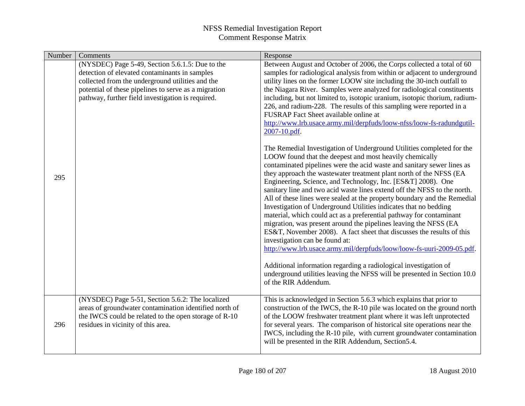| Number | Comments                                                                                                                                                                                                                                                          | Response                                                                                                                                                                                                                                                                                                                                                                                                                                                                                                                                                                                                                                                                                                                                                                                                                                                                                                                                                                                                                                                                            |
|--------|-------------------------------------------------------------------------------------------------------------------------------------------------------------------------------------------------------------------------------------------------------------------|-------------------------------------------------------------------------------------------------------------------------------------------------------------------------------------------------------------------------------------------------------------------------------------------------------------------------------------------------------------------------------------------------------------------------------------------------------------------------------------------------------------------------------------------------------------------------------------------------------------------------------------------------------------------------------------------------------------------------------------------------------------------------------------------------------------------------------------------------------------------------------------------------------------------------------------------------------------------------------------------------------------------------------------------------------------------------------------|
|        | (NYSDEC) Page 5-49, Section 5.6.1.5: Due to the<br>detection of elevated contaminants in samples<br>collected from the underground utilities and the<br>potential of these pipelines to serve as a migration<br>pathway, further field investigation is required. | Between August and October of 2006, the Corps collected a total of 60<br>samples for radiological analysis from within or adjacent to underground<br>utility lines on the former LOOW site including the 30-inch outfall to<br>the Niagara River. Samples were analyzed for radiological constituents<br>including, but not limited to, isotopic uranium, isotopic thorium, radium-<br>226, and radium-228. The results of this sampling were reported in a<br>FUSRAP Fact Sheet available online at<br>http://www.lrb.usace.army.mil/derpfuds/loow-nfss/loow-fs-radundgutil-<br>2007-10.pdf.                                                                                                                                                                                                                                                                                                                                                                                                                                                                                       |
| 295    |                                                                                                                                                                                                                                                                   | The Remedial Investigation of Underground Utilities completed for the<br>LOOW found that the deepest and most heavily chemically<br>contaminated pipelines were the acid waste and sanitary sewer lines as<br>they approach the wastewater treatment plant north of the NFSS (EA<br>Engineering, Science, and Technology, Inc. [ES&T] 2008). One<br>sanitary line and two acid waste lines extend off the NFSS to the north.<br>All of these lines were sealed at the property boundary and the Remedial<br>Investigation of Underground Utilities indicates that no bedding<br>material, which could act as a preferential pathway for contaminant<br>migration, was present around the pipelines leaving the NFSS (EA<br>ES&T, November 2008). A fact sheet that discusses the results of this<br>investigation can be found at:<br>http://www.lrb.usace.army.mil/derpfuds/loow/loow-fs-uuri-2009-05.pdf.<br>Additional information regarding a radiological investigation of<br>underground utilities leaving the NFSS will be presented in Section 10.0<br>of the RIR Addendum. |
| 296    | (NYSDEC) Page 5-51, Section 5.6.2: The localized<br>areas of groundwater contamination identified north of<br>the IWCS could be related to the open storage of R-10<br>residues in vicinity of this area.                                                         | This is acknowledged in Section 5.6.3 which explains that prior to<br>construction of the IWCS, the R-10 pile was located on the ground north<br>of the LOOW freshwater treatment plant where it was left unprotected<br>for several years. The comparison of historical site operations near the<br>IWCS, including the R-10 pile, with current groundwater contamination<br>will be presented in the RIR Addendum, Section 5.4.                                                                                                                                                                                                                                                                                                                                                                                                                                                                                                                                                                                                                                                   |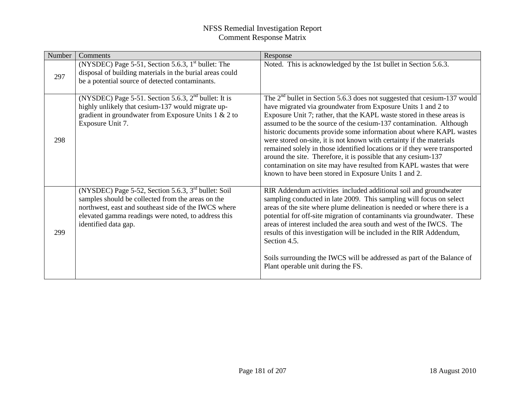| Number | Comments                                                                                                                                                                                                                                          | Response                                                                                                                                                                                                                                                                                                                                                                                                                                                                                                                                                                                                                                                                                                              |
|--------|---------------------------------------------------------------------------------------------------------------------------------------------------------------------------------------------------------------------------------------------------|-----------------------------------------------------------------------------------------------------------------------------------------------------------------------------------------------------------------------------------------------------------------------------------------------------------------------------------------------------------------------------------------------------------------------------------------------------------------------------------------------------------------------------------------------------------------------------------------------------------------------------------------------------------------------------------------------------------------------|
| 297    | (NYSDEC) Page 5-51, Section 5.6.3, $1st$ bullet: The<br>disposal of building materials in the burial areas could<br>be a potential source of detected contaminants.                                                                               | Noted. This is acknowledged by the 1st bullet in Section 5.6.3.                                                                                                                                                                                                                                                                                                                                                                                                                                                                                                                                                                                                                                                       |
| 298    | (NYSDEC) Page 5-51. Section 5.6.3, $2nd$ bullet: It is<br>highly unlikely that cesium-137 would migrate up-<br>gradient in groundwater from Exposure Units $1 & 2$ to<br>Exposure Unit 7.                                                         | The $2nd$ bullet in Section 5.6.3 does not suggested that cesium-137 would<br>have migrated via groundwater from Exposure Units 1 and 2 to<br>Exposure Unit 7; rather, that the KAPL waste stored in these areas is<br>assumed to be the source of the cesium-137 contamination. Although<br>historic documents provide some information about where KAPL wastes<br>were stored on-site, it is not known with certainty if the materials<br>remained solely in those identified locations or if they were transported<br>around the site. Therefore, it is possible that any cesium-137<br>contamination on site may have resulted from KAPL wastes that were<br>known to have been stored in Exposure Units 1 and 2. |
| 299    | (NYSDEC) Page 5-52, Section 5.6.3, $3rd$ bullet: Soil<br>samples should be collected from the areas on the<br>northwest, east and southeast side of the IWCS where<br>elevated gamma readings were noted, to address this<br>identified data gap. | RIR Addendum activities included additional soil and groundwater<br>sampling conducted in late 2009. This sampling will focus on select<br>areas of the site where plume delineation is needed or where there is a<br>potential for off-site migration of contaminants via groundwater. These<br>areas of interest included the area south and west of the IWCS. The<br>results of this investigation will be included in the RIR Addendum,<br>Section 4.5.<br>Soils surrounding the IWCS will be addressed as part of the Balance of<br>Plant operable unit during the FS.                                                                                                                                           |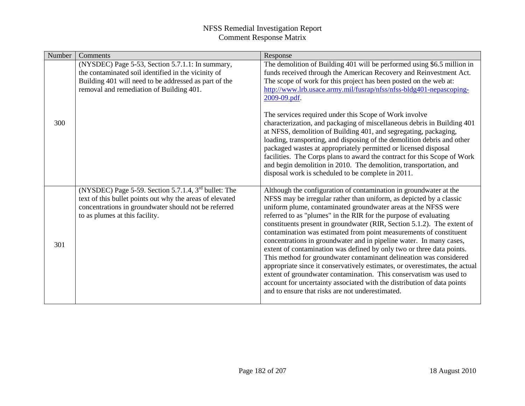| Number | Comments                                                                                                                                                                                                     | Response                                                                                                                                                                                                                                                                                                                                                                                                                                                                                                                                                                                                                                                                                                                                                                                                                                                                                                                                  |
|--------|--------------------------------------------------------------------------------------------------------------------------------------------------------------------------------------------------------------|-------------------------------------------------------------------------------------------------------------------------------------------------------------------------------------------------------------------------------------------------------------------------------------------------------------------------------------------------------------------------------------------------------------------------------------------------------------------------------------------------------------------------------------------------------------------------------------------------------------------------------------------------------------------------------------------------------------------------------------------------------------------------------------------------------------------------------------------------------------------------------------------------------------------------------------------|
|        | (NYSDEC) Page 5-53, Section 5.7.1.1: In summary,<br>the contaminated soil identified in the vicinity of<br>Building 401 will need to be addressed as part of the<br>removal and remediation of Building 401. | The demolition of Building 401 will be performed using \$6.5 million in<br>funds received through the American Recovery and Reinvestment Act.<br>The scope of work for this project has been posted on the web at:<br>http://www.lrb.usace.army.mil/fusrap/nfss/nfss-bldg401-nepascoping-<br>2009-09.pdf.                                                                                                                                                                                                                                                                                                                                                                                                                                                                                                                                                                                                                                 |
| 300    |                                                                                                                                                                                                              | The services required under this Scope of Work involve<br>characterization, and packaging of miscellaneous debris in Building 401<br>at NFSS, demolition of Building 401, and segregating, packaging,<br>loading, transporting, and disposing of the demolition debris and other<br>packaged wastes at appropriately permitted or licensed disposal<br>facilities. The Corps plans to award the contract for this Scope of Work<br>and begin demolition in 2010. The demolition, transportation, and<br>disposal work is scheduled to be complete in 2011.                                                                                                                                                                                                                                                                                                                                                                                |
| 301    | (NYSDEC) Page 5-59. Section 5.7.1.4, $3rd$ bullet: The<br>text of this bullet points out why the areas of elevated<br>concentrations in groundwater should not be referred<br>to as plumes at this facility. | Although the configuration of contamination in groundwater at the<br>NFSS may be irregular rather than uniform, as depicted by a classic<br>uniform plume, contaminated groundwater areas at the NFSS were<br>referred to as "plumes" in the RIR for the purpose of evaluating<br>constituents present in groundwater (RIR, Section 5.1.2). The extent of<br>contamination was estimated from point measurements of constituent<br>concentrations in groundwater and in pipeline water. In many cases,<br>extent of contamination was defined by only two or three data points.<br>This method for groundwater contaminant delineation was considered<br>appropriate since it conservatively estimates, or overestimates, the actual<br>extent of groundwater contamination. This conservatism was used to<br>account for uncertainty associated with the distribution of data points<br>and to ensure that risks are not underestimated. |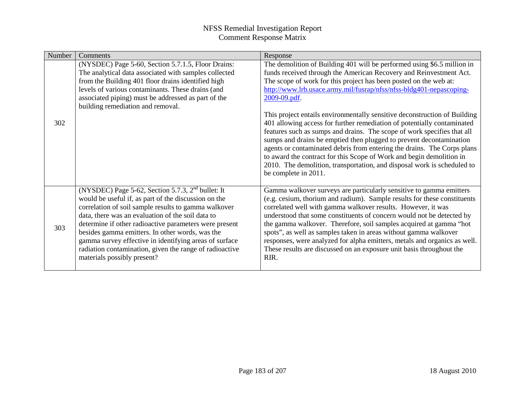| Number | Comments                                                                                                                                                                                                                                                                                                                                                                                                                                                                                  | Response                                                                                                                                                                                                                                                                                                                                                                                                                                                                                                                                                                                        |
|--------|-------------------------------------------------------------------------------------------------------------------------------------------------------------------------------------------------------------------------------------------------------------------------------------------------------------------------------------------------------------------------------------------------------------------------------------------------------------------------------------------|-------------------------------------------------------------------------------------------------------------------------------------------------------------------------------------------------------------------------------------------------------------------------------------------------------------------------------------------------------------------------------------------------------------------------------------------------------------------------------------------------------------------------------------------------------------------------------------------------|
|        | (NYSDEC) Page 5-60, Section 5.7.1.5, Floor Drains:<br>The analytical data associated with samples collected<br>from the Building 401 floor drains identified high<br>levels of various contaminants. These drains (and<br>associated piping) must be addressed as part of the<br>building remediation and removal.                                                                                                                                                                        | The demolition of Building 401 will be performed using \$6.5 million in<br>funds received through the American Recovery and Reinvestment Act.<br>The scope of work for this project has been posted on the web at:<br>http://www.lrb.usace.army.mil/fusrap/nfss/nfss-bldg401-nepascoping-<br>$2009 - 09.$ pdf.                                                                                                                                                                                                                                                                                  |
| 302    |                                                                                                                                                                                                                                                                                                                                                                                                                                                                                           | This project entails environmentally sensitive deconstruction of Building<br>401 allowing access for further remediation of potentially contaminated<br>features such as sumps and drains. The scope of work specifies that all<br>sumps and drains be emptied then plugged to prevent decontamination<br>agents or contaminated debris from entering the drains. The Corps plans<br>to award the contract for this Scope of Work and begin demolition in<br>2010. The demolition, transportation, and disposal work is scheduled to<br>be complete in 2011.                                    |
| 303    | (NYSDEC) Page 5-62, Section 5.7.3, $2nd$ bullet: It<br>would be useful if, as part of the discussion on the<br>correlation of soil sample results to gamma walkover<br>data, there was an evaluation of the soil data to<br>determine if other radioactive parameters were present<br>besides gamma emitters. In other words, was the<br>gamma survey effective in identifying areas of surface<br>radiation contamination, given the range of radioactive<br>materials possibly present? | Gamma walkover surveys are particularly sensitive to gamma emitters<br>(e.g. cesium, thorium and radium). Sample results for these constituents<br>correlated well with gamma walkover results. However, it was<br>understood that some constituents of concern would not be detected by<br>the gamma walkover. Therefore, soil samples acquired at gamma "hot<br>spots", as well as samples taken in areas without gamma walkover<br>responses, were analyzed for alpha emitters, metals and organics as well.<br>These results are discussed on an exposure unit basis throughout the<br>RIR. |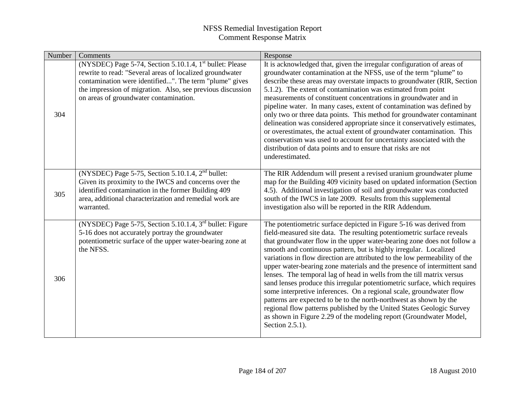| Number | Comments                                                                                                                                                                                                                                                                                           | Response                                                                                                                                                                                                                                                                                                                                                                                                                                                                                                                                                                                                                                                                                                                                                                                                                                                                                                                     |
|--------|----------------------------------------------------------------------------------------------------------------------------------------------------------------------------------------------------------------------------------------------------------------------------------------------------|------------------------------------------------------------------------------------------------------------------------------------------------------------------------------------------------------------------------------------------------------------------------------------------------------------------------------------------------------------------------------------------------------------------------------------------------------------------------------------------------------------------------------------------------------------------------------------------------------------------------------------------------------------------------------------------------------------------------------------------------------------------------------------------------------------------------------------------------------------------------------------------------------------------------------|
| 304    | (NYSDEC) Page 5-74, Section 5.10.1.4, 1 <sup>st</sup> bullet: Please<br>rewrite to read: "Several areas of localized groundwater<br>contamination were identified". The term "plume" gives<br>the impression of migration. Also, see previous discussion<br>on areas of groundwater contamination. | It is acknowledged that, given the irregular configuration of areas of<br>groundwater contamination at the NFSS, use of the term "plume" to<br>describe these areas may overstate impacts to groundwater (RIR, Section<br>5.1.2). The extent of contamination was estimated from point<br>measurements of constituent concentrations in groundwater and in<br>pipeline water. In many cases, extent of contamination was defined by<br>only two or three data points. This method for groundwater contaminant<br>delineation was considered appropriate since it conservatively estimates,<br>or overestimates, the actual extent of groundwater contamination. This<br>conservatism was used to account for uncertainty associated with the<br>distribution of data points and to ensure that risks are not<br>underestimated.                                                                                              |
| 305    | (NYSDEC) Page 5-75, Section 5.10.1.4, 2 <sup>nd</sup> bullet:<br>Given its proximity to the IWCS and concerns over the<br>identified contamination in the former Building 409<br>area, additional characterization and remedial work are<br>warranted.                                             | The RIR Addendum will present a revised uranium groundwater plume<br>map for the Building 409 vicinity based on updated information (Section<br>4.5). Additional investigation of soil and groundwater was conducted<br>south of the IWCS in late 2009. Results from this supplemental<br>investigation also will be reported in the RIR Addendum.                                                                                                                                                                                                                                                                                                                                                                                                                                                                                                                                                                           |
| 306    | (NYSDEC) Page 5-75, Section 5.10.1.4, $3rd$ bullet: Figure<br>5-16 does not accurately portray the groundwater<br>potentiometric surface of the upper water-bearing zone at<br>the NFSS.                                                                                                           | The potentiometric surface depicted in Figure 5-16 was derived from<br>field-measured site data. The resulting potentiometric surface reveals<br>that groundwater flow in the upper water-bearing zone does not follow a<br>smooth and continuous pattern, but is highly irregular. Localized<br>variations in flow direction are attributed to the low permeability of the<br>upper water-bearing zone materials and the presence of intermittent sand<br>lenses. The temporal lag of head in wells from the till matrix versus<br>sand lenses produce this irregular potentiometric surface, which requires<br>some interpretive inferences. On a regional scale, groundwater flow<br>patterns are expected to be to the north-northwest as shown by the<br>regional flow patterns published by the United States Geologic Survey<br>as shown in Figure 2.29 of the modeling report (Groundwater Model,<br>Section 2.5.1). |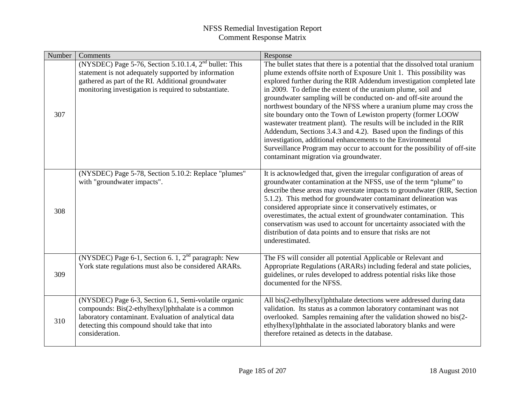| Number | Comments                                                                                                                                                                                                                               | Response                                                                                                                                                                                                                                                                                                                                                                                                                                                                                                                                                                                                                                                                                                                                                                                                                                       |
|--------|----------------------------------------------------------------------------------------------------------------------------------------------------------------------------------------------------------------------------------------|------------------------------------------------------------------------------------------------------------------------------------------------------------------------------------------------------------------------------------------------------------------------------------------------------------------------------------------------------------------------------------------------------------------------------------------------------------------------------------------------------------------------------------------------------------------------------------------------------------------------------------------------------------------------------------------------------------------------------------------------------------------------------------------------------------------------------------------------|
| 307    | (NYSDEC) Page 5-76, Section 5.10.1.4, $2nd$ bullet: This<br>statement is not adequately supported by information<br>gathered as part of the RI. Additional groundwater<br>monitoring investigation is required to substantiate.        | The bullet states that there is a potential that the dissolved total uranium<br>plume extends offsite north of Exposure Unit 1. This possibility was<br>explored further during the RIR Addendum investigation completed late<br>in 2009. To define the extent of the uranium plume, soil and<br>groundwater sampling will be conducted on- and off-site around the<br>northwest boundary of the NFSS where a uranium plume may cross the<br>site boundary onto the Town of Lewiston property (former LOOW<br>wastewater treatment plant). The results will be included in the RIR<br>Addendum, Sections 3.4.3 and 4.2). Based upon the findings of this<br>investigation, additional enhancements to the Environmental<br>Surveillance Program may occur to account for the possibility of off-site<br>contaminant migration via groundwater. |
| 308    | (NYSDEC) Page 5-78, Section 5.10.2: Replace "plumes"<br>with "groundwater impacts".                                                                                                                                                    | It is acknowledged that, given the irregular configuration of areas of<br>groundwater contamination at the NFSS, use of the term "plume" to<br>describe these areas may overstate impacts to groundwater (RIR, Section<br>5.1.2). This method for groundwater contaminant delineation was<br>considered appropriate since it conservatively estimates, or<br>overestimates, the actual extent of groundwater contamination. This<br>conservatism was used to account for uncertainty associated with the<br>distribution of data points and to ensure that risks are not<br>underestimated.                                                                                                                                                                                                                                                    |
| 309    | (NYSDEC) Page 6-1, Section 6. 1, $2nd$ paragraph: New<br>York state regulations must also be considered ARARs.                                                                                                                         | The FS will consider all potential Applicable or Relevant and<br>Appropriate Regulations (ARARs) including federal and state policies,<br>guidelines, or rules developed to address potential risks like those<br>documented for the NFSS.                                                                                                                                                                                                                                                                                                                                                                                                                                                                                                                                                                                                     |
| 310    | (NYSDEC) Page 6-3, Section 6.1, Semi-volatile organic<br>compounds: Bis(2-ethylhexyl)phthalate is a common<br>laboratory contaminant. Evaluation of analytical data<br>detecting this compound should take that into<br>consideration. | All bis(2-ethylhexyl)phthalate detections were addressed during data<br>validation. Its status as a common laboratory contaminant was not<br>overlooked. Samples remaining after the validation showed no bis(2-<br>ethylhexyl)phthalate in the associated laboratory blanks and were<br>therefore retained as detects in the database.                                                                                                                                                                                                                                                                                                                                                                                                                                                                                                        |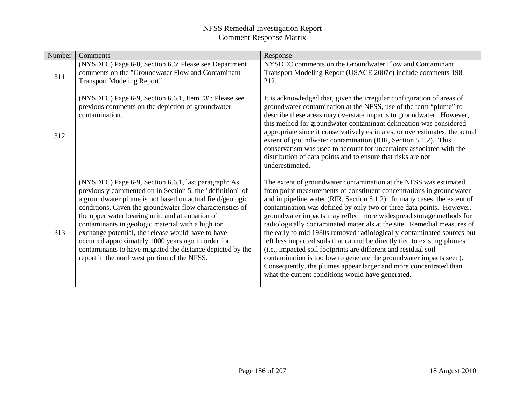| Number | Comments                                                                                                                                                                                                                                                                                                                                                                                                                                                                                                                                                                       | Response                                                                                                                                                                                                                                                                                                                                                                                                                                                                                                                                                                                                                                                                                                                                                                                                                                                                  |
|--------|--------------------------------------------------------------------------------------------------------------------------------------------------------------------------------------------------------------------------------------------------------------------------------------------------------------------------------------------------------------------------------------------------------------------------------------------------------------------------------------------------------------------------------------------------------------------------------|---------------------------------------------------------------------------------------------------------------------------------------------------------------------------------------------------------------------------------------------------------------------------------------------------------------------------------------------------------------------------------------------------------------------------------------------------------------------------------------------------------------------------------------------------------------------------------------------------------------------------------------------------------------------------------------------------------------------------------------------------------------------------------------------------------------------------------------------------------------------------|
| 311    | (NYSDEC) Page 6-8, Section 6.6: Please see Department<br>comments on the "Groundwater Flow and Contaminant<br>Transport Modeling Report".                                                                                                                                                                                                                                                                                                                                                                                                                                      | NYSDEC comments on the Groundwater Flow and Contaminant<br>Transport Modeling Report (USACE 2007c) include comments 198-<br>212.                                                                                                                                                                                                                                                                                                                                                                                                                                                                                                                                                                                                                                                                                                                                          |
| 312    | (NYSDEC) Page 6-9, Section 6.6.1, Item "3": Please see<br>previous comments on the depiction of groundwater<br>contamination.                                                                                                                                                                                                                                                                                                                                                                                                                                                  | It is acknowledged that, given the irregular configuration of areas of<br>groundwater contamination at the NFSS, use of the term "plume" to<br>describe these areas may overstate impacts to groundwater. However,<br>this method for groundwater contaminant delineation was considered<br>appropriate since it conservatively estimates, or overestimates, the actual<br>extent of groundwater contamination (RIR, Section 5.1.2). This<br>conservatism was used to account for uncertainty associated with the<br>distribution of data points and to ensure that risks are not<br>underestimated.                                                                                                                                                                                                                                                                      |
| 313    | (NYSDEC) Page 6-9, Section 6.6.1, last paragraph: As<br>previously commented on in Section 5, the "definition" of<br>a groundwater plume is not based on actual field/geologic<br>conditions. Given the groundwater flow characteristics of<br>the upper water bearing unit, and attenuation of<br>contaminants in geologic material with a high ion<br>exchange potential, the release would have to have<br>occurred approximately 1000 years ago in order for<br>contaminants to have migrated the distance depicted by the<br>report in the northwest portion of the NFSS. | The extent of groundwater contamination at the NFSS was estimated<br>from point measurements of constituent concentrations in groundwater<br>and in pipeline water (RIR, Section 5.1.2). In many cases, the extent of<br>contamination was defined by only two or three data points. However,<br>groundwater impacts may reflect more widespread storage methods for<br>radiologically contaminated materials at the site. Remedial measures of<br>the early to mid 1980s removed radiologically-contaminated sources but<br>left less impacted soils that cannot be directly tied to existing plumes<br>(i.e., impacted soil footprints are different and residual soil<br>contamination is too low to generate the groundwater impacts seen).<br>Consequently, the plumes appear larger and more concentrated than<br>what the current conditions would have generated. |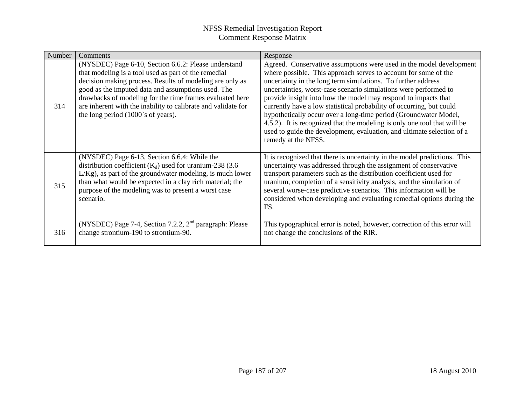| Number | Comments                                                                                                                                                                                                                                                                                                                                                                                          | Response                                                                                                                                                                                                                                                                                                                                                                                                                                                                                                                                                                                                                                                              |
|--------|---------------------------------------------------------------------------------------------------------------------------------------------------------------------------------------------------------------------------------------------------------------------------------------------------------------------------------------------------------------------------------------------------|-----------------------------------------------------------------------------------------------------------------------------------------------------------------------------------------------------------------------------------------------------------------------------------------------------------------------------------------------------------------------------------------------------------------------------------------------------------------------------------------------------------------------------------------------------------------------------------------------------------------------------------------------------------------------|
| 314    | (NYSDEC) Page 6-10, Section 6.6.2: Please understand<br>that modeling is a tool used as part of the remedial<br>decision making process. Results of modeling are only as<br>good as the imputed data and assumptions used. The<br>drawbacks of modeling for the time frames evaluated here<br>are inherent with the inability to calibrate and validate for<br>the long period (1000's of years). | Agreed. Conservative assumptions were used in the model development<br>where possible. This approach serves to account for some of the<br>uncertainty in the long term simulations. To further address<br>uncertainties, worst-case scenario simulations were performed to<br>provide insight into how the model may respond to impacts that<br>currently have a low statistical probability of occurring, but could<br>hypothetically occur over a long-time period (Groundwater Model,<br>4.5.2). It is recognized that the modeling is only one tool that will be<br>used to guide the development, evaluation, and ultimate selection of a<br>remedy at the NFSS. |
| 315    | (NYSDEC) Page 6-13, Section 6.6.4: While the<br>distribution coefficient $(K_d)$ used for uranium-238 (3.6)<br>$L/Kg$ , as part of the groundwater modeling, is much lower<br>than what would be expected in a clay rich material; the<br>purpose of the modeling was to present a worst case<br>scenario.                                                                                        | It is recognized that there is uncertainty in the model predictions. This<br>uncertainty was addressed through the assignment of conservative<br>transport parameters such as the distribution coefficient used for<br>uranium, completion of a sensitivity analysis, and the simulation of<br>several worse-case predictive scenarios. This information will be<br>considered when developing and evaluating remedial options during the<br>FS.                                                                                                                                                                                                                      |
| 316    | (NYSDEC) Page 7-4, Section 7.2.2, 2 <sup>nd</sup> paragraph: Please<br>change strontium-190 to strontium-90.                                                                                                                                                                                                                                                                                      | This typographical error is noted, however, correction of this error will<br>not change the conclusions of the RIR.                                                                                                                                                                                                                                                                                                                                                                                                                                                                                                                                                   |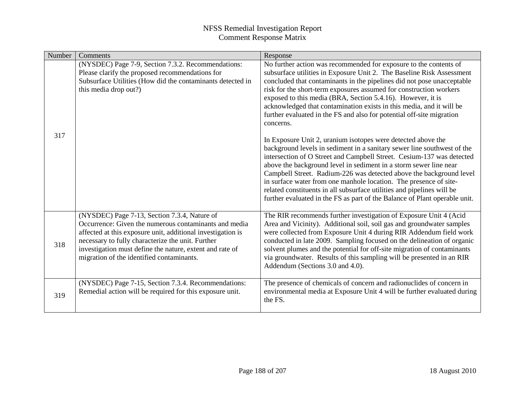| Number | Comments                                                                                                                                                                                                                                                                                                                           | Response                                                                                                                                                                                                                                                                                                                                                                                                                                                                                                                                                                                  |
|--------|------------------------------------------------------------------------------------------------------------------------------------------------------------------------------------------------------------------------------------------------------------------------------------------------------------------------------------|-------------------------------------------------------------------------------------------------------------------------------------------------------------------------------------------------------------------------------------------------------------------------------------------------------------------------------------------------------------------------------------------------------------------------------------------------------------------------------------------------------------------------------------------------------------------------------------------|
| 317    | (NYSDEC) Page 7-9, Section 7.3.2. Recommendations:<br>Please clarify the proposed recommendations for<br>Subsurface Utilities (How did the contaminants detected in<br>this media drop out?)                                                                                                                                       | No further action was recommended for exposure to the contents of<br>subsurface utilities in Exposure Unit 2. The Baseline Risk Assessment<br>concluded that contaminants in the pipelines did not pose unacceptable<br>risk for the short-term exposures assumed for construction workers<br>exposed to this media (BRA, Section 5.4.16). However, it is<br>acknowledged that contamination exists in this media, and it will be<br>further evaluated in the FS and also for potential off-site migration<br>concerns.                                                                   |
|        |                                                                                                                                                                                                                                                                                                                                    | In Exposure Unit 2, uranium isotopes were detected above the<br>background levels in sediment in a sanitary sewer line southwest of the<br>intersection of O Street and Campbell Street. Cesium-137 was detected<br>above the background level in sediment in a storm sewer line near<br>Campbell Street. Radium-226 was detected above the background level<br>in surface water from one manhole location. The presence of site-<br>related constituents in all subsurface utilities and pipelines will be<br>further evaluated in the FS as part of the Balance of Plant operable unit. |
| 318    | (NYSDEC) Page 7-13, Section 7.3.4, Nature of<br>Occurrence: Given the numerous contaminants and media<br>affected at this exposure unit, additional investigation is<br>necessary to fully characterize the unit. Further<br>investigation must define the nature, extent and rate of<br>migration of the identified contaminants. | The RIR recommends further investigation of Exposure Unit 4 (Acid<br>Area and Vicinity). Additional soil, soil gas and groundwater samples<br>were collected from Exposure Unit 4 during RIR Addendum field work<br>conducted in late 2009. Sampling focused on the delineation of organic<br>solvent plumes and the potential for off-site migration of contaminants<br>via groundwater. Results of this sampling will be presented in an RIR<br>Addendum (Sections 3.0 and 4.0).                                                                                                        |
| 319    | (NYSDEC) Page 7-15, Section 7.3.4. Recommendations:<br>Remedial action will be required for this exposure unit.                                                                                                                                                                                                                    | The presence of chemicals of concern and radionuclides of concern in<br>environmental media at Exposure Unit 4 will be further evaluated during<br>the FS.                                                                                                                                                                                                                                                                                                                                                                                                                                |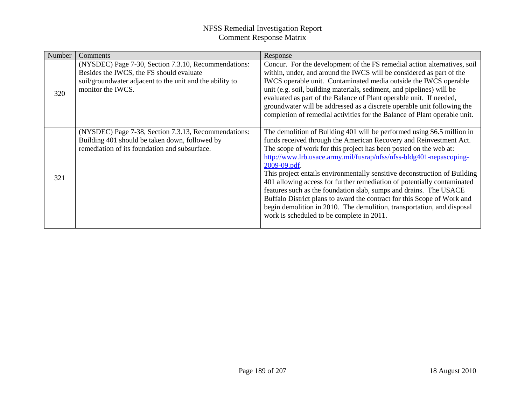| Number | Comments                                                                                                                                                                          | Response                                                                                                                                                                                                                                                                                                                                                                                                                                                                                                                                                                                                                                                                                                                                 |
|--------|-----------------------------------------------------------------------------------------------------------------------------------------------------------------------------------|------------------------------------------------------------------------------------------------------------------------------------------------------------------------------------------------------------------------------------------------------------------------------------------------------------------------------------------------------------------------------------------------------------------------------------------------------------------------------------------------------------------------------------------------------------------------------------------------------------------------------------------------------------------------------------------------------------------------------------------|
| 320    | (NYSDEC) Page 7-30, Section 7.3.10, Recommendations:<br>Besides the IWCS, the FS should evaluate<br>soil/groundwater adjacent to the unit and the ability to<br>monitor the IWCS. | Concur. For the development of the FS remedial action alternatives, soil<br>within, under, and around the IWCS will be considered as part of the<br>IWCS operable unit. Contaminated media outside the IWCS operable<br>unit (e.g. soil, building materials, sediment, and pipelines) will be<br>evaluated as part of the Balance of Plant operable unit. If needed,<br>groundwater will be addressed as a discrete operable unit following the<br>completion of remedial activities for the Balance of Plant operable unit.                                                                                                                                                                                                             |
| 321    | (NYSDEC) Page 7-38, Section 7.3.13, Recommendations:<br>Building 401 should be taken down, followed by<br>remediation of its foundation and subsurface.                           | The demolition of Building 401 will be performed using \$6.5 million in<br>funds received through the American Recovery and Reinvestment Act.<br>The scope of work for this project has been posted on the web at:<br>http://www.lrb.usace.army.mil/fusrap/nfss/nfss-bldg401-nepascoping-<br>2009-09.pdf.<br>This project entails environmentally sensitive deconstruction of Building<br>401 allowing access for further remediation of potentially contaminated<br>features such as the foundation slab, sumps and drains. The USACE<br>Buffalo District plans to award the contract for this Scope of Work and<br>begin demolition in 2010. The demolition, transportation, and disposal<br>work is scheduled to be complete in 2011. |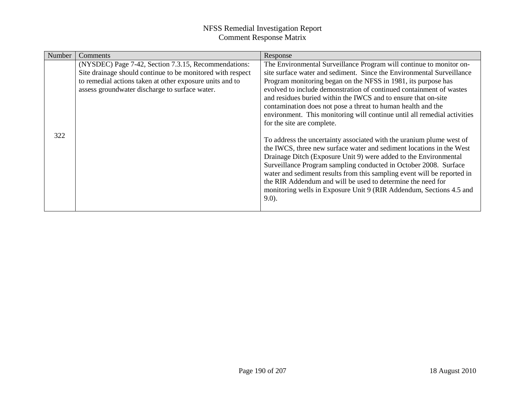| Number<br>Comments<br>Response                                                                                                                                                                                                                                                                                                                                                                                                                                                                                                                                                                                                                                                                                                                                                                                                                                                                                                                                                                                                                                                                                                                                                                                                                                                                   |  |
|--------------------------------------------------------------------------------------------------------------------------------------------------------------------------------------------------------------------------------------------------------------------------------------------------------------------------------------------------------------------------------------------------------------------------------------------------------------------------------------------------------------------------------------------------------------------------------------------------------------------------------------------------------------------------------------------------------------------------------------------------------------------------------------------------------------------------------------------------------------------------------------------------------------------------------------------------------------------------------------------------------------------------------------------------------------------------------------------------------------------------------------------------------------------------------------------------------------------------------------------------------------------------------------------------|--|
| (NYSDEC) Page 7-42, Section 7.3.15, Recommendations:<br>The Environmental Surveillance Program will continue to monitor on-<br>site surface water and sediment. Since the Environmental Surveillance<br>Site drainage should continue to be monitored with respect<br>to remedial actions taken at other exposure units and to<br>Program monitoring began on the NFSS in 1981, its purpose has<br>evolved to include demonstration of continued containment of wastes<br>assess groundwater discharge to surface water.<br>and residues buried within the IWCS and to ensure that on-site<br>contamination does not pose a threat to human health and the<br>environment. This monitoring will continue until all remedial activities<br>for the site are complete.<br>322<br>To address the uncertainty associated with the uranium plume west of<br>the IWCS, three new surface water and sediment locations in the West<br>Drainage Ditch (Exposure Unit 9) were added to the Environmental<br>Surveillance Program sampling conducted in October 2008. Surface<br>water and sediment results from this sampling event will be reported in<br>the RIR Addendum and will be used to determine the need for<br>monitoring wells in Exposure Unit 9 (RIR Addendum, Sections 4.5 and<br>$9.0$ ). |  |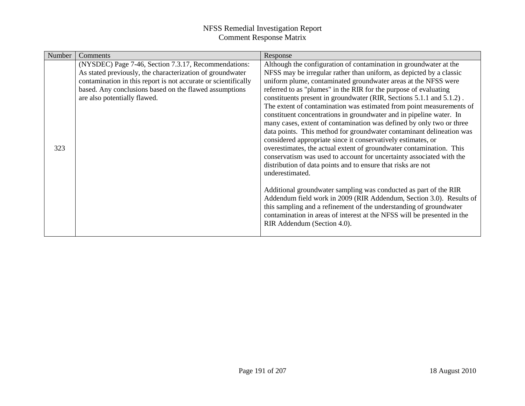| Number | Comments                                                                                                                                                                                                                                                                      | Response                                                                                                                                                                                                                                                                                                                                                                                                                                                                                                                                                                                                                                                                                                                                                                                                                                                                                                                                                                                                                                                                                                                                                                                                                                                                           |
|--------|-------------------------------------------------------------------------------------------------------------------------------------------------------------------------------------------------------------------------------------------------------------------------------|------------------------------------------------------------------------------------------------------------------------------------------------------------------------------------------------------------------------------------------------------------------------------------------------------------------------------------------------------------------------------------------------------------------------------------------------------------------------------------------------------------------------------------------------------------------------------------------------------------------------------------------------------------------------------------------------------------------------------------------------------------------------------------------------------------------------------------------------------------------------------------------------------------------------------------------------------------------------------------------------------------------------------------------------------------------------------------------------------------------------------------------------------------------------------------------------------------------------------------------------------------------------------------|
| 323    | (NYSDEC) Page 7-46, Section 7.3.17, Recommendations:<br>As stated previously, the characterization of groundwater<br>contamination in this report is not accurate or scientifically<br>based. Any conclusions based on the flawed assumptions<br>are also potentially flawed. | Although the configuration of contamination in groundwater at the<br>NFSS may be irregular rather than uniform, as depicted by a classic<br>uniform plume, contaminated groundwater areas at the NFSS were<br>referred to as "plumes" in the RIR for the purpose of evaluating<br>constituents present in groundwater (RIR, Sections 5.1.1 and 5.1.2).<br>The extent of contamination was estimated from point measurements of<br>constituent concentrations in groundwater and in pipeline water. In<br>many cases, extent of contamination was defined by only two or three<br>data points. This method for groundwater contaminant delineation was<br>considered appropriate since it conservatively estimates, or<br>overestimates, the actual extent of groundwater contamination. This<br>conservatism was used to account for uncertainty associated with the<br>distribution of data points and to ensure that risks are not<br>underestimated.<br>Additional groundwater sampling was conducted as part of the RIR<br>Addendum field work in 2009 (RIR Addendum, Section 3.0). Results of<br>this sampling and a refinement of the understanding of groundwater<br>contamination in areas of interest at the NFSS will be presented in the<br>RIR Addendum (Section 4.0). |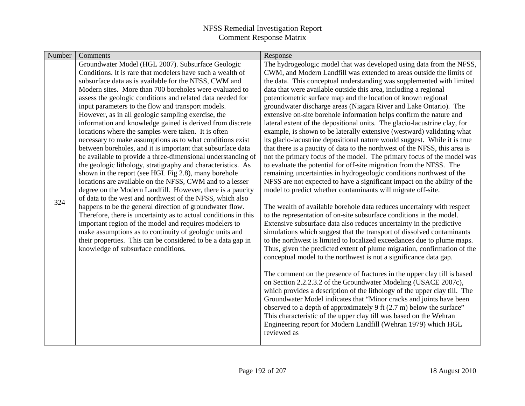| Number | Comments                                                                                                             | Response                                                                                                                                    |
|--------|----------------------------------------------------------------------------------------------------------------------|---------------------------------------------------------------------------------------------------------------------------------------------|
|        | Groundwater Model (HGL 2007). Subsurface Geologic                                                                    | The hydrogeologic model that was developed using data from the NFSS,                                                                        |
|        | Conditions. It is rare that modelers have such a wealth of                                                           | CWM, and Modern Landfill was extended to areas outside the limits of                                                                        |
|        | subsurface data as is available for the NFSS, CWM and                                                                | the data. This conceptual understanding was supplemented with limited                                                                       |
|        | Modern sites. More than 700 boreholes were evaluated to                                                              | data that were available outside this area, including a regional                                                                            |
|        | assess the geologic conditions and related data needed for                                                           | potentiometric surface map and the location of known regional                                                                               |
|        | input parameters to the flow and transport models.                                                                   | groundwater discharge areas (Niagara River and Lake Ontario). The                                                                           |
|        | However, as in all geologic sampling exercise, the                                                                   | extensive on-site borehole information helps confirm the nature and                                                                         |
|        | information and knowledge gained is derived from discrete                                                            | lateral extent of the depositional units. The glacio-lacustrine clay, for                                                                   |
|        | locations where the samples were taken. It is often                                                                  | example, is shown to be laterally extensive (westward) validating what                                                                      |
|        | necessary to make assumptions as to what conditions exist                                                            | its glacio-lacustrine depositional nature would suggest. While it is true                                                                   |
|        | between boreholes, and it is important that subsurface data                                                          | that there is a paucity of data to the northwest of the NFSS, this area is                                                                  |
|        | be available to provide a three-dimensional understanding of                                                         | not the primary focus of the model. The primary focus of the model was                                                                      |
|        | the geologic lithology, stratigraphy and characteristics. As<br>shown in the report (see HGL Fig 2.8), many borehole | to evaluate the potential for off-site migration from the NFSS. The<br>remaining uncertainties in hydrogeologic conditions northwest of the |
|        | locations are available on the NFSS, CWM and to a lesser                                                             | NFSS are not expected to have a significant impact on the ability of the                                                                    |
|        | degree on the Modern Landfill. However, there is a paucity                                                           | model to predict whether contaminants will migrate off-site.                                                                                |
|        | of data to the west and northwest of the NFSS, which also                                                            |                                                                                                                                             |
| 324    | happens to be the general direction of groundwater flow.                                                             | The wealth of available borehole data reduces uncertainty with respect                                                                      |
|        | Therefore, there is uncertainty as to actual conditions in this                                                      | to the representation of on-site subsurface conditions in the model.                                                                        |
|        | important region of the model and requires modelers to                                                               | Extensive subsurface data also reduces uncertainty in the predictive                                                                        |
|        | make assumptions as to continuity of geologic units and                                                              | simulations which suggest that the transport of dissolved contaminants                                                                      |
|        | their properties. This can be considered to be a data gap in                                                         | to the northwest is limited to localized exceedances due to plume maps.                                                                     |
|        | knowledge of subsurface conditions.                                                                                  | Thus, given the predicted extent of plume migration, confirmation of the                                                                    |
|        |                                                                                                                      | conceptual model to the northwest is not a significance data gap.                                                                           |
|        |                                                                                                                      |                                                                                                                                             |
|        |                                                                                                                      | The comment on the presence of fractures in the upper clay till is based                                                                    |
|        |                                                                                                                      | on Section 2.2.2.3.2 of the Groundwater Modeling (USACE 2007c),                                                                             |
|        |                                                                                                                      | which provides a description of the lithology of the upper clay till. The                                                                   |
|        |                                                                                                                      | Groundwater Model indicates that "Minor cracks and joints have been<br>observed to a depth of approximately 9 ft (2.7 m) below the surface" |
|        |                                                                                                                      | This characteristic of the upper clay till was based on the Wehran                                                                          |
|        |                                                                                                                      | Engineering report for Modern Landfill (Wehran 1979) which HGL                                                                              |
|        |                                                                                                                      | reviewed as                                                                                                                                 |
|        |                                                                                                                      |                                                                                                                                             |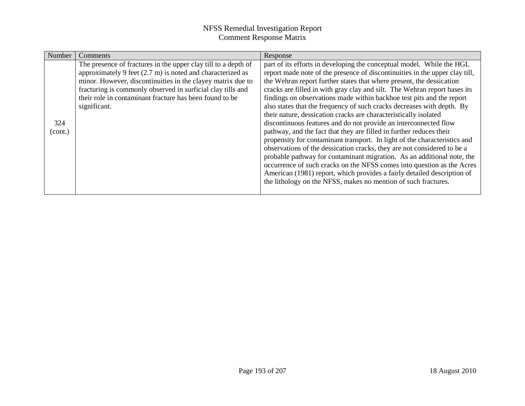| Number         | Comments                                                                                                                                                                                                                                                                                                                              | Response                                                                                                                                                                                                                                                                                                                                                                                                                                                                                                                                                                                                                                                                                                                                                                                                                                                                                                                                                                                                                                                                                                                             |
|----------------|---------------------------------------------------------------------------------------------------------------------------------------------------------------------------------------------------------------------------------------------------------------------------------------------------------------------------------------|--------------------------------------------------------------------------------------------------------------------------------------------------------------------------------------------------------------------------------------------------------------------------------------------------------------------------------------------------------------------------------------------------------------------------------------------------------------------------------------------------------------------------------------------------------------------------------------------------------------------------------------------------------------------------------------------------------------------------------------------------------------------------------------------------------------------------------------------------------------------------------------------------------------------------------------------------------------------------------------------------------------------------------------------------------------------------------------------------------------------------------------|
| 324<br>(cont.) | The presence of fractures in the upper clay till to a depth of<br>approximately 9 feet (2.7 m) is noted and characterized as<br>minor. However, discontinuities in the clayey matrix due to<br>fracturing is commonly observed in surficial clay tills and<br>their role in contaminant fracture has been found to be<br>significant. | part of its efforts in developing the conceptual model. While the HGL<br>report made note of the presence of discontinuities in the upper clay till,<br>the Wehran report further states that where present, the dessication<br>cracks are filled in with gray clay and silt. The Wehran report bases its<br>findings on observations made within backhoe test pits and the report<br>also states that the frequency of such cracks decreases with depth. By<br>their nature, dessication cracks are characteristically isolated<br>discontinuous features and do not provide an interconnected flow<br>pathway, and the fact that they are filled in further reduces their<br>propensity for contaminant transport. In light of the characteristics and<br>observations of the dessication cracks, they are not considered to be a<br>probable pathway for contaminant migration. As an additional note, the<br>occurrence of such cracks on the NFSS comes into question as the Acres<br>American (1981) report, which provides a fairly detailed description of<br>the lithology on the NFSS, makes no mention of such fractures. |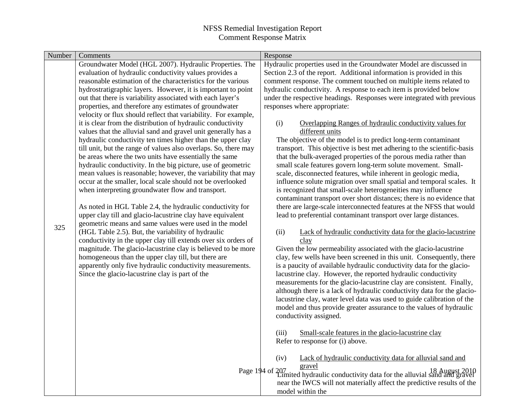| Number | Comments                                                                                                                | Response                                                                                                                                      |
|--------|-------------------------------------------------------------------------------------------------------------------------|-----------------------------------------------------------------------------------------------------------------------------------------------|
|        | Groundwater Model (HGL 2007). Hydraulic Properties. The                                                                 | Hydraulic properties used in the Groundwater Model are discussed in                                                                           |
|        | evaluation of hydraulic conductivity values provides a                                                                  | Section 2.3 of the report. Additional information is provided in this                                                                         |
|        | reasonable estimation of the characteristics for the various                                                            | comment response. The comment touched on multiple items related to                                                                            |
|        | hydrostratigraphic layers. However, it is important to point                                                            | hydraulic conductivity. A response to each item is provided below                                                                             |
|        | out that there is variability associated with each layer's                                                              | under the respective headings. Responses were integrated with previous                                                                        |
|        | properties, and therefore any estimates of groundwater                                                                  | responses where appropriate:                                                                                                                  |
|        | velocity or flux should reflect that variability. For example,                                                          |                                                                                                                                               |
|        | it is clear from the distribution of hydraulic conductivity                                                             | (i)<br>Overlapping Ranges of hydraulic conductivity values for                                                                                |
|        | values that the alluvial sand and gravel unit generally has a                                                           | different units                                                                                                                               |
|        | hydraulic conductivity ten times higher than the upper clay                                                             | The objective of the model is to predict long-term contaminant                                                                                |
|        | till unit, but the range of values also overlaps. So, there may                                                         | transport. This objective is best met adhering to the scientific-basis                                                                        |
|        | be areas where the two units have essentially the same                                                                  | that the bulk-averaged properties of the porous media rather than                                                                             |
|        | hydraulic conductivity. In the big picture, use of geometric                                                            | small scale features govern long-term solute movement. Small-                                                                                 |
|        | mean values is reasonable; however, the variability that may                                                            | scale, disconnected features, while inherent in geologic media,                                                                               |
|        | occur at the smaller, local scale should not be overlooked                                                              | influence solute migration over small spatial and temporal scales. It                                                                         |
|        | when interpreting groundwater flow and transport.                                                                       | is recognized that small-scale heterogeneities may influence                                                                                  |
|        |                                                                                                                         | contaminant transport over short distances; there is no evidence that<br>there are large-scale interconnected features at the NFSS that would |
|        | As noted in HGL Table 2.4, the hydraulic conductivity for<br>upper clay till and glacio-lacustrine clay have equivalent | lead to preferential contaminant transport over large distances.                                                                              |
|        | geometric means and same values were used in the model                                                                  |                                                                                                                                               |
| 325    | (HGL Table 2.5). But, the variability of hydraulic                                                                      | Lack of hydraulic conductivity data for the glacio-lacustrine<br>(ii)                                                                         |
|        | conductivity in the upper clay till extends over six orders of                                                          | clay                                                                                                                                          |
|        | magnitude. The glacio-lacustrine clay is believed to be more                                                            | Given the low permeability associated with the glacio-lacustrine                                                                              |
|        | homogeneous than the upper clay till, but there are                                                                     | clay, few wells have been screened in this unit. Consequently, there                                                                          |
|        | apparently only five hydraulic conductivity measurements.                                                               | is a paucity of available hydraulic conductivity data for the glacio-                                                                         |
|        | Since the glacio-lacustrine clay is part of the                                                                         | lacustrine clay. However, the reported hydraulic conductivity                                                                                 |
|        |                                                                                                                         | measurements for the glacio-lacustrine clay are consistent. Finally,                                                                          |
|        |                                                                                                                         | although there is a lack of hydraulic conductivity data for the glacio-                                                                       |
|        |                                                                                                                         | lacustrine clay, water level data was used to guide calibration of the                                                                        |
|        |                                                                                                                         | model and thus provide greater assurance to the values of hydraulic                                                                           |
|        |                                                                                                                         | conductivity assigned.                                                                                                                        |
|        |                                                                                                                         |                                                                                                                                               |
|        |                                                                                                                         | Small-scale features in the glacio-lacustrine clay<br>(iii)                                                                                   |
|        |                                                                                                                         | Refer to response for (i) above.                                                                                                              |
|        |                                                                                                                         | Lack of hydraulic conductivity data for alluvial sand and<br>(iv)                                                                             |
|        |                                                                                                                         | gravel                                                                                                                                        |
|        |                                                                                                                         | Page 194 of 207 stated hydraulic conductivity data for the alluvial sand and gravel                                                           |
|        |                                                                                                                         | near the IWCS will not materially affect the predictive results of the                                                                        |
|        |                                                                                                                         | model within the                                                                                                                              |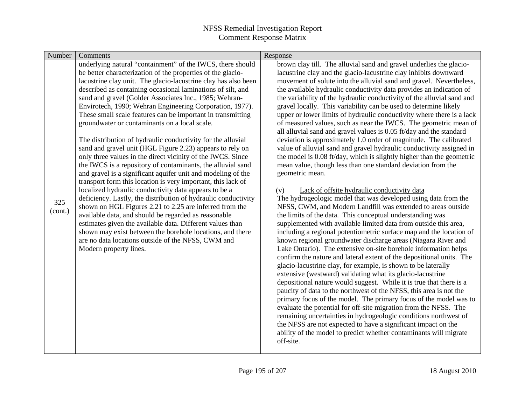| Number         | Comments                                                                                                                                                                                                                                                                                                                                                                                                                                                                                                                                                                                                                                                                                                                                                                                                                                                                                                                                                                                                                                                                                                                                                                                                                                                                                                                                           | Response                                                                                                                                                                                                                                                                                                                                                                                                                                                                                                                                                                                                                                                                                                                                                                                                                                                                                                                                                                                                                                                                                                                                                                                                                                                                                                                                                                                                                                                                                                                                                                                                                                                                                                                                                                                                                                                                                                                                                                                                                                                                                                                                                                                                                 |
|----------------|----------------------------------------------------------------------------------------------------------------------------------------------------------------------------------------------------------------------------------------------------------------------------------------------------------------------------------------------------------------------------------------------------------------------------------------------------------------------------------------------------------------------------------------------------------------------------------------------------------------------------------------------------------------------------------------------------------------------------------------------------------------------------------------------------------------------------------------------------------------------------------------------------------------------------------------------------------------------------------------------------------------------------------------------------------------------------------------------------------------------------------------------------------------------------------------------------------------------------------------------------------------------------------------------------------------------------------------------------|--------------------------------------------------------------------------------------------------------------------------------------------------------------------------------------------------------------------------------------------------------------------------------------------------------------------------------------------------------------------------------------------------------------------------------------------------------------------------------------------------------------------------------------------------------------------------------------------------------------------------------------------------------------------------------------------------------------------------------------------------------------------------------------------------------------------------------------------------------------------------------------------------------------------------------------------------------------------------------------------------------------------------------------------------------------------------------------------------------------------------------------------------------------------------------------------------------------------------------------------------------------------------------------------------------------------------------------------------------------------------------------------------------------------------------------------------------------------------------------------------------------------------------------------------------------------------------------------------------------------------------------------------------------------------------------------------------------------------------------------------------------------------------------------------------------------------------------------------------------------------------------------------------------------------------------------------------------------------------------------------------------------------------------------------------------------------------------------------------------------------------------------------------------------------------------------------------------------------|
| 325<br>(cont.) | underlying natural "containment" of the IWCS, there should<br>be better characterization of the properties of the glacio-<br>lacustrine clay unit. The glacio-lacustrine clay has also been<br>described as containing occasional laminations of silt, and<br>sand and gravel (Golder Associates Inc., 1985; Wehran-<br>Envirotech, 1990; Wehran Engineering Corporation, 1977).<br>These small scale features can be important in transmitting<br>groundwater or contaminants on a local scale.<br>The distribution of hydraulic conductivity for the alluvial<br>sand and gravel unit (HGL Figure 2.23) appears to rely on<br>only three values in the direct vicinity of the IWCS. Since<br>the IWCS is a repository of contaminants, the alluvial sand<br>and gravel is a significant aquifer unit and modeling of the<br>transport form this location is very important, this lack of<br>localized hydraulic conductivity data appears to be a<br>deficiency. Lastly, the distribution of hydraulic conductivity<br>shown on HGL Figures 2.21 to 2.25 are inferred from the<br>available data, and should be regarded as reasonable<br>estimates given the available data. Different values than<br>shown may exist between the borehole locations, and there<br>are no data locations outside of the NFSS, CWM and<br>Modern property lines. | brown clay till. The alluvial sand and gravel underlies the glacio-<br>lacustrine clay and the glacio-lacustrine clay inhibits downward<br>movement of solute into the alluvial sand and gravel. Nevertheless,<br>the available hydraulic conductivity data provides an indication of<br>the variability of the hydraulic conductivity of the alluvial sand and<br>gravel locally. This variability can be used to determine likely<br>upper or lower limits of hydraulic conductivity where there is a lack<br>of measured values, such as near the IWCS. The geometric mean of<br>all alluvial sand and gravel values is 0.05 ft/day and the standard<br>deviation is approximately 1.0 order of magnitude. The calibrated<br>value of alluvial sand and gravel hydraulic conductivity assigned in<br>the model is 0.08 ft/day, which is slightly higher than the geometric<br>mean value, though less than one standard deviation from the<br>geometric mean.<br>Lack of offsite hydraulic conductivity data<br>(v)<br>The hydrogeologic model that was developed using data from the<br>NFSS, CWM, and Modern Landfill was extended to areas outside<br>the limits of the data. This conceptual understanding was<br>supplemented with available limited data from outside this area,<br>including a regional potentiometric surface map and the location of<br>known regional groundwater discharge areas (Niagara River and<br>Lake Ontario). The extensive on-site borehole information helps<br>confirm the nature and lateral extent of the depositional units. The<br>glacio-lacustrine clay, for example, is shown to be laterally<br>extensive (westward) validating what its glacio-lacustrine<br>depositional nature would suggest. While it is true that there is a<br>paucity of data to the northwest of the NFSS, this area is not the<br>primary focus of the model. The primary focus of the model was to<br>evaluate the potential for off-site migration from the NFSS. The<br>remaining uncertainties in hydrogeologic conditions northwest of<br>the NFSS are not expected to have a significant impact on the<br>ability of the model to predict whether contaminants will migrate<br>off-site. |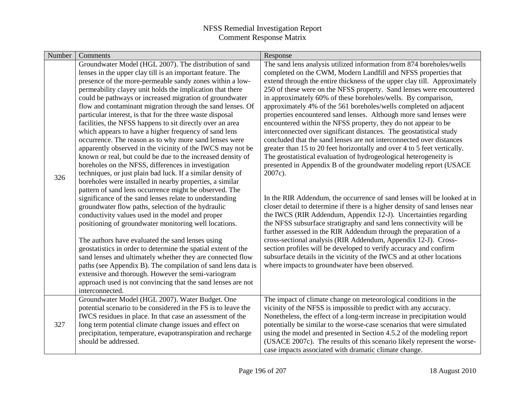| Number | Comments                                                                            | Response                                                                    |
|--------|-------------------------------------------------------------------------------------|-----------------------------------------------------------------------------|
|        | Groundwater Model (HGL 2007). The distribution of sand                              | The sand lens analysis utilized information from 874 boreholes/wells        |
|        | lenses in the upper clay till is an important feature. The                          | completed on the CWM, Modern Landfill and NFSS properties that              |
|        | presence of the more-permeable sandy zones within a low-                            | extend through the entire thickness of the upper clay till. Approximately   |
|        | permeability clayey unit holds the implication that there                           | 250 of these were on the NFSS property. Sand lenses were encountered        |
|        | could be pathways or increased migration of groundwater                             | in approximately 60% of these boreholes/wells. By comparison,               |
|        | flow and contaminant migration through the sand lenses. Of                          | approximately 4% of the 561 boreholes/wells completed on adjacent           |
|        | particular interest, is that for the three waste disposal                           | properties encountered sand lenses. Although more sand lenses were          |
|        | facilities, the NFSS happens to sit directly over an area                           | encountered within the NFSS property, they do not appear to be              |
|        | which appears to have a higher frequency of sand lens                               | interconnected over significant distances. The geostatistical study         |
|        | occurrence. The reason as to why more sand lenses were                              | concluded that the sand lenses are not interconnected over distances        |
|        | apparently observed in the vicinity of the IWCS may not be                          | greater than 15 to 20 feet horizontally and over 4 to 5 feet vertically.    |
|        | known or real, but could be due to the increased density of                         | The geostatistical evaluation of hydrogeological heterogeneity is           |
|        | boreholes on the NFSS, differences in investigation                                 | presented in Appendix B of the groundwater modeling report (USACE           |
| 326    | techniques, or just plain bad luck. If a similar density of                         | 2007c).                                                                     |
|        | boreholes were installed in nearby properties, a similar                            |                                                                             |
|        | pattern of sand lens occurrence might be observed. The                              |                                                                             |
|        | significance of the sand lenses relate to understanding                             | In the RIR Addendum, the occurrence of sand lenses will be looked at in     |
|        | groundwater flow paths, selection of the hydraulic                                  | closer detail to determine if there is a higher density of sand lenses near |
|        | conductivity values used in the model and proper                                    | the IWCS (RIR Addendum, Appendix 12-J). Uncertainties regarding             |
|        | positioning of groundwater monitoring well locations.                               | the NFSS subsurface stratigraphy and sand lens connectivity will be         |
|        |                                                                                     | further assessed in the RIR Addendum through the preparation of a           |
|        | The authors have evaluated the sand lenses using                                    | cross-sectional analysis (RIR Addendum, Appendix 12-J). Cross-              |
|        | geostatistics in order to determine the spatial extent of the                       | section profiles will be developed to verify accuracy and confirm           |
|        | sand lenses and ultimately whether they are connected flow                          | subsurface details in the vicinity of the IWCS and at other locations       |
|        | paths (see Appendix B). The compilation of sand lens data is                        | where impacts to groundwater have been observed.                            |
|        | extensive and thorough. However the semi-variogram                                  |                                                                             |
|        | approach used is not convincing that the sand lenses are not                        |                                                                             |
|        | interconnected.                                                                     |                                                                             |
|        | Groundwater Model (HGL 2007). Water Budget. One                                     | The impact of climate change on meteorological conditions in the            |
|        | potential scenario to be considered in the FS is to leave the                       | vicinity of the NFSS is impossible to predict with any accuracy.            |
|        | IWCS residues in place. In that case an assessment of the                           | Nonetheless, the effect of a long-term increase in precipitation would      |
| 327    | long term potential climate change issues and effect on                             | potentially be similar to the worse-case scenarios that were simulated      |
|        | precipitation, temperature, evapotranspiration and recharge<br>should be addressed. | using the model and presented in Section 4.5.2 of the modeling report       |
|        |                                                                                     | (USACE 2007c). The results of this scenario likely represent the worse-     |
|        |                                                                                     | case impacts associated with dramatic climate change.                       |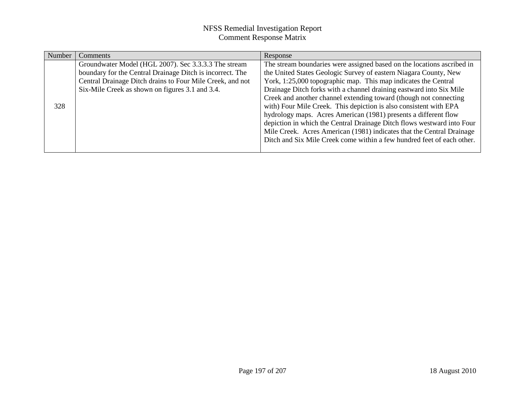| Number | <b>Comments</b>                                           | Response                                                               |
|--------|-----------------------------------------------------------|------------------------------------------------------------------------|
|        | Groundwater Model (HGL 2007). Sec 3.3.3.3 The stream      | The stream boundaries were assigned based on the locations ascribed in |
|        | boundary for the Central Drainage Ditch is incorrect. The | the United States Geologic Survey of eastern Niagara County, New       |
|        | Central Drainage Ditch drains to Four Mile Creek, and not | York, 1:25,000 topographic map. This map indicates the Central         |
|        | Six-Mile Creek as shown on figures 3.1 and 3.4.           | Drainage Ditch forks with a channel draining eastward into Six Mile    |
| 328    |                                                           | Creek and another channel extending toward (though not connecting      |
|        |                                                           | with) Four Mile Creek. This depiction is also consistent with EPA      |
|        |                                                           | hydrology maps. Acres American (1981) presents a different flow        |
|        |                                                           | depiction in which the Central Drainage Ditch flows westward into Four |
|        |                                                           | Mile Creek. Acres American (1981) indicates that the Central Drainage  |
|        |                                                           | Ditch and Six Mile Creek come within a few hundred feet of each other. |
|        |                                                           |                                                                        |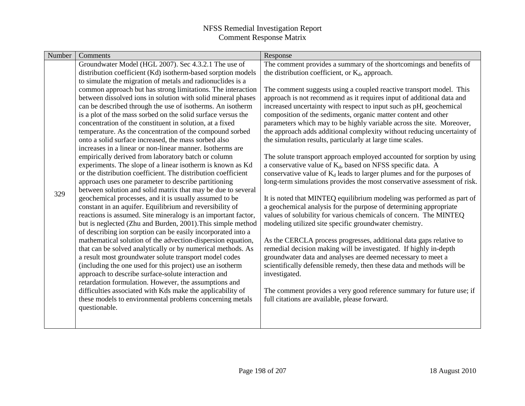| Number | Comments                                                                                                                    | Response                                                                   |
|--------|-----------------------------------------------------------------------------------------------------------------------------|----------------------------------------------------------------------------|
|        | Groundwater Model (HGL 2007). Sec 4.3.2.1 The use of                                                                        | The comment provides a summary of the shortcomings and benefits of         |
|        | distribution coefficient (Kd) isotherm-based sorption models                                                                | the distribution coefficient, or $K_d$ , approach.                         |
|        | to simulate the migration of metals and radionuclides is a                                                                  |                                                                            |
|        | common approach but has strong limitations. The interaction                                                                 | The comment suggests using a coupled reactive transport model. This        |
|        | between dissolved ions in solution with solid mineral phases                                                                | approach is not recommend as it requires input of additional data and      |
|        | can be described through the use of isotherms. An isotherm                                                                  | increased uncertainty with respect to input such as pH, geochemical        |
|        | is a plot of the mass sorbed on the solid surface versus the                                                                | composition of the sediments, organic matter content and other             |
|        | concentration of the constituent in solution, at a fixed                                                                    | parameters which may to be highly variable across the site. Moreover,      |
|        | temperature. As the concentration of the compound sorbed                                                                    | the approach adds additional complexity without reducing uncertainty of    |
|        | onto a solid surface increased, the mass sorbed also                                                                        | the simulation results, particularly at large time scales.                 |
|        | increases in a linear or non-linear manner. Isotherms are                                                                   |                                                                            |
|        | empirically derived from laboratory batch or column                                                                         | The solute transport approach employed accounted for sorption by using     |
|        | experiments. The slope of a linear isotherm is known as Kd                                                                  | a conservative value of $K_d$ , based on NFSS specific data. A             |
|        | or the distribution coefficient. The distribution coefficient                                                               | conservative value of $K_d$ leads to larger plumes and for the purposes of |
|        | approach uses one parameter to describe partitioning                                                                        | long-term simulations provides the most conservative assessment of risk.   |
| 329    | between solution and solid matrix that may be due to several                                                                |                                                                            |
|        | geochemical processes, and it is usually assumed to be                                                                      | It is noted that MINTEQ equilibrium modeling was performed as part of      |
|        | constant in an aquifer. Equilibrium and reversibility of                                                                    | a geochemical analysis for the purpose of determining appropriate          |
|        | reactions is assumed. Site mineralogy is an important factor,                                                               | values of solubility for various chemicals of concern. The MINTEQ          |
|        | but is neglected (Zhu and Burden, 2001). This simple method                                                                 | modeling utilized site specific groundwater chemistry.                     |
|        | of describing ion sorption can be easily incorporated into a<br>mathematical solution of the advection-dispersion equation, | As the CERCLA process progresses, additional data gaps relative to         |
|        | that can be solved analytically or by numerical methods. As                                                                 | remedial decision making will be investigated. If highly in-depth          |
|        | a result most groundwater solute transport model codes                                                                      | groundwater data and analyses are deemed necessary to meet a               |
|        | (including the one used for this project) use an isotherm                                                                   | scientifically defensible remedy, then these data and methods will be      |
|        | approach to describe surface-solute interaction and                                                                         | investigated.                                                              |
|        | retardation formulation. However, the assumptions and                                                                       |                                                                            |
|        | difficulties associated with Kds make the applicability of                                                                  | The comment provides a very good reference summary for future use; if      |
|        | these models to environmental problems concerning metals                                                                    | full citations are available, please forward.                              |
|        | questionable.                                                                                                               |                                                                            |
|        |                                                                                                                             |                                                                            |
|        |                                                                                                                             |                                                                            |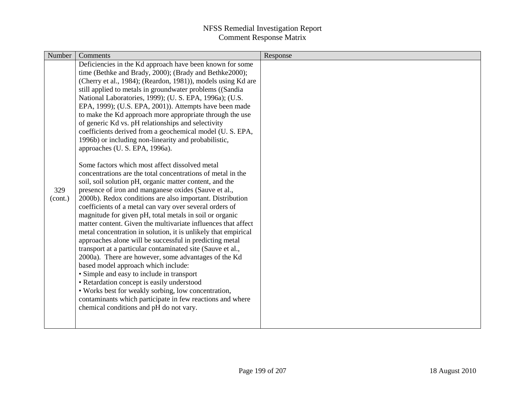| Number         | Comments                                                                                                                                                                                                                                                                                                                                                                                                                                                                                                                                                                                                                                                                                                                                                                                                                                                                                                                                                                                                                                                                                                                                                                                                                                                                                                                                                                                                                                                                                                                                                                                                                                                                                 | Response |
|----------------|------------------------------------------------------------------------------------------------------------------------------------------------------------------------------------------------------------------------------------------------------------------------------------------------------------------------------------------------------------------------------------------------------------------------------------------------------------------------------------------------------------------------------------------------------------------------------------------------------------------------------------------------------------------------------------------------------------------------------------------------------------------------------------------------------------------------------------------------------------------------------------------------------------------------------------------------------------------------------------------------------------------------------------------------------------------------------------------------------------------------------------------------------------------------------------------------------------------------------------------------------------------------------------------------------------------------------------------------------------------------------------------------------------------------------------------------------------------------------------------------------------------------------------------------------------------------------------------------------------------------------------------------------------------------------------------|----------|
| 329<br>(cont.) | Deficiencies in the Kd approach have been known for some<br>time (Bethke and Brady, 2000); (Brady and Bethke2000);<br>(Cherry et al., 1984); (Reardon, 1981)), models using Kd are<br>still applied to metals in groundwater problems ((Sandia<br>National Laboratories, 1999); (U. S. EPA, 1996a); (U.S.<br>EPA, 1999); (U.S. EPA, 2001)). Attempts have been made<br>to make the Kd approach more appropriate through the use<br>of generic Kd vs. pH relationships and selectivity<br>coefficients derived from a geochemical model (U. S. EPA,<br>1996b) or including non-linearity and probabilistic,<br>approaches (U. S. EPA, 1996a).<br>Some factors which most affect dissolved metal<br>concentrations are the total concentrations of metal in the<br>soil, soil solution pH, organic matter content, and the<br>presence of iron and manganese oxides (Sauve et al.,<br>2000b). Redox conditions are also important. Distribution<br>coefficients of a metal can vary over several orders of<br>magnitude for given pH, total metals in soil or organic<br>matter content. Given the multivariate influences that affect<br>metal concentration in solution, it is unlikely that empirical<br>approaches alone will be successful in predicting metal<br>transport at a particular contaminated site (Sauve et al.,<br>2000a). There are however, some advantages of the Kd<br>based model approach which include:<br>• Simple and easy to include in transport<br>• Retardation concept is easily understood<br>• Works best for weakly sorbing, low concentration,<br>contaminants which participate in few reactions and where<br>chemical conditions and pH do not vary. |          |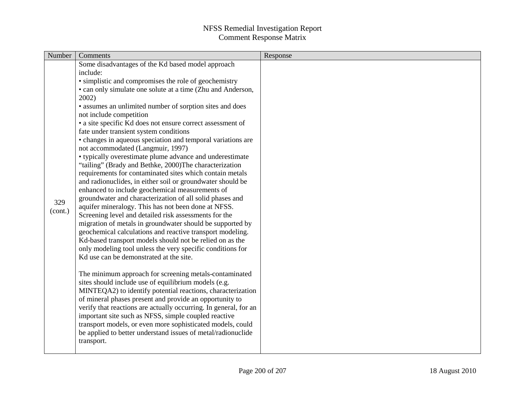| Number         | Comments                                                                                                                                                                                                                                                                                                                                                                                                                                                                                                                                                                                                                                                                                                                                                                                                                                                                                                                                                                                                                                                                                                                                                                                                                                                                                                                                                                                                                                                                                                                                                                                                                                                                                                                                                                                            | Response |
|----------------|-----------------------------------------------------------------------------------------------------------------------------------------------------------------------------------------------------------------------------------------------------------------------------------------------------------------------------------------------------------------------------------------------------------------------------------------------------------------------------------------------------------------------------------------------------------------------------------------------------------------------------------------------------------------------------------------------------------------------------------------------------------------------------------------------------------------------------------------------------------------------------------------------------------------------------------------------------------------------------------------------------------------------------------------------------------------------------------------------------------------------------------------------------------------------------------------------------------------------------------------------------------------------------------------------------------------------------------------------------------------------------------------------------------------------------------------------------------------------------------------------------------------------------------------------------------------------------------------------------------------------------------------------------------------------------------------------------------------------------------------------------------------------------------------------------|----------|
| 329<br>(cont.) | Some disadvantages of the Kd based model approach<br>include:<br>• simplistic and compromises the role of geochemistry<br>• can only simulate one solute at a time (Zhu and Anderson,<br>2002)<br>• assumes an unlimited number of sorption sites and does<br>not include competition<br>• a site specific Kd does not ensure correct assessment of<br>fate under transient system conditions<br>• changes in aqueous speciation and temporal variations are<br>not accommodated (Langmuir, 1997)<br>• typically overestimate plume advance and underestimate<br>"tailing" (Brady and Bethke, 2000)The characterization<br>requirements for contaminated sites which contain metals<br>and radionuclides, in either soil or groundwater should be<br>enhanced to include geochemical measurements of<br>groundwater and characterization of all solid phases and<br>aquifer mineralogy. This has not been done at NFSS.<br>Screening level and detailed risk assessments for the<br>migration of metals in groundwater should be supported by<br>geochemical calculations and reactive transport modeling.<br>Kd-based transport models should not be relied on as the<br>only modeling tool unless the very specific conditions for<br>Kd use can be demonstrated at the site.<br>The minimum approach for screening metals-contaminated<br>sites should include use of equilibrium models (e.g.<br>MINTEQA2) to identify potential reactions, characterization<br>of mineral phases present and provide an opportunity to<br>verify that reactions are actually occurring. In general, for an<br>important site such as NFSS, simple coupled reactive<br>transport models, or even more sophisticated models, could<br>be applied to better understand issues of metal/radionuclide<br>transport. |          |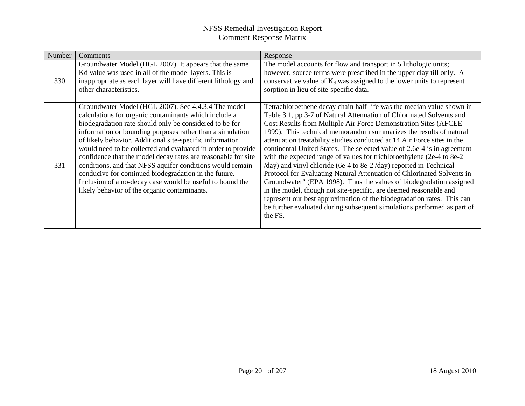| Number | Comments                                                                                                                                                                                                                                                                                                                                                                                                                                                                                                                                                                                                                                                             | Response                                                                                                                                                                                                                                                                                                                                                                                                                                                                                                                                                                                                                                                                                                                                                                                                                                                                                                                                                                          |
|--------|----------------------------------------------------------------------------------------------------------------------------------------------------------------------------------------------------------------------------------------------------------------------------------------------------------------------------------------------------------------------------------------------------------------------------------------------------------------------------------------------------------------------------------------------------------------------------------------------------------------------------------------------------------------------|-----------------------------------------------------------------------------------------------------------------------------------------------------------------------------------------------------------------------------------------------------------------------------------------------------------------------------------------------------------------------------------------------------------------------------------------------------------------------------------------------------------------------------------------------------------------------------------------------------------------------------------------------------------------------------------------------------------------------------------------------------------------------------------------------------------------------------------------------------------------------------------------------------------------------------------------------------------------------------------|
| 330    | Groundwater Model (HGL 2007). It appears that the same<br>Kd value was used in all of the model layers. This is<br>inappropriate as each layer will have different lithology and<br>other characteristics.                                                                                                                                                                                                                                                                                                                                                                                                                                                           | The model accounts for flow and transport in 5 lithologic units;<br>however, source terms were prescribed in the upper clay till only. A<br>conservative value of $K_d$ was assigned to the lower units to represent<br>sorption in lieu of site-specific data.                                                                                                                                                                                                                                                                                                                                                                                                                                                                                                                                                                                                                                                                                                                   |
| 331    | Groundwater Model (HGL 2007). Sec 4.4.3.4 The model<br>calculations for organic contaminants which include a<br>biodegradation rate should only be considered to be for<br>information or bounding purposes rather than a simulation<br>of likely behavior. Additional site-specific information<br>would need to be collected and evaluated in order to provide<br>confidence that the model decay rates are reasonable for site<br>conditions, and that NFSS aquifer conditions would remain<br>conducive for continued biodegradation in the future.<br>Inclusion of a no-decay case would be useful to bound the<br>likely behavior of the organic contaminants. | Tetrachloroethene decay chain half-life was the median value shown in<br>Table 3.1, pp 3-7 of Natural Attenuation of Chlorinated Solvents and<br>Cost Results from Multiple Air Force Demonstration Sites (AFCEE<br>1999). This technical memorandum summarizes the results of natural<br>attenuation treatability studies conducted at 14 Air Force sites in the<br>continental United States. The selected value of 2.6e-4 is in agreement<br>with the expected range of values for trichloroethylene (2e-4 to 8e-2)<br>/day) and vinyl chloride (6e-4 to 8e-2/day) reported in Technical<br>Protocol for Evaluating Natural Attenuation of Chlorinated Solvents in<br>Groundwater" (EPA 1998). Thus the values of biodegradation assigned<br>in the model, though not site-specific, are deemed reasonable and<br>represent our best approximation of the biodegradation rates. This can<br>be further evaluated during subsequent simulations performed as part of<br>the FS. |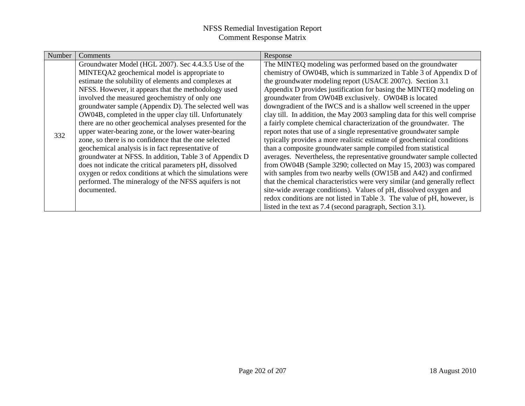| Number | <b>Comments</b>                                           | Response                                                                   |
|--------|-----------------------------------------------------------|----------------------------------------------------------------------------|
|        | Groundwater Model (HGL 2007). Sec 4.4.3.5 Use of the      | The MINTEQ modeling was performed based on the groundwater                 |
|        | MINTEQA2 geochemical model is appropriate to              | chemistry of OW04B, which is summarized in Table 3 of Appendix D of        |
|        | estimate the solubility of elements and complexes at      | the groundwater modeling report (USACE 2007c). Section 3.1                 |
|        | NFSS. However, it appears that the methodology used       | Appendix D provides justification for basing the MINTEQ modeling on        |
|        | involved the measured geochemistry of only one            | groundwater from OW04B exclusively. OW04B is located                       |
|        | groundwater sample (Appendix D). The selected well was    | downgradient of the IWCS and is a shallow well screened in the upper       |
|        | OW04B, completed in the upper clay till. Unfortunately    | clay till. In addition, the May 2003 sampling data for this well comprise  |
|        | there are no other geochemical analyses presented for the | a fairly complete chemical characterization of the groundwater. The        |
| 332    | upper water-bearing zone, or the lower water-bearing      | report notes that use of a single representative groundwater sample        |
|        | zone, so there is no confidence that the one selected     | typically provides a more realistic estimate of geochemical conditions     |
|        | geochemical analysis is in fact representative of         | than a composite groundwater sample compiled from statistical              |
|        | groundwater at NFSS. In addition, Table 3 of Appendix D   | averages. Nevertheless, the representative groundwater sample collected    |
|        | does not indicate the critical parameters pH, dissolved   | from OW04B (Sample 3290; collected on May 15, 2003) was compared           |
|        | oxygen or redox conditions at which the simulations were  | with samples from two nearby wells (OW15B and A42) and confirmed           |
|        | performed. The mineralogy of the NFSS aquifers is not     | that the chemical characteristics were very similar (and generally reflect |
|        | documented.                                               | site-wide average conditions). Values of pH, dissolved oxygen and          |
|        |                                                           | redox conditions are not listed in Table 3. The value of pH, however, is   |
|        |                                                           | listed in the text as 7.4 (second paragraph, Section 3.1).                 |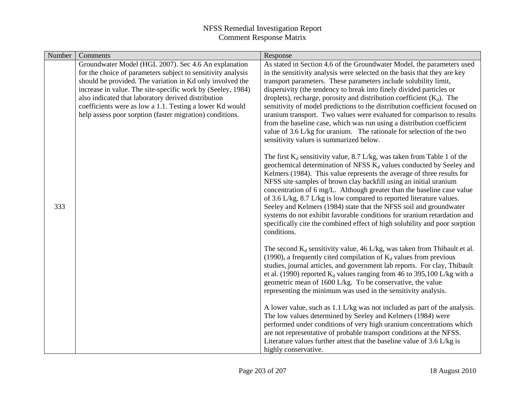| Number | Comments                                                                                                                                                                                                                                                                                                                                                                                                                        | Response                                                                                                                                                                                                                                                                                                                                                                                                                                                                                                                                                                                                                                                                                                                          |
|--------|---------------------------------------------------------------------------------------------------------------------------------------------------------------------------------------------------------------------------------------------------------------------------------------------------------------------------------------------------------------------------------------------------------------------------------|-----------------------------------------------------------------------------------------------------------------------------------------------------------------------------------------------------------------------------------------------------------------------------------------------------------------------------------------------------------------------------------------------------------------------------------------------------------------------------------------------------------------------------------------------------------------------------------------------------------------------------------------------------------------------------------------------------------------------------------|
|        | Groundwater Model (HGL 2007). Sec 4.6 An explanation<br>for the choice of parameters subject to sensitivity analysis<br>should be provided. The variation in Kd only involved the<br>increase in value. The site-specific work by (Seeley, 1984)<br>also indicated that laboratory derived distribution<br>coefficients were as low a 1.1. Testing a lower Kd would<br>help assess poor sorption (faster migration) conditions. | As stated in Section 4.6 of the Groundwater Model, the parameters used<br>in the sensitivity analysis were selected on the basis that they are key<br>transport parameters. These parameters include solubility limit,<br>dispersivity (the tendency to break into finely divided particles or<br>droplets), recharge, porosity and distribution coefficient $(K_d)$ . The<br>sensitivity of model predictions to the distribution coefficient focused on<br>uranium transport. Two values were evaluated for comparison to results<br>from the baseline case, which was run using a distribution coefficient<br>value of 3.6 L/kg for uranium. The rationale for selection of the two<br>sensitivity values is summarized below. |
| 333    |                                                                                                                                                                                                                                                                                                                                                                                                                                 | The first $K_d$ sensitivity value, 8.7 L/kg, was taken from Table 1 of the<br>geochemical determination of NFSS K <sub>d</sub> values conducted by Seeley and<br>Kelmers (1984). This value represents the average of three results for<br>NFSS site samples of brown clay backfill using an initial uranium<br>concentration of 6 mg/L. Although greater than the baseline case value<br>of 3.6 L/kg, 8.7 L/kg is low compared to reported literature values.<br>Seeley and Kelmers (1984) state that the NFSS soil and groundwater<br>systems do not exhibit favorable conditions for uranium retardation and<br>specifically cite the combined effect of high solubility and poor sorption<br>conditions.                      |
|        |                                                                                                                                                                                                                                                                                                                                                                                                                                 | The second $K_d$ sensitivity value, 46 L/kg, was taken from Thibault et al.<br>(1990), a frequently cited compilation of $K_d$ values from previous<br>studies, journal articles, and government lab reports. For clay, Thibault<br>et al. (1990) reported $K_d$ values ranging from 46 to 395,100 L/kg with a<br>geometric mean of 1600 L/kg. To be conservative, the value<br>representing the minimum was used in the sensitivity analysis.                                                                                                                                                                                                                                                                                    |
|        |                                                                                                                                                                                                                                                                                                                                                                                                                                 | A lower value, such as 1.1 L/kg was not included as part of the analysis.<br>The low values determined by Seeley and Kelmers (1984) were<br>performed under conditions of very high uranium concentrations which<br>are not representative of probable transport conditions at the NFSS.<br>Literature values further attest that the baseline value of 3.6 L/kg is<br>highly conservative.                                                                                                                                                                                                                                                                                                                                       |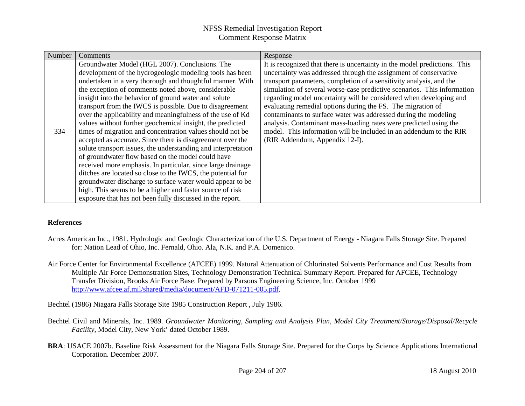| Number | Comments                                                      | Response                                                                  |
|--------|---------------------------------------------------------------|---------------------------------------------------------------------------|
|        | Groundwater Model (HGL 2007). Conclusions. The                | It is recognized that there is uncertainty in the model predictions. This |
|        | development of the hydrogeologic modeling tools has been      | uncertainty was addressed through the assignment of conservative          |
|        | undertaken in a very thorough and thoughtful manner. With     | transport parameters, completion of a sensitivity analysis, and the       |
|        | the exception of comments noted above, considerable           | simulation of several worse-case predictive scenarios. This information   |
|        | insight into the behavior of ground water and solute          | regarding model uncertainty will be considered when developing and        |
|        | transport from the IWCS is possible. Due to disagreement      | evaluating remedial options during the FS. The migration of               |
|        | over the applicability and meaningfulness of the use of Kd    | contaminants to surface water was addressed during the modeling           |
|        | values without further geochemical insight, the predicted     | analysis. Contaminant mass-loading rates were predicted using the         |
| 334    | times of migration and concentration values should not be     | model. This information will be included in an addendum to the RIR        |
|        | accepted as accurate. Since there is disagreement over the    | (RIR Addendum, Appendix 12-I).                                            |
|        | solute transport issues, the understanding and interpretation |                                                                           |
|        | of groundwater flow based on the model could have             |                                                                           |
|        | received more emphasis. In particular, since large drainage   |                                                                           |
|        | ditches are located so close to the IWCS, the potential for   |                                                                           |
|        | groundwater discharge to surface water would appear to be     |                                                                           |
|        | high. This seems to be a higher and faster source of risk     |                                                                           |
|        | exposure that has not been fully discussed in the report.     |                                                                           |

#### **References**

- Acres American Inc., 1981. Hydrologic and Geologic Characterization of the U.S. Department of Energy Niagara Falls Storage Site. Prepared for: Nation Lead of Ohio, Inc. Fernald, Ohio. Ala, N.K. and P.A. Domenico.
- Air Force Center for Environmental Excellence (AFCEE) 1999. Natural Attenuation of Chlorinated Solvents Performance and Cost Results from Multiple Air Force Demonstration Sites, Technology Demonstration Technical Summary Report. Prepared for AFCEE, Technology Transfer Division, Brooks Air Force Base. Prepared by Parsons Engineering Science, Inc. October 1999 [http://www.afcee.af.mil/shared/media/document/AFD-071211-005.pdf.](http://www.afcee.af.mil/shared/media/document/AFD-071211-005.pdf)
- Bechtel (1986) Niagara Falls Storage Site 1985 Construction Report , July 1986.
- Bechtel Civil and Minerals, Inc. 1989. *Groundwater Monitoring, Sampling and Analysis Plan, Model City Treatment/Storage/Disposal/Recycle Facility*, Model City, New York' dated October 1989.
- **BRA**: USACE 2007b. Baseline Risk Assessment for the Niagara Falls Storage Site. Prepared for the Corps by Science Applications International Corporation. December 2007.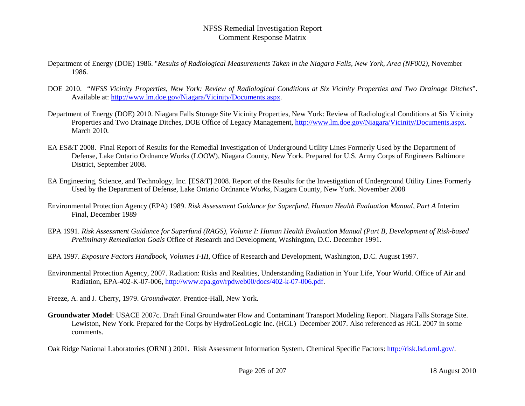- Department of Energy (DOE) 1986. "*Results of Radiological Measurements Taken in the Niagara Falls, New York, Area (NF002)*, November 1986.
- DOE 2010. "*NFSS Vicinity Properties, New York: Review of Radiological Conditions at Six Vicinity Properties and Two Drainage Ditches*". Available at: [http://www.lm.doe.gov/Niagara/Vicinity/Documents.aspx.](http://www.lm.doe.gov/Niagara/Vicinity/Documents.aspx)
- Department of Energy (DOE) 2010. Niagara Falls Storage Site Vicinity Properties, New York: Review of Radiological Conditions at Six Vicinity Properties and Two Drainage Ditches, DOE Office of Legacy Management, [http://www.lm.doe.gov/Niagara/Vicinity/Documents.aspx.](http://www.lm.doe.gov/Niagara/Vicinity/Documents.aspx) March 2010.
- EA ES&T 2008. Final Report of Results for the Remedial Investigation of Underground Utility Lines Formerly Used by the Department of Defense, Lake Ontario Ordnance Works (LOOW), Niagara County, New York. Prepared for U.S. Army Corps of Engineers Baltimore District, September 2008.
- EA Engineering, Science, and Technology, Inc. [ES&T] 2008. Report of the Results for the Investigation of Underground Utility Lines Formerly Used by the Department of Defense, Lake Ontario Ordnance Works, Niagara County, New York. November 2008
- Environmental Protection Agency (EPA) 1989. *Risk Assessment Guidance for Superfund, Human Health Evaluation Manual, Part A* Interim Final, December 1989
- EPA 1991. *Risk Assessment Guidance for Superfund (RAGS), Volume I: Human Health Evaluation Manual (Part B, Development of Risk-based Preliminary Remediation Goals* Office of Research and Development, Washington, D.C. December 1991.
- EPA 1997. *Exposure Factors Handbook, Volumes I-III*, Office of Research and Development, Washington, D.C. August 1997.
- Environmental Protection Agency, 2007. Radiation: Risks and Realities, Understanding Radiation in Your Life, Your World. Office of Air and Radiation, EPA-402-K-07-006, [http://www.epa.gov/rpdweb00/docs/402-k-07-006.pdf.](http://www.epa.gov/rpdweb00/docs/402-k-07-006.pdf)
- Freeze, A. and J. Cherry, 1979. *Groundwater*. Prentice-Hall, New York.
- **Groundwater Model**: USACE 2007c. Draft Final Groundwater Flow and Contaminant Transport Modeling Report. Niagara Falls Storage Site. Lewiston, New York. Prepared for the Corps by HydroGeoLogic Inc. (HGL) December 2007. Also referenced as HGL 2007 in some comments.

Oak Ridge National Laboratories (ORNL) 2001. Risk Assessment Information System. Chemical Specific Factors: [http://risk.lsd.ornl.gov/.](http://risk.lsd.ornl.gov/)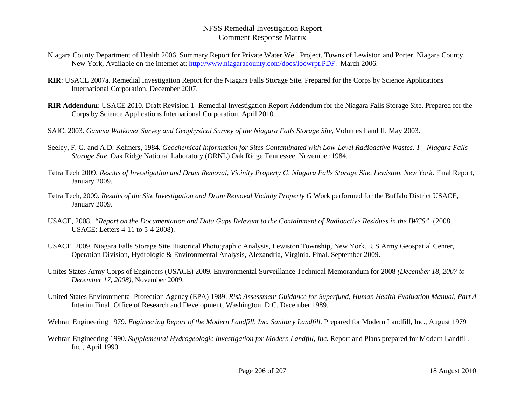- Niagara County Department of Health 2006. Summary Report for Private Water Well Project, Towns of Lewiston and Porter, Niagara County, New York, Available on the internet at: [http://www.niagaracounty.com/docs/loowrpt.PDF.](http://www.niagaracounty.com/docs/loowrpt.PDF) March 2006.
- **RIR**: USACE 2007a. Remedial Investigation Report for the Niagara Falls Storage Site. Prepared for the Corps by Science Applications International Corporation. December 2007.
- **RIR Addendum**: USACE 2010. Draft Revision 1- Remedial Investigation Report Addendum for the Niagara Falls Storage Site. Prepared for the Corps by Science Applications International Corporation. April 2010.
- SAIC, 2003. *Gamma Walkover Survey and Geophysical Survey of the Niagara Falls Storage Site*, Volumes I and II, May 2003.
- Seeley, F. G. and A.D. Kelmers, 1984. *Geochemical Information for Sites Contaminated with Low-Level Radioactive Wastes: I – Niagara Falls Storage Site*, Oak Ridge National Laboratory (ORNL) Oak Ridge Tennessee, November 1984.
- Tetra Tech 2009. *Results of Investigation and Drum Removal, Vicinity Property G, Niagara Falls Storage Site, Lewiston, New York*. Final Report, January 2009.
- Tetra Tech, 2009. *Results of the Site Investigation and Drum Removal Vicinity Property G* Work performed for the Buffalo District USACE, January 2009.
- USACE, 2008. "*Report on the Documentation and Data Gaps Relevant to the Containment of Radioactive Residues in the IWCS"* (2008, USACE: Letters 4-11 to 5-4-2008).
- USACE 2009. Niagara Falls Storage Site Historical Photographic Analysis, Lewiston Township, New York. US Army Geospatial Center, Operation Division, Hydrologic & Environmental Analysis, Alexandria, Virginia. Final. September 2009.
- Unites States Army Corps of Engineers (USACE) 2009. Environmental Surveillance Technical Memorandum for 2008 *(December 18, 2007 to December 17, 2008)*, November 2009.
- United States Environmental Protection Agency (EPA) 1989. *Risk Assessment Guidance for Superfund, Human Health Evaluation Manual, Part A* Interim Final, Office of Research and Development, Washington, D.C. December 1989.
- Wehran Engineering 1979. *Engineering Report of the Modern Landfill, Inc. Sanitary Landfill.* Prepared for Modern Landfill, Inc., August 1979
- Wehran Engineering 1990. Supplemental Hydrogeologic Investigation for Modern Landfill, Inc. Report and Plans prepared for Modern Landfill, Inc., April 1990